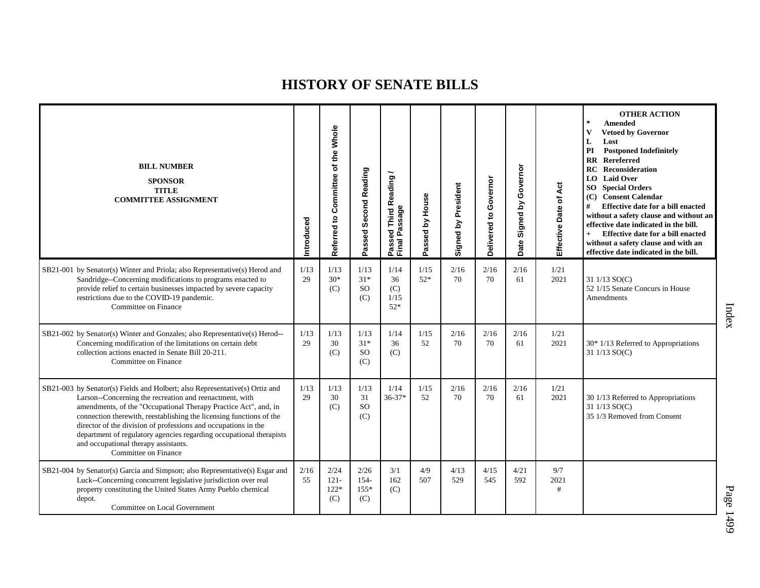| <b>BILL NUMBER</b><br><b>SPONSOR</b><br><b>TITLE</b><br><b>COMMITTEE ASSIGNMENT</b>                                                                                                                                                                                                                                                                                                                                                                                                       | Introduced | Referred to Committee of the Whole | <b>Second Reading</b><br>Passed       | <b>Third Reading</b><br>Final Passage<br>Passed | House<br>Passed by | Signed by President | Governor<br>Delivered to | Governor<br>Signed by<br>Date | Act<br>Effective Date of | <b>OTHER ACTION</b><br>$\star$<br><b>Amended</b><br><b>Vetoed by Governor</b><br>$\mathbf{V}$<br>L<br>Lost<br><b>Postponed Indefinitely</b><br>PI<br>Rereferred<br>$\mathbf{R} \mathbf{R}$<br><b>RC</b> Reconsideration<br><b>LO</b> Laid Over<br><b>SO</b> Special Orders<br>(C) Consent Calendar<br>#<br>Effective date for a bill enacted<br>without a safety clause and without an<br>effective date indicated in the bill.<br>Effective date for a bill enacted<br>$+$<br>without a safety clause and with an<br>effective date indicated in the bill. |
|-------------------------------------------------------------------------------------------------------------------------------------------------------------------------------------------------------------------------------------------------------------------------------------------------------------------------------------------------------------------------------------------------------------------------------------------------------------------------------------------|------------|------------------------------------|---------------------------------------|-------------------------------------------------|--------------------|---------------------|--------------------------|-------------------------------|--------------------------|-------------------------------------------------------------------------------------------------------------------------------------------------------------------------------------------------------------------------------------------------------------------------------------------------------------------------------------------------------------------------------------------------------------------------------------------------------------------------------------------------------------------------------------------------------------|
| SB21-001 by Senator(s) Winter and Priola; also Representative(s) Herod and<br>Sandridge--Concerning modifications to programs enacted to<br>provide relief to certain businesses impacted by severe capacity<br>restrictions due to the COVID-19 pandemic.<br>Committee on Finance                                                                                                                                                                                                        | 1/13<br>29 | 1/13<br>$30*$<br>(C)               | 1/13<br>$31*$<br><b>SO</b><br>(C)     | 1/14<br>36<br>(C)<br>1/15<br>$52*$              | 1/15<br>$52*$      | 2/16<br>70          | 2/16<br>70               | 2/16<br>61                    | 1/21<br>2021             | 31 1/13 SO(C)<br>52 1/15 Senate Concurs in House<br>Amendments                                                                                                                                                                                                                                                                                                                                                                                                                                                                                              |
| SB21-002 by Senator(s) Winter and Gonzales; also Representative(s) Herod--<br>Concerning modification of the limitations on certain debt<br>collection actions enacted in Senate Bill 20-211.<br>Committee on Finance                                                                                                                                                                                                                                                                     | 1/13<br>29 | 1/13<br>30<br>(C)                  | 1/13<br>$31*$<br><sub>SO</sub><br>(C) | 1/14<br>36<br>(C)                               | 1/15<br>52         | 2/16<br>70          | 2/16<br>70               | 2/16<br>61                    | 1/21<br>2021             | $30*1/13$ Referred to Appropriations<br>31 1/13 SO(C)                                                                                                                                                                                                                                                                                                                                                                                                                                                                                                       |
| SB21-003 by Senator(s) Fields and Holbert; also Representative(s) Ortiz and<br>Larson--Concerning the recreation and reenactment, with<br>amendments, of the "Occupational Therapy Practice Act", and, in<br>connection therewith, reestablishing the licensing functions of the<br>director of the division of professions and occupations in the<br>department of regulatory agencies regarding occupational therapists<br>and occupational therapy assistants.<br>Committee on Finance | 1/13<br>29 | 1/13<br>30<br>(C)                  | 1/13<br>31<br><sub>SO</sub><br>(C)    | 1/14<br>$36 - 37*$                              | 1/15<br>52         | 2/16<br>70          | 2/16<br>70               | 2/16<br>61                    | 1/21<br>2021             | 30 1/13 Referred to Appropriations<br>31 1/13 SO(C)<br>35 1/3 Removed from Consent                                                                                                                                                                                                                                                                                                                                                                                                                                                                          |
| SB21-004 by Senator(s) Garcia and Simpson; also Representative(s) Esgar and<br>Luck--Concerning concurrent legislative jurisdiction over real<br>property constituting the United States Army Pueblo chemical<br>depot.<br>Committee on Local Government                                                                                                                                                                                                                                  | 2/16<br>55 | 2/24<br>$121 -$<br>$122*$<br>(C)   | 2/26<br>154-<br>155*<br>(C)           | 3/1<br>162<br>(C)                               | 4/9<br>507         | 4/13<br>529         | 4/15<br>545              | 4/21<br>592                   | 9/7<br>2021<br>#         |                                                                                                                                                                                                                                                                                                                                                                                                                                                                                                                                                             |

Index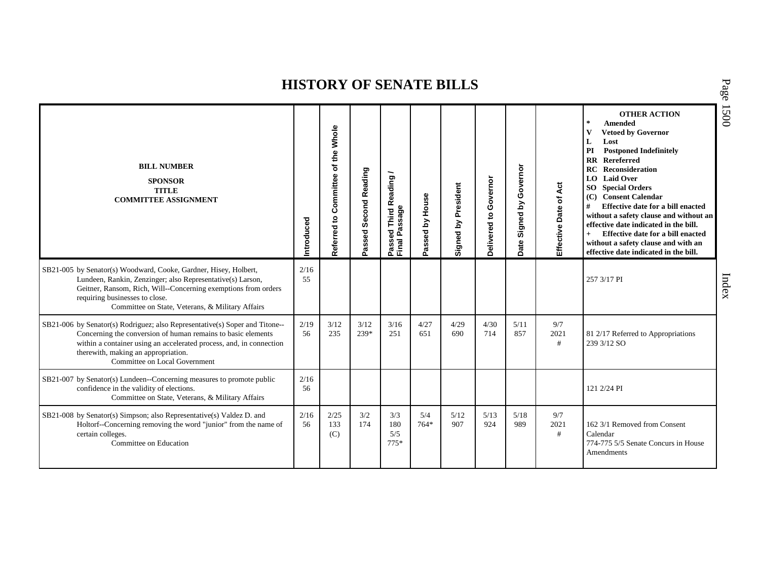|                                                                                                                                                                                                                                                                                            |            |                                       |                                          |                                       |                     |                                            |                          |                               |                       | <b>OTHER ACTION</b><br>$\star$<br>Amended                                                                                                                                                                                                                                                                                                                                                                                                                                                        | ◟<br>$\widetilde{\mathcal{S}}$ |
|--------------------------------------------------------------------------------------------------------------------------------------------------------------------------------------------------------------------------------------------------------------------------------------------|------------|---------------------------------------|------------------------------------------|---------------------------------------|---------------------|--------------------------------------------|--------------------------|-------------------------------|-----------------------|--------------------------------------------------------------------------------------------------------------------------------------------------------------------------------------------------------------------------------------------------------------------------------------------------------------------------------------------------------------------------------------------------------------------------------------------------------------------------------------------------|--------------------------------|
| <b>BILL NUMBER</b><br><b>SPONSOR</b><br><b>TITLE</b><br><b>COMMITTEE ASSIGNMENT</b>                                                                                                                                                                                                        | Introduced | of the Whole<br>Referred to Committee | <b>Second Reading</b><br>್ಥಾ<br>ŠS,<br>ä | Passed Third Reading<br>Final Passage | assed by House<br>൨ | President<br>$\mathbf{\Sigma}$<br>Signed I | Governor<br>Delivered to | Governor<br>Signed by<br>Date | Effective Date of Act | $\mathbf{V}$<br><b>Vetoed by Governor</b><br>L<br>Lost<br>PI<br><b>Postponed Indefinitely</b><br><b>RR</b> Rereferred<br>RC<br>Reconsideration<br><b>Laid Over</b><br>LO.<br><b>SO</b> Special Orders<br>(C)<br><b>Consent Calendar</b><br>#<br>Effective date for a bill enacted<br>without a safety clause and without an<br>effective date indicated in the bill.<br>Effective date for a bill enacted<br>$+$<br>without a safety clause and with an<br>effective date indicated in the bill. |                                |
| SB21-005 by Senator(s) Woodward, Cooke, Gardner, Hisey, Holbert,<br>Lundeen, Rankin, Zenzinger; also Representative(s) Larson,<br>Geitner, Ransom, Rich, Will--Concerning exemptions from orders<br>requiring businesses to close.<br>Committee on State, Veterans, & Military Affairs     | 2/16<br>55 |                                       |                                          |                                       |                     |                                            |                          |                               |                       | 257 3/17 PI                                                                                                                                                                                                                                                                                                                                                                                                                                                                                      | Index                          |
| SB21-006 by Senator(s) Rodriguez; also Representative(s) Soper and Titone--<br>Concerning the conversion of human remains to basic elements<br>within a container using an accelerated process, and, in connection<br>therewith, making an appropriation.<br>Committee on Local Government | 2/19<br>56 | 3/12<br>235                           | 3/12<br>239*                             | 3/16<br>251                           | 4/27<br>651         | 4/29<br>690                                | 4/30<br>714              | 5/11<br>857                   | 9/7<br>2021<br>#      | 81 2/17 Referred to Appropriations<br>239 3/12 SO                                                                                                                                                                                                                                                                                                                                                                                                                                                |                                |
| SB21-007 by Senator(s) Lundeen--Concerning measures to promote public<br>confidence in the validity of elections.<br>Committee on State, Veterans, & Military Affairs                                                                                                                      | 2/16<br>56 |                                       |                                          |                                       |                     |                                            |                          |                               |                       | 121 2/24 PI                                                                                                                                                                                                                                                                                                                                                                                                                                                                                      |                                |
| SB21-008 by Senator(s) Simpson; also Representative(s) Valdez D. and<br>Holtorf--Concerning removing the word "junior" from the name of<br>certain colleges.<br>Committee on Education                                                                                                     | 2/16<br>56 | 2/25<br>133<br>(C)                    | 3/2<br>174                               | 3/3<br>180<br>5/5<br>$775*$           | 5/4<br>$764*$       | 5/12<br>907                                | 5/13<br>924              | 5/18<br>989                   | 9/7<br>2021<br>#      | 162 3/1 Removed from Consent<br>Calendar<br>774-775 5/5 Senate Concurs in House<br>Amendments                                                                                                                                                                                                                                                                                                                                                                                                    |                                |

P a g e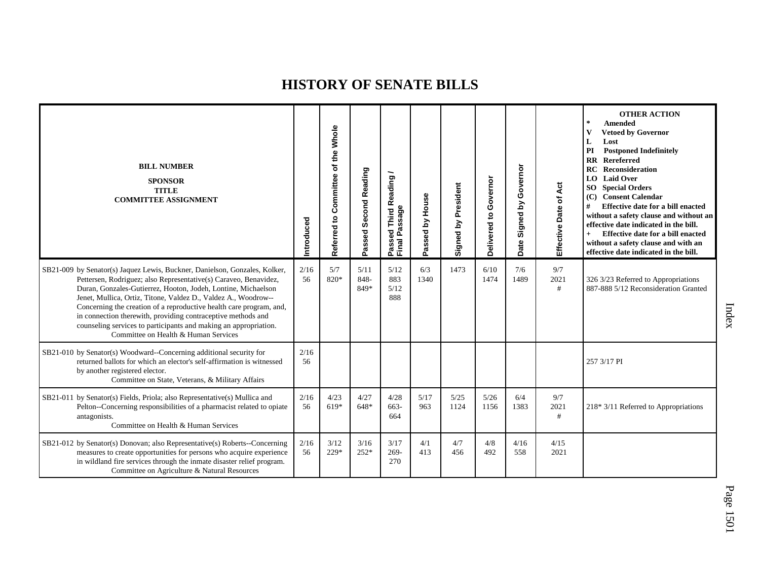| <b>BILL NUMBER</b><br><b>SPONSOR</b><br><b>TITLE</b><br><b>COMMITTEE ASSIGNMENT</b>                                                                                                                                                                                                                                                                                                                                                                                                                                                  | Introduced | Referred to Committee of the Whole | Second Reading<br>Passed | Passed Third Reading<br>Final Passage | Passed by House | Signed by President | Governor<br>Delivered to | Governor<br>Signed by<br>Date | Act<br>Effective Date of | <b>OTHER ACTION</b><br>$\star$<br>Amended<br><b>Vetoed by Governor</b><br>$\mathbf{V}$<br>L<br>Lost<br>PI<br><b>Postponed Indefinitely</b><br>Rereferred<br>RR<br><b>RC</b> Reconsideration<br>LO Laid Over<br><b>SO</b> Special Orders<br>(C) Consent Calendar<br>Effective date for a bill enacted<br>#<br>without a safety clause and without an<br>effective date indicated in the bill.<br>Effective date for a bill enacted<br>without a safety clause and with an<br>effective date indicated in the bill. |
|--------------------------------------------------------------------------------------------------------------------------------------------------------------------------------------------------------------------------------------------------------------------------------------------------------------------------------------------------------------------------------------------------------------------------------------------------------------------------------------------------------------------------------------|------------|------------------------------------|--------------------------|---------------------------------------|-----------------|---------------------|--------------------------|-------------------------------|--------------------------|-------------------------------------------------------------------------------------------------------------------------------------------------------------------------------------------------------------------------------------------------------------------------------------------------------------------------------------------------------------------------------------------------------------------------------------------------------------------------------------------------------------------|
| SB21-009 by Senator(s) Jaquez Lewis, Buckner, Danielson, Gonzales, Kolker,<br>Pettersen, Rodriguez; also Representative(s) Caraveo, Benavidez,<br>Duran, Gonzales-Gutierrez, Hooton, Jodeh, Lontine, Michaelson<br>Jenet, Mullica, Ortiz, Titone, Valdez D., Valdez A., Woodrow--<br>Concerning the creation of a reproductive health care program, and,<br>in connection therewith, providing contraceptive methods and<br>counseling services to participants and making an appropriation.<br>Committee on Health & Human Services | 2/16<br>56 | 5/7<br>820*                        | 5/11<br>848-<br>849*     | 5/12<br>883<br>5/12<br>888            | 6/3<br>1340     | 1473                | 6/10<br>1474             | 7/6<br>1489                   | 9/7<br>2021<br>#         | 326 3/23 Referred to Appropriations<br>887-888 5/12 Reconsideration Granted                                                                                                                                                                                                                                                                                                                                                                                                                                       |
| SB21-010 by Senator(s) Woodward--Concerning additional security for<br>returned ballots for which an elector's self-affirmation is witnessed<br>by another registered elector.<br>Committee on State, Veterans, & Military Affairs                                                                                                                                                                                                                                                                                                   | 2/16<br>56 |                                    |                          |                                       |                 |                     |                          |                               |                          | 257 3/17 PI                                                                                                                                                                                                                                                                                                                                                                                                                                                                                                       |
| SB21-011 by Senator(s) Fields, Priola; also Representative(s) Mullica and<br>Pelton--Concerning responsibilities of a pharmacist related to opiate<br>antagonists.<br>Committee on Health & Human Services                                                                                                                                                                                                                                                                                                                           | 2/16<br>56 | 4/23<br>619*                       | 4/27<br>648*             | 4/28<br>663-<br>664                   | 5/17<br>963     | 5/25<br>1124        | 5/26<br>1156             | 6/4<br>1383                   | 9/7<br>2021<br>#         | $218*3/11$ Referred to Appropriations                                                                                                                                                                                                                                                                                                                                                                                                                                                                             |
| SB21-012 by Senator(s) Donovan; also Representative(s) Roberts--Concerning<br>measures to create opportunities for persons who acquire experience<br>in wildland fire services through the inmate disaster relief program.<br>Committee on Agriculture & Natural Resources                                                                                                                                                                                                                                                           | 2/16<br>56 | 3/12<br>229*                       | 3/16<br>$252*$           | 3/17<br>$269 -$<br>270                | 4/1<br>413      | 4/7<br>456          | 4/8<br>492               | 4/16<br>558                   | 4/15<br>2021             |                                                                                                                                                                                                                                                                                                                                                                                                                                                                                                                   |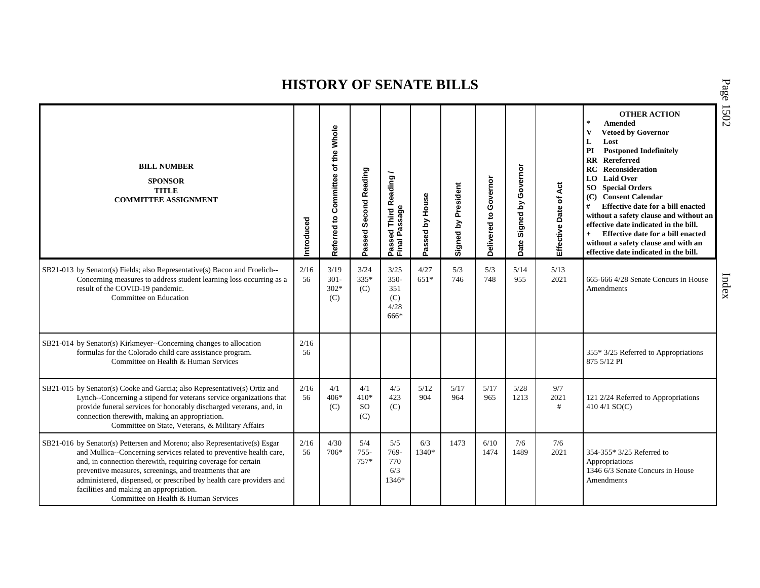| <b>BILL NUMBER</b><br><b>SPONSOR</b><br><b>TITLE</b><br><b>COMMITTEE ASSIGNMENT</b>                                                                                                                                                                                                                                                                                                                                                    | Introduced | Referred to Committee of the Whole | Passed Second Reading             | Passed Third Reading<br>Final Passage         | Passed by House | Signed by President | Governor<br>Delivered to | Governor<br>Signed by<br>Date | 4đ<br>Effective Date of | <b>OTHER ACTION</b><br>$\ast$<br><b>Amended</b><br><b>Vetoed by Governor</b><br>$\mathbf{V}$<br>L<br>Lost<br>PI<br><b>Postponed Indefinitely</b><br>Rereferred<br>$\mathbf{R}\mathbf{R}$<br><b>Reconsideration</b><br>RC<br><b>LO</b> Laid Over<br><b>SO</b> Special Orders<br>(C) Consent Calendar<br>#<br>Effective date for a bill enacted<br>without a safety clause and without an<br>effective date indicated in the bill.<br>Effective date for a bill enacted<br>$+$<br>without a safety clause and with an<br>effective date indicated in the bill. |
|----------------------------------------------------------------------------------------------------------------------------------------------------------------------------------------------------------------------------------------------------------------------------------------------------------------------------------------------------------------------------------------------------------------------------------------|------------|------------------------------------|-----------------------------------|-----------------------------------------------|-----------------|---------------------|--------------------------|-------------------------------|-------------------------|--------------------------------------------------------------------------------------------------------------------------------------------------------------------------------------------------------------------------------------------------------------------------------------------------------------------------------------------------------------------------------------------------------------------------------------------------------------------------------------------------------------------------------------------------------------|
| SB21-013 by Senator(s) Fields; also Representative(s) Bacon and Froelich--<br>Concerning measures to address student learning loss occurring as a<br>result of the COVID-19 pandemic.<br>Committee on Education                                                                                                                                                                                                                        | 2/16<br>56 | 3/19<br>$301 -$<br>$302*$<br>(C)   | 3/24<br>335*<br>(C)               | 3/25<br>$350 -$<br>351<br>(C)<br>4/28<br>666* | 4/27<br>$651*$  | 5/3<br>746          | 5/3<br>748               | 5/14<br>955                   | 5/13<br>2021            | 665-666 4/28 Senate Concurs in House<br>Amendments                                                                                                                                                                                                                                                                                                                                                                                                                                                                                                           |
| SB21-014 by Senator(s) Kirkmeyer--Concerning changes to allocation<br>formulas for the Colorado child care assistance program.<br>Committee on Health & Human Services                                                                                                                                                                                                                                                                 | 2/16<br>56 |                                    |                                   |                                               |                 |                     |                          |                               |                         | 355* 3/25 Referred to Appropriations<br>875 5/12 PI                                                                                                                                                                                                                                                                                                                                                                                                                                                                                                          |
| SB21-015 by Senator(s) Cooke and Garcia; also Representative(s) Ortiz and<br>Lynch--Concerning a stipend for veterans service organizations that<br>provide funeral services for honorably discharged veterans, and, in<br>connection therewith, making an appropriation.<br>Committee on State, Veterans, & Military Affairs                                                                                                          | 2/16<br>56 | 4/1<br>$406*$<br>(C)               | 4/1<br>$410*$<br><b>SO</b><br>(C) | 4/5<br>423<br>(C)                             | 5/12<br>904     | 5/17<br>964         | 5/17<br>965              | 5/28<br>1213                  | 9/7<br>2021<br>#        | 121 2/24 Referred to Appropriations<br>410 4/1 SO(C)                                                                                                                                                                                                                                                                                                                                                                                                                                                                                                         |
| SB21-016 by Senator(s) Pettersen and Moreno; also Representative(s) Esgar<br>and Mullica--Concerning services related to preventive health care,<br>and, in connection therewith, requiring coverage for certain<br>preventive measures, screenings, and treatments that are<br>administered, dispensed, or prescribed by health care providers and<br>facilities and making an appropriation.<br>Committee on Health & Human Services | 2/16<br>56 | 4/30<br>$706*$                     | 5/4<br>$755 -$<br>$757*$          | 5/5<br>769-<br>770<br>6/3<br>1346*            | 6/3<br>1340*    | 1473                | 6/10<br>1474             | 7/6<br>1489                   | 7/6<br>2021             | 354-355* 3/25 Referred to<br>Appropriations<br>1346 6/3 Senate Concurs in House<br>Amendments                                                                                                                                                                                                                                                                                                                                                                                                                                                                |

P a g e 15 0 2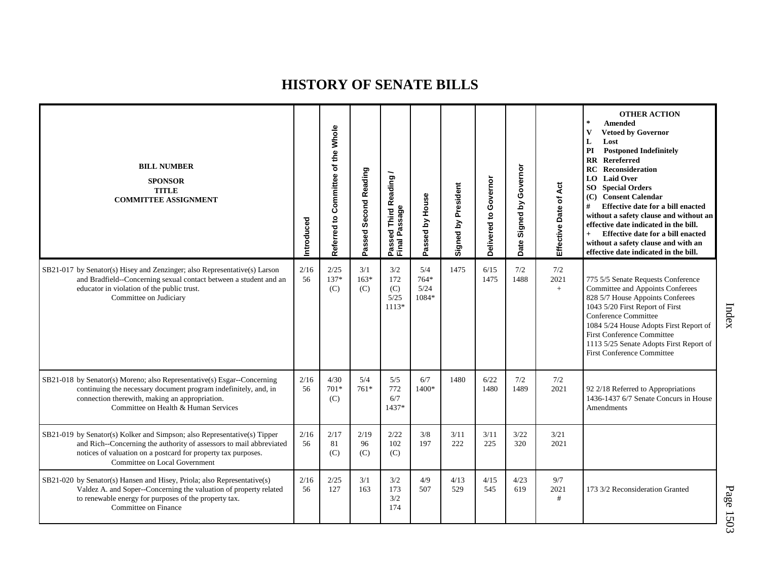| <b>BILL NUMBER</b><br><b>SPONSOR</b><br><b>TITLE</b><br><b>COMMITTEE ASSIGNMENT</b>                                                                                                                                                               | Introduced | Referred to Committee of the Whole | Passed Second Reading | Passed Third Reading /<br>Final Passage | Passed by House              | Signed by President | Governor<br>Delivered to | Governor<br>$\mathbf{\underline{\acute{s}}}$<br>Signed I<br>Date | Effective Date of Act | <b>OTHER ACTION</b><br>$\ast$<br><b>Amended</b><br>$\mathbf{V}$<br><b>Vetoed by Governor</b><br>L<br>Lost<br>PI<br><b>Postponed Indefinitely</b><br><b>RR</b> Rereferred<br><b>RC</b> Reconsideration<br><b>LO</b> Laid Over<br><b>SO</b> Special Orders<br>(C) Consent Calendar<br>#<br>Effective date for a bill enacted<br>without a safety clause and without an<br>effective date indicated in the bill.<br>Effective date for a bill enacted<br>$+$<br>without a safety clause and with an<br>effective date indicated in the bill. |
|---------------------------------------------------------------------------------------------------------------------------------------------------------------------------------------------------------------------------------------------------|------------|------------------------------------|-----------------------|-----------------------------------------|------------------------------|---------------------|--------------------------|------------------------------------------------------------------|-----------------------|-------------------------------------------------------------------------------------------------------------------------------------------------------------------------------------------------------------------------------------------------------------------------------------------------------------------------------------------------------------------------------------------------------------------------------------------------------------------------------------------------------------------------------------------|
| SB21-017 by Senator(s) Hisey and Zenzinger; also Representative(s) Larson<br>and Bradfield--Concerning sexual contact between a student and an<br>educator in violation of the public trust.<br>Committee on Judiciary                            | 2/16<br>56 | 2/25<br>137*<br>(C)                | 3/1<br>$163*$<br>(C)  | 3/2<br>172<br>(C)<br>5/25<br>$1113*$    | 5/4<br>764*<br>5/24<br>1084* | 1475                | 6/15<br>1475             | 7/2<br>1488                                                      | 7/2<br>2021<br>$+$    | 775 5/5 Senate Requests Conference<br>Committee and Appoints Conferees<br>828 5/7 House Appoints Conferees<br>1043 5/20 First Report of First<br>Conference Committee<br>1084 5/24 House Adopts First Report of<br><b>First Conference Committee</b><br>1113 5/25 Senate Adopts First Report of<br><b>First Conference Committee</b>                                                                                                                                                                                                      |
| SB21-018 by Senator(s) Moreno; also Representative(s) Esgar--Concerning<br>continuing the necessary document program indefinitely, and, in<br>connection therewith, making an appropriation.<br>Committee on Health & Human Services              | 2/16<br>56 | 4/30<br>$701*$<br>(C)              | 5/4<br>$761*$         | 5/5<br>772<br>6/7<br>1437*              | 6/7<br>1400*                 | 1480                | 6/22<br>1480             | 7/2<br>1489                                                      | 7/2<br>2021           | 92 2/18 Referred to Appropriations<br>1436-1437 6/7 Senate Concurs in House<br>Amendments                                                                                                                                                                                                                                                                                                                                                                                                                                                 |
| SB21-019 by Senator(s) Kolker and Simpson; also Representative(s) Tipper<br>and Rich--Concerning the authority of assessors to mail abbreviated<br>notices of valuation on a postcard for property tax purposes.<br>Committee on Local Government | 2/16<br>56 | 2/17<br>81<br>(C)                  | 2/19<br>96<br>(C)     | 2/22<br>102<br>(C)                      | 3/8<br>197                   | 3/11<br>222         | 3/11<br>225              | 3/22<br>320                                                      | 3/21<br>2021          |                                                                                                                                                                                                                                                                                                                                                                                                                                                                                                                                           |
| SB21-020 by Senator(s) Hansen and Hisey, Priola; also Representative(s)<br>Valdez A. and Soper--Concerning the valuation of property related<br>to renewable energy for purposes of the property tax.<br>Committee on Finance                     | 2/16<br>56 | 2/25<br>127                        | 3/1<br>163            | 3/2<br>173<br>3/2<br>174                | 4/9<br>507                   | 4/13<br>529         | 4/15<br>545              | 4/23<br>619                                                      | 9/7<br>2021<br>#      | 173 3/2 Reconsideration Granted                                                                                                                                                                                                                                                                                                                                                                                                                                                                                                           |

Index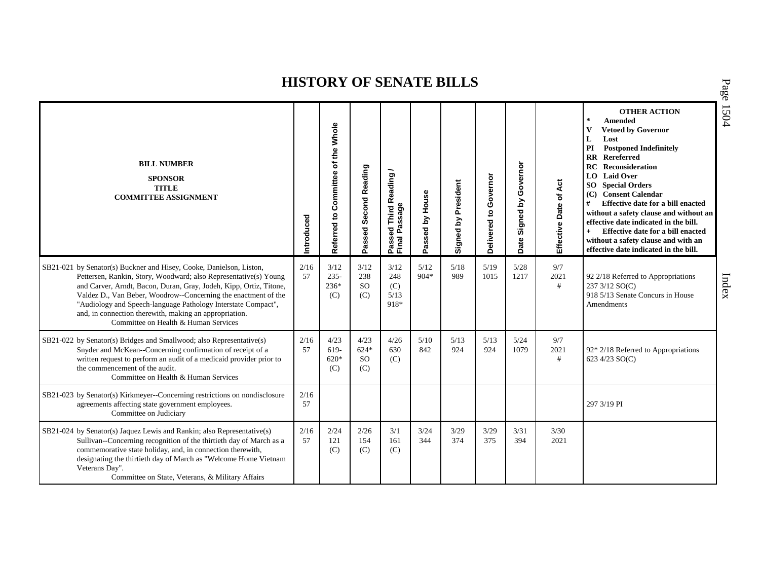| <b>BILL NUMBER</b><br><b>SPONSOR</b><br><b>TITLE</b><br><b>COMMITTEE ASSIGNMENT</b>                                                                                                                                                                                                                                                                                                                                                                | Introduced | of the Whole<br>Referred to Committee | Passed Second Reading                 | Passed Third Reading<br>Final Passage | Passed by House | Signed by President | Governor<br>$\overline{5}$<br>Delivered | Governor<br>Signed by<br>Date | of Act<br>Effective Date | <b>OTHER ACTION</b><br>$\ast$<br><b>Amended</b><br><b>Vetoed by Governor</b><br>v<br>L<br>Lost<br>PI<br><b>Postponed Indefinitely</b><br><b>RR</b> Rereferred<br><b>RC</b> Reconsideration<br>LO Laid Over<br><b>SO</b> Special Orders<br>(C) Consent Calendar<br>#<br>Effective date for a bill enacted<br>without a safety clause and without an<br>effective date indicated in the bill.<br>Effective date for a bill enacted<br>$+$<br>without a safety clause and with an<br>effective date indicated in the bill. |
|----------------------------------------------------------------------------------------------------------------------------------------------------------------------------------------------------------------------------------------------------------------------------------------------------------------------------------------------------------------------------------------------------------------------------------------------------|------------|---------------------------------------|---------------------------------------|---------------------------------------|-----------------|---------------------|-----------------------------------------|-------------------------------|--------------------------|-------------------------------------------------------------------------------------------------------------------------------------------------------------------------------------------------------------------------------------------------------------------------------------------------------------------------------------------------------------------------------------------------------------------------------------------------------------------------------------------------------------------------|
| SB21-021 by Senator(s) Buckner and Hisey, Cooke, Danielson, Liston,<br>Pettersen, Rankin, Story, Woodward; also Representative(s) Young<br>and Carver, Arndt, Bacon, Duran, Gray, Jodeh, Kipp, Ortiz, Titone,<br>Valdez D., Van Beber, Woodrow--Concerning the enactment of the<br>"Audiology and Speech-language Pathology Interstate Compact",<br>and, in connection therewith, making an appropriation.<br>Committee on Health & Human Services | 2/16<br>57 | 3/12<br>$235 -$<br>$236*$<br>(C)      | 3/12<br>238<br>SO <sub>1</sub><br>(C) | 3/12<br>248<br>(C)<br>5/13<br>918*    | 5/12<br>$904*$  | 5/18<br>989         | 5/19<br>1015                            | 5/28<br>1217                  | 9/7<br>2021<br>#         | 92 2/18 Referred to Appropriations<br>237 3/12 SO(C)<br>918 5/13 Senate Concurs in House<br>Amendments                                                                                                                                                                                                                                                                                                                                                                                                                  |
| SB21-022 by Senator(s) Bridges and Smallwood; also Representative(s)<br>Snyder and McKean--Concerning confirmation of receipt of a<br>written request to perform an audit of a medicaid provider prior to<br>the commencement of the audit.<br>Committee on Health & Human Services                                                                                                                                                                | 2/16<br>57 | 4/23<br>619-<br>$620*$<br>(C)         | 4/23<br>$624*$<br><b>SO</b><br>(C)    | 4/26<br>630<br>(C)                    | 5/10<br>842     | 5/13<br>924         | 5/13<br>924                             | 5/24<br>1079                  | 9/7<br>2021<br>#         | $92*2/18$ Referred to Appropriations<br>623 4/23 SO(C)                                                                                                                                                                                                                                                                                                                                                                                                                                                                  |
| SB21-023 by Senator(s) Kirkmeyer--Concerning restrictions on nondisclosure<br>agreements affecting state government employees.<br>Committee on Judiciary                                                                                                                                                                                                                                                                                           | 2/16<br>57 |                                       |                                       |                                       |                 |                     |                                         |                               |                          | 297 3/19 PI                                                                                                                                                                                                                                                                                                                                                                                                                                                                                                             |
| SB21-024 by Senator(s) Jaquez Lewis and Rankin; also Representative(s)<br>Sullivan--Concerning recognition of the thirtieth day of March as a<br>commemorative state holiday, and, in connection therewith,<br>designating the thirtieth day of March as "Welcome Home Vietnam<br>Veterans Day".<br>Committee on State, Veterans, & Military Affairs                                                                                               | 2/16<br>57 | 2/24<br>121<br>(C)                    | 2/26<br>154<br>(C)                    | 3/1<br>161<br>(C)                     | 3/24<br>344     | 3/29<br>374         | 3/29<br>375                             | 3/31<br>394                   | 3/30<br>2021             |                                                                                                                                                                                                                                                                                                                                                                                                                                                                                                                         |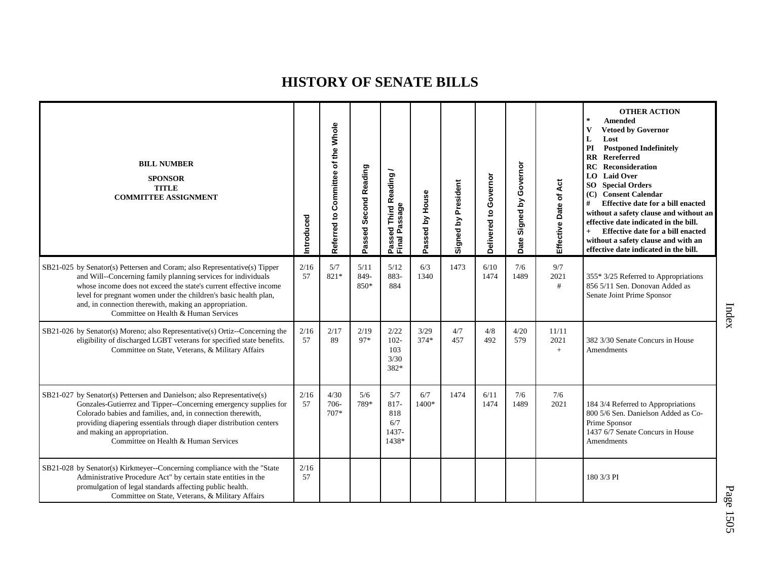| <b>BILL NUMBER</b><br><b>SPONSOR</b><br><b>TITLE</b><br><b>COMMITTEE ASSIGNMENT</b>                                                                                                                                                                                                                                                                                                   | ntroduced  | Whole<br>Referred to Committee of the | Passed Second Reading | Passed Third Reading<br>Final Passage       | Passed by House | Signed by President | Governor<br>Delivered to | Governor<br>Signed by<br>Date | Effective Date of Act | <b>OTHER ACTION</b><br>$\star$<br><b>Amended</b><br><b>Vetoed by Governor</b><br>V<br>Lost<br>L<br>PI<br><b>Postponed Indefinitely</b><br>Rereferred<br>$\mathbf{R}\mathbf{R}$<br><b>Reconsideration</b><br>RC<br>LO Laid Over<br><b>SO</b> Special Orders<br>(C) Consent Calendar<br>#<br>Effective date for a bill enacted<br>without a safety clause and without an<br>effective date indicated in the bill.<br>$+$<br>Effective date for a bill enacted<br>without a safety clause and with an<br>effective date indicated in the bill. |
|---------------------------------------------------------------------------------------------------------------------------------------------------------------------------------------------------------------------------------------------------------------------------------------------------------------------------------------------------------------------------------------|------------|---------------------------------------|-----------------------|---------------------------------------------|-----------------|---------------------|--------------------------|-------------------------------|-----------------------|---------------------------------------------------------------------------------------------------------------------------------------------------------------------------------------------------------------------------------------------------------------------------------------------------------------------------------------------------------------------------------------------------------------------------------------------------------------------------------------------------------------------------------------------|
| SB21-025 by Senator(s) Pettersen and Coram; also Representative(s) Tipper<br>and Will--Concerning family planning services for individuals<br>whose income does not exceed the state's current effective income<br>level for pregnant women under the children's basic health plan,<br>and, in connection therewith, making an appropriation.<br>Committee on Health & Human Services | 2/16<br>57 | 5/7<br>821*                           | 5/11<br>849-<br>850*  | 5/12<br>883-<br>884                         | 6/3<br>1340     | 1473                | 6/10<br>1474             | 7/6<br>1489                   | 9/7<br>2021<br>#      | 355* 3/25 Referred to Appropriations<br>856 5/11 Sen. Donovan Added as<br>Senate Joint Prime Sponsor                                                                                                                                                                                                                                                                                                                                                                                                                                        |
| SB21-026 by Senator(s) Moreno; also Representative(s) Ortiz--Concerning the<br>eligibility of discharged LGBT veterans for specified state benefits.<br>Committee on State, Veterans, & Military Affairs                                                                                                                                                                              | 2/16<br>57 | 2/17<br>89                            | 2/19<br>97*           | 2/22<br>$102 -$<br>103<br>3/30<br>382*      | 3/29<br>$374*$  | 4/7<br>457          | 4/8<br>492               | 4/20<br>579                   | 11/11<br>2021<br>$+$  | 382 3/30 Senate Concurs in House<br>Amendments                                                                                                                                                                                                                                                                                                                                                                                                                                                                                              |
| SB21-027 by Senator(s) Pettersen and Danielson; also Representative(s)<br>Gonzales-Gutierrez and Tipper--Concerning emergency supplies for<br>Colorado babies and families, and, in connection therewith,<br>providing diapering essentials through diaper distribution centers<br>and making an appropriation.<br>Committee on Health & Human Services                               | 2/16<br>57 | 4/30<br>706-<br>707*                  | 5/6<br>789*           | 5/7<br>817-<br>818<br>6/7<br>1437-<br>1438* | 6/7<br>1400*    | 1474                | 6/11<br>1474             | 7/6<br>1489                   | 7/6<br>2021           | 184 3/4 Referred to Appropriations<br>800 5/6 Sen. Danielson Added as Co-<br>Prime Sponsor<br>1437 6/7 Senate Concurs in House<br>Amendments                                                                                                                                                                                                                                                                                                                                                                                                |
| SB21-028 by Senator(s) Kirkmeyer--Concerning compliance with the "State<br>Administrative Procedure Act" by certain state entities in the<br>promulgation of legal standards affecting public health.<br>Committee on State, Veterans, & Military Affairs                                                                                                                             | 2/16<br>57 |                                       |                       |                                             |                 |                     |                          |                               |                       | 180 3/3 PI                                                                                                                                                                                                                                                                                                                                                                                                                                                                                                                                  |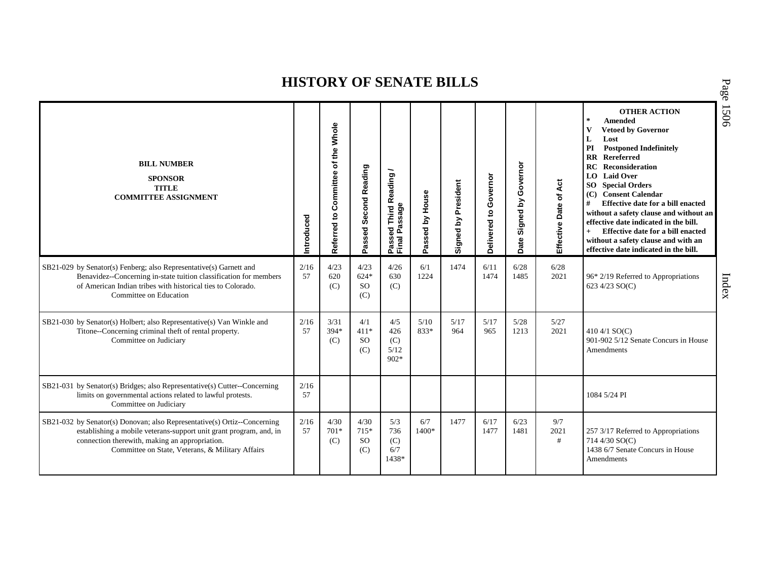| <b>BILL NUMBER</b><br><b>SPONSOR</b><br><b>TITLE</b><br><b>COMMITTEE ASSIGNMENT</b>                                                                                                                                                                  | ntroduced  | <b>Whole</b><br>the<br>৳<br>Committee<br>Referred to | Passed Second Reading                  | Passed Third Reading<br>Final Passage | Passed by House | Signed by President | Governor<br>$\overline{c}$<br>Delivered | Governor<br><u>لا</u><br>Signed<br>Date | Act<br>Effective Date of | <b>OTHER ACTION</b><br>$\star$<br>Amended<br><b>Vetoed by Governor</b><br>v<br>Lost<br>L<br>PI<br><b>Postponed Indefinitely</b><br><b>RR</b> Rereferred<br>RC<br>Reconsideration<br>LO Laid Over<br><b>SO</b> Special Orders<br>(C) Consent Calendar<br>#<br>Effective date for a bill enacted<br>without a safety clause and without an<br>effective date indicated in the bill.<br>Effective date for a bill enacted<br>$+$<br>without a safety clause and with an<br>effective date indicated in the bill. |
|------------------------------------------------------------------------------------------------------------------------------------------------------------------------------------------------------------------------------------------------------|------------|------------------------------------------------------|----------------------------------------|---------------------------------------|-----------------|---------------------|-----------------------------------------|-----------------------------------------|--------------------------|---------------------------------------------------------------------------------------------------------------------------------------------------------------------------------------------------------------------------------------------------------------------------------------------------------------------------------------------------------------------------------------------------------------------------------------------------------------------------------------------------------------|
| SB21-029 by Senator(s) Fenberg; also Representative(s) Garnett and<br>Benavidez--Concerning in-state tuition classification for members<br>of American Indian tribes with historical ties to Colorado.<br>Committee on Education                     | 2/16<br>57 | 4/23<br>620<br>(C)                                   | 4/23<br>$624*$<br><sub>SO</sub><br>(C) | 4/26<br>630<br>(C)                    | 6/1<br>1224     | 1474                | 6/11<br>1474                            | 6/28<br>1485                            | 6/28<br>2021             | 96* 2/19 Referred to Appropriations<br>623 4/23 SO(C)                                                                                                                                                                                                                                                                                                                                                                                                                                                         |
| SB21-030 by Senator(s) Holbert; also Representative(s) Van Winkle and<br>Titone--Concerning criminal theft of rental property.<br>Committee on Judiciary                                                                                             | 2/16<br>57 | 3/31<br>394*<br>(C)                                  | 4/1<br>$411*$<br><sub>SO</sub><br>(C)  | 4/5<br>426<br>(C)<br>5/12<br>$902*$   | 5/10<br>833*    | 5/17<br>964         | 5/17<br>965                             | 5/28<br>1213                            | 5/27<br>2021             | 410 4/1 SO(C)<br>901-902 5/12 Senate Concurs in House<br>Amendments                                                                                                                                                                                                                                                                                                                                                                                                                                           |
| SB21-031 by Senator(s) Bridges; also Representative(s) Cutter--Concerning<br>limits on governmental actions related to lawful protests.<br>Committee on Judiciary                                                                                    | 2/16<br>57 |                                                      |                                        |                                       |                 |                     |                                         |                                         |                          | 1084 5/24 PI                                                                                                                                                                                                                                                                                                                                                                                                                                                                                                  |
| SB21-032 by Senator(s) Donovan; also Representative(s) Ortiz--Concerning<br>establishing a mobile veterans-support unit grant program, and, in<br>connection therewith, making an appropriation.<br>Committee on State, Veterans, & Military Affairs | 2/16<br>57 | 4/30<br>$701*$<br>(C)                                | 4/30<br>715*<br><sub>SO</sub><br>(C)   | 5/3<br>736<br>(C)<br>6/7<br>1438*     | 6/7<br>1400*    | 1477                | 6/17<br>1477                            | 6/23<br>1481                            | 9/7<br>2021<br>#         | 257 3/17 Referred to Appropriations<br>714 4/30 SO(C)<br>1438 6/7 Senate Concurs in House<br>Amendments                                                                                                                                                                                                                                                                                                                                                                                                       |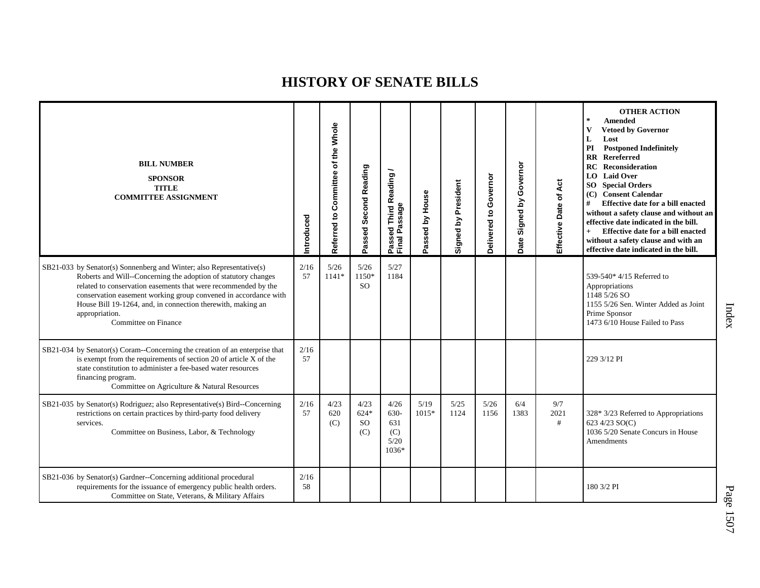| <b>BILL NUMBER</b><br><b>SPONSOR</b><br><b>TITLE</b><br><b>COMMITTEE ASSIGNMENT</b>                                                                                                                                                                                                                                                                                                  | Introduced | Referred to Committee of the Whole | Passed Second Reading              | Passed Third Reading<br>Final Passage       | Passed by House | Signed by President | Governor<br>Delivered to | Governor<br>Signed by<br>Date | Effective Date of Act | <b>OTHER ACTION</b><br>$\star$<br><b>Amended</b><br><b>Vetoed by Governor</b><br>V<br>L<br>Lost<br>PI<br><b>Postponed Indefinitely</b><br>Rereferred<br>$\mathbf{R} \mathbf{R}$<br><b>RC</b><br><b>Reconsideration</b><br><b>LO</b> Laid Over<br><b>SO</b> Special Orders<br>(C) Consent Calendar<br>#<br>Effective date for a bill enacted<br>without a safety clause and without an<br>effective date indicated in the bill.<br>Effective date for a bill enacted<br>$+$<br>without a safety clause and with an<br>effective date indicated in the bill. |
|--------------------------------------------------------------------------------------------------------------------------------------------------------------------------------------------------------------------------------------------------------------------------------------------------------------------------------------------------------------------------------------|------------|------------------------------------|------------------------------------|---------------------------------------------|-----------------|---------------------|--------------------------|-------------------------------|-----------------------|------------------------------------------------------------------------------------------------------------------------------------------------------------------------------------------------------------------------------------------------------------------------------------------------------------------------------------------------------------------------------------------------------------------------------------------------------------------------------------------------------------------------------------------------------------|
| SB21-033 by Senator(s) Sonnenberg and Winter; also Representative(s)<br>Roberts and Will--Concerning the adoption of statutory changes<br>related to conservation easements that were recommended by the<br>conservation easement working group convened in accordance with<br>House Bill 19-1264, and, in connection therewith, making an<br>appropriation.<br>Committee on Finance | 2/16<br>57 | 5/26<br>$1141*$                    | 5/26<br>1150*<br><sub>SO</sub>     | 5/27<br>1184                                |                 |                     |                          |                               |                       | 539-540* 4/15 Referred to<br>Appropriations<br>1148 5/26 SO<br>1155 5/26 Sen. Winter Added as Joint<br>Prime Sponsor<br>1473 6/10 House Failed to Pass                                                                                                                                                                                                                                                                                                                                                                                                     |
| SB21-034 by Senator(s) Coram--Concerning the creation of an enterprise that<br>is exempt from the requirements of section 20 of article X of the<br>state constitution to administer a fee-based water resources<br>financing program.<br>Committee on Agriculture & Natural Resources                                                                                               | 2/16<br>57 |                                    |                                    |                                             |                 |                     |                          |                               |                       | 229 3/12 PI                                                                                                                                                                                                                                                                                                                                                                                                                                                                                                                                                |
| SB21-035 by Senator(s) Rodriguez; also Representative(s) Bird--Concerning<br>restrictions on certain practices by third-party food delivery<br>services.<br>Committee on Business, Labor, & Technology                                                                                                                                                                               | 2/16<br>57 | 4/23<br>620<br>(C)                 | 4/23<br>$624*$<br><b>SO</b><br>(C) | 4/26<br>630-<br>631<br>(C)<br>5/20<br>1036* | 5/19<br>$1015*$ | 5/25<br>1124        | 5/26<br>1156             | 6/4<br>1383                   | 9/7<br>2021<br>#      | 328* 3/23 Referred to Appropriations<br>623 4/23 SO(C)<br>1036 5/20 Senate Concurs in House<br>Amendments                                                                                                                                                                                                                                                                                                                                                                                                                                                  |
| SB21-036 by Senator(s) Gardner--Concerning additional procedural<br>requirements for the issuance of emergency public health orders.<br>Committee on State, Veterans, & Military Affairs                                                                                                                                                                                             | 2/16<br>58 |                                    |                                    |                                             |                 |                     |                          |                               |                       | 180 3/2 PI                                                                                                                                                                                                                                                                                                                                                                                                                                                                                                                                                 |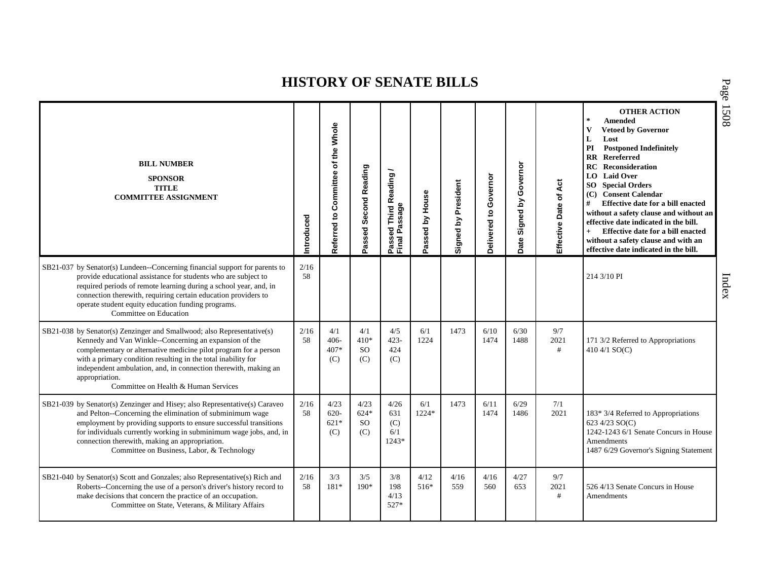| <b>BILL NUMBER</b><br><b>SPONSOR</b><br><b>TITLE</b><br><b>COMMITTEE ASSIGNMENT</b>                                                                                                                                                                                                                                                                                                                | Introduced | of the Whole<br>Referred to Committee | Passed Second Reading             | Passed Third Reading<br>Final Passage | Passed by House | Signed by President | Governor<br>Delivered to | Governor<br>Signed by<br>Date | Act<br>Effective Date of | <b>OTHER ACTION</b><br>$\ast$<br>Amended<br><b>Vetoed by Governor</b><br>$\mathbf{V}$<br>L<br>Lost<br><b>Postponed Indefinitely</b><br>PI<br><b>RR</b> Rereferred<br><b>RC</b> Reconsideration<br>LO Laid Over<br><b>SO</b> Special Orders<br>(C) Consent Calendar<br>#<br>Effective date for a bill enacted<br>without a safety clause and without an<br>effective date indicated in the bill.<br>Effective date for a bill enacted<br>$+$<br>without a safety clause and with an<br>effective date indicated in the bill. |
|----------------------------------------------------------------------------------------------------------------------------------------------------------------------------------------------------------------------------------------------------------------------------------------------------------------------------------------------------------------------------------------------------|------------|---------------------------------------|-----------------------------------|---------------------------------------|-----------------|---------------------|--------------------------|-------------------------------|--------------------------|-----------------------------------------------------------------------------------------------------------------------------------------------------------------------------------------------------------------------------------------------------------------------------------------------------------------------------------------------------------------------------------------------------------------------------------------------------------------------------------------------------------------------------|
| SB21-037 by Senator(s) Lundeen--Concerning financial support for parents to<br>provide educational assistance for students who are subject to<br>required periods of remote learning during a school year, and, in<br>connection therewith, requiring certain education providers to<br>operate student equity education funding programs.<br>Committee on Education                               | 2/16<br>58 |                                       |                                   |                                       |                 |                     |                          |                               |                          | 214 3/10 PI                                                                                                                                                                                                                                                                                                                                                                                                                                                                                                                 |
| SB21-038 by Senator(s) Zenzinger and Smallwood; also Representative(s)<br>Kennedy and Van Winkle--Concerning an expansion of the<br>complementary or alternative medicine pilot program for a person<br>with a primary condition resulting in the total inability for<br>independent ambulation, and, in connection therewith, making an<br>appropriation.<br>Committee on Health & Human Services | 2/16<br>58 | 4/1<br>406-<br>407*<br>(C)            | 4/1<br>$410*$<br><b>SO</b><br>(C) | 4/5<br>$423 -$<br>424<br>(C)          | 6/1<br>1224     | 1473                | 6/10<br>1474             | 6/30<br>1488                  | 9/7<br>2021<br>#         | 171 3/2 Referred to Appropriations<br>410 4/1 $SO(C)$                                                                                                                                                                                                                                                                                                                                                                                                                                                                       |
| SB21-039 by Senator(s) Zenzinger and Hisey; also Representative(s) Caraveo<br>and Pelton--Concerning the elimination of subminimum wage<br>employment by providing supports to ensure successful transitions<br>for individuals currently working in subminimum wage jobs, and, in<br>connection therewith, making an appropriation.<br>Committee on Business, Labor, & Technology                 | 2/16<br>58 | 4/23<br>$620 -$<br>$621*$<br>(C)      | 4/23<br>$624*$<br>SO.<br>(C)      | 4/26<br>631<br>(C)<br>6/1<br>1243*    | 6/1<br>1224*    | 1473                | 6/11<br>1474             | 6/29<br>1486                  | 7/1<br>2021              | 183* 3/4 Referred to Appropriations<br>623 4/23 SO(C)<br>1242-1243 6/1 Senate Concurs in House<br>Amendments<br>1487 6/29 Governor's Signing Statement                                                                                                                                                                                                                                                                                                                                                                      |
| SB21-040 by Senator(s) Scott and Gonzales; also Representative(s) Rich and<br>Roberts--Concerning the use of a person's driver's history record to<br>make decisions that concern the practice of an occupation.<br>Committee on State, Veterans, & Military Affairs                                                                                                                               | 2/16<br>58 | 3/3<br>181*                           | 3/5<br>$190*$                     | 3/8<br>198<br>4/13<br>527*            | 4/12<br>516*    | 4/16<br>559         | 4/16<br>560              | 4/27<br>653                   | 9/7<br>2021<br>#         | 526 4/13 Senate Concurs in House<br>Amendments                                                                                                                                                                                                                                                                                                                                                                                                                                                                              |

P a g e 15 0 8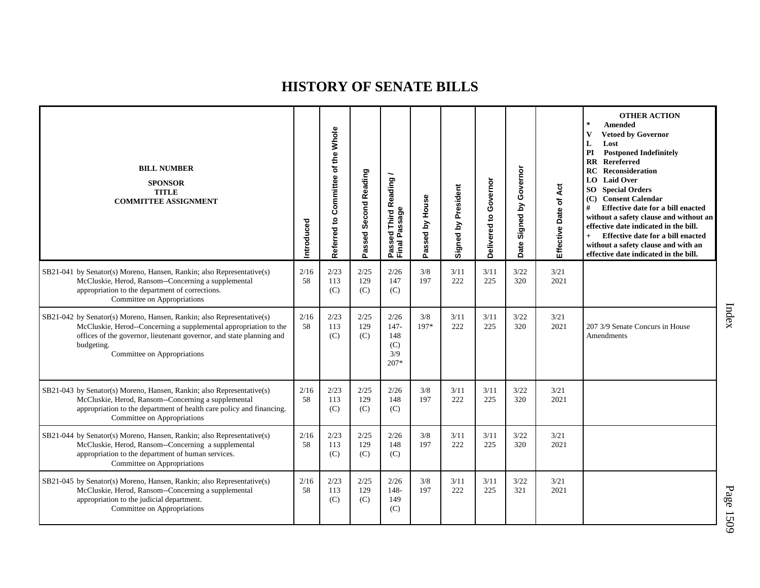| <b>BILL NUMBER</b><br><b>SPONSOR</b><br><b>TITLE</b><br><b>COMMITTEE ASSIGNMENT</b>                                                                                                                                                                            | ntroduced  | of the Whole<br>Referred to Committee | Passed Second Reading | Passed Third Reading<br>Final Passage          | Passed by House | Signed by President | Governor<br>Delivered to | Governor<br>Signed by<br>Date | Act<br>Effective Date of | <b>OTHER ACTION</b><br>$\mathbf{R}$<br><b>Amended</b><br>$\mathbf{V}$<br><b>Vetoed by Governor</b><br>L<br>Lost<br><b>Postponed Indefinitely</b><br>PI<br><b>RR</b> Rereferred<br>RC.<br>Reconsideration<br>LO Laid Over<br><b>SO</b> Special Orders<br>(C) Consent Calendar<br>#<br>Effective date for a bill enacted<br>without a safety clause and without an<br>effective date indicated in the bill.<br>Effective date for a bill enacted<br>$+$<br>without a safety clause and with an<br>effective date indicated in the bill. |
|----------------------------------------------------------------------------------------------------------------------------------------------------------------------------------------------------------------------------------------------------------------|------------|---------------------------------------|-----------------------|------------------------------------------------|-----------------|---------------------|--------------------------|-------------------------------|--------------------------|---------------------------------------------------------------------------------------------------------------------------------------------------------------------------------------------------------------------------------------------------------------------------------------------------------------------------------------------------------------------------------------------------------------------------------------------------------------------------------------------------------------------------------------|
| SB21-041 by Senator(s) Moreno, Hansen, Rankin; also Representative(s)<br>McCluskie, Herod, Ransom--Concerning a supplemental<br>appropriation to the department of corrections.<br>Committee on Appropriations                                                 | 2/16<br>58 | 2/23<br>113<br>(C)                    | 2/25<br>129<br>(C)    | 2/26<br>147<br>(C)                             | 3/8<br>197      | 3/11<br>222         | 3/11<br>225              | 3/22<br>320                   | 3/21<br>2021             |                                                                                                                                                                                                                                                                                                                                                                                                                                                                                                                                       |
| SB21-042 by Senator(s) Moreno, Hansen, Rankin; also Representative(s)<br>McCluskie, Herod--Concerning a supplemental appropriation to the<br>offices of the governor, lieutenant governor, and state planning and<br>budgeting.<br>Committee on Appropriations | 2/16<br>58 | 2/23<br>113<br>(C)                    | 2/25<br>129<br>(C)    | 2/26<br>$147 -$<br>148<br>(C)<br>3/9<br>$207*$ | 3/8<br>197*     | 3/11<br>222         | 3/11<br>225              | 3/22<br>320                   | 3/21<br>2021             | 207 3/9 Senate Concurs in House<br>Amendments                                                                                                                                                                                                                                                                                                                                                                                                                                                                                         |
| SB21-043 by Senator(s) Moreno, Hansen, Rankin; also Representative(s)<br>McCluskie, Herod, Ransom--Concerning a supplemental<br>appropriation to the department of health care policy and financing.<br>Committee on Appropriations                            | 2/16<br>58 | 2/23<br>113<br>(C)                    | 2/25<br>129<br>(C)    | 2/26<br>148<br>(C)                             | 3/8<br>197      | 3/11<br>222         | 3/11<br>225              | 3/22<br>320                   | 3/21<br>2021             |                                                                                                                                                                                                                                                                                                                                                                                                                                                                                                                                       |
| SB21-044 by Senator(s) Moreno, Hansen, Rankin; also Representative(s)<br>McCluskie, Herod, Ransom--Concerning a supplemental<br>appropriation to the department of human services.<br>Committee on Appropriations                                              | 2/16<br>58 | 2/23<br>113<br>(C)                    | 2/25<br>129<br>(C)    | 2/26<br>148<br>(C)                             | 3/8<br>197      | 3/11<br>222         | 3/11<br>225              | 3/22<br>320                   | 3/21<br>2021             |                                                                                                                                                                                                                                                                                                                                                                                                                                                                                                                                       |
| SB21-045 by Senator(s) Moreno, Hansen, Rankin; also Representative(s)<br>McCluskie, Herod, Ransom--Concerning a supplemental<br>appropriation to the judicial department.<br>Committee on Appropriations                                                       | 2/16<br>58 | 2/23<br>113<br>(C)                    | 2/25<br>129<br>(C)    | 2/26<br>$148 -$<br>149<br>(C)                  | 3/8<br>197      | 3/11<br>222         | 3/11<br>225              | 3/22<br>321                   | 3/21<br>2021             |                                                                                                                                                                                                                                                                                                                                                                                                                                                                                                                                       |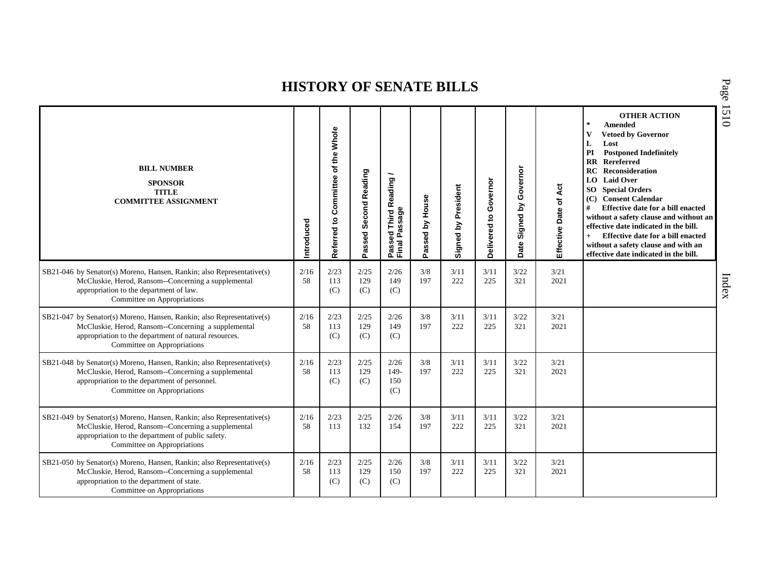| <b>BILL NUMBER</b><br><b>SPONSOR</b><br><b>TITLE</b><br><b>COMMITTEE ASSIGNMENT</b>                                                                                                                                  | Introduced | Whole<br>the<br>Referred to Committee of | Passed Second Reading | <b>Third Reading</b><br>Passage<br>Passed<br>Final Pa | Passed by House | Signed by President | Governor<br>Delivered to | Governor<br>Signed by<br>Date | Act<br>$\sigma$<br>Effective Date | <b>OTHER ACTION</b><br>$\star$<br><b>Amended</b><br>$\mathbf{V}$<br><b>Vetoed by Governor</b><br>Lost<br>L<br>PI<br><b>Postponed Indefinitely</b><br><b>RR</b> Rereferred<br>RC<br>Reconsideration<br>LO Laid Over<br><b>SO</b> Special Orders<br>(C) Consent Calendar<br>#<br>Effective date for a bill enacted<br>without a safety clause and without an<br>effective date indicated in the bill.<br>Effective date for a bill enacted<br>$+$<br>without a safety clause and with an<br>effective date indicated in the bill. |
|----------------------------------------------------------------------------------------------------------------------------------------------------------------------------------------------------------------------|------------|------------------------------------------|-----------------------|-------------------------------------------------------|-----------------|---------------------|--------------------------|-------------------------------|-----------------------------------|---------------------------------------------------------------------------------------------------------------------------------------------------------------------------------------------------------------------------------------------------------------------------------------------------------------------------------------------------------------------------------------------------------------------------------------------------------------------------------------------------------------------------------|
| SB21-046 by Senator(s) Moreno, Hansen, Rankin; also Representative(s)<br>McCluskie, Herod, Ransom--Concerning a supplemental<br>appropriation to the department of law.<br>Committee on Appropriations               | 2/16<br>58 | 2/23<br>113<br>(C)                       | 2/25<br>129<br>(C)    | 2/26<br>149<br>(C)                                    | 3/8<br>197      | 3/11<br>222         | 3/11<br>225              | 3/22<br>321                   | 3/21<br>2021                      |                                                                                                                                                                                                                                                                                                                                                                                                                                                                                                                                 |
| SB21-047 by Senator(s) Moreno, Hansen, Rankin; also Representative(s)<br>McCluskie, Herod, Ransom--Concerning a supplemental<br>appropriation to the department of natural resources.<br>Committee on Appropriations | 2/16<br>58 | 2/23<br>113<br>(C)                       | 2/25<br>129<br>(C)    | 2/26<br>149<br>(C)                                    | 3/8<br>197      | 3/11<br>222         | 3/11<br>225              | 3/22<br>321                   | 3/21<br>2021                      |                                                                                                                                                                                                                                                                                                                                                                                                                                                                                                                                 |
| SB21-048 by Senator(s) Moreno, Hansen, Rankin; also Representative(s)<br>McCluskie, Herod, Ransom--Concerning a supplemental<br>appropriation to the department of personnel.<br>Committee on Appropriations         | 2/16<br>58 | 2/23<br>113<br>(C)                       | 2/25<br>129<br>(C)    | 2/26<br>$149-$<br>150<br>(C)                          | 3/8<br>197      | 3/11<br>222         | 3/11<br>225              | 3/22<br>321                   | 3/21<br>2021                      |                                                                                                                                                                                                                                                                                                                                                                                                                                                                                                                                 |
| SB21-049 by Senator(s) Moreno, Hansen, Rankin; also Representative(s)<br>McCluskie, Herod, Ransom--Concerning a supplemental<br>appropriation to the department of public safety.<br>Committee on Appropriations     | 2/16<br>58 | 2/23<br>113                              | 2/25<br>132           | 2/26<br>154                                           | 3/8<br>197      | 3/11<br>222         | 3/11<br>225              | 3/22<br>321                   | 3/21<br>2021                      |                                                                                                                                                                                                                                                                                                                                                                                                                                                                                                                                 |
| SB21-050 by Senator(s) Moreno, Hansen, Rankin; also Representative(s)<br>McCluskie, Herod, Ransom--Concerning a supplemental<br>appropriation to the department of state.<br>Committee on Appropriations             | 2/16<br>58 | 2/23<br>113<br>(C)                       | 2/25<br>129<br>(C)    | 2/26<br>150<br>(C)                                    | 3/8<br>197      | 3/11<br>222         | 3/11<br>225              | 3/22<br>321                   | 3/21<br>2021                      |                                                                                                                                                                                                                                                                                                                                                                                                                                                                                                                                 |

P a g e 1510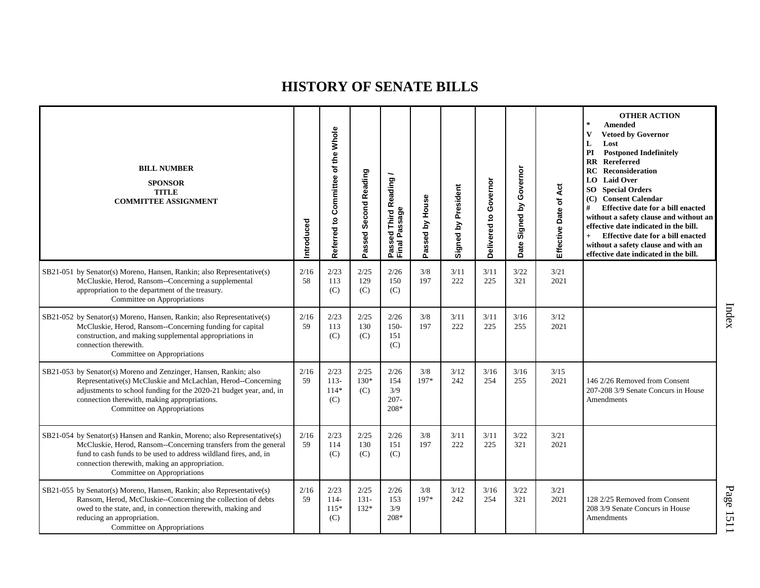| <b>BILL NUMBER</b><br><b>SPONSOR</b><br><b>TITLE</b><br><b>COMMITTEE ASSIGNMENT</b>                                                                                                                                                                                                              | ntroduced  | Referred to Committee of the Whole | Passed Second Reading     | Passed Third Reading<br>Final Passage | Passed by House | Signed by President | Governor<br>ʻ6<br>Delivered | Governor<br>Signed by<br>Date | Act<br>Effective Date of | <b>OTHER ACTION</b><br>$\star$<br><b>Amended</b><br><b>Vetoed by Governor</b><br>v<br>L<br>Lost<br><b>Postponed Indefinitely</b><br>PI<br><b>RR</b> Rereferred<br><b>RC</b> Reconsideration<br>LO Laid Over<br><b>SO</b> Special Orders<br>(C) Consent Calendar<br>#<br>Effective date for a bill enacted<br>without a safety clause and without an<br>effective date indicated in the bill.<br>Effective date for a bill enacted<br>$+$<br>without a safety clause and with an<br>effective date indicated in the bill. |
|--------------------------------------------------------------------------------------------------------------------------------------------------------------------------------------------------------------------------------------------------------------------------------------------------|------------|------------------------------------|---------------------------|---------------------------------------|-----------------|---------------------|-----------------------------|-------------------------------|--------------------------|--------------------------------------------------------------------------------------------------------------------------------------------------------------------------------------------------------------------------------------------------------------------------------------------------------------------------------------------------------------------------------------------------------------------------------------------------------------------------------------------------------------------------|
| SB21-051 by Senator(s) Moreno, Hansen, Rankin; also Representative(s)<br>McCluskie, Herod, Ransom--Concerning a supplemental<br>appropriation to the department of the treasury.<br>Committee on Appropriations                                                                                  | 2/16<br>58 | 2/23<br>113<br>(C)                 | 2/25<br>129<br>(C)        | 2/26<br>150<br>(C)                    | 3/8<br>197      | 3/11<br>222         | 3/11<br>225                 | 3/22<br>321                   | 3/21<br>2021             |                                                                                                                                                                                                                                                                                                                                                                                                                                                                                                                          |
| SB21-052 by Senator(s) Moreno, Hansen, Rankin; also Representative(s)<br>McCluskie, Herod, Ransom--Concerning funding for capital<br>construction, and making supplemental appropriations in<br>connection therewith.<br>Committee on Appropriations                                             | 2/16<br>59 | 2/23<br>113<br>(C)                 | 2/25<br>130<br>(C)        | 2/26<br>$150-$<br>151<br>(C)          | 3/8<br>197      | 3/11<br>222         | 3/11<br>225                 | 3/16<br>255                   | 3/12<br>2021             |                                                                                                                                                                                                                                                                                                                                                                                                                                                                                                                          |
| SB21-053 by Senator(s) Moreno and Zenzinger, Hansen, Rankin; also<br>Representative(s) McCluskie and McLachlan, Herod--Concerning<br>adjustments to school funding for the 2020-21 budget year, and, in<br>connection therewith, making appropriations.<br>Committee on Appropriations           | 2/16<br>59 | 2/23<br>$113-$<br>$114*$<br>(C)    | 2/25<br>130*<br>(C)       | 2/26<br>154<br>3/9<br>$207 -$<br>208* | 3/8<br>197*     | 3/12<br>242         | 3/16<br>254                 | 3/16<br>255                   | 3/15<br>2021             | 146 2/26 Removed from Consent<br>207-208 3/9 Senate Concurs in House<br>Amendments                                                                                                                                                                                                                                                                                                                                                                                                                                       |
| SB21-054 by Senator(s) Hansen and Rankin, Moreno; also Representative(s)<br>McCluskie, Herod, Ransom--Concerning transfers from the general<br>fund to cash funds to be used to address wildland fires, and, in<br>connection therewith, making an appropriation.<br>Committee on Appropriations | 2/16<br>59 | 2/23<br>114<br>(C)                 | 2/25<br>130<br>(C)        | 2/26<br>151<br>(C)                    | 3/8<br>197      | 3/11<br>222         | 3/11<br>225                 | 3/22<br>321                   | 3/21<br>2021             |                                                                                                                                                                                                                                                                                                                                                                                                                                                                                                                          |
| SB21-055 by Senator(s) Moreno, Hansen, Rankin; also Representative(s)<br>Ransom, Herod, McCluskie--Concerning the collection of debts<br>owed to the state, and, in connection therewith, making and<br>reducing an appropriation.<br>Committee on Appropriations                                | 2/16<br>59 | 2/23<br>$114-$<br>$115*$<br>(C)    | 2/25<br>$131 -$<br>$132*$ | 2/26<br>153<br>3/9<br>208*            | 3/8<br>197*     | 3/12<br>242         | 3/16<br>254                 | 3/22<br>321                   | 3/21<br>2021             | 128 2/25 Removed from Consent<br>208 3/9 Senate Concurs in House<br>Amendments                                                                                                                                                                                                                                                                                                                                                                                                                                           |

Index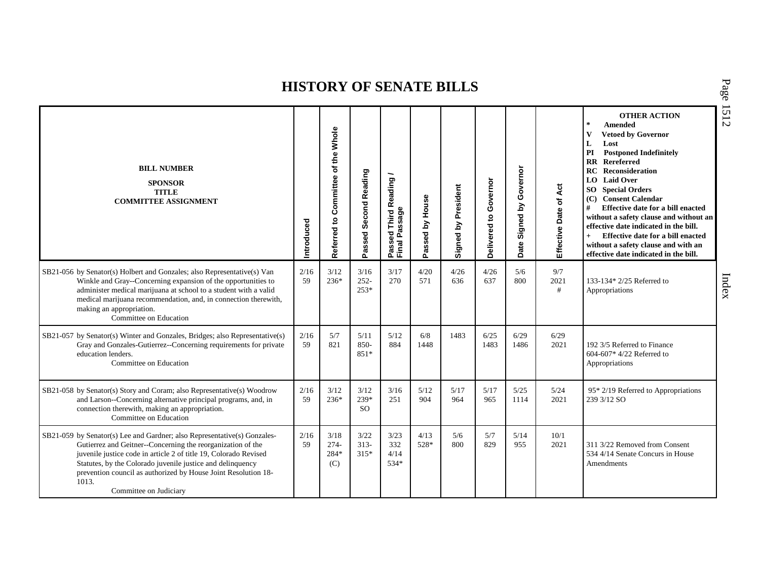| <b>BILL NUMBER</b><br><b>SPONSOR</b><br><b>TITLE</b><br><b>COMMITTEE ASSIGNMENT</b>                                                                                                                                                                                                                                                                                            | ntroduced  | Whole<br>the<br>৳<br>Referred to Committee | Passed Second Reading         | <b>Third Reading</b><br>Passed Third R<br>Final Passage | Passed by House | Signed by President | Governor<br>Delivered to | Governor<br>λđ<br>Signed I<br>Date | Act<br>Effective Date of | <b>OTHER ACTION</b><br>$\ast$<br><b>Amended</b><br>$\mathbf{V}$<br><b>Vetoed by Governor</b><br>L<br>Lost<br>PI<br><b>Postponed Indefinitely</b><br><b>RR</b> Rereferred<br><b>RC</b> Reconsideration<br>LO Laid Over<br><b>SO</b> Special Orders<br>(C) Consent Calendar<br>#<br>Effective date for a bill enacted<br>without a safety clause and without an<br>effective date indicated in the bill.<br>Effective date for a bill enacted<br>$+$<br>without a safety clause and with an<br>effective date indicated in the bill. |
|--------------------------------------------------------------------------------------------------------------------------------------------------------------------------------------------------------------------------------------------------------------------------------------------------------------------------------------------------------------------------------|------------|--------------------------------------------|-------------------------------|---------------------------------------------------------|-----------------|---------------------|--------------------------|------------------------------------|--------------------------|------------------------------------------------------------------------------------------------------------------------------------------------------------------------------------------------------------------------------------------------------------------------------------------------------------------------------------------------------------------------------------------------------------------------------------------------------------------------------------------------------------------------------------|
| SB21-056 by Senator(s) Holbert and Gonzales; also Representative(s) Van<br>Winkle and Gray--Concerning expansion of the opportunities to<br>administer medical marijuana at school to a student with a valid<br>medical marijuana recommendation, and, in connection therewith,<br>making an appropriation.<br>Committee on Education                                          | 2/16<br>59 | 3/12<br>236*                               | 3/16<br>$252 -$<br>$253*$     | 3/17<br>270                                             | 4/20<br>571     | 4/26<br>636         | 4/26<br>637              | 5/6<br>800                         | 9/7<br>2021<br>#         | 133-134* 2/25 Referred to<br>Appropriations                                                                                                                                                                                                                                                                                                                                                                                                                                                                                        |
| SB21-057 by Senator(s) Winter and Gonzales, Bridges; also Representative(s)<br>Gray and Gonzales-Gutierrez--Concerning requirements for private<br>education lenders.<br>Committee on Education                                                                                                                                                                                | 2/16<br>59 | 5/7<br>821                                 | 5/11<br>850-<br>851*          | 5/12<br>884                                             | 6/8<br>1448     | 1483                | 6/25<br>1483             | 6/29<br>1486                       | 6/29<br>2021             | 192 3/5 Referred to Finance<br>604-607* 4/22 Referred to<br>Appropriations                                                                                                                                                                                                                                                                                                                                                                                                                                                         |
| SB21-058 by Senator(s) Story and Coram; also Representative(s) Woodrow<br>and Larson--Concerning alternative principal programs, and, in<br>connection therewith, making an appropriation.<br>Committee on Education                                                                                                                                                           | 2/16<br>59 | 3/12<br>$236*$                             | 3/12<br>239*<br><sub>SO</sub> | 3/16<br>251                                             | 5/12<br>904     | 5/17<br>964         | 5/17<br>965              | 5/25<br>1114                       | 5/24<br>2021             | 95* 2/19 Referred to Appropriations<br>239 3/12 SO                                                                                                                                                                                                                                                                                                                                                                                                                                                                                 |
| SB21-059 by Senator(s) Lee and Gardner; also Representative(s) Gonzales-<br>Gutierrez and Geitner--Concerning the reorganization of the<br>juvenile justice code in article 2 of title 19, Colorado Revised<br>Statutes, by the Colorado juvenile justice and delinquency<br>prevention council as authorized by House Joint Resolution 18-<br>1013.<br>Committee on Judiciary | 2/16<br>59 | 3/18<br>$274-$<br>$284*$<br>(C)            | 3/22<br>$313-$<br>$315*$      | 3/23<br>332<br>4/14<br>$534*$                           | 4/13<br>528*    | 5/6<br>800          | 5/7<br>829               | 5/14<br>955                        | 10/1<br>2021             | 311 3/22 Removed from Consent<br>534 4/14 Senate Concurs in House<br>Amendments                                                                                                                                                                                                                                                                                                                                                                                                                                                    |

P a g e 1512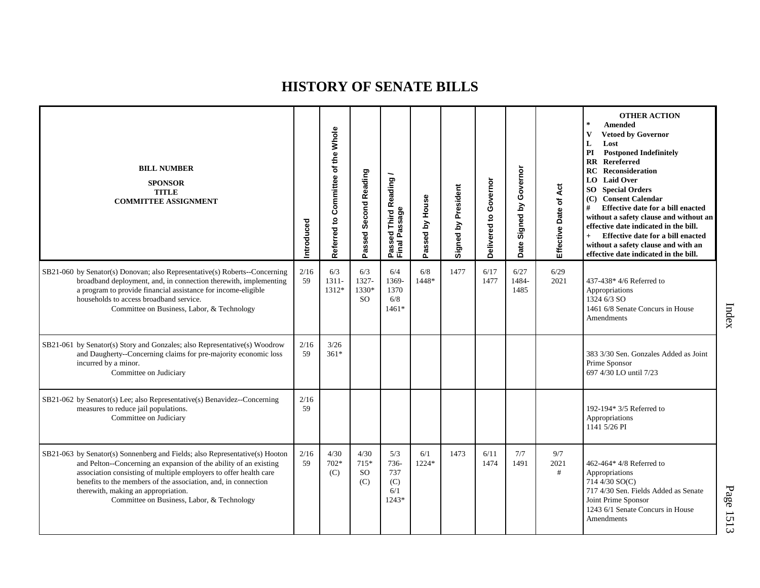| <b>BILL NUMBER</b><br><b>SPONSOR</b><br><b>TITLE</b><br><b>COMMITTEE ASSIGNMENT</b>                                                                                                                                                                                                                                                                                          | Introduced | Referred to Committee of the Whole | Passed Second Reading        | Passed Third Reading /<br>Final Passage   | Passed by House | Signed by President | Governor<br>Delivered to | Governor<br>Signed by<br>Date: | Áct<br>Effective Date of | <b>OTHER ACTION</b><br>$\star$<br>Amended<br><b>Vetoed by Governor</b><br>V<br>L<br>Lost<br><b>Postponed Indefinitely</b><br>PI<br><b>RR</b> Rereferred<br><b>RC</b> Reconsideration<br><b>LO</b> Laid Over<br><b>SO</b> Special Orders<br>(C) Consent Calendar<br>#<br>Effective date for a bill enacted<br>without a safety clause and without an<br>effective date indicated in the bill.<br>Effective date for a bill enacted<br>$+$<br>without a safety clause and with an<br>effective date indicated in the bill. |
|------------------------------------------------------------------------------------------------------------------------------------------------------------------------------------------------------------------------------------------------------------------------------------------------------------------------------------------------------------------------------|------------|------------------------------------|------------------------------|-------------------------------------------|-----------------|---------------------|--------------------------|--------------------------------|--------------------------|--------------------------------------------------------------------------------------------------------------------------------------------------------------------------------------------------------------------------------------------------------------------------------------------------------------------------------------------------------------------------------------------------------------------------------------------------------------------------------------------------------------------------|
| SB21-060 by Senator(s) Donovan; also Representative(s) Roberts--Concerning<br>broadband deployment, and, in connection therewith, implementing<br>a program to provide financial assistance for income-eligible<br>households to access broadband service.<br>Committee on Business, Labor, & Technology                                                                     | 2/16<br>59 | 6/3<br>1311-<br>1312*              | 6/3<br>1327-<br>1330*<br>SO. | 6/4<br>1369-<br>1370<br>6/8<br>$1461*$    | 6/8<br>1448*    | 1477                | 6/17<br>1477             | 6/27<br>1484-<br>1485          | 6/29<br>2021             | 437-438* 4/6 Referred to<br>Appropriations<br>1324 6/3 SO<br>1461 6/8 Senate Concurs in House<br>Amendments                                                                                                                                                                                                                                                                                                                                                                                                              |
| SB21-061 by Senator(s) Story and Gonzales; also Representative(s) Woodrow<br>and Daugherty--Concerning claims for pre-majority economic loss<br>incurred by a minor.<br>Committee on Judiciary                                                                                                                                                                               | 2/16<br>59 | 3/26<br>$361*$                     |                              |                                           |                 |                     |                          |                                |                          | 383 3/30 Sen. Gonzales Added as Joint<br>Prime Sponsor<br>697 4/30 LO until 7/23                                                                                                                                                                                                                                                                                                                                                                                                                                         |
| SB21-062 by Senator(s) Lee; also Representative(s) Benavidez--Concerning<br>measures to reduce jail populations.<br>Committee on Judiciary                                                                                                                                                                                                                                   | 2/16<br>59 |                                    |                              |                                           |                 |                     |                          |                                |                          | 192-194* 3/5 Referred to<br>Appropriations<br>1141 5/26 PI                                                                                                                                                                                                                                                                                                                                                                                                                                                               |
| SB21-063 by Senator(s) Sonnenberg and Fields; also Representative(s) Hooton<br>and Pelton--Concerning an expansion of the ability of an existing<br>association consisting of multiple employers to offer health care<br>benefits to the members of the association, and, in connection<br>therewith, making an appropriation.<br>Committee on Business, Labor, & Technology | 2/16<br>59 | 4/30<br>$702*$<br>(C)              | 4/30<br>715*<br>SO<br>(C)    | 5/3<br>736-<br>737<br>(C)<br>6/1<br>1243* | 6/1<br>1224*    | 1473                | 6/11<br>1474             | 7/7<br>1491                    | 9/7<br>2021<br>#         | 462-464* 4/8 Referred to<br>Appropriations<br>714 4/30 SO(C)<br>717 4/30 Sen. Fields Added as Senate<br>Joint Prime Sponsor<br>1243 6/1 Senate Concurs in House<br>Amendments                                                                                                                                                                                                                                                                                                                                            |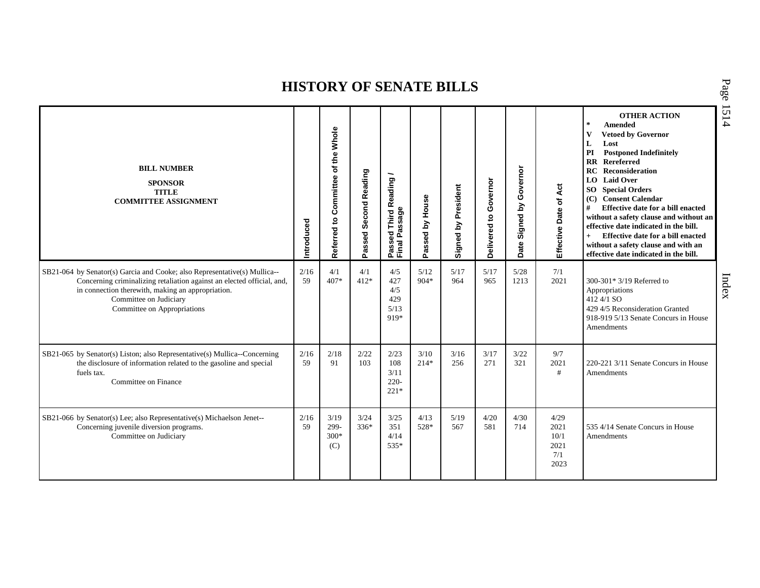| <b>BILL NUMBER</b><br><b>SPONSOR</b><br><b>TITLE</b><br><b>COMMITTEE ASSIGNMENT</b>                                                                                                                                                                               | Introduced | Whole<br>of the<br>Referred to Committee | Passed Second Reading | Passed Third Reading /<br>Final Passage  | Passed by House | President<br>Signed by | Governor<br>Delivered to | Governor<br>Σ<br>Signed<br>Date | Effective Date of Act                       | <b>OTHER ACTION</b><br>$\ast$<br>Amended<br>$\mathbf{V}$<br><b>Vetoed by Governor</b><br>Lost<br>L<br>PI<br><b>Postponed Indefinitely</b><br><b>RR</b> Rereferred<br>RC<br>Reconsideration<br><b>LO</b> Laid Over<br><b>SO</b> Special Orders<br>(C) Consent Calendar<br>#<br>Effective date for a bill enacted<br>without a safety clause and without an<br>effective date indicated in the bill.<br>Effective date for a bill enacted<br>$+$<br>without a safety clause and with an<br>effective date indicated in the bill. |
|-------------------------------------------------------------------------------------------------------------------------------------------------------------------------------------------------------------------------------------------------------------------|------------|------------------------------------------|-----------------------|------------------------------------------|-----------------|------------------------|--------------------------|---------------------------------|---------------------------------------------|--------------------------------------------------------------------------------------------------------------------------------------------------------------------------------------------------------------------------------------------------------------------------------------------------------------------------------------------------------------------------------------------------------------------------------------------------------------------------------------------------------------------------------|
| SB21-064 by Senator(s) Garcia and Cooke; also Representative(s) Mullica--<br>Concerning criminalizing retaliation against an elected official, and,<br>in connection therewith, making an appropriation.<br>Committee on Judiciary<br>Committee on Appropriations | 2/16<br>59 | 4/1<br>407*                              | 4/1<br>$412*$         | 4/5<br>427<br>4/5<br>429<br>5/13<br>919* | 5/12<br>904*    | 5/17<br>964            | 5/17<br>965              | 5/28<br>1213                    | 7/1<br>2021                                 | 300-301* 3/19 Referred to<br>Appropriations<br>412 4/1 SO<br>429 4/5 Reconsideration Granted<br>918-919 5/13 Senate Concurs in House<br>Amendments                                                                                                                                                                                                                                                                                                                                                                             |
| SB21-065 by Senator(s) Liston; also Representative(s) Mullica--Concerning<br>the disclosure of information related to the gasoline and special<br>fuels tax.<br>Committee on Finance                                                                              | 2/16<br>59 | 2/18<br>91                               | 2/22<br>103           | 2/23<br>108<br>3/11<br>$220 -$<br>$221*$ | 3/10<br>$214*$  | 3/16<br>256            | 3/17<br>271              | 3/22<br>321                     | 9/7<br>2021<br>#                            | 220-221 3/11 Senate Concurs in House<br>Amendments                                                                                                                                                                                                                                                                                                                                                                                                                                                                             |
| SB21-066 by Senator(s) Lee; also Representative(s) Michaelson Jenet--<br>Concerning juvenile diversion programs.<br>Committee on Judiciary                                                                                                                        | 2/16<br>59 | 3/19<br>299-<br>$300*$<br>(C)            | 3/24<br>$336*$        | 3/25<br>351<br>4/14<br>535*              | 4/13<br>528*    | 5/19<br>567            | 4/20<br>581              | 4/30<br>714                     | 4/29<br>2021<br>10/1<br>2021<br>7/1<br>2023 | 535 4/14 Senate Concurs in House<br>Amendments                                                                                                                                                                                                                                                                                                                                                                                                                                                                                 |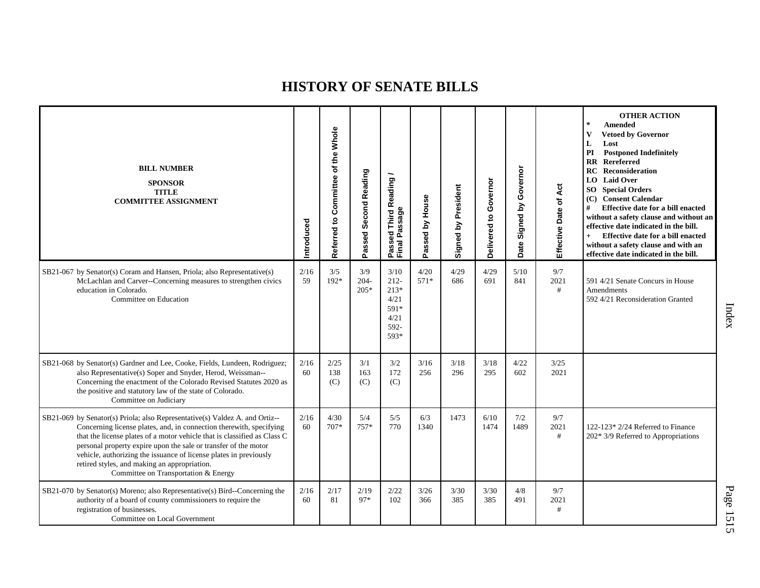| <b>BILL NUMBER</b><br><b>SPONSOR</b><br><b>TITLE</b><br><b>COMMITTEE ASSIGNMENT</b>                                                                                                                                                                                                                                                                                                                                                                            | Introduced | Referred to Committee of the Whole | Passed Second Reading    | Passed Third Reading<br>Final Passage                             | Passed by House | Signed by President | Governor<br>Delivered to | Governor<br>Signed by<br>Date | Act<br>Effective Date of | <b>OTHER ACTION</b><br>$\star$<br><b>Amended</b><br><b>Vetoed by Governor</b><br>V<br>Lost<br>L<br><b>Postponed Indefinitely</b><br>PI<br><b>RR</b> Rereferred<br>RC.<br>Reconsideration<br><b>LO</b> Laid Over<br><b>SO</b> Special Orders<br>(C) Consent Calendar<br>#<br>Effective date for a bill enacted<br>without a safety clause and without an<br>effective date indicated in the bill.<br>Effective date for a bill enacted<br>$+$<br>without a safety clause and with an<br>effective date indicated in the bill. |
|----------------------------------------------------------------------------------------------------------------------------------------------------------------------------------------------------------------------------------------------------------------------------------------------------------------------------------------------------------------------------------------------------------------------------------------------------------------|------------|------------------------------------|--------------------------|-------------------------------------------------------------------|-----------------|---------------------|--------------------------|-------------------------------|--------------------------|------------------------------------------------------------------------------------------------------------------------------------------------------------------------------------------------------------------------------------------------------------------------------------------------------------------------------------------------------------------------------------------------------------------------------------------------------------------------------------------------------------------------------|
| SB21-067 by Senator(s) Coram and Hansen, Priola; also Representative(s)<br>McLachlan and Carver--Concerning measures to strengthen civics<br>education in Colorado.<br>Committee on Education                                                                                                                                                                                                                                                                  | 2/16<br>59 | 3/5<br>192*                        | 3/9<br>$204 -$<br>$205*$ | 3/10<br>$212 -$<br>$213*$<br>4/21<br>591*<br>4/21<br>592-<br>593* | 4/20<br>$571*$  | 4/29<br>686         | 4/29<br>691              | 5/10<br>841                   | 9/7<br>2021<br>#         | 591 4/21 Senate Concurs in House<br><b>Amendments</b><br>592 4/21 Reconsideration Granted                                                                                                                                                                                                                                                                                                                                                                                                                                    |
| SB21-068 by Senator(s) Gardner and Lee, Cooke, Fields, Lundeen, Rodriguez;<br>also Representative(s) Soper and Snyder, Herod, Weissman--<br>Concerning the enactment of the Colorado Revised Statutes 2020 as<br>the positive and statutory law of the state of Colorado.<br>Committee on Judiciary                                                                                                                                                            | 2/16<br>60 | 2/25<br>138<br>(C)                 | 3/1<br>163<br>(C)        | 3/2<br>172<br>(C)                                                 | 3/16<br>256     | 3/18<br>296         | 3/18<br>295              | 4/22<br>602                   | 3/25<br>2021             |                                                                                                                                                                                                                                                                                                                                                                                                                                                                                                                              |
| SB21-069 by Senator(s) Priola; also Representative(s) Valdez A. and Ortiz--<br>Concerning license plates, and, in connection therewith, specifying<br>that the license plates of a motor vehicle that is classified as Class C<br>personal property expire upon the sale or transfer of the motor<br>vehicle, authorizing the issuance of license plates in previously<br>retired styles, and making an appropriation.<br>Committee on Transportation & Energy | 2/16<br>60 | 4/30<br>$707*$                     | 5/4<br>$757*$            | 5/5<br>770                                                        | 6/3<br>1340     | 1473                | 6/10<br>1474             | 7/2<br>1489                   | 9/7<br>2021<br>#         | 122-123* 2/24 Referred to Finance<br>202* 3/9 Referred to Appropriations                                                                                                                                                                                                                                                                                                                                                                                                                                                     |
| SB21-070 by Senator(s) Moreno; also Representative(s) Bird--Concerning the<br>authority of a board of county commissioners to require the<br>registration of businesses.<br>Committee on Local Government                                                                                                                                                                                                                                                      | 2/16<br>60 | 2/17<br>81                         | 2/19<br>97*              | 2/22<br>102                                                       | 3/26<br>366     | 3/30<br>385         | 3/30<br>385              | 4/8<br>491                    | 9/7<br>2021<br>#         |                                                                                                                                                                                                                                                                                                                                                                                                                                                                                                                              |

Index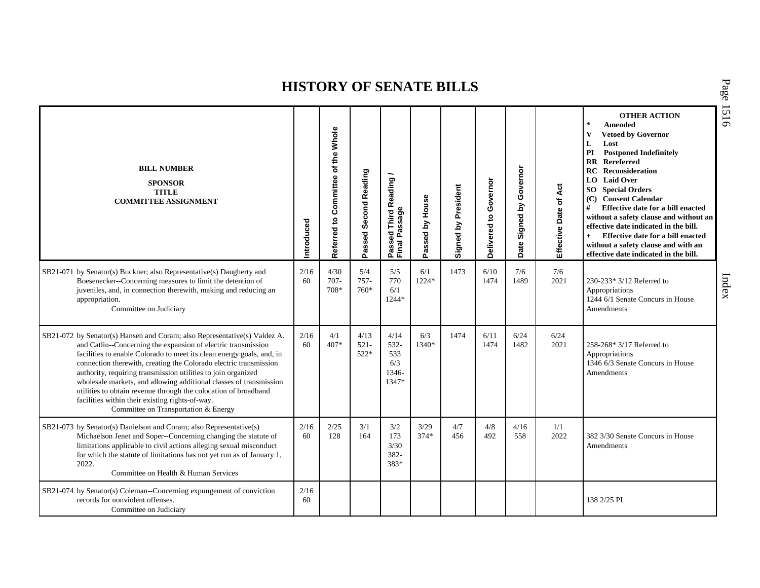| <b>BILL NUMBER</b><br><b>SPONSOR</b><br><b>TITLE</b><br><b>COMMITTEE ASSIGNMENT</b>                                                                                                                                                                                                                                                                                                                                                                                                                                                                                                           | ntroduced  | Whole<br>Referred to Committee of the | Passed Second Reading   | Passed Third Reading /<br>Final Passage      | Passed by House | Signed by President | Governor<br>Delivered to | Governor<br>Signed by<br>Date: | Act<br>$\overline{\sigma}$<br>Effective Date | <b>OTHER ACTION</b><br>$\star$<br><b>Amended</b><br>$\mathbf{V}$<br><b>Vetoed by Governor</b><br>L<br>Lost<br>PI<br><b>Postponed Indefinitely</b><br>Rereferred<br>$\mathbf{R}\mathbf{R}$<br><b>RC</b> Reconsideration<br><b>LO</b> Laid Over<br><b>SO</b> Special Orders<br>(C) Consent Calendar<br>#<br>Effective date for a bill enacted<br>without a safety clause and without an<br>effective date indicated in the bill.<br>Effective date for a bill enacted<br>$+$<br>without a safety clause and with an<br>effective date indicated in the bill. |
|-----------------------------------------------------------------------------------------------------------------------------------------------------------------------------------------------------------------------------------------------------------------------------------------------------------------------------------------------------------------------------------------------------------------------------------------------------------------------------------------------------------------------------------------------------------------------------------------------|------------|---------------------------------------|-------------------------|----------------------------------------------|-----------------|---------------------|--------------------------|--------------------------------|----------------------------------------------|------------------------------------------------------------------------------------------------------------------------------------------------------------------------------------------------------------------------------------------------------------------------------------------------------------------------------------------------------------------------------------------------------------------------------------------------------------------------------------------------------------------------------------------------------------|
| SB21-071 by Senator(s) Buckner; also Representative(s) Daugherty and<br>Boesenecker--Concerning measures to limit the detention of<br>juveniles, and, in connection therewith, making and reducing an<br>appropriation.<br>Committee on Judiciary                                                                                                                                                                                                                                                                                                                                             | 2/16<br>60 | 4/30<br>$707 -$<br>708*               | 5/4<br>757-<br>760*     | 5/5<br>770<br>6/1<br>1244*                   | 6/1<br>1224*    | 1473                | 6/10<br>1474             | 7/6<br>1489                    | 7/6<br>2021                                  | 230-233* 3/12 Referred to<br>Appropriations<br>1244 6/1 Senate Concurs in House<br>Amendments                                                                                                                                                                                                                                                                                                                                                                                                                                                              |
| SB21-072 by Senator(s) Hansen and Coram; also Representative(s) Valdez A.<br>and Catlin--Concerning the expansion of electric transmission<br>facilities to enable Colorado to meet its clean energy goals, and, in<br>connection therewith, creating the Colorado electric transmission<br>authority, requiring transmission utilities to join organized<br>wholesale markets, and allowing additional classes of transmission<br>utilities to obtain revenue through the colocation of broadband<br>facilities within their existing rights-of-way.<br>Committee on Transportation & Energy | 2/16<br>60 | 4/1<br>$407*$                         | 4/13<br>$521 -$<br>522* | 4/14<br>532-<br>533<br>6/3<br>1346-<br>1347* | 6/3<br>1340*    | 1474                | 6/11<br>1474             | 6/24<br>1482                   | 6/24<br>2021                                 | 258-268* 3/17 Referred to<br>Appropriations<br>1346 6/3 Senate Concurs in House<br><b>Amendments</b>                                                                                                                                                                                                                                                                                                                                                                                                                                                       |
| SB21-073 by Senator(s) Danielson and Coram; also Representative(s)<br>Michaelson Jenet and Soper--Concerning changing the statute of<br>limitations applicable to civil actions alleging sexual misconduct<br>for which the statute of limitations has not yet run as of January 1,<br>2022.<br>Committee on Health & Human Services                                                                                                                                                                                                                                                          | 2/16<br>60 | 2/25<br>128                           | 3/1<br>164              | 3/2<br>173<br>3/30<br>382-<br>383*           | 3/29<br>$374*$  | 4/7<br>456          | 4/8<br>492               | 4/16<br>558                    | 1/1<br>2022                                  | 382 3/30 Senate Concurs in House<br>Amendments                                                                                                                                                                                                                                                                                                                                                                                                                                                                                                             |
| SB21-074 by Senator(s) Coleman--Concerning expungement of conviction<br>records for nonviolent offenses.<br>Committee on Judiciary                                                                                                                                                                                                                                                                                                                                                                                                                                                            | 2/16<br>60 |                                       |                         |                                              |                 |                     |                          |                                |                                              | 138 2/25 PI                                                                                                                                                                                                                                                                                                                                                                                                                                                                                                                                                |

P a g e 1516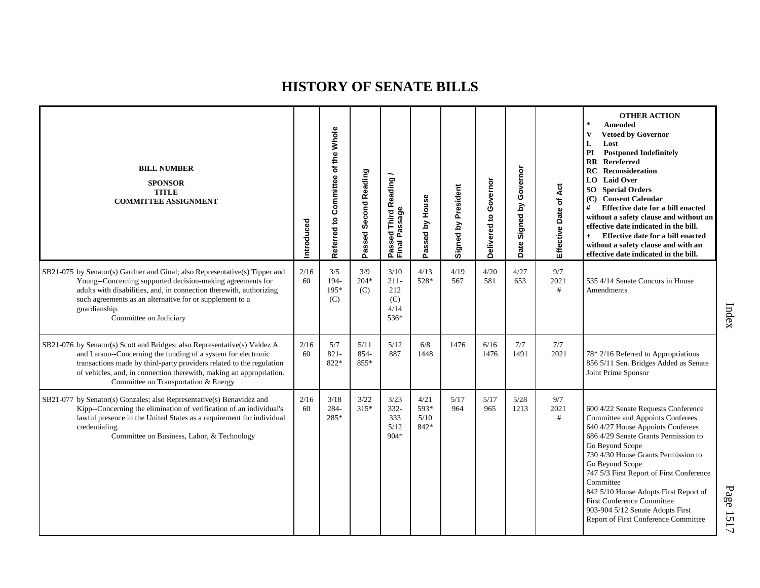| <b>BILL NUMBER</b><br><b>SPONSOR</b><br><b>TITLE</b><br><b>COMMITTEE ASSIGNMENT</b>                                                                                                                                                                                                                                                | ntroduced  | Referred to Committee of the Whole | Passed Second Reading | Passed Third Reading<br>Final Passage        | Passed by House              | Signed by President | Delivered to Governor | Signed by Governor<br>Date | Effective Date of Act | <b>OTHER ACTION</b><br>Amended<br><b>Vetoed by Governor</b><br>V<br>L<br>Lost<br><b>Postponed Indefinitely</b><br>PI<br><b>RR</b> Rereferred<br>RC<br><b>Reconsideration</b><br><b>LO</b> Laid Over<br><b>SO</b> Special Orders<br>(C) Consent Calendar<br>#<br>Effective date for a bill enacted<br>without a safety clause and without an<br>effective date indicated in the bill.<br>Effective date for a bill enacted<br>$+$<br>without a safety clause and with an<br>effective date indicated in the bill. |
|------------------------------------------------------------------------------------------------------------------------------------------------------------------------------------------------------------------------------------------------------------------------------------------------------------------------------------|------------|------------------------------------|-----------------------|----------------------------------------------|------------------------------|---------------------|-----------------------|----------------------------|-----------------------|------------------------------------------------------------------------------------------------------------------------------------------------------------------------------------------------------------------------------------------------------------------------------------------------------------------------------------------------------------------------------------------------------------------------------------------------------------------------------------------------------------------|
| SB21-075 by Senator(s) Gardner and Ginal; also Representative(s) Tipper and<br>Young--Concerning supported decision-making agreements for<br>adults with disabilities, and, in connection therewith, authorizing<br>such agreements as an alternative for or supplement to a<br>guardianship.<br>Committee on Judiciary            | 2/16<br>60 | 3/5<br>194-<br>195*<br>(C)         | 3/9<br>$204*$<br>(C)  | 3/10<br>$211-$<br>212<br>(C)<br>4/14<br>536* | 4/13<br>528*                 | 4/19<br>567         | 4/20<br>581           | 4/27<br>653                | 9/7<br>2021<br>#      | 535 4/14 Senate Concurs in House<br>Amendments                                                                                                                                                                                                                                                                                                                                                                                                                                                                   |
| SB21-076 by Senator(s) Scott and Bridges; also Representative(s) Valdez A.<br>and Larson--Concerning the funding of a system for electronic<br>transactions made by third-party providers related to the regulation<br>of vehicles, and, in connection therewith, making an appropriation.<br>Committee on Transportation & Energy | 2/16<br>60 | 5/7<br>$821 -$<br>822*             | 5/11<br>854-<br>855*  | 5/12<br>887                                  | 6/8<br>1448                  | 1476                | 6/16<br>1476          | 7/7<br>1491                | 7/7<br>2021           | 78* 2/16 Referred to Appropriations<br>856 5/11 Sen. Bridges Added as Senate<br>Joint Prime Sponsor                                                                                                                                                                                                                                                                                                                                                                                                              |
| SB21-077 by Senator(s) Gonzales; also Representative(s) Benavidez and<br>Kipp--Concerning the elimination of verification of an individual's<br>lawful presence in the United States as a requirement for individual<br>credentialing.<br>Committee on Business, Labor, & Technology                                               | 2/16<br>60 | 3/18<br>284-<br>285*               | 3/22<br>315*          | 3/23<br>$332 -$<br>333<br>5/12<br>$904*$     | 4/21<br>593*<br>5/10<br>842* | 5/17<br>964         | 5/17<br>965           | 5/28<br>1213               | 9/7<br>2021<br>#      | 600 4/22 Senate Requests Conference<br>Committee and Appoints Conferees<br>640 4/27 House Appoints Conferees<br>686 4/29 Senate Grants Permission to<br>Go Beyond Scope<br>730 4/30 House Grants Permission to<br>Go Beyond Scope<br>747 5/3 First Report of First Conference<br>Committee<br>842 5/10 House Adopts First Report of<br><b>First Conference Committee</b><br>903-904 5/12 Senate Adopts First<br>Report of First Conference Committee                                                             |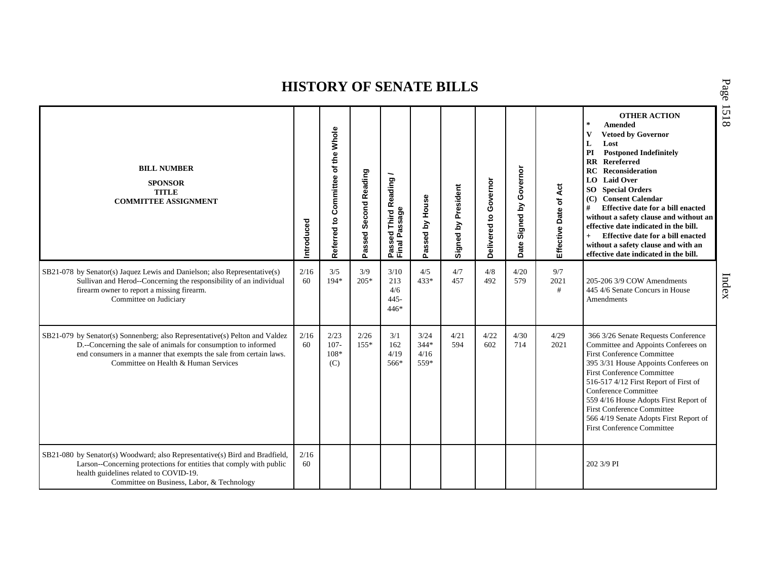| <b>BILL NUMBER</b><br><b>SPONSOR</b><br><b>TITLE</b><br><b>COMMITTEE ASSIGNMENT</b>                                                                                                                                                                         | Introduced | Whole<br>of the<br>Committee<br>$\mathbf{c}$<br>Referred | Passed Second Reading | <b>Third Reading</b><br>Passed Third R<br>Final Passage | Passed by House                | Signed by President | Governor<br>Delivered to | Governor<br>Signed by<br>Date | Effective Date of Act | <b>OTHER ACTION</b><br>$\pm$<br><b>Amended</b><br>V<br><b>Vetoed by Governor</b><br>Lost<br>L<br>PI<br><b>Postponed Indefinitely</b><br><b>Rereferred</b><br>$\mathbf{R}$<br><b>RC</b> Reconsideration<br><b>LO</b> Laid Over<br><b>SO</b> Special Orders<br>(C) Consent Calendar<br>#<br>Effective date for a bill enacted<br>without a safety clause and without an<br>effective date indicated in the bill.<br>Effective date for a bill enacted<br>$+$<br>without a safety clause and with an<br>effective date indicated in the bill. |
|-------------------------------------------------------------------------------------------------------------------------------------------------------------------------------------------------------------------------------------------------------------|------------|----------------------------------------------------------|-----------------------|---------------------------------------------------------|--------------------------------|---------------------|--------------------------|-------------------------------|-----------------------|--------------------------------------------------------------------------------------------------------------------------------------------------------------------------------------------------------------------------------------------------------------------------------------------------------------------------------------------------------------------------------------------------------------------------------------------------------------------------------------------------------------------------------------------|
| SB21-078 by Senator(s) Jaquez Lewis and Danielson; also Representative(s)<br>Sullivan and Herod--Concerning the responsibility of an individual<br>firearm owner to report a missing firearm.<br>Committee on Judiciary                                     | 2/16<br>60 | 3/5<br>$194*$                                            | 3/9<br>$205*$         | 3/10<br>213<br>4/6<br>$445 -$<br>$446*$                 | 4/5<br>433*                    | 4/7<br>457          | 4/8<br>492               | 4/20<br>579                   | 9/7<br>2021<br>#      | 205-206 3/9 COW Amendments<br>445 4/6 Senate Concurs in House<br>Amendments                                                                                                                                                                                                                                                                                                                                                                                                                                                                |
| SB21-079 by Senator(s) Sonnenberg; also Representative(s) Pelton and Valdez<br>D.--Concerning the sale of animals for consumption to informed<br>end consumers in a manner that exempts the sale from certain laws.<br>Committee on Health & Human Services | 2/16<br>60 | 2/23<br>$107 -$<br>108*<br>(C)                           | 2/26<br>$155*$        | 3/1<br>162<br>4/19<br>566*                              | 3/24<br>$344*$<br>4/16<br>559* | 4/21<br>594         | 4/22<br>602              | 4/30<br>714                   | 4/29<br>2021          | 366 3/26 Senate Requests Conference<br>Committee and Appoints Conferees on<br>First Conference Committee<br>395 3/31 House Appoints Conferees on<br><b>First Conference Committee</b><br>516-517 4/12 First Report of First of<br>Conference Committee<br>559 4/16 House Adopts First Report of<br><b>First Conference Committee</b><br>566 4/19 Senate Adopts First Report of<br><b>First Conference Committee</b>                                                                                                                        |
| SB21-080 by Senator(s) Woodward; also Representative(s) Bird and Bradfield,<br>Larson--Concerning protections for entities that comply with public<br>health guidelines related to COVID-19.<br>Committee on Business, Labor, & Technology                  | 2/16<br>60 |                                                          |                       |                                                         |                                |                     |                          |                               |                       | 202 3/9 PI                                                                                                                                                                                                                                                                                                                                                                                                                                                                                                                                 |

P a g e 1518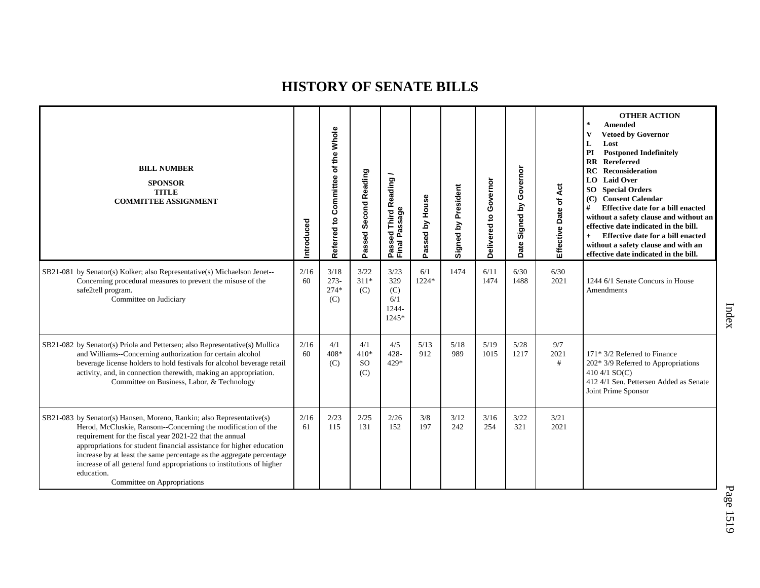| <b>BILL NUMBER</b><br><b>SPONSOR</b><br><b>TITLE</b><br><b>COMMITTEE ASSIGNMENT</b>                                                                                                                                                                                                                                                                                                                                                                                    | Introduced | Referred to Committee of the Whole | Passed Second Reading             | Passed Third Reading<br>Final Passage         | Passed by House | Signed by President | Governor<br>ë<br>Delivered | Governor<br>Signed by<br>Date | Act<br>Effective Date of | <b>OTHER ACTION</b><br>$\sim$<br>Amended<br><b>Vetoed by Governor</b><br>V<br>L<br>Lost<br>PI<br><b>Postponed Indefinitely</b><br><b>RR</b> Rereferred<br>RC<br>Reconsideration<br><b>LO</b> Laid Over<br><b>SO</b> Special Orders<br>(C) Consent Calendar<br>Effective date for a bill enacted<br>#<br>without a safety clause and without an<br>effective date indicated in the bill.<br>Effective date for a bill enacted<br>$+$<br>without a safety clause and with an<br>effective date indicated in the bill. |
|------------------------------------------------------------------------------------------------------------------------------------------------------------------------------------------------------------------------------------------------------------------------------------------------------------------------------------------------------------------------------------------------------------------------------------------------------------------------|------------|------------------------------------|-----------------------------------|-----------------------------------------------|-----------------|---------------------|----------------------------|-------------------------------|--------------------------|---------------------------------------------------------------------------------------------------------------------------------------------------------------------------------------------------------------------------------------------------------------------------------------------------------------------------------------------------------------------------------------------------------------------------------------------------------------------------------------------------------------------|
| SB21-081 by Senator(s) Kolker; also Representative(s) Michaelson Jenet--<br>Concerning procedural measures to prevent the misuse of the<br>safe2tell program.<br>Committee on Judiciary                                                                                                                                                                                                                                                                                | 2/16<br>60 | 3/18<br>$273-$<br>$274*$<br>(C)    | 3/22<br>$311*$<br>(C)             | 3/23<br>329<br>(C)<br>6/1<br>1244-<br>$1245*$ | 6/1<br>1224*    | 1474                | 6/11<br>1474               | 6/30<br>1488                  | 6/30<br>2021             | 1244 6/1 Senate Concurs in House<br>Amendments                                                                                                                                                                                                                                                                                                                                                                                                                                                                      |
| SB21-082 by Senator(s) Priola and Pettersen; also Representative(s) Mullica<br>and Williams--Concerning authorization for certain alcohol<br>beverage license holders to hold festivals for alcohol beverage retail<br>activity, and, in connection therewith, making an appropriation.<br>Committee on Business, Labor, & Technology                                                                                                                                  | 2/16<br>60 | 4/1<br>408*<br>(C)                 | 4/1<br>$410*$<br><b>SO</b><br>(C) | 4/5<br>$428 -$<br>429*                        | 5/13<br>912     | 5/18<br>989         | 5/19<br>1015               | 5/28<br>1217                  | 9/7<br>2021<br>#         | 171* 3/2 Referred to Finance<br>$202*3/9$ Referred to Appropriations<br>410 4/1 $SO(C)$<br>412 4/1 Sen. Pettersen Added as Senate<br>Joint Prime Sponsor                                                                                                                                                                                                                                                                                                                                                            |
| SB21-083 by Senator(s) Hansen, Moreno, Rankin; also Representative(s)<br>Herod, McCluskie, Ransom--Concerning the modification of the<br>requirement for the fiscal year 2021-22 that the annual<br>appropriations for student financial assistance for higher education<br>increase by at least the same percentage as the aggregate percentage<br>increase of all general fund appropriations to institutions of higher<br>education.<br>Committee on Appropriations | 2/16<br>61 | 2/23<br>115                        | 2/25<br>131                       | 2/26<br>152                                   | 3/8<br>197      | 3/12<br>242         | 3/16<br>254                | 3/22<br>321                   | 3/21<br>2021             |                                                                                                                                                                                                                                                                                                                                                                                                                                                                                                                     |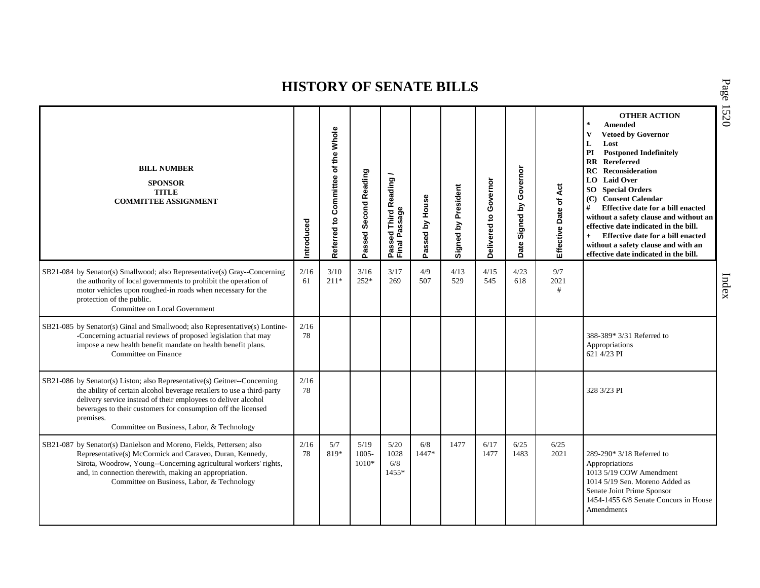| <b>BILL NUMBER</b><br><b>SPONSOR</b><br><b>TITLE</b><br><b>COMMITTEE ASSIGNMENT</b>                                                                                                                                                                                                                                                               | ntroduced  | Referred to Committee of the Whole | Passed Second Reading       | Passed Third Reading<br>Final Passage | Passed by House | Signed by President | Governor<br>Delivered to | Governor<br>Signed by<br>Date | Effective Date of Act | <b>OTHER ACTION</b><br>$\ast$<br><b>Amended</b><br>$\mathbf{V}$<br><b>Vetoed by Governor</b><br>L<br>Lost<br><b>Postponed Indefinitely</b><br>PI<br><b>RR</b> Rereferred<br><b>RC</b> Reconsideration<br>LO Laid Over<br><b>SO</b> Special Orders<br>(C) Consent Calendar<br>#<br>Effective date for a bill enacted<br>without a safety clause and without an<br>effective date indicated in the bill.<br>Effective date for a bill enacted<br>$+$<br>without a safety clause and with an<br>effective date indicated in the bill. |
|---------------------------------------------------------------------------------------------------------------------------------------------------------------------------------------------------------------------------------------------------------------------------------------------------------------------------------------------------|------------|------------------------------------|-----------------------------|---------------------------------------|-----------------|---------------------|--------------------------|-------------------------------|-----------------------|------------------------------------------------------------------------------------------------------------------------------------------------------------------------------------------------------------------------------------------------------------------------------------------------------------------------------------------------------------------------------------------------------------------------------------------------------------------------------------------------------------------------------------|
| SB21-084 by Senator(s) Smallwood; also Representative(s) Gray--Concerning<br>the authority of local governments to prohibit the operation of<br>motor vehicles upon roughed-in roads when necessary for the<br>protection of the public.<br>Committee on Local Government                                                                         | 2/16<br>61 | 3/10<br>$211*$                     | 3/16<br>$252*$              | 3/17<br>269                           | 4/9<br>507      | 4/13<br>529         | 4/15<br>545              | 4/23<br>618                   | 9/7<br>2021<br>#      |                                                                                                                                                                                                                                                                                                                                                                                                                                                                                                                                    |
| SB21-085 by Senator(s) Ginal and Smallwood; also Representative(s) Lontine-<br>-Concerning actuarial reviews of proposed legislation that may<br>impose a new health benefit mandate on health benefit plans.<br>Committee on Finance                                                                                                             | 2/16<br>78 |                                    |                             |                                       |                 |                     |                          |                               |                       | 388-389* 3/31 Referred to<br>Appropriations<br>621 4/23 PI                                                                                                                                                                                                                                                                                                                                                                                                                                                                         |
| SB21-086 by Senator(s) Liston; also Representative(s) Geitner--Concerning<br>the ability of certain alcohol beverage retailers to use a third-party<br>delivery service instead of their employees to deliver alcohol<br>beverages to their customers for consumption off the licensed<br>premises.<br>Committee on Business, Labor, & Technology | 2/16<br>78 |                                    |                             |                                       |                 |                     |                          |                               |                       | 328 3/23 PI                                                                                                                                                                                                                                                                                                                                                                                                                                                                                                                        |
| SB21-087 by Senator(s) Danielson and Moreno, Fields, Pettersen; also<br>Representative(s) McCormick and Caraveo, Duran, Kennedy,<br>Sirota, Woodrow, Young--Concerning agricultural workers' rights,<br>and, in connection therewith, making an appropriation.<br>Committee on Business, Labor, & Technology                                      | 2/16<br>78 | 5/7<br>819*                        | 5/19<br>$1005 -$<br>$1010*$ | 5/20<br>1028<br>6/8<br>1455*          | 6/8<br>1447*    | 1477                | 6/17<br>1477             | 6/25<br>1483                  | 6/25<br>2021          | 289-290* 3/18 Referred to<br>Appropriations<br>1013 5/19 COW Amendment<br>1014 5/19 Sen. Moreno Added as<br>Senate Joint Prime Sponsor<br>1454-1455 6/8 Senate Concurs in House<br>Amendments                                                                                                                                                                                                                                                                                                                                      |

P a g e 15 2 0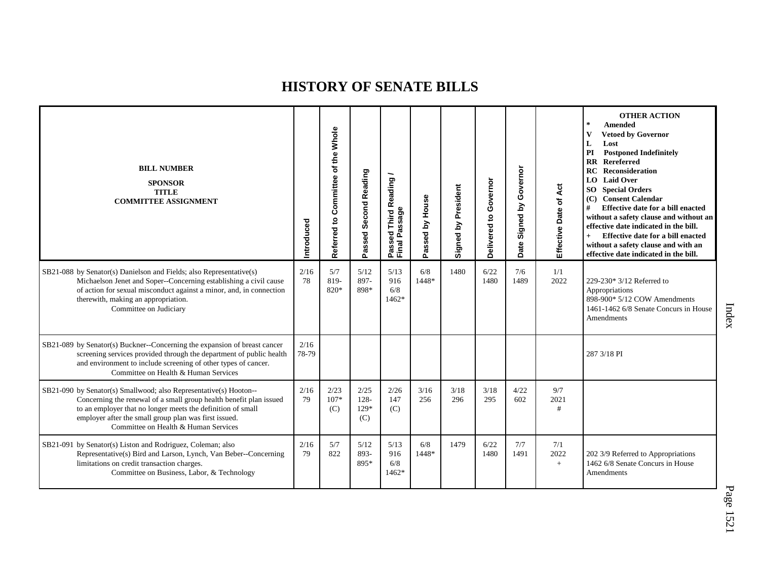| <b>BILL NUMBER</b><br><b>SPONSOR</b><br><b>TITLE</b><br><b>COMMITTEE ASSIGNMENT</b>                                                                                                                                                                                                                     | Introduced    | Whole<br>Committee of the<br>Referred to | Passed Second Reading          | <b>Third Reading</b><br>Passed Third R<br>Final Passage | Passed by House | Signed by President | Governor<br>Delivered to | Governor<br>Signed by<br>Date | Effective Date of Act | <b>OTHER ACTION</b><br>$\star$<br><b>Amended</b><br>$\mathbf{V}$<br><b>Vetoed by Governor</b><br>L<br>Lost<br>PI<br><b>Postponed Indefinitely</b><br><b>RR</b> Rereferred<br>RC<br>Reconsideration<br>LO Laid Over<br><b>SO</b> Special Orders<br>(C) Consent Calendar<br>#<br>Effective date for a bill enacted<br>without a safety clause and without an<br>effective date indicated in the bill.<br>Effective date for a bill enacted<br>$+$<br>without a safety clause and with an<br>effective date indicated in the bill. |
|---------------------------------------------------------------------------------------------------------------------------------------------------------------------------------------------------------------------------------------------------------------------------------------------------------|---------------|------------------------------------------|--------------------------------|---------------------------------------------------------|-----------------|---------------------|--------------------------|-------------------------------|-----------------------|---------------------------------------------------------------------------------------------------------------------------------------------------------------------------------------------------------------------------------------------------------------------------------------------------------------------------------------------------------------------------------------------------------------------------------------------------------------------------------------------------------------------------------|
| SB21-088 by Senator(s) Danielson and Fields; also Representative(s)<br>Michaelson Jenet and Soper--Concerning establishing a civil cause<br>of action for sexual misconduct against a minor, and, in connection<br>therewith, making an appropriation.<br>Committee on Judiciary                        | 2/16<br>78    | 5/7<br>819-<br>820*                      | 5/12<br>897-<br>898*           | 5/13<br>916<br>6/8<br>1462*                             | 6/8<br>1448*    | 1480                | 6/22<br>1480             | 7/6<br>1489                   | 1/1<br>2022           | 229-230* 3/12 Referred to<br>Appropriations<br>898-900* 5/12 COW Amendments<br>1461-1462 6/8 Senate Concurs in House<br>Amendments                                                                                                                                                                                                                                                                                                                                                                                              |
| SB21-089 by Senator(s) Buckner--Concerning the expansion of breast cancer<br>screening services provided through the department of public health<br>and environment to include screening of other types of cancer.<br>Committee on Health & Human Services                                              | 2/16<br>78-79 |                                          |                                |                                                         |                 |                     |                          |                               |                       | 287 3/18 PI                                                                                                                                                                                                                                                                                                                                                                                                                                                                                                                     |
| SB21-090 by Senator(s) Smallwood; also Representative(s) Hooton--<br>Concerning the renewal of a small group health benefit plan issued<br>to an employer that no longer meets the definition of small<br>employer after the small group plan was first issued.<br>Committee on Health & Human Services | 2/16<br>79    | 2/23<br>$107*$<br>(C)                    | 2/25<br>$128 -$<br>129*<br>(C) | 2/26<br>147<br>(C)                                      | 3/16<br>256     | 3/18<br>296         | 3/18<br>295              | 4/22<br>602                   | 9/7<br>2021<br>#      |                                                                                                                                                                                                                                                                                                                                                                                                                                                                                                                                 |
| SB21-091 by Senator(s) Liston and Rodriguez, Coleman; also<br>Representative(s) Bird and Larson, Lynch, Van Beber--Concerning<br>limitations on credit transaction charges.<br>Committee on Business, Labor, & Technology                                                                               | 2/16<br>79    | 5/7<br>822                               | 5/12<br>893-<br>895*           | 5/13<br>916<br>6/8<br>1462*                             | 6/8<br>1448*    | 1479                | 6/22<br>1480             | 7/7<br>1491                   | 7/1<br>2022<br>$+$    | 202 3/9 Referred to Appropriations<br>1462 6/8 Senate Concurs in House<br>Amendments                                                                                                                                                                                                                                                                                                                                                                                                                                            |

Index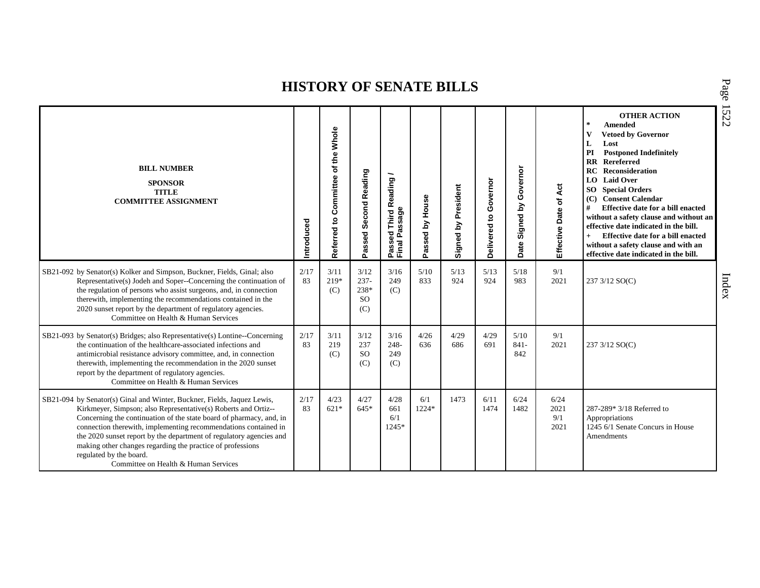| <b>BILL NUMBER</b><br><b>SPONSOR</b><br><b>TITLE</b><br><b>COMMITTEE ASSIGNMENT</b>                                                                                                                                                                                                                                                                                                                                                                                                         | Introduced | Whole<br>of the<br>Committee<br>Referred to | Passed Second Reading                           | Third Reading /<br>Passed Thiru <sub>N</sub><br>Final Passage | Passed by House | Signed by President | Governor<br>Delivered to | Governor<br><u>ځ</u><br>Signed<br>Date | Effective Date of Act       | <b>OTHER ACTION</b><br>$\star$<br><b>Amended</b><br>V<br><b>Vetoed by Governor</b><br>L<br>Lost<br>PI<br><b>Postponed Indefinitely</b><br><b>RR</b> Rereferred<br>RC<br>Reconsideration<br>LO Laid Over<br><b>SO</b> Special Orders<br><b>Consent Calendar</b><br>(C)<br>#<br>Effective date for a bill enacted<br>without a safety clause and without an<br>effective date indicated in the bill.<br>Effective date for a bill enacted<br>without a safety clause and with an<br>effective date indicated in the bill. |
|---------------------------------------------------------------------------------------------------------------------------------------------------------------------------------------------------------------------------------------------------------------------------------------------------------------------------------------------------------------------------------------------------------------------------------------------------------------------------------------------|------------|---------------------------------------------|-------------------------------------------------|---------------------------------------------------------------|-----------------|---------------------|--------------------------|----------------------------------------|-----------------------------|-------------------------------------------------------------------------------------------------------------------------------------------------------------------------------------------------------------------------------------------------------------------------------------------------------------------------------------------------------------------------------------------------------------------------------------------------------------------------------------------------------------------------|
| SB21-092 by Senator(s) Kolker and Simpson, Buckner, Fields, Ginal; also<br>Representative(s) Jodeh and Soper--Concerning the continuation of<br>the regulation of persons who assist surgeons, and, in connection<br>therewith, implementing the recommendations contained in the<br>2020 sunset report by the department of regulatory agencies.<br>Committee on Health & Human Services                                                                                                   | 2/17<br>83 | 3/11<br>219*<br>(C)                         | 3/12<br>$237 -$<br>238*<br><sub>SO</sub><br>(C) | 3/16<br>249<br>(C)                                            | 5/10<br>833     | 5/13<br>924         | 5/13<br>924              | 5/18<br>983                            | 9/1<br>2021                 | 237 3/12 SO(C)                                                                                                                                                                                                                                                                                                                                                                                                                                                                                                          |
| SB21-093 by Senator(s) Bridges; also Representative(s) Lontine--Concerning<br>the continuation of the healthcare-associated infections and<br>antimicrobial resistance advisory committee, and, in connection<br>therewith, implementing the recommendation in the 2020 sunset<br>report by the department of regulatory agencies.<br>Committee on Health & Human Services                                                                                                                  | 2/17<br>83 | 3/11<br>219<br>(C)                          | 3/12<br>237<br><sub>SO</sub><br>(C)             | 3/16<br>$248 -$<br>249<br>(C)                                 | 4/26<br>636     | 4/29<br>686         | 4/29<br>691              | 5/10<br>$841 -$<br>842                 | 9/1<br>2021                 | 237 3/12 SO(C)                                                                                                                                                                                                                                                                                                                                                                                                                                                                                                          |
| SB21-094 by Senator(s) Ginal and Winter, Buckner, Fields, Jaquez Lewis,<br>Kirkmeyer, Simpson; also Representative(s) Roberts and Ortiz--<br>Concerning the continuation of the state board of pharmacy, and, in<br>connection therewith, implementing recommendations contained in<br>the 2020 sunset report by the department of regulatory agencies and<br>making other changes regarding the practice of professions<br>regulated by the board.<br>Committee on Health & Human Services | 2/17<br>83 | 4/23<br>$621*$                              | 4/27<br>$64.5*$                                 | 4/28<br>661<br>6/1<br>$1245*$                                 | 6/1<br>1224*    | 1473                | 6/11<br>1474             | 6/24<br>1482                           | 6/24<br>2021<br>9/1<br>2021 | 287-289* 3/18 Referred to<br>Appropriations<br>1245 6/1 Senate Concurs in House<br>Amendments                                                                                                                                                                                                                                                                                                                                                                                                                           |

P a g e 15 2 2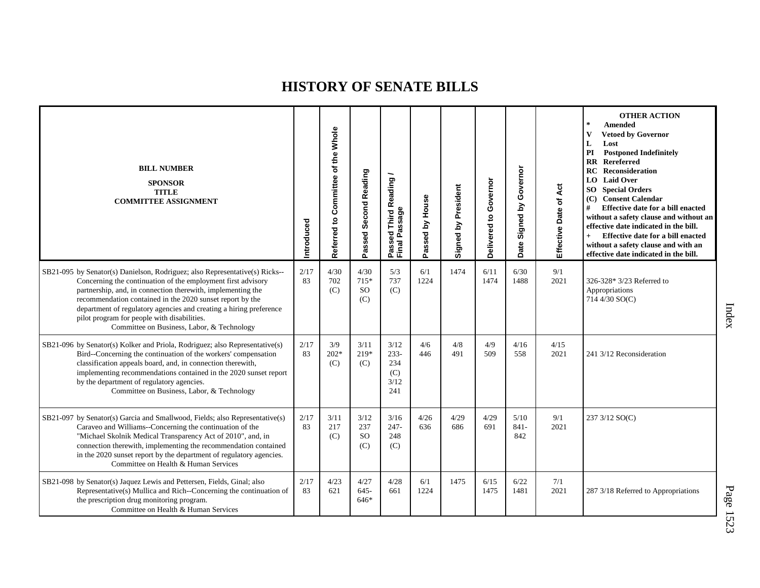| <b>BILL NUMBER</b><br><b>SPONSOR</b><br><b>TITLE</b><br><b>COMMITTEE ASSIGNMENT</b>                                                                                                                                                                                                                                                                                                                                                        | Introduced | Referred to Committee of the Whole | Passed Second Reading            | Passed Third Reading<br>Final Passage        | House<br>Passed by | Signed by President | Governor<br>Delivered to | Governor<br>Signed by<br>Date | Áct<br>٦,<br>Effective Date | <b>OTHER ACTION</b><br>$\star$<br><b>Amended</b><br>$\mathbf{V}$<br><b>Vetoed by Governor</b><br>L<br>Lost<br><b>Postponed Indefinitely</b><br>PI<br><b>RR</b> Rereferred<br><b>Reconsideration</b><br>RC<br><b>LO</b> Laid Over<br><b>SO</b> Special Orders<br>(C) Consent Calendar<br>#<br>Effective date for a bill enacted<br>without a safety clause and without an<br>effective date indicated in the bill.<br>Effective date for a bill enacted<br>$+$<br>without a safety clause and with an<br>effective date indicated in the bill. |
|--------------------------------------------------------------------------------------------------------------------------------------------------------------------------------------------------------------------------------------------------------------------------------------------------------------------------------------------------------------------------------------------------------------------------------------------|------------|------------------------------------|----------------------------------|----------------------------------------------|--------------------|---------------------|--------------------------|-------------------------------|-----------------------------|-----------------------------------------------------------------------------------------------------------------------------------------------------------------------------------------------------------------------------------------------------------------------------------------------------------------------------------------------------------------------------------------------------------------------------------------------------------------------------------------------------------------------------------------------|
| SB21-095 by Senator(s) Danielson, Rodriguez; also Representative(s) Ricks--<br>Concerning the continuation of the employment first advisory<br>partnership, and, in connection therewith, implementing the<br>recommendation contained in the 2020 sunset report by the<br>department of regulatory agencies and creating a hiring preference<br>pilot program for people with disabilities.<br>Committee on Business, Labor, & Technology | 2/17<br>83 | 4/30<br>702<br>(C)                 | 4/30<br>715*<br><b>SO</b><br>(C) | 5/3<br>737<br>(C)                            | 6/1<br>1224        | 1474                | 6/11<br>1474             | 6/30<br>1488                  | 9/1<br>2021                 | 326-328* 3/23 Referred to<br>Appropriations<br>714 4/30 SO(C)                                                                                                                                                                                                                                                                                                                                                                                                                                                                                 |
| SB21-096 by Senator(s) Kolker and Priola, Rodriguez; also Representative(s)<br>Bird--Concerning the continuation of the workers' compensation<br>classification appeals board, and, in connection therewith,<br>implementing recommendations contained in the 2020 sunset report<br>by the department of regulatory agencies.<br>Committee on Business, Labor, & Technology                                                                | 2/17<br>83 | 3/9<br>$202*$<br>(C)               | 3/11<br>219*<br>(C)              | 3/12<br>$233 -$<br>234<br>(C)<br>3/12<br>241 | 4/6<br>446         | 4/8<br>491          | 4/9<br>509               | 4/16<br>558                   | 4/15<br>2021                | 241 3/12 Reconsideration                                                                                                                                                                                                                                                                                                                                                                                                                                                                                                                      |
| SB21-097 by Senator(s) Garcia and Smallwood, Fields; also Representative(s)<br>Caraveo and Williams--Concerning the continuation of the<br>"Michael Skolnik Medical Transparency Act of 2010", and, in<br>connection therewith, implementing the recommendation contained<br>in the 2020 sunset report by the department of regulatory agencies.<br>Committee on Health & Human Services                                                   | 2/17<br>83 | 3/11<br>217<br>(C)                 | 3/12<br>237<br><b>SO</b><br>(C)  | 3/16<br>$247 -$<br>248<br>(C)                | 4/26<br>636        | 4/29<br>686         | 4/29<br>691              | 5/10<br>$841 -$<br>842        | 9/1<br>2021                 | 237 3/12 SO(C)                                                                                                                                                                                                                                                                                                                                                                                                                                                                                                                                |
| SB21-098 by Senator(s) Jaquez Lewis and Pettersen, Fields, Ginal; also<br>Representative(s) Mullica and Rich--Concerning the continuation of<br>the prescription drug monitoring program.<br>Committee on Health & Human Services                                                                                                                                                                                                          | 2/17<br>83 | 4/23<br>621                        | 4/27<br>$645 -$<br>646*          | 4/28<br>661                                  | 6/1<br>1224        | 1475                | 6/15<br>1475             | 6/22<br>1481                  | 7/1<br>2021                 | 287 3/18 Referred to Appropriations                                                                                                                                                                                                                                                                                                                                                                                                                                                                                                           |

Index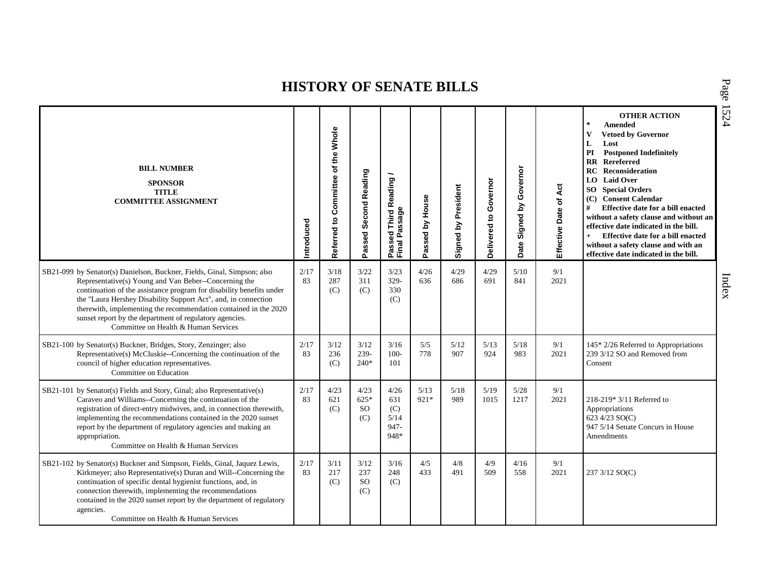| <b>BILL NUMBER</b><br><b>SPONSOR</b><br><b>TITLE</b><br><b>COMMITTEE ASSIGNMENT</b>                                                                                                                                                                                                                                                                                                                                                               | Introduced | Referred to Committee of the Whole | Passed Second Reading              | Passed Third Reading<br>Final Passage      | Passed by House | Signed by President | Governor<br>Delivered to | Governor<br>Signed by<br>Date | Act<br>Effective Date of | <b>OTHER ACTION</b><br>$\pm$<br><b>Amended</b><br>$\mathbf{V}$<br><b>Vetoed by Governor</b><br>L<br>Lost<br><b>Postponed Indefinitely</b><br>PI<br><b>RR</b> Rereferred<br><b>RC</b> Reconsideration<br><b>LO</b> Laid Over<br><b>SO</b> Special Orders<br>(C) Consent Calendar<br>#<br>Effective date for a bill enacted<br>without a safety clause and without an<br>effective date indicated in the bill.<br>Effective date for a bill enacted<br>$+$<br>without a safety clause and with an<br>effective date indicated in the bill. |
|---------------------------------------------------------------------------------------------------------------------------------------------------------------------------------------------------------------------------------------------------------------------------------------------------------------------------------------------------------------------------------------------------------------------------------------------------|------------|------------------------------------|------------------------------------|--------------------------------------------|-----------------|---------------------|--------------------------|-------------------------------|--------------------------|------------------------------------------------------------------------------------------------------------------------------------------------------------------------------------------------------------------------------------------------------------------------------------------------------------------------------------------------------------------------------------------------------------------------------------------------------------------------------------------------------------------------------------------|
| SB21-099 by Senator(s) Danielson, Buckner, Fields, Ginal, Simpson; also<br>Representative(s) Young and Van Beber--Concerning the<br>continuation of the assistance program for disability benefits under<br>the "Laura Hershey Disability Support Act", and, in connection<br>therewith, implementing the recommendation contained in the 2020<br>sunset report by the department of regulatory agencies.<br>Committee on Health & Human Services | 2/17<br>83 | 3/18<br>287<br>(C)                 | 3/22<br>311<br>(C)                 | 3/23<br>$329 -$<br>330<br>(C)              | 4/26<br>636     | 4/29<br>686         | 4/29<br>691              | 5/10<br>841                   | 9/1<br>2021              |                                                                                                                                                                                                                                                                                                                                                                                                                                                                                                                                          |
| SB21-100 by Senator(s) Buckner, Bridges, Story, Zenzinger; also<br>Representative(s) McCluskie--Concerning the continuation of the<br>council of higher education representatives.<br>Committee on Education                                                                                                                                                                                                                                      | 2/17<br>83 | 3/12<br>236<br>(C)                 | 3/12<br>239-<br>$240*$             | 3/16<br>$100 -$<br>101                     | 5/5<br>778      | 5/12<br>907         | 5/13<br>924              | 5/18<br>983                   | 9/1<br>2021              | 145* 2/26 Referred to Appropriations<br>239 3/12 SO and Removed from<br>Consent                                                                                                                                                                                                                                                                                                                                                                                                                                                          |
| SB21-101 by Senator(s) Fields and Story, Ginal; also Representative(s)<br>Caraveo and Williams--Concerning the continuation of the<br>registration of direct-entry midwives, and, in connection therewith,<br>implementing the recommendations contained in the 2020 sunset<br>report by the department of regulatory agencies and making an<br>appropriation.<br>Committee on Health & Human Services                                            | 2/17<br>83 | 4/23<br>621<br>(C)                 | 4/23<br>$625*$<br><b>SO</b><br>(C) | 4/26<br>631<br>(C)<br>5/14<br>947-<br>948* | 5/13<br>921*    | 5/18<br>989         | 5/19<br>1015             | $5/28$<br>1217                | 9/1<br>2021              | $218-219*3/11$ Referred to<br>Appropriations<br>623 4/23 SO(C)<br>947 5/14 Senate Concurs in House<br><b>Amendments</b>                                                                                                                                                                                                                                                                                                                                                                                                                  |
| SB21-102 by Senator(s) Buckner and Simpson, Fields, Ginal, Jaquez Lewis,<br>Kirkmeyer; also Representative(s) Duran and Will--Concerning the<br>continuation of specific dental hygienist functions, and, in<br>connection therewith, implementing the recommendations<br>contained in the 2020 sunset report by the department of regulatory<br>agencies.<br>Committee on Health & Human Services                                                | 2/17<br>83 | 3/11<br>217<br>(C)                 | 3/12<br>237<br>SO<br>(C)           | 3/16<br>248<br>(C)                         | 4/5<br>433      | 4/8<br>491          | 4/9<br>509               | 4/16<br>558                   | 9/1<br>2021              | 237 3/12 SO(C)                                                                                                                                                                                                                                                                                                                                                                                                                                                                                                                           |

P a g e 15 2 4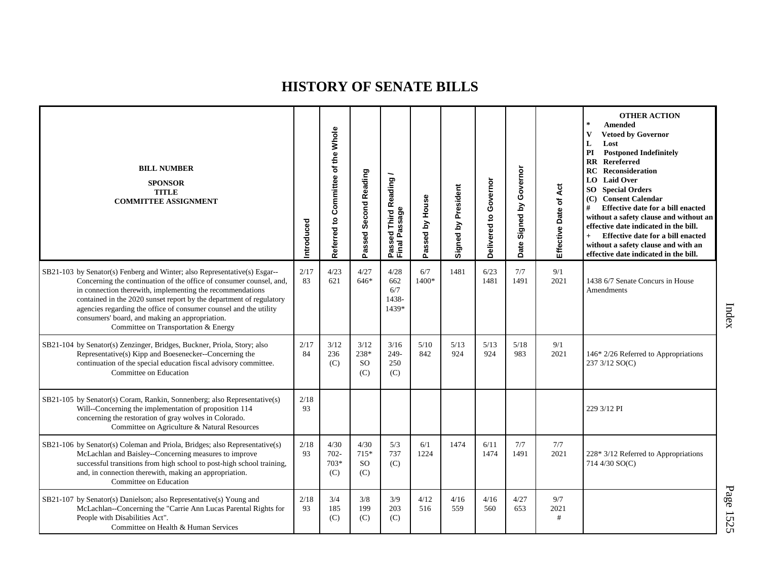| <b>BILL NUMBER</b><br><b>SPONSOR</b><br><b>TITLE</b><br><b>COMMITTEE ASSIGNMENT</b>                                                                                                                                                                                                                                                                                                                                                                 | Introduced | Referred to Committee of the Whole | Passed Second Reading            | Passed Third Reading<br>Final Passage | Passed by House | Signed by President | Governor<br>Delivered to | Governor<br>Signed by<br>Date | Act<br>Effective Date of | <b>OTHER ACTION</b><br>$\ast$<br>Amended<br><b>Vetoed by Governor</b><br>V<br>L<br>Lost<br><b>Postponed Indefinitely</b><br>PI<br><b>RR</b> Rereferred<br>Reconsideration<br>RC<br>LO Laid Over<br><b>SO</b> Special Orders<br>(C) Consent Calendar<br>Effective date for a bill enacted<br>#<br>without a safety clause and without an<br>effective date indicated in the bill.<br>Effective date for a bill enacted<br>$+$<br>without a safety clause and with an<br>effective date indicated in the bill. |
|-----------------------------------------------------------------------------------------------------------------------------------------------------------------------------------------------------------------------------------------------------------------------------------------------------------------------------------------------------------------------------------------------------------------------------------------------------|------------|------------------------------------|----------------------------------|---------------------------------------|-----------------|---------------------|--------------------------|-------------------------------|--------------------------|--------------------------------------------------------------------------------------------------------------------------------------------------------------------------------------------------------------------------------------------------------------------------------------------------------------------------------------------------------------------------------------------------------------------------------------------------------------------------------------------------------------|
| SB21-103 by Senator(s) Fenberg and Winter; also Representative(s) Esgar--<br>Concerning the continuation of the office of consumer counsel, and,<br>in connection therewith, implementing the recommendations<br>contained in the 2020 sunset report by the department of regulatory<br>agencies regarding the office of consumer counsel and the utility<br>consumers' board, and making an appropriation.<br>Committee on Transportation & Energy | 2/17<br>83 | 4/23<br>621                        | 4/27<br>646*                     | 4/28<br>662<br>6/7<br>1438-<br>1439*  | 6/7<br>1400*    | 1481                | 6/23<br>1481             | 7/7<br>1491                   | 9/1<br>2021              | 1438 6/7 Senate Concurs in House<br>Amendments                                                                                                                                                                                                                                                                                                                                                                                                                                                               |
| SB21-104 by Senator(s) Zenzinger, Bridges, Buckner, Priola, Story; also<br>Representative(s) Kipp and Boesenecker--Concerning the<br>continuation of the special education fiscal advisory committee.<br>Committee on Education                                                                                                                                                                                                                     | 2/17<br>84 | 3/12<br>236<br>(C)                 | 3/12<br>238*<br><b>SO</b><br>(C) | 3/16<br>$249-$<br>250<br>(C)          | 5/10<br>842     | 5/13<br>924         | 5/13<br>924              | $5/18$<br>983                 | 9/1<br>2021              | 146* 2/26 Referred to Appropriations<br>237 3/12 SO(C)                                                                                                                                                                                                                                                                                                                                                                                                                                                       |
| SB21-105 by Senator(s) Coram, Rankin, Sonnenberg; also Representative(s)<br>Will--Concerning the implementation of proposition 114<br>concerning the restoration of gray wolves in Colorado.<br>Committee on Agriculture & Natural Resources                                                                                                                                                                                                        | 2/18<br>93 |                                    |                                  |                                       |                 |                     |                          |                               |                          | 229 3/12 PI                                                                                                                                                                                                                                                                                                                                                                                                                                                                                                  |
| SB21-106 by Senator(s) Coleman and Priola, Bridges; also Representative(s)<br>McLachlan and Baisley--Concerning measures to improve<br>successful transitions from high school to post-high school training,<br>and, in connection therewith, making an appropriation.<br>Committee on Education                                                                                                                                                    | 2/18<br>93 | 4/30<br>$702 -$<br>$703*$<br>(C)   | 4/30<br>715*<br><b>SO</b><br>(C) | 5/3<br>737<br>(C)                     | 6/1<br>1224     | 1474                | 6/11<br>1474             | 7/7<br>1491                   | 7/7<br>2021              | 228* 3/12 Referred to Appropriations<br>714 4/30 SO(C)                                                                                                                                                                                                                                                                                                                                                                                                                                                       |
| SB21-107 by Senator(s) Danielson; also Representative(s) Young and<br>McLachlan--Concerning the "Carrie Ann Lucas Parental Rights for<br>People with Disabilities Act".<br>Committee on Health & Human Services                                                                                                                                                                                                                                     | 2/18<br>93 | 3/4<br>185<br>(C)                  | 3/8<br>199<br>(C)                | 3/9<br>203<br>(C)                     | 4/12<br>516     | 4/16<br>559         | 4/16<br>560              | 4/27<br>653                   | 9/7<br>2021<br>#         |                                                                                                                                                                                                                                                                                                                                                                                                                                                                                                              |

Index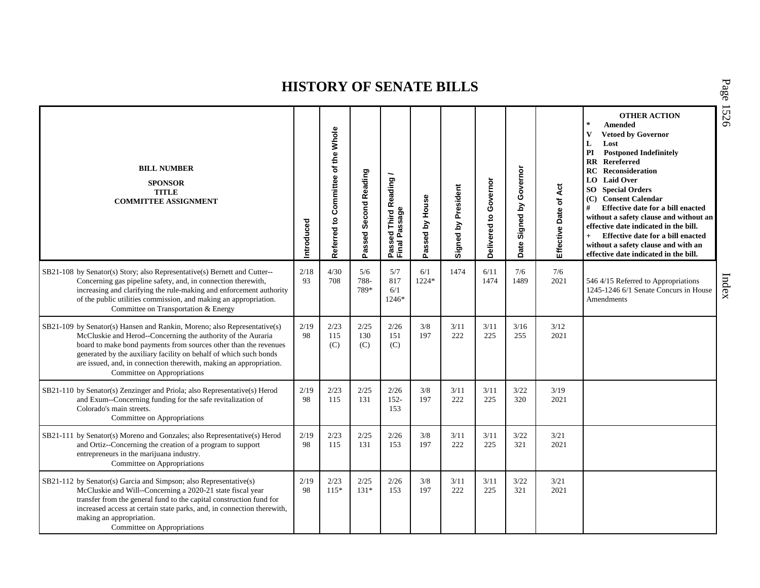| <b>BILL NUMBER</b><br><b>SPONSOR</b><br><b>TITLE</b><br><b>COMMITTEE ASSIGNMENT</b>                                                                                                                                                                                                                                                                                                    | Introduced | Referred to Committee of the Whole | Passed Second Reading | Passed Third Reading<br>Final Passage | Passed by House | Signed by President | Delivered to Governor | Date Signed by Governor | Effective Date of Act | <b>OTHER ACTION</b><br>$\star$<br>Amended<br>$\mathbf{V}$<br><b>Vetoed by Governor</b><br>L<br>Lost<br>PI<br><b>Postponed Indefinitely</b><br><b>RR</b> Rereferred<br>Reconsideration<br>RC<br>LO Laid Over<br>SO<br><b>Special Orders</b><br><b>Consent Calendar</b><br>(C)<br>#<br>Effective date for a bill enacted<br>without a safety clause and without an<br>effective date indicated in the bill.<br>Effective date for a bill enacted<br>without a safety clause and with an<br>effective date indicated in the bill. | 1526  |
|----------------------------------------------------------------------------------------------------------------------------------------------------------------------------------------------------------------------------------------------------------------------------------------------------------------------------------------------------------------------------------------|------------|------------------------------------|-----------------------|---------------------------------------|-----------------|---------------------|-----------------------|-------------------------|-----------------------|--------------------------------------------------------------------------------------------------------------------------------------------------------------------------------------------------------------------------------------------------------------------------------------------------------------------------------------------------------------------------------------------------------------------------------------------------------------------------------------------------------------------------------|-------|
| SB21-108 by Senator(s) Story; also Representative(s) Bernett and Cutter--<br>Concerning gas pipeline safety, and, in connection therewith,<br>increasing and clarifying the rule-making and enforcement authority<br>of the public utilities commission, and making an appropriation.<br>Committee on Transportation & Energy                                                          | 2/18<br>93 | 4/30<br>708                        | 5/6<br>788-<br>789*   | 5/7<br>817<br>6/1<br>1246*            | 6/1<br>1224*    | 1474                | 6/11<br>1474          | 7/6<br>1489             | 7/6<br>2021           | 546 4/15 Referred to Appropriations<br>1245-1246 6/1 Senate Concurs in House<br><b>Amendments</b>                                                                                                                                                                                                                                                                                                                                                                                                                              | Index |
| SB21-109 by Senator(s) Hansen and Rankin, Moreno; also Representative(s)<br>McCluskie and Herod--Concerning the authority of the Auraria<br>board to make bond payments from sources other than the revenues<br>generated by the auxiliary facility on behalf of which such bonds<br>are issued, and, in connection therewith, making an appropriation.<br>Committee on Appropriations | 2/19<br>98 | 2/23<br>115<br>(C)                 | 2/25<br>130<br>(C)    | 2/26<br>151<br>(C)                    | 3/8<br>197      | 3/11<br>222         | 3/11<br>225           | 3/16<br>255             | 3/12<br>2021          |                                                                                                                                                                                                                                                                                                                                                                                                                                                                                                                                |       |
| SB21-110 by Senator(s) Zenzinger and Priola; also Representative(s) Herod<br>and Exum--Concerning funding for the safe revitalization of<br>Colorado's main streets.<br>Committee on Appropriations                                                                                                                                                                                    | 2/19<br>98 | 2/23<br>115                        | 2/25<br>131           | 2/26<br>$152 -$<br>153                | 3/8<br>197      | 3/11<br>222         | 3/11<br>225           | 3/22<br>320             | 3/19<br>2021          |                                                                                                                                                                                                                                                                                                                                                                                                                                                                                                                                |       |
| SB21-111 by Senator(s) Moreno and Gonzales; also Representative(s) Herod<br>and Ortiz--Concerning the creation of a program to support<br>entrepreneurs in the marijuana industry.<br>Committee on Appropriations                                                                                                                                                                      | 2/19<br>98 | 2/23<br>115                        | 2/25<br>131           | 2/26<br>153                           | 3/8<br>197      | 3/11<br>222         | 3/11<br>225           | 3/22<br>321             | 3/21<br>2021          |                                                                                                                                                                                                                                                                                                                                                                                                                                                                                                                                |       |
| SB21-112 by Senator(s) Garcia and Simpson; also Representative(s)<br>McCluskie and Will--Concerning a 2020-21 state fiscal year<br>transfer from the general fund to the capital construction fund for<br>increased access at certain state parks, and, in connection therewith,<br>making an appropriation.<br>Committee on Appropriations                                            | 2/19<br>98 | 2/23<br>$115*$                     | 2/25<br>$131*$        | 2/26<br>153                           | 3/8<br>197      | 3/11<br>222         | 3/11<br>225           | 3/22<br>321             | 3/21<br>2021          |                                                                                                                                                                                                                                                                                                                                                                                                                                                                                                                                |       |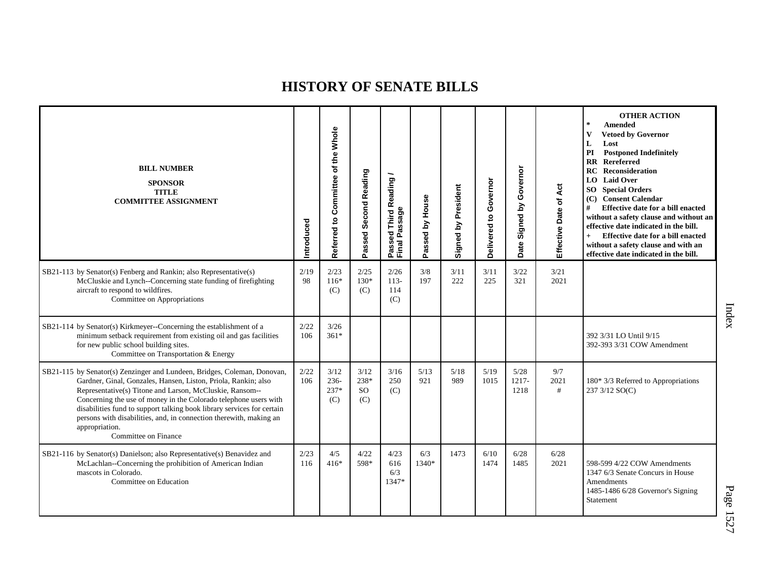| <b>BILL NUMBER</b><br><b>SPONSOR</b><br><b>TITLE</b><br><b>COMMITTEE ASSIGNMENT</b>                                                                                                                                                                                                                                                                                                                                                                                  | ntroduced   | Referred to Committee of the Whole | Passed Second Reading            | Passed Third Reading<br>Final Passage | Passed by House | Signed by President | Governor<br>Delivered to | Governor<br>Signed by<br>Date | Act<br>Effective Date of | <b>OTHER ACTION</b><br>$\star$<br><b>Amended</b><br><b>Vetoed by Governor</b><br>v<br>Lost<br>L<br>PI<br><b>Postponed Indefinitely</b><br><b>RR</b> Rereferred<br>RC<br><b>Reconsideration</b><br><b>LO</b> Laid Over<br><b>SO</b> Special Orders<br>(C) Consent Calendar<br>#<br>Effective date for a bill enacted<br>without a safety clause and without an<br>effective date indicated in the bill.<br>Effective date for a bill enacted<br>$+$<br>without a safety clause and with an<br>effective date indicated in the bill. |
|----------------------------------------------------------------------------------------------------------------------------------------------------------------------------------------------------------------------------------------------------------------------------------------------------------------------------------------------------------------------------------------------------------------------------------------------------------------------|-------------|------------------------------------|----------------------------------|---------------------------------------|-----------------|---------------------|--------------------------|-------------------------------|--------------------------|------------------------------------------------------------------------------------------------------------------------------------------------------------------------------------------------------------------------------------------------------------------------------------------------------------------------------------------------------------------------------------------------------------------------------------------------------------------------------------------------------------------------------------|
| SB21-113 by Senator(s) Fenberg and Rankin; also Representative(s)<br>McCluskie and Lynch--Concerning state funding of firefighting<br>aircraft to respond to wildfires.<br>Committee on Appropriations                                                                                                                                                                                                                                                               | 2/19<br>98  | 2/23<br>$116*$<br>(C)              | 2/25<br>130*<br>(C)              | 2/26<br>$113-$<br>114<br>(C)          | 3/8<br>197      | 3/11<br>222         | 3/11<br>225              | 3/22<br>321                   | 3/21<br>2021             |                                                                                                                                                                                                                                                                                                                                                                                                                                                                                                                                    |
| SB21-114 by Senator(s) Kirkmeyer--Concerning the establishment of a<br>minimum setback requirement from existing oil and gas facilities<br>for new public school building sites.<br>Committee on Transportation & Energy                                                                                                                                                                                                                                             | 2/22<br>106 | 3/26<br>$361*$                     |                                  |                                       |                 |                     |                          |                               |                          | 392 3/31 LO Until 9/15<br>392-393 3/31 COW Amendment                                                                                                                                                                                                                                                                                                                                                                                                                                                                               |
| SB21-115 by Senator(s) Zenzinger and Lundeen, Bridges, Coleman, Donovan,<br>Gardner, Ginal, Gonzales, Hansen, Liston, Priola, Rankin; also<br>Representative(s) Titone and Larson, McCluskie, Ransom--<br>Concerning the use of money in the Colorado telephone users with<br>disabilities fund to support talking book library services for certain<br>persons with disabilities, and, in connection therewith, making an<br>appropriation.<br>Committee on Finance | 2/22<br>106 | 3/12<br>236-<br>237*<br>(C)        | 3/12<br>238*<br><b>SO</b><br>(C) | 3/16<br>250<br>(C)                    | 5/13<br>921     | 5/18<br>989         | 5/19<br>1015             | 5/28<br>1217-<br>1218         | 9/7<br>2021<br>#         | 180* 3/3 Referred to Appropriations<br>237 3/12 SO(C)                                                                                                                                                                                                                                                                                                                                                                                                                                                                              |
| SB21-116 by Senator(s) Danielson; also Representative(s) Benavidez and<br>McLachlan--Concerning the prohibition of American Indian<br>mascots in Colorado.<br>Committee on Education                                                                                                                                                                                                                                                                                 | 2/23<br>116 | 4/5<br>$416*$                      | 4/22<br>598*                     | 4/23<br>616<br>6/3<br>1347*           | 6/3<br>1340*    | 1473                | 6/10<br>1474             | 6/28<br>1485                  | 6/28<br>2021             | 598-599 4/22 COW Amendments<br>1347 6/3 Senate Concurs in House<br>Amendments<br>1485-1486 6/28 Governor's Signing<br>Statement                                                                                                                                                                                                                                                                                                                                                                                                    |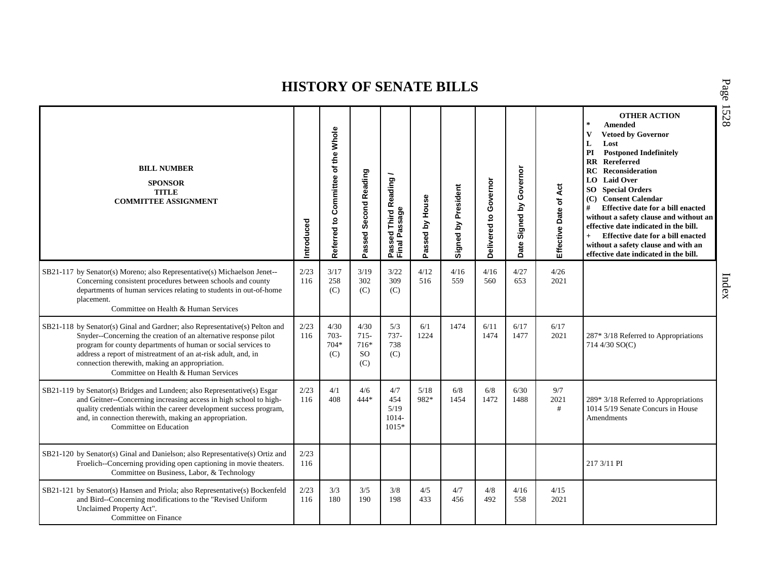| <b>BILL NUMBER</b><br><b>SPONSOR</b><br><b>TITLE</b><br><b>COMMITTEE ASSIGNMENT</b>                                                                                                                                                                                                                                                                                         | Introduced  | Referred to Committee of the Whole | Passed Second Reading                 | Passed Third Reading<br>Final Passage     | Passed by House | Signed by President | Governor<br>Delivered to | Governor<br>Signed by<br>Date | Act<br>Effective Date of | <b>OTHER ACTION</b><br>$\star$<br><b>Amended</b><br>$\mathbf{V}$<br><b>Vetoed by Governor</b><br>L<br>Lost<br><b>Postponed Indefinitely</b><br>PI<br><b>RR</b> Rereferred<br><b>RC</b> Reconsideration<br><b>LO</b> Laid Over<br><b>SO</b> Special Orders<br>(C) Consent Calendar<br>#<br>Effective date for a bill enacted<br>without a safety clause and without an<br>effective date indicated in the bill.<br>Effective date for a bill enacted<br>$+$<br>without a safety clause and with an<br>effective date indicated in the bill. |
|-----------------------------------------------------------------------------------------------------------------------------------------------------------------------------------------------------------------------------------------------------------------------------------------------------------------------------------------------------------------------------|-------------|------------------------------------|---------------------------------------|-------------------------------------------|-----------------|---------------------|--------------------------|-------------------------------|--------------------------|--------------------------------------------------------------------------------------------------------------------------------------------------------------------------------------------------------------------------------------------------------------------------------------------------------------------------------------------------------------------------------------------------------------------------------------------------------------------------------------------------------------------------------------------|
| SB21-117 by Senator(s) Moreno; also Representative(s) Michaelson Jenet--<br>Concerning consistent procedures between schools and county<br>departments of human services relating to students in out-of-home<br>placement.<br>Committee on Health & Human Services                                                                                                          | 2/23<br>116 | 3/17<br>258<br>(C)                 | 3/19<br>302<br>(C)                    | 3/22<br>309<br>(C)                        | 4/12<br>516     | 4/16<br>559         | 4/16<br>560              | 4/27<br>653                   | 4/26<br>2021             |                                                                                                                                                                                                                                                                                                                                                                                                                                                                                                                                            |
| SB21-118 by Senator(s) Ginal and Gardner; also Representative(s) Pelton and<br>Snyder--Concerning the creation of an alternative response pilot<br>program for county departments of human or social services to<br>address a report of mistreatment of an at-risk adult, and, in<br>connection therewith, making an appropriation.<br>Committee on Health & Human Services | 2/23<br>116 | 4/30<br>$703 -$<br>704*<br>(C)     | 4/30<br>$715 -$<br>716*<br>SO.<br>(C) | 5/3<br>$737-$<br>738<br>(C)               | 6/1<br>1224     | 1474                | 6/11<br>1474             | 6/17<br>1477                  | 6/17<br>2021             | 287* 3/18 Referred to Appropriations<br>714 4/30 SO(C)                                                                                                                                                                                                                                                                                                                                                                                                                                                                                     |
| SB21-119 by Senator(s) Bridges and Lundeen; also Representative(s) Esgar<br>and Geitner--Concerning increasing access in high school to high-<br>quality credentials within the career development success program,<br>and, in connection therewith, making an appropriation.<br>Committee on Education                                                                     | 2/23<br>116 | 4/1<br>408                         | 4/6<br>$444*$                         | 4/7<br>454<br>5/19<br>$1014 -$<br>$1015*$ | 5/18<br>982*    | 6/8<br>1454         | 6/8<br>1472              | 6/30<br>1488                  | 9/7<br>2021<br>#         | $289*3/18$ Referred to Appropriations<br>1014 5/19 Senate Concurs in House<br>Amendments                                                                                                                                                                                                                                                                                                                                                                                                                                                   |
| SB21-120 by Senator(s) Ginal and Danielson; also Representative(s) Ortiz and<br>Froelich--Concerning providing open captioning in movie theaters.<br>Committee on Business, Labor, & Technology                                                                                                                                                                             | 2/23<br>116 |                                    |                                       |                                           |                 |                     |                          |                               |                          | 217 3/11 PI                                                                                                                                                                                                                                                                                                                                                                                                                                                                                                                                |
| SB21-121 by Senator(s) Hansen and Priola; also Representative(s) Bockenfeld<br>and Bird--Concerning modifications to the "Revised Uniform<br>Unclaimed Property Act".<br>Committee on Finance                                                                                                                                                                               | 2/23<br>116 | 3/3<br>180                         | 3/5<br>190                            | 3/8<br>198                                | 4/5<br>433      | 4/7<br>456          | 4/8<br>492               | 4/16<br>558                   | 4/15<br>2021             |                                                                                                                                                                                                                                                                                                                                                                                                                                                                                                                                            |

P a g e 15 2 8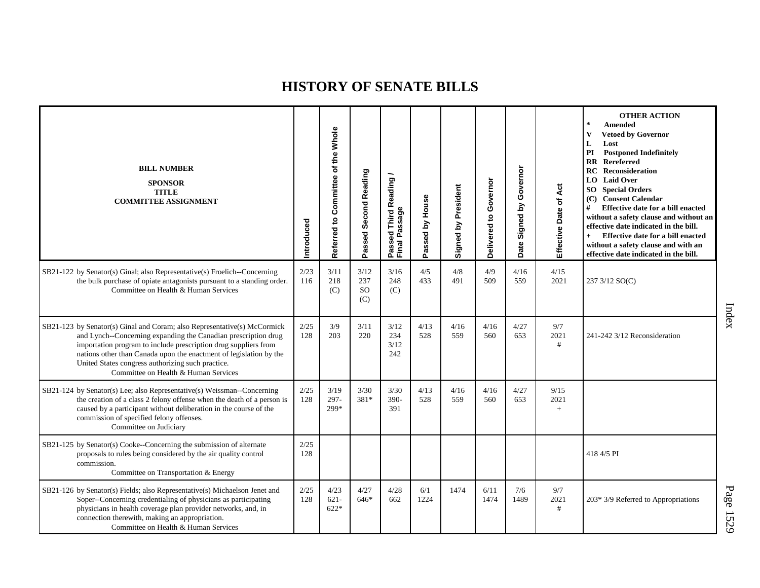| <b>BILL NUMBER</b><br><b>SPONSOR</b><br><b>TITLE</b><br><b>COMMITTEE ASSIGNMENT</b>                                                                                                                                                                                                                                                                                              | Introduced  | Referred to Committee of the Whole | Passed Second Reading           | Passed Third Reading<br>Final Passage | Passed by House | Signed by President | Governor<br>Delivered to | Governor<br>Signed by<br>Date | Act<br>Effective Date of | <b>OTHER ACTION</b><br>$\ast$<br>Amended<br><b>Vetoed by Governor</b><br>V<br>L<br>Lost<br><b>Postponed Indefinitely</b><br>PI<br><b>RR</b> Rereferred<br>Reconsideration<br>RC<br>LO Laid Over<br><b>SO</b> Special Orders<br>(C) Consent Calendar<br>Effective date for a bill enacted<br>#<br>without a safety clause and without an<br>effective date indicated in the bill.<br>Effective date for a bill enacted<br>$+$<br>without a safety clause and with an<br>effective date indicated in the bill. |
|----------------------------------------------------------------------------------------------------------------------------------------------------------------------------------------------------------------------------------------------------------------------------------------------------------------------------------------------------------------------------------|-------------|------------------------------------|---------------------------------|---------------------------------------|-----------------|---------------------|--------------------------|-------------------------------|--------------------------|--------------------------------------------------------------------------------------------------------------------------------------------------------------------------------------------------------------------------------------------------------------------------------------------------------------------------------------------------------------------------------------------------------------------------------------------------------------------------------------------------------------|
| SB21-122 by Senator(s) Ginal; also Representative(s) Froelich--Concerning<br>the bulk purchase of opiate antagonists pursuant to a standing order.<br>Committee on Health & Human Services                                                                                                                                                                                       | 2/23<br>116 | 3/11<br>218<br>(C)                 | 3/12<br>237<br><b>SO</b><br>(C) | 3/16<br>248<br>(C)                    | 4/5<br>433      | 4/8<br>491          | 4/9<br>509               | 4/16<br>559                   | 4/15<br>2021             | 237 3/12 SO(C)                                                                                                                                                                                                                                                                                                                                                                                                                                                                                               |
| SB21-123 by Senator(s) Ginal and Coram; also Representative(s) McCormick<br>and Lynch--Concerning expanding the Canadian prescription drug<br>importation program to include prescription drug suppliers from<br>nations other than Canada upon the enactment of legislation by the<br>United States congress authorizing such practice.<br>Committee on Health & Human Services | 2/25<br>128 | 3/9<br>203                         | 3/11<br>220                     | 3/12<br>234<br>3/12<br>242            | 4/13<br>528     | 4/16<br>559         | 4/16<br>560              | 4/27<br>653                   | 9/7<br>2021<br>#         | 241-242 3/12 Reconsideration                                                                                                                                                                                                                                                                                                                                                                                                                                                                                 |
| SB21-124 by Senator(s) Lee; also Representative(s) Weissman--Concerning<br>the creation of a class 2 felony offense when the death of a person is<br>caused by a participant without deliberation in the course of the<br>commission of specified felony offenses.<br>Committee on Judiciary                                                                                     | 2/25<br>128 | 3/19<br>297-<br>299*               | 3/30<br>381*                    | 3/30<br>390-<br>391                   | 4/13<br>528     | 4/16<br>559         | 4/16<br>560              | 4/27<br>653                   | 9/15<br>2021<br>$+$      |                                                                                                                                                                                                                                                                                                                                                                                                                                                                                                              |
| SB21-125 by Senator(s) Cooke--Concerning the submission of alternate<br>proposals to rules being considered by the air quality control<br>commission.<br>Committee on Transportation & Energy                                                                                                                                                                                    | 2/25<br>128 |                                    |                                 |                                       |                 |                     |                          |                               |                          | 418 4/5 PI                                                                                                                                                                                                                                                                                                                                                                                                                                                                                                   |
| SB21-126 by Senator(s) Fields; also Representative(s) Michaelson Jenet and<br>Soper--Concerning credentialing of physicians as participating<br>physicians in health coverage plan provider networks, and, in<br>connection therewith, making an appropriation.<br>Committee on Health & Human Services                                                                          | 2/25<br>128 | 4/23<br>$621 -$<br>$622*$          | 4/27<br>646*                    | 4/28<br>662                           | 6/1<br>1224     | 1474                | 6/11<br>1474             | 7/6<br>1489                   | 9/7<br>2021<br>#         | 203* 3/9 Referred to Appropriations                                                                                                                                                                                                                                                                                                                                                                                                                                                                          |

Index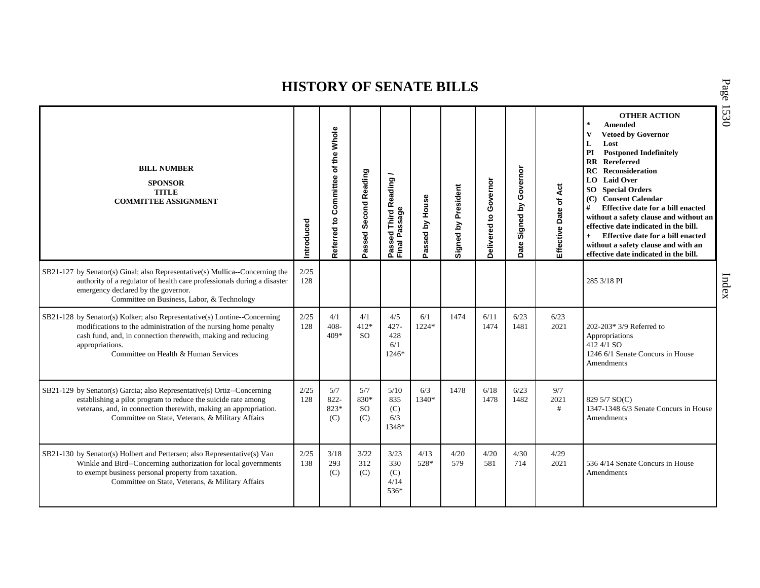| <b>BILL NUMBER</b><br><b>SPONSOR</b><br><b>TITLE</b><br><b>COMMITTEE ASSIGNMENT</b>                                                                                                                                                                                     | ntroduced   | Whole<br>the<br>৳<br>Referred to Committee | Passed Second Reading            | Passed Third Reading /<br>Final Passage | Passed by House | <b>Signed by President</b> | Governor<br>Delivered to | by Governor<br>Signed I<br>Date | Effective Date of Act | <b>OTHER ACTION</b><br>$\star$<br>Amended<br>V<br><b>Vetoed by Governor</b><br>L<br>Lost<br>PI<br><b>Postponed Indefinitely</b><br>Rereferred<br>$\mathbf{R}$<br>RC<br><b>Reconsideration</b><br><b>LO</b> Laid Over<br><b>SO</b> Special Orders<br><b>Consent Calendar</b><br>(C)<br>#<br>Effective date for a bill enacted<br>without a safety clause and without an<br>effective date indicated in the bill.<br>$+$<br>Effective date for a bill enacted<br>without a safety clause and with an<br>effective date indicated in the bill. |
|-------------------------------------------------------------------------------------------------------------------------------------------------------------------------------------------------------------------------------------------------------------------------|-------------|--------------------------------------------|----------------------------------|-----------------------------------------|-----------------|----------------------------|--------------------------|---------------------------------|-----------------------|---------------------------------------------------------------------------------------------------------------------------------------------------------------------------------------------------------------------------------------------------------------------------------------------------------------------------------------------------------------------------------------------------------------------------------------------------------------------------------------------------------------------------------------------|
| SB21-127 by Senator(s) Ginal; also Representative(s) Mullica--Concerning the<br>authority of a regulator of health care professionals during a disaster<br>emergency declared by the governor.<br>Committee on Business, Labor, & Technology                            | 2/25<br>128 |                                            |                                  |                                         |                 |                            |                          |                                 |                       | 285 3/18 PI                                                                                                                                                                                                                                                                                                                                                                                                                                                                                                                                 |
| SB21-128 by Senator(s) Kolker; also Representative(s) Lontine--Concerning<br>modifications to the administration of the nursing home penalty<br>cash fund, and, in connection therewith, making and reducing<br>appropriations.<br>Committee on Health & Human Services | 2/25<br>128 | 4/1<br>$408 -$<br>$409*$                   | 4/1<br>$412*$<br>SO <sub>2</sub> | 4/5<br>$427 -$<br>428<br>6/1<br>$1246*$ | 6/1<br>1224*    | 1474                       | 6/11<br>1474             | 6/23<br>1481                    | 6/23<br>2021          | $202-203*3/9$ Referred to<br>Appropriations<br>412 4/1 SO<br>1246 6/1 Senate Concurs in House<br>Amendments                                                                                                                                                                                                                                                                                                                                                                                                                                 |
| SB21-129 by Senator(s) Garcia; also Representative(s) Ortiz--Concerning<br>establishing a pilot program to reduce the suicide rate among<br>veterans, and, in connection therewith, making an appropriation.<br>Committee on State, Veterans, & Military Affairs        | 2/25<br>128 | 5/7<br>822-<br>823*<br>(C)                 | 5/7<br>830*<br><b>SO</b><br>(C)  | 5/10<br>835<br>(C)<br>6/3<br>1348*      | 6/3<br>1340*    | 1478                       | 6/18<br>1478             | 6/23<br>1482                    | 9/7<br>2021<br>#      | 829 5/7 SO(C)<br>1347-1348 6/3 Senate Concurs in House<br>Amendments                                                                                                                                                                                                                                                                                                                                                                                                                                                                        |
| SB21-130 by Senator(s) Holbert and Pettersen; also Representative(s) Van<br>Winkle and Bird--Concerning authorization for local governments<br>to exempt business personal property from taxation.<br>Committee on State, Veterans, & Military Affairs                  | 2/25<br>138 | 3/18<br>293<br>(C)                         | 3/22<br>312<br>(C)               | 3/23<br>330<br>(C)<br>4/14<br>536*      | 4/13<br>528*    | 4/20<br>579                | 4/20<br>581              | 4/30<br>714                     | 4/29<br>2021          | 536 4/14 Senate Concurs in House<br>Amendments                                                                                                                                                                                                                                                                                                                                                                                                                                                                                              |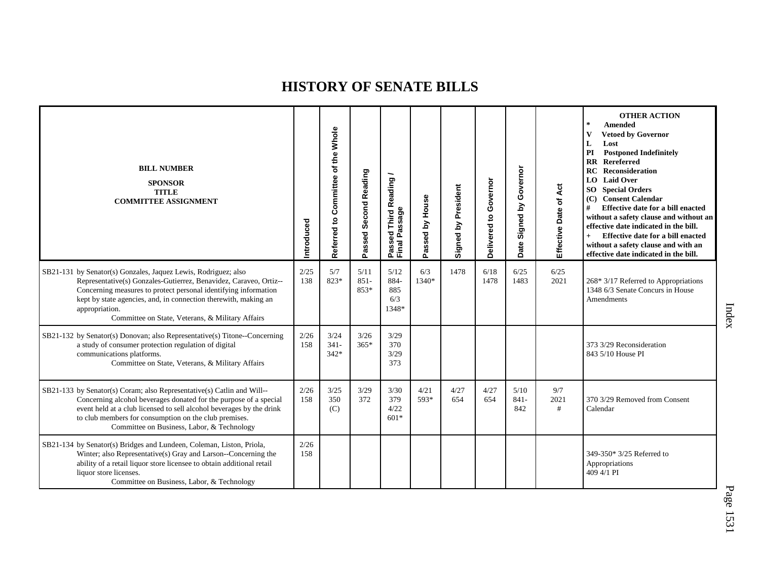| <b>BILL NUMBER</b><br><b>SPONSOR</b><br><b>TITLE</b><br><b>COMMITTEE ASSIGNMENT</b>                                                                                                                                                                                                                                                             | Introduced  | Committee of the Whole<br>Referred to | Passed Second Reading   | <b>Third Reading</b><br>Passed Third R<br>Final Passage | Passed by House | Signed by President | Governor<br>ë<br>Delivered | Governor<br>Signed by<br>Date | Effective Date of Act | <b>OTHER ACTION</b><br>$\pm$<br><b>Amended</b><br>$\mathbf{V}$<br><b>Vetoed by Governor</b><br>L<br>Lost<br><b>Postponed Indefinitely</b><br>PI<br><b>RR</b> Rereferred<br><b>RC</b> Reconsideration<br>LO Laid Over<br><b>SO</b> Special Orders<br>(C) Consent Calendar<br>#<br>Effective date for a bill enacted<br>without a safety clause and without an<br>effective date indicated in the bill.<br>Effective date for a bill enacted<br>$+$<br>without a safety clause and with an<br>effective date indicated in the bill. |
|-------------------------------------------------------------------------------------------------------------------------------------------------------------------------------------------------------------------------------------------------------------------------------------------------------------------------------------------------|-------------|---------------------------------------|-------------------------|---------------------------------------------------------|-----------------|---------------------|----------------------------|-------------------------------|-----------------------|-----------------------------------------------------------------------------------------------------------------------------------------------------------------------------------------------------------------------------------------------------------------------------------------------------------------------------------------------------------------------------------------------------------------------------------------------------------------------------------------------------------------------------------|
| SB21-131 by Senator(s) Gonzales, Jaquez Lewis, Rodriguez; also<br>Representative(s) Gonzales-Gutierrez, Benavidez, Caraveo, Ortiz--<br>Concerning measures to protect personal identifying information<br>kept by state agencies, and, in connection therewith, making an<br>appropriation.<br>Committee on State, Veterans, & Military Affairs | 2/25<br>138 | 5/7<br>823*                           | 5/11<br>$851 -$<br>853* | 5/12<br>884-<br>885<br>6/3<br>1348*                     | 6/3<br>1340*    | 1478                | 6/18<br>1478               | 6/25<br>1483                  | 6/25<br>2021          | $268*3/17$ Referred to Appropriations<br>1348 6/3 Senate Concurs in House<br>Amendments                                                                                                                                                                                                                                                                                                                                                                                                                                           |
| SB21-132 by Senator(s) Donovan; also Representative(s) Titone--Concerning<br>a study of consumer protection regulation of digital<br>communications platforms.<br>Committee on State, Veterans, & Military Affairs                                                                                                                              | 2/26<br>158 | 3/24<br>$341 -$<br>$342*$             | 3/26<br>$365*$          | 3/29<br>370<br>3/29<br>373                              |                 |                     |                            |                               |                       | 373 3/29 Reconsideration<br>843 5/10 House PI                                                                                                                                                                                                                                                                                                                                                                                                                                                                                     |
| SB21-133 by Senator(s) Coram; also Representative(s) Catlin and Will--<br>Concerning alcohol beverages donated for the purpose of a special<br>event held at a club licensed to sell alcohol beverages by the drink<br>to club members for consumption on the club premises.<br>Committee on Business, Labor, & Technology                      | 2/26<br>158 | 3/25<br>350<br>(C)                    | 3/29<br>372             | 3/30<br>379<br>4/22<br>$601*$                           | 4/21<br>593*    | 4/27<br>654         | 4/27<br>654                | 5/10<br>$841 -$<br>842        | 9/7<br>2021<br>#      | 370 3/29 Removed from Consent<br>Calendar                                                                                                                                                                                                                                                                                                                                                                                                                                                                                         |
| SB21-134 by Senator(s) Bridges and Lundeen, Coleman, Liston, Priola,<br>Winter; also Representative(s) Gray and Larson--Concerning the<br>ability of a retail liquor store licensee to obtain additional retail<br>liquor store licenses.<br>Committee on Business, Labor, & Technology                                                         | 2/26<br>158 |                                       |                         |                                                         |                 |                     |                            |                               |                       | 349-350* 3/25 Referred to<br>Appropriations<br>409 4/1 PI                                                                                                                                                                                                                                                                                                                                                                                                                                                                         |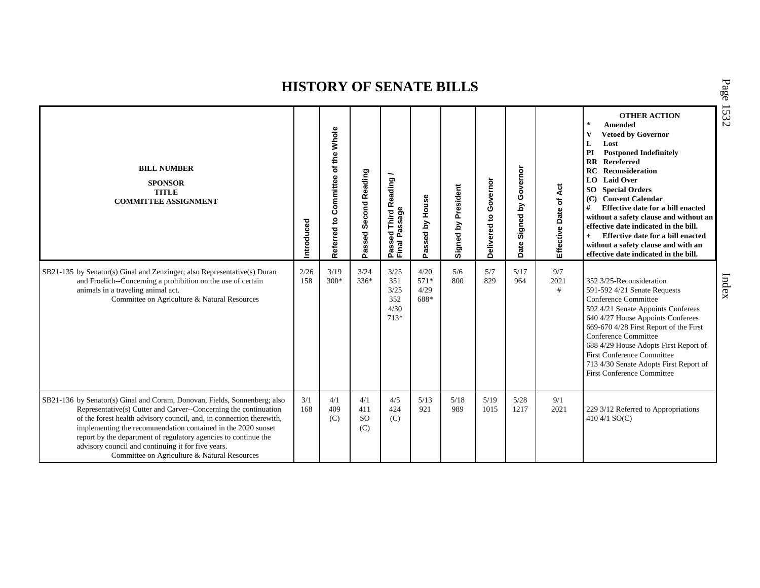| <b>BILL NUMBER</b><br><b>SPONSOR</b><br><b>TITLE</b><br><b>COMMITTEE ASSIGNMENT</b>                                                                                                                                                                                                                                                                                                                                                                            | ntroduced   | Whole<br>of the<br>Committee<br>9<br>Referred | Passed Second Reading              | Third Reading /<br>Passed Third R<br>Final Passage | Passed by House                | President<br>Signed by | Governor<br>Delivered to | Governor<br>λá<br>Signed<br>Date | Effective Date of Act | <b>OTHER ACTION</b><br>$\star$<br><b>Amended</b><br>v<br><b>Vetoed by Governor</b><br>L<br>Lost<br>PI<br><b>Postponed Indefinitely</b><br><b>RR</b> Rereferred<br><b>RC</b> Reconsideration<br><b>LO</b> Laid Over<br><b>SO</b> Special Orders<br>(C) Consent Calendar<br>#<br>Effective date for a bill enacted<br>without a safety clause and without an<br>effective date indicated in the bill.<br>Effective date for a bill enacted<br>$+$<br>without a safety clause and with an<br>effective date indicated in the bill. |
|----------------------------------------------------------------------------------------------------------------------------------------------------------------------------------------------------------------------------------------------------------------------------------------------------------------------------------------------------------------------------------------------------------------------------------------------------------------|-------------|-----------------------------------------------|------------------------------------|----------------------------------------------------|--------------------------------|------------------------|--------------------------|----------------------------------|-----------------------|---------------------------------------------------------------------------------------------------------------------------------------------------------------------------------------------------------------------------------------------------------------------------------------------------------------------------------------------------------------------------------------------------------------------------------------------------------------------------------------------------------------------------------|
| SB21-135 by Senator(s) Ginal and Zenzinger; also Representative(s) Duran<br>and Froelich--Concerning a prohibition on the use of certain<br>animals in a traveling animal act.<br>Committee on Agriculture & Natural Resources                                                                                                                                                                                                                                 | 2/26<br>158 | 3/19<br>$300*$                                | 3/24<br>$336*$                     | 3/25<br>351<br>3/25<br>352<br>4/30<br>713*         | 4/20<br>$571*$<br>4/29<br>688* | 5/6<br>800             | 5/7<br>829               | 5/17<br>964                      | 9/7<br>2021<br>#      | 352 3/25-Reconsideration<br>591-592 4/21 Senate Requests<br>Conference Committee<br>592 4/21 Senate Appoints Conferees<br>640 4/27 House Appoints Conferees<br>669-670 4/28 First Report of the First<br>Conference Committee<br>688 4/29 House Adopts First Report of<br><b>First Conference Committee</b><br>713 4/30 Senate Adopts First Report of<br><b>First Conference Committee</b>                                                                                                                                      |
| SB21-136 by Senator(s) Ginal and Coram, Donovan, Fields, Sonnenberg; also<br>Representative(s) Cutter and Carver--Concerning the continuation<br>of the forest health advisory council, and, in connection therewith,<br>implementing the recommendation contained in the 2020 sunset<br>report by the department of regulatory agencies to continue the<br>advisory council and continuing it for five years.<br>Committee on Agriculture & Natural Resources | 3/1<br>168  | 4/1<br>409<br>(C)                             | 4/1<br>411<br><sub>SO</sub><br>(C) | 4/5<br>424<br>(C)                                  | 5/13<br>921                    | 5/18<br>989            | 5/19<br>1015             | 5/28<br>1217                     | 9/1<br>2021           | 229 3/12 Referred to Appropriations<br>410 4/1 $SO(C)$                                                                                                                                                                                                                                                                                                                                                                                                                                                                          |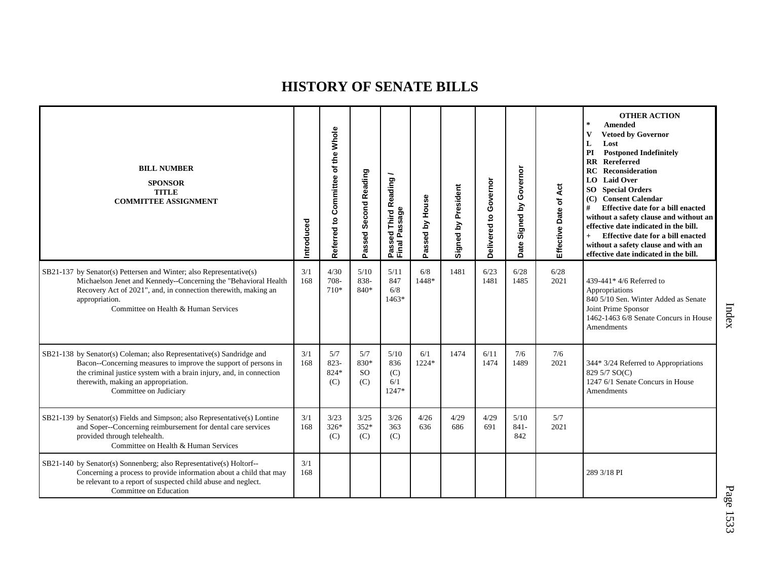| <b>BILL NUMBER</b><br><b>SPONSOR</b><br><b>TITLE</b><br><b>COMMITTEE ASSIGNMENT</b>                                                                                                                                                                                             | ntroduced  | Whole<br>the<br>৳<br>Referred to Committee | Second Reading<br>assed:<br>Ő.  | Passed Third Reading<br>Final Passage | House<br>Passed by | Signed by President | Governor<br>$\mathbf{S}$<br>Delivered | Governor<br>Signed by<br>Date | Effective Date of Act | <b>OTHER ACTION</b><br>$\sim$<br>Amended<br>$\mathbf{V}$<br><b>Vetoed by Governor</b><br>L<br>Lost<br>PI<br><b>Postponed Indefinitely</b><br><b>RR</b> Rereferred<br>RC<br>Reconsideration<br>LO Laid Over<br>SO Special Orders<br>(C) Consent Calendar<br>#<br>Effective date for a bill enacted<br>without a safety clause and without an<br>effective date indicated in the bill.<br>Effective date for a bill enacted<br>$+$<br>without a safety clause and with an<br>effective date indicated in the bill. |
|---------------------------------------------------------------------------------------------------------------------------------------------------------------------------------------------------------------------------------------------------------------------------------|------------|--------------------------------------------|---------------------------------|---------------------------------------|--------------------|---------------------|---------------------------------------|-------------------------------|-----------------------|------------------------------------------------------------------------------------------------------------------------------------------------------------------------------------------------------------------------------------------------------------------------------------------------------------------------------------------------------------------------------------------------------------------------------------------------------------------------------------------------------------------|
| SB21-137 by Senator(s) Pettersen and Winter; also Representative(s)<br>Michaelson Jenet and Kennedy--Concerning the "Behavioral Health<br>Recovery Act of 2021", and, in connection therewith, making an<br>appropriation.<br>Committee on Health & Human Services              | 3/1<br>168 | 4/30<br>708-<br>$710*$                     | 5/10<br>838-<br>840*            | 5/11<br>847<br>6/8<br>$1463*$         | 6/8<br>1448*       | 1481                | 6/23<br>1481                          | 6/28<br>1485                  | 6/28<br>2021          | 439-441* $4/6$ Referred to<br>Appropriations<br>840 5/10 Sen. Winter Added as Senate<br>Joint Prime Sponsor<br>1462-1463 6/8 Senate Concurs in House<br><b>Amendments</b>                                                                                                                                                                                                                                                                                                                                        |
| SB21-138 by Senator(s) Coleman; also Representative(s) Sandridge and<br>Bacon--Concerning measures to improve the support of persons in<br>the criminal justice system with a brain injury, and, in connection<br>therewith, making an appropriation.<br>Committee on Judiciary | 3/1<br>168 | 5/7<br>823-<br>824*<br>(C)                 | 5/7<br>830*<br><b>SO</b><br>(C) | 5/10<br>836<br>(C)<br>6/1<br>1247*    | 6/1<br>1224*       | 1474                | 6/11<br>1474                          | 7/6<br>1489                   | 7/6<br>2021           | 344* 3/24 Referred to Appropriations<br>829 5/7 SO(C)<br>1247 6/1 Senate Concurs in House<br>Amendments                                                                                                                                                                                                                                                                                                                                                                                                          |
| SB21-139 by Senator(s) Fields and Simpson; also Representative(s) Lontine<br>and Soper--Concerning reimbursement for dental care services<br>provided through telehealth.<br>Committee on Health & Human Services                                                               | 3/1<br>168 | 3/23<br>$326*$<br>(C)                      | 3/25<br>$352*$<br>(C)           | 3/26<br>363<br>(C)                    | 4/26<br>636        | 4/29<br>686         | 4/29<br>691                           | 5/10<br>$841 -$<br>842        | 5/7<br>2021           |                                                                                                                                                                                                                                                                                                                                                                                                                                                                                                                  |
| SB21-140 by Senator(s) Sonnenberg; also Representative(s) Holtorf--<br>Concerning a process to provide information about a child that may<br>be relevant to a report of suspected child abuse and neglect.<br>Committee on Education                                            | 3/1<br>168 |                                            |                                 |                                       |                    |                     |                                       |                               |                       | 289 3/18 PI                                                                                                                                                                                                                                                                                                                                                                                                                                                                                                      |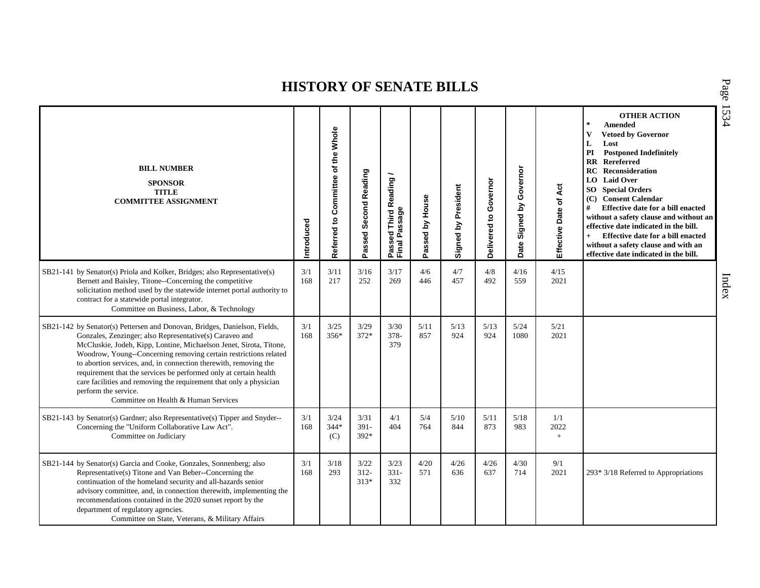| <b>BILL NUMBER</b><br><b>SPONSOR</b><br><b>TITLE</b><br><b>COMMITTEE ASSIGNMENT</b>                                                                                                                                                                                                                                                                                                                                                                                                                                                                           | Introduced | Referred to Committee of the Whole | Passed Second Reading     | Passed Third Reading<br>Final Passage | Passed by House | Signed by President | Governor<br>$\mathbf{S}$<br><b>Delivered</b> | Governor<br>Signed by<br>Date | Effective Date of Act | <b>OTHER ACTION</b><br>$\star$<br><b>Amended</b><br>$\mathbf{V}$<br><b>Vetoed by Governor</b><br>L<br>Lost<br><b>Postponed Indefinitely</b><br>PI<br><b>RR</b> Rereferred<br>Reconsideration<br>RC<br><b>LO</b> Laid Over<br><b>SO</b> Special Orders<br>(C) Consent Calendar<br>#<br>Effective date for a bill enacted<br>without a safety clause and without an<br>effective date indicated in the bill.<br>Effective date for a bill enacted<br>$+$<br>without a safety clause and with an<br>effective date indicated in the bill. |
|---------------------------------------------------------------------------------------------------------------------------------------------------------------------------------------------------------------------------------------------------------------------------------------------------------------------------------------------------------------------------------------------------------------------------------------------------------------------------------------------------------------------------------------------------------------|------------|------------------------------------|---------------------------|---------------------------------------|-----------------|---------------------|----------------------------------------------|-------------------------------|-----------------------|----------------------------------------------------------------------------------------------------------------------------------------------------------------------------------------------------------------------------------------------------------------------------------------------------------------------------------------------------------------------------------------------------------------------------------------------------------------------------------------------------------------------------------------|
| SB21-141 by Senator(s) Priola and Kolker, Bridges; also Representative(s)<br>Bernett and Baisley, Titone--Concerning the competitive<br>solicitation method used by the statewide internet portal authority to<br>contract for a statewide portal integrator.<br>Committee on Business, Labor, & Technology                                                                                                                                                                                                                                                   | 3/1<br>168 | 3/11<br>217                        | 3/16<br>252               | 3/17<br>269                           | 4/6<br>446      | 4/7<br>457          | 4/8<br>492                                   | 4/16<br>559                   | 4/15<br>2021          |                                                                                                                                                                                                                                                                                                                                                                                                                                                                                                                                        |
| SB21-142 by Senator(s) Pettersen and Donovan, Bridges, Danielson, Fields,<br>Gonzales, Zenzinger; also Representative(s) Caraveo and<br>McCluskie, Jodeh, Kipp, Lontine, Michaelson Jenet, Sirota, Titone,<br>Woodrow, Young--Concerning removing certain restrictions related<br>to abortion services, and, in connection therewith, removing the<br>requirement that the services be performed only at certain health<br>care facilities and removing the requirement that only a physician<br>perform the service.<br>Committee on Health & Human Services | 3/1<br>168 | 3/25<br>356*                       | 3/29<br>372*              | 3/30<br>$378 -$<br>379                | 5/11<br>857     | 5/13<br>924         | 5/13<br>924                                  | 5/24<br>1080                  | 5/21<br>2021          |                                                                                                                                                                                                                                                                                                                                                                                                                                                                                                                                        |
| SB21-143 by Senator(s) Gardner; also Representative(s) Tipper and Snyder--<br>Concerning the "Uniform Collaborative Law Act".<br>Committee on Judiciary                                                                                                                                                                                                                                                                                                                                                                                                       | 3/1<br>168 | 3/24<br>344*<br>(C)                | 3/31<br>391-<br>$392*$    | 4/1<br>404                            | 5/4<br>764      | 5/10<br>844         | 5/11<br>873                                  | $5/18$<br>983                 | 1/1<br>2022<br>$+$    |                                                                                                                                                                                                                                                                                                                                                                                                                                                                                                                                        |
| SB21-144 by Senator(s) Garcia and Cooke, Gonzales, Sonnenberg; also<br>Representative(s) Titone and Van Beber--Concerning the<br>continuation of the homeland security and all-hazards senior<br>advisory committee, and, in connection therewith, implementing the<br>recommendations contained in the 2020 sunset report by the<br>department of regulatory agencies.<br>Committee on State, Veterans, & Military Affairs                                                                                                                                   | 3/1<br>168 | 3/18<br>293                        | 3/22<br>$312 -$<br>$313*$ | 3/23<br>$331 -$<br>332                | 4/20<br>571     | 4/26<br>636         | 4/26<br>637                                  | 4/30<br>714                   | 9/1<br>2021           | $293*3/18$ Referred to Appropriations                                                                                                                                                                                                                                                                                                                                                                                                                                                                                                  |

P a g e 15 3 4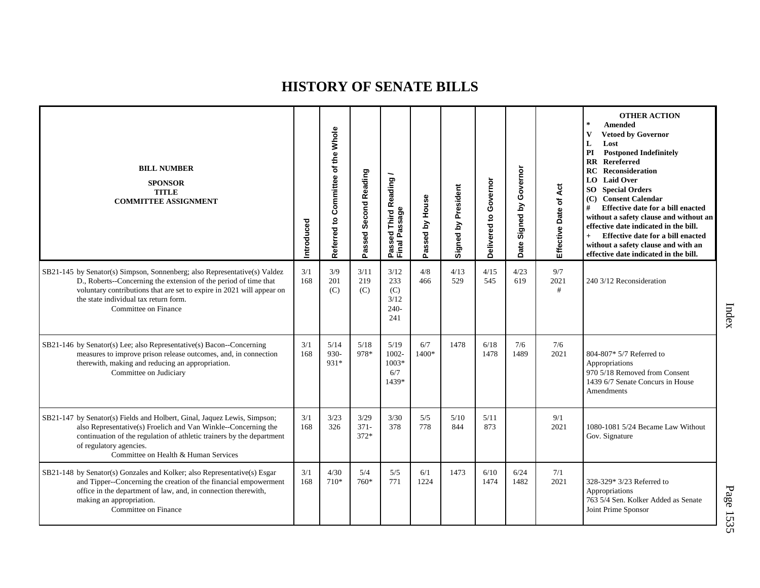| <b>BILL NUMBER</b><br><b>SPONSOR</b><br><b>TITLE</b><br><b>COMMITTEE ASSIGNMENT</b>                                                                                                                                                                                                     | Introduced | Referred to Committee of the Whole | Passed Second Reading     | Passed Third Reading<br>Final Passage       | Passed by House | Signed by President | Governor<br>Delivered to | Governor<br>Signed by<br>Date | Effective Date of Act | <b>OTHER ACTION</b><br>$\ast$<br><b>Amended</b><br><b>Vetoed by Governor</b><br>V<br>L<br>Lost<br><b>Postponed Indefinitely</b><br>PI<br><b>RR</b> Rereferred<br>Reconsideration<br>RC<br><b>LO</b> Laid Over<br><b>SO</b> Special Orders<br>(C) Consent Calendar<br>#<br>Effective date for a bill enacted<br>without a safety clause and without an<br>effective date indicated in the bill.<br>Effective date for a bill enacted<br>$+$<br>without a safety clause and with an<br>effective date indicated in the bill. |
|-----------------------------------------------------------------------------------------------------------------------------------------------------------------------------------------------------------------------------------------------------------------------------------------|------------|------------------------------------|---------------------------|---------------------------------------------|-----------------|---------------------|--------------------------|-------------------------------|-----------------------|----------------------------------------------------------------------------------------------------------------------------------------------------------------------------------------------------------------------------------------------------------------------------------------------------------------------------------------------------------------------------------------------------------------------------------------------------------------------------------------------------------------------------|
| SB21-145 by Senator(s) Simpson, Sonnenberg; also Representative(s) Valdez<br>D., Roberts--Concerning the extension of the period of time that<br>voluntary contributions that are set to expire in 2021 will appear on<br>the state individual tax return form.<br>Committee on Finance | 3/1<br>168 | 3/9<br>201<br>(C)                  | 3/11<br>219<br>(C)        | 3/12<br>233<br>(C)<br>3/12<br>$240-$<br>241 | 4/8<br>466      | 4/13<br>529         | 4/15<br>545              | 4/23<br>619                   | 9/7<br>2021<br>#      | 240 3/12 Reconsideration                                                                                                                                                                                                                                                                                                                                                                                                                                                                                                   |
| SB21-146 by Senator(s) Lee; also Representative(s) Bacon--Concerning<br>measures to improve prison release outcomes, and, in connection<br>therewith, making and reducing an appropriation.<br>Committee on Judiciary                                                                   | 3/1<br>168 | 5/14<br>930-<br>931*               | 5/18<br>978*              | 5/19<br>$1002 -$<br>$1003*$<br>6/7<br>1439* | 6/7<br>1400*    | 1478                | 6/18<br>1478             | 7/6<br>1489                   | 7/6<br>2021           | 804-807* 5/7 Referred to<br>Appropriations<br>970 5/18 Removed from Consent<br>1439 6/7 Senate Concurs in House<br>Amendments                                                                                                                                                                                                                                                                                                                                                                                              |
| SB21-147 by Senator(s) Fields and Holbert, Ginal, Jaquez Lewis, Simpson;<br>also Representative(s) Froelich and Van Winkle--Concerning the<br>continuation of the regulation of athletic trainers by the department<br>of regulatory agencies.<br>Committee on Health & Human Services  | 3/1<br>168 | 3/23<br>326                        | 3/29<br>$371 -$<br>$372*$ | 3/30<br>378                                 | 5/5<br>778      | 5/10<br>844         | 5/11<br>873              |                               | 9/1<br>2021           | 1080-1081 5/24 Became Law Without<br>Gov. Signature                                                                                                                                                                                                                                                                                                                                                                                                                                                                        |
| SB21-148 by Senator(s) Gonzales and Kolker; also Representative(s) Esgar<br>and Tipper--Concerning the creation of the financial empowerment<br>office in the department of law, and, in connection therewith,<br>making an appropriation.<br>Committee on Finance                      | 3/1<br>168 | 4/30<br>710*                       | 5/4<br>760*               | 5/5<br>771                                  | 6/1<br>1224     | 1473                | 6/10<br>1474             | 6/24<br>1482                  | 7/1<br>2021           | 328-329* 3/23 Referred to<br>Appropriations<br>763 5/4 Sen. Kolker Added as Senate<br>Joint Prime Sponsor                                                                                                                                                                                                                                                                                                                                                                                                                  |

Index

P a g e 15 3 5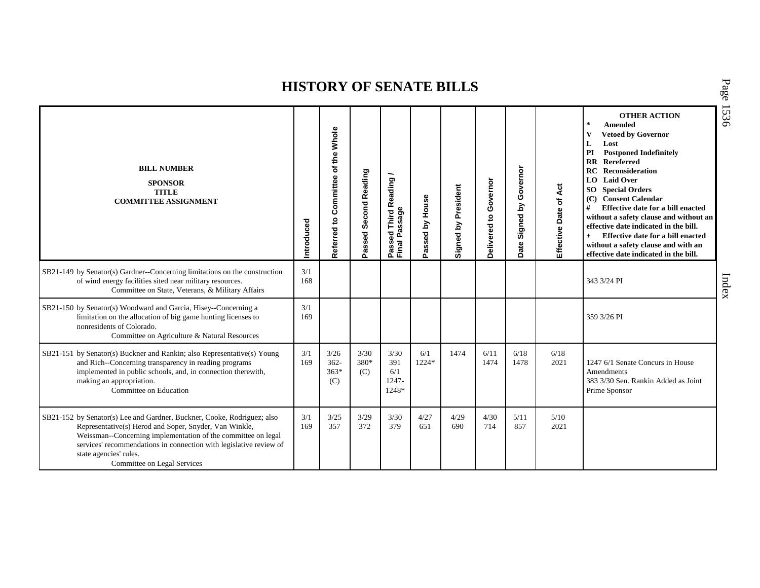| <b>BILL NUMBER</b><br><b>SPONSOR</b><br><b>TITLE</b><br><b>COMMITTEE ASSIGNMENT</b>                                                                                                                                                                                                                                               | Introduced | the Whole<br>৳<br>Referred to Committee | Passed Second Reading | <b>Third Reading</b><br>Passed Third R<br>Final Passage | Passed by House | Signed by President | Governor<br>$\overline{\mathbf{c}}$<br>Delivered | Signed by Governor<br>Date | Effective Date of Act | <b>OTHER ACTION</b><br>$\star$<br>Amended<br>$\mathbf{V}$<br><b>Vetoed by Governor</b><br>L<br>Lost<br>PI<br><b>Postponed Indefinitely</b><br><b>RR</b> Rereferred<br><b>RC</b> Reconsideration<br><b>LO</b> Laid Over<br><b>SO</b> Special Orders<br>(C) Consent Calendar<br>#<br>Effective date for a bill enacted<br>without a safety clause and without an<br>effective date indicated in the bill.<br>Effective date for a bill enacted<br>$+$<br>without a safety clause and with an<br>effective date indicated in the bill. |
|-----------------------------------------------------------------------------------------------------------------------------------------------------------------------------------------------------------------------------------------------------------------------------------------------------------------------------------|------------|-----------------------------------------|-----------------------|---------------------------------------------------------|-----------------|---------------------|--------------------------------------------------|----------------------------|-----------------------|-------------------------------------------------------------------------------------------------------------------------------------------------------------------------------------------------------------------------------------------------------------------------------------------------------------------------------------------------------------------------------------------------------------------------------------------------------------------------------------------------------------------------------------|
| SB21-149 by Senator(s) Gardner--Concerning limitations on the construction<br>of wind energy facilities sited near military resources.<br>Committee on State, Veterans, & Military Affairs                                                                                                                                        | 3/1<br>168 |                                         |                       |                                                         |                 |                     |                                                  |                            |                       | 343 3/24 PI                                                                                                                                                                                                                                                                                                                                                                                                                                                                                                                         |
| SB21-150 by Senator(s) Woodward and Garcia, Hisey--Concerning a<br>limitation on the allocation of big game hunting licenses to<br>nonresidents of Colorado.<br>Committee on Agriculture & Natural Resources                                                                                                                      | 3/1<br>169 |                                         |                       |                                                         |                 |                     |                                                  |                            |                       | 359 3/26 PI                                                                                                                                                                                                                                                                                                                                                                                                                                                                                                                         |
| SB21-151 by Senator(s) Buckner and Rankin; also Representative(s) Young<br>and Rich--Concerning transparency in reading programs<br>implemented in public schools, and, in connection therewith,<br>making an appropriation.<br>Committee on Education                                                                            | 3/1<br>169 | 3/26<br>$362 -$<br>$363*$<br>(C)        | 3/30<br>380*<br>(C)   | 3/30<br>391<br>6/1<br>1247-<br>1248*                    | 6/1<br>1224*    | 1474                | 6/11<br>1474                                     | 6/18<br>1478               | 6/18<br>2021          | 1247 6/1 Senate Concurs in House<br>Amendments<br>383 3/30 Sen. Rankin Added as Joint<br>Prime Sponsor                                                                                                                                                                                                                                                                                                                                                                                                                              |
| SB21-152 by Senator(s) Lee and Gardner, Buckner, Cooke, Rodriguez; also<br>Representative(s) Herod and Soper, Snyder, Van Winkle,<br>Weissman--Concerning implementation of the committee on legal<br>services' recommendations in connection with legislative review of<br>state agencies' rules.<br>Committee on Legal Services | 3/1<br>169 | 3/25<br>357                             | 3/29<br>372           | 3/30<br>379                                             | 4/27<br>651     | 4/29<br>690         | 4/30<br>714                                      | 5/11<br>857                | 5/10<br>2021          |                                                                                                                                                                                                                                                                                                                                                                                                                                                                                                                                     |

P a g e 15 3 6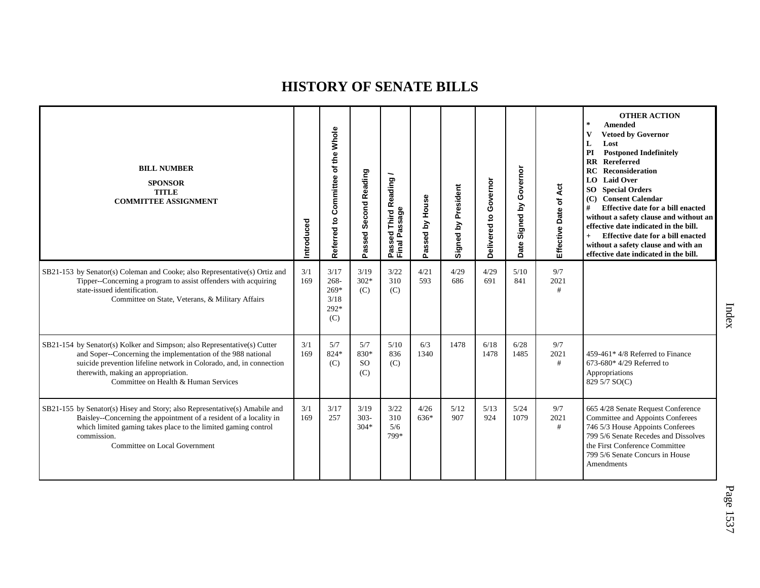| <b>BILL NUMBER</b><br><b>SPONSOR</b><br><b>TITLE</b><br><b>COMMITTEE ASSIGNMENT</b>                                                                                                                                                                                                            | ntroduced  | Whole<br>of the<br>Committee<br>Referred to        | Passed Second Reading               | Passed Third Reading<br>Final Passage | Passed by House | Signed by President | Governor<br>Delivered to | Governor<br>Signed by<br>Date | Act<br>Effective Date of | <b>OTHER ACTION</b><br>$\ast$<br><b>Amended</b><br>$\mathbf{V}$<br><b>Vetoed by Governor</b><br>L<br>Lost<br>PI<br><b>Postponed Indefinitely</b><br>$\mathbf{R}$<br><b>Rereferred</b><br><b>RC</b> Reconsideration<br>LO Laid Over<br><b>SO</b> Special Orders<br>(C) Consent Calendar<br>#<br><b>Effective date for a bill enacted</b><br>without a safety clause and without an<br>effective date indicated in the bill.<br>Effective date for a bill enacted<br>without a safety clause and with an<br>effective date indicated in the bill. |
|------------------------------------------------------------------------------------------------------------------------------------------------------------------------------------------------------------------------------------------------------------------------------------------------|------------|----------------------------------------------------|-------------------------------------|---------------------------------------|-----------------|---------------------|--------------------------|-------------------------------|--------------------------|-------------------------------------------------------------------------------------------------------------------------------------------------------------------------------------------------------------------------------------------------------------------------------------------------------------------------------------------------------------------------------------------------------------------------------------------------------------------------------------------------------------------------------------------------|
| SB21-153 by Senator(s) Coleman and Cooke; also Representative(s) Ortiz and<br>Tipper--Concerning a program to assist offenders with acquiring<br>state-issued identification.<br>Committee on State, Veterans, & Military Affairs                                                              | 3/1<br>169 | 3/17<br>$268 -$<br>$269*$<br>3/18<br>$292*$<br>(C) | 3/19<br>$302*$<br>(C)               | 3/22<br>310<br>(C)                    | 4/21<br>593     | 4/29<br>686         | 4/29<br>691              | 5/10<br>841                   | 9/7<br>2021<br>#         |                                                                                                                                                                                                                                                                                                                                                                                                                                                                                                                                                 |
| SB21-154 by Senator(s) Kolker and Simpson; also Representative(s) Cutter<br>and Soper--Concerning the implementation of the 988 national<br>suicide prevention lifeline network in Colorado, and, in connection<br>therewith, making an appropriation.<br>Committee on Health & Human Services | 3/1<br>169 | 5/7<br>824*<br>(C)                                 | 5/7<br>830*<br><sub>SO</sub><br>(C) | 5/10<br>836<br>(C)                    | 6/3<br>1340     | 1478                | 6/18<br>1478             | 6/28<br>1485                  | 9/7<br>2021<br>#         | 459-461* 4/8 Referred to Finance<br>673-680* $4/29$ Referred to<br>Appropriations<br>829 5/7 SO(C)                                                                                                                                                                                                                                                                                                                                                                                                                                              |
| SB21-155 by Senator(s) Hisey and Story; also Representative(s) Amabile and<br>Baisley--Concerning the appointment of a resident of a locality in<br>which limited gaming takes place to the limited gaming control<br>commission.<br>Committee on Local Government                             | 3/1<br>169 | 3/17<br>257                                        | 3/19<br>$303 -$<br>$304*$           | 3/22<br>310<br>5/6<br>799*            | 4/26<br>636*    | 5/12<br>907         | 5/13<br>924              | 5/24<br>1079                  | 9/7<br>2021<br>#         | 665 4/28 Senate Request Conference<br>Committee and Appoints Conferees<br>746 5/3 House Appoints Conferees<br>799 5/6 Senate Recedes and Dissolves<br>the First Conference Committee<br>799 5/6 Senate Concurs in House<br>Amendments                                                                                                                                                                                                                                                                                                           |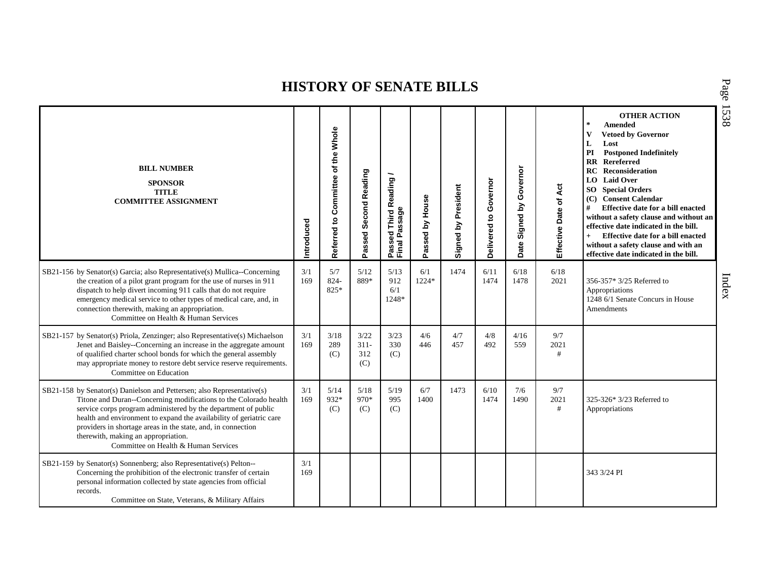| <b>BILL NUMBER</b><br><b>SPONSOR</b><br><b>TITLE</b><br><b>COMMITTEE ASSIGNMENT</b>                                                                                                                                                                                                                                                                                                                                                 | ntroduced  | Referred to Committee of the Whole | Passed Second Reading         | Passed Third Reading<br>Final Passage | Passed by House | Signed by President | Governor<br>$\mathtt{S}$<br>Delivered | Governor<br>Signed by<br>Date | Act<br>Effective Date of | <b>OTHER ACTION</b><br>$\star$<br><b>Amended</b><br>$\mathbf{V}$<br><b>Vetoed by Governor</b><br>L<br>Lost<br><b>Postponed Indefinitely</b><br>PI<br><b>RR</b> Rereferred<br><b>RC</b> Reconsideration<br>LO Laid Over<br><b>SO</b> Special Orders<br>(C) Consent Calendar<br>#<br>Effective date for a bill enacted<br>without a safety clause and without an<br>effective date indicated in the bill.<br>Effective date for a bill enacted<br>$+$<br>without a safety clause and with an<br>effective date indicated in the bill. |
|-------------------------------------------------------------------------------------------------------------------------------------------------------------------------------------------------------------------------------------------------------------------------------------------------------------------------------------------------------------------------------------------------------------------------------------|------------|------------------------------------|-------------------------------|---------------------------------------|-----------------|---------------------|---------------------------------------|-------------------------------|--------------------------|-------------------------------------------------------------------------------------------------------------------------------------------------------------------------------------------------------------------------------------------------------------------------------------------------------------------------------------------------------------------------------------------------------------------------------------------------------------------------------------------------------------------------------------|
| SB21-156 by Senator(s) Garcia; also Representative(s) Mullica--Concerning<br>the creation of a pilot grant program for the use of nurses in 911<br>dispatch to help divert incoming 911 calls that do not require<br>emergency medical service to other types of medical care, and, in<br>connection therewith, making an appropriation.<br>Committee on Health & Human Services                                                    | 3/1<br>169 | 5/7<br>824-<br>825*                | 5/12<br>889*                  | 5/13<br>912<br>6/1<br>1248*           | 6/1<br>1224*    | 1474                | 6/11<br>1474                          | 6/18<br>1478                  | 6/18<br>2021             | 356-357* 3/25 Referred to<br>Appropriations<br>1248 6/1 Senate Concurs in House<br><b>Amendments</b>                                                                                                                                                                                                                                                                                                                                                                                                                                |
| SB21-157 by Senator(s) Priola, Zenzinger; also Representative(s) Michaelson<br>Jenet and Baisley--Concerning an increase in the aggregate amount<br>of qualified charter school bonds for which the general assembly<br>may appropriate money to restore debt service reserve requirements.<br>Committee on Education                                                                                                               | 3/1<br>169 | 3/18<br>289<br>(C)                 | 3/22<br>$311 -$<br>312<br>(C) | 3/23<br>330<br>(C)                    | 4/6<br>446      | 4/7<br>457          | 4/8<br>492                            | 4/16<br>559                   | 9/7<br>2021<br>#         |                                                                                                                                                                                                                                                                                                                                                                                                                                                                                                                                     |
| SB21-158 by Senator(s) Danielson and Pettersen; also Representative(s)<br>Titone and Duran--Concerning modifications to the Colorado health<br>service corps program administered by the department of public<br>health and environment to expand the availability of geriatric care<br>providers in shortage areas in the state, and, in connection<br>therewith, making an appropriation.<br>Committee on Health & Human Services | 3/1<br>169 | 5/14<br>932*<br>(C)                | 5/18<br>$970*$<br>(C)         | 5/19<br>995<br>(C)                    | 6/7<br>1400     | 1473                | 6/10<br>1474                          | 7/6<br>1490                   | 9/7<br>2021<br>#         | 325-326* 3/23 Referred to<br>Appropriations                                                                                                                                                                                                                                                                                                                                                                                                                                                                                         |
| SB21-159 by Senator(s) Sonnenberg; also Representative(s) Pelton--<br>Concerning the prohibition of the electronic transfer of certain<br>personal information collected by state agencies from official<br>records.<br>Committee on State, Veterans, & Military Affairs                                                                                                                                                            | 3/1<br>169 |                                    |                               |                                       |                 |                     |                                       |                               |                          | 343 3/24 PI                                                                                                                                                                                                                                                                                                                                                                                                                                                                                                                         |

P a g e 15 3 8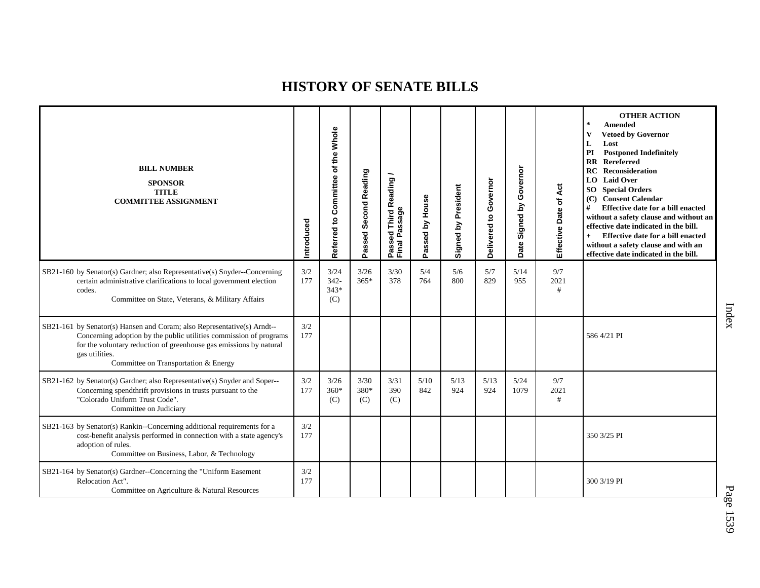| <b>BILL NUMBER</b><br><b>SPONSOR</b><br><b>TITLE</b><br><b>COMMITTEE ASSIGNMENT</b>                                                                                                                                                                                           | Introduced | Whole<br>of the<br>Committee<br>Referred to | Second Reading<br>Passed | Passed Third Reading<br>Final Passage | Passed by House | Signed by President | Governor<br>$\mathbf{S}$<br>Delivered | Governor<br>Signed by<br>Date | Effective Date of Act | <b>OTHER ACTION</b><br>$\pm$<br><b>Amended</b><br>$\mathbf{V}$<br><b>Vetoed by Governor</b><br>L<br>Lost<br>PI<br><b>Postponed Indefinitely</b><br><b>RR</b> Rereferred<br>RC<br>Reconsideration<br><b>LO</b> Laid Over<br><b>SO</b> Special Orders<br>(C) Consent Calendar<br>#<br>Effective date for a bill enacted<br>without a safety clause and without an<br>effective date indicated in the bill.<br>Effective date for a bill enacted<br>$+$<br>without a safety clause and with an<br>effective date indicated in the bill. |
|-------------------------------------------------------------------------------------------------------------------------------------------------------------------------------------------------------------------------------------------------------------------------------|------------|---------------------------------------------|--------------------------|---------------------------------------|-----------------|---------------------|---------------------------------------|-------------------------------|-----------------------|--------------------------------------------------------------------------------------------------------------------------------------------------------------------------------------------------------------------------------------------------------------------------------------------------------------------------------------------------------------------------------------------------------------------------------------------------------------------------------------------------------------------------------------|
| SB21-160 by Senator(s) Gardner; also Representative(s) Snyder--Concerning<br>certain administrative clarifications to local government election<br>codes.<br>Committee on State, Veterans, & Military Affairs                                                                 | 3/2<br>177 | 3/24<br>$342 -$<br>$343*$<br>(C)            | 3/26<br>$365*$           | 3/30<br>378                           | 5/4<br>764      | 5/6<br>800          | 5/7<br>829                            | 5/14<br>955                   | 9/7<br>2021<br>#      |                                                                                                                                                                                                                                                                                                                                                                                                                                                                                                                                      |
| SB21-161 by Senator(s) Hansen and Coram; also Representative(s) Arndt--<br>Concerning adoption by the public utilities commission of programs<br>for the voluntary reduction of greenhouse gas emissions by natural<br>gas utilities.<br>Committee on Transportation & Energy | 3/2<br>177 |                                             |                          |                                       |                 |                     |                                       |                               |                       | 586 4/21 PI                                                                                                                                                                                                                                                                                                                                                                                                                                                                                                                          |
| SB21-162 by Senator(s) Gardner; also Representative(s) Snyder and Soper--<br>Concerning spendthrift provisions in trusts pursuant to the<br>"Colorado Uniform Trust Code".<br>Committee on Judiciary                                                                          | 3/2<br>177 | 3/26<br>$360*$<br>(C)                       | 3/30<br>380*<br>(C)      | 3/31<br>390<br>(C)                    | 5/10<br>842     | 5/13<br>924         | 5/13<br>924                           | 5/24<br>1079                  | 9/7<br>2021<br>#      |                                                                                                                                                                                                                                                                                                                                                                                                                                                                                                                                      |
| SB21-163 by Senator(s) Rankin--Concerning additional requirements for a<br>cost-benefit analysis performed in connection with a state agency's<br>adoption of rules.<br>Committee on Business, Labor, & Technology                                                            | 3/2<br>177 |                                             |                          |                                       |                 |                     |                                       |                               |                       | 350 3/25 PI                                                                                                                                                                                                                                                                                                                                                                                                                                                                                                                          |
| SB21-164 by Senator(s) Gardner--Concerning the "Uniform Easement<br>Relocation Act".<br>Committee on Agriculture & Natural Resources                                                                                                                                          | 3/2<br>177 |                                             |                          |                                       |                 |                     |                                       |                               |                       | 300 3/19 PI                                                                                                                                                                                                                                                                                                                                                                                                                                                                                                                          |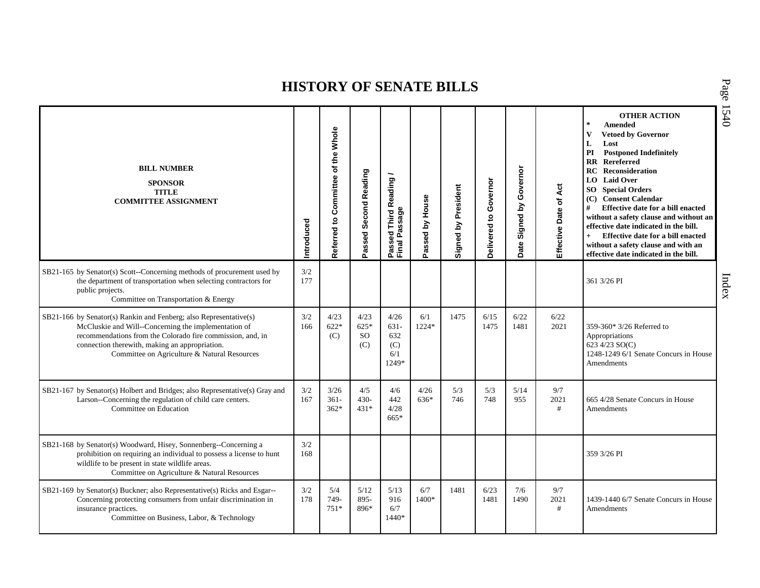| <b>BILL NUMBER</b><br><b>SPONSOR</b><br><b>TITLE</b><br><b>COMMITTEE ASSIGNMENT</b>                                                                                                                                                                                                       | Introduced | Referred to Committee of the Whole | Passed Second Reading              | Passed Third Reading<br>Final Passage         | Passed by House | <b>Signed by President</b> | Governor<br>Delivered to | Governor<br>Signed by<br>Date | of Act<br>Effective Date | <b>OTHER ACTION</b><br>$\star$<br><b>Amended</b><br>$\mathbf{V}$<br><b>Vetoed by Governor</b><br>L<br>Lost<br>PI<br><b>Postponed Indefinitely</b><br><b>RR</b> Rereferred<br>Reconsideration<br><b>RC</b><br><b>LO</b> Laid Over<br><b>SO</b> Special Orders<br>(C) Consent Calendar<br>#<br>Effective date for a bill enacted<br>without a safety clause and without an<br>effective date indicated in the bill.<br>Effective date for a bill enacted<br>$+$<br>without a safety clause and with an<br>effective date indicated in the bill. |
|-------------------------------------------------------------------------------------------------------------------------------------------------------------------------------------------------------------------------------------------------------------------------------------------|------------|------------------------------------|------------------------------------|-----------------------------------------------|-----------------|----------------------------|--------------------------|-------------------------------|--------------------------|-----------------------------------------------------------------------------------------------------------------------------------------------------------------------------------------------------------------------------------------------------------------------------------------------------------------------------------------------------------------------------------------------------------------------------------------------------------------------------------------------------------------------------------------------|
| SB21-165 by Senator(s) Scott--Concerning methods of procurement used by<br>the department of transportation when selecting contractors for<br>public projects.<br>Committee on Transportation & Energy                                                                                    | 3/2<br>177 |                                    |                                    |                                               |                 |                            |                          |                               |                          | 361 3/26 PI                                                                                                                                                                                                                                                                                                                                                                                                                                                                                                                                   |
| SB21-166 by Senator(s) Rankin and Fenberg; also Representative(s)<br>McCluskie and Will--Concerning the implementation of<br>recommendations from the Colorado fire commission, and, in<br>connection therewith, making an appropriation.<br>Committee on Agriculture & Natural Resources | 3/2<br>166 | 4/23<br>$622*$<br>(C)              | 4/23<br>$625*$<br><b>SO</b><br>(C) | 4/26<br>$631 -$<br>632<br>(C)<br>6/1<br>1249* | 6/1<br>1224*    | 1475                       | 6/15<br>1475             | 6/22<br>1481                  | 6/22<br>2021             | 359-360* 3/26 Referred to<br>Appropriations<br>623 4/23 SO(C)<br>1248-1249 6/1 Senate Concurs in House<br>Amendments                                                                                                                                                                                                                                                                                                                                                                                                                          |
| SB21-167 by Senator(s) Holbert and Bridges; also Representative(s) Gray and<br>Larson--Concerning the regulation of child care centers.<br>Committee on Education                                                                                                                         | 3/2<br>167 | 3/26<br>$361 -$<br>$362*$          | 4/5<br>$430 -$<br>$431*$           | 4/6<br>442<br>4/28<br>$665*$                  | 4/26<br>636*    | 5/3<br>746                 | 5/3<br>748               | 5/14<br>955                   | 9/7<br>2021<br>#         | 665 4/28 Senate Concurs in House<br>Amendments                                                                                                                                                                                                                                                                                                                                                                                                                                                                                                |
| SB21-168 by Senator(s) Woodward, Hisey, Sonnenberg--Concerning a<br>prohibition on requiring an individual to possess a license to hunt<br>wildlife to be present in state wildlife areas.<br>Committee on Agriculture & Natural Resources                                                | 3/2<br>168 |                                    |                                    |                                               |                 |                            |                          |                               |                          | 359 3/26 PI                                                                                                                                                                                                                                                                                                                                                                                                                                                                                                                                   |
| SB21-169 by Senator(s) Buckner; also Representative(s) Ricks and Esgar--<br>Concerning protecting consumers from unfair discrimination in<br>insurance practices.<br>Committee on Business, Labor, & Technology                                                                           | 3/2<br>178 | 5/4<br>749-<br>$751*$              | 5/12<br>895-<br>896*               | 5/13<br>916<br>6/7<br>$1440*$                 | 6/7<br>1400*    | 1481                       | 6/23<br>1481             | 7/6<br>1490                   | 9/7<br>2021<br>#         | 1439-1440 6/7 Senate Concurs in House<br>Amendments                                                                                                                                                                                                                                                                                                                                                                                                                                                                                           |

P a g e 15 4 0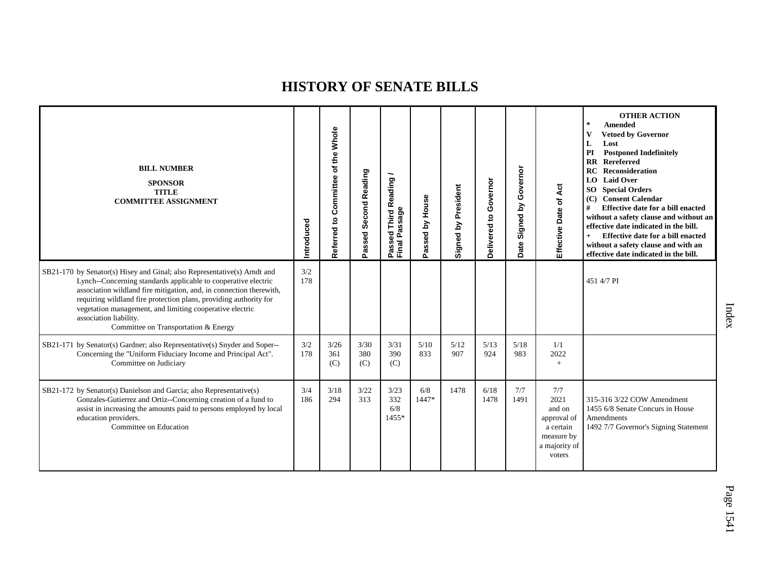| <b>BILL NUMBER</b><br><b>SPONSOR</b><br><b>TITLE</b><br><b>COMMITTEE ASSIGNMENT</b>                                                                                                                                                                                                                                                                                                                                  | Introduced | Whole<br>of the<br>Referred to Committee | Second Reading<br>assed<br>o. | ∽<br><b>Third Reading</b><br>Passed Third R<br>Final Passage | Passed by House | President<br>Signed by | Governor<br>$\mathbf{S}$<br>Delivered | Governor<br>$\mathbf{\underline{s}}$<br>Signed<br>Date | Effective Date of Act                                                                      | <b>OTHER ACTION</b><br>$\star$<br>Amended<br>$\mathbf{V}$<br><b>Vetoed by Governor</b><br>Lost<br>L<br>PI<br><b>Postponed Indefinitely</b><br>Rereferred<br>$\mathbf{R}$<br>RC<br>Reconsideration<br>LO Laid Over<br><b>SO</b> Special Orders<br><b>Consent Calendar</b><br>(C)<br>#<br><b>Effective date for a bill enacted</b><br>without a safety clause and without an<br>effective date indicated in the bill.<br>Effective date for a bill enacted<br>$+$<br>without a safety clause and with an<br>effective date indicated in the bill. |
|----------------------------------------------------------------------------------------------------------------------------------------------------------------------------------------------------------------------------------------------------------------------------------------------------------------------------------------------------------------------------------------------------------------------|------------|------------------------------------------|-------------------------------|--------------------------------------------------------------|-----------------|------------------------|---------------------------------------|--------------------------------------------------------|--------------------------------------------------------------------------------------------|-------------------------------------------------------------------------------------------------------------------------------------------------------------------------------------------------------------------------------------------------------------------------------------------------------------------------------------------------------------------------------------------------------------------------------------------------------------------------------------------------------------------------------------------------|
| SB21-170 by Senator(s) Hisey and Ginal; also Representative(s) Arndt and<br>Lynch--Concerning standards applicable to cooperative electric<br>association wildland fire mitigation, and, in connection therewith,<br>requiring wildland fire protection plans, providing authority for<br>vegetation management, and limiting cooperative electric<br>association liability.<br>Committee on Transportation & Energy | 3/2<br>178 |                                          |                               |                                                              |                 |                        |                                       |                                                        |                                                                                            | 451 4/7 PI                                                                                                                                                                                                                                                                                                                                                                                                                                                                                                                                      |
| SB21-171 by Senator(s) Gardner; also Representative(s) Snyder and Soper--<br>Concerning the "Uniform Fiduciary Income and Principal Act".<br>Committee on Judiciary                                                                                                                                                                                                                                                  | 3/2<br>178 | 3/26<br>361<br>(C)                       | 3/30<br>380<br>(C)            | 3/31<br>390<br>(C)                                           | 5/10<br>833     | 5/12<br>907            | 5/13<br>924                           | 5/18<br>983                                            | 1/1<br>2022<br>$+$                                                                         |                                                                                                                                                                                                                                                                                                                                                                                                                                                                                                                                                 |
| SB21-172 by Senator(s) Danielson and Garcia; also Representative(s)<br>Gonzales-Gutierrez and Ortiz--Concerning creation of a fund to<br>assist in increasing the amounts paid to persons employed by local<br>education providers.<br>Committee on Education                                                                                                                                                        | 3/4<br>186 | 3/18<br>294                              | 3/22<br>313                   | 3/23<br>332<br>6/8<br>1455*                                  | 6/8<br>$1447*$  | 1478                   | 6/18<br>1478                          | 7/7<br>1491                                            | 7/7<br>2021<br>and on<br>approval of<br>a certain<br>measure by<br>a majority of<br>voters | 315-316 3/22 COW Amendment<br>1455 6/8 Senate Concurs in House<br>Amendments<br>1492 7/7 Governor's Signing Statement                                                                                                                                                                                                                                                                                                                                                                                                                           |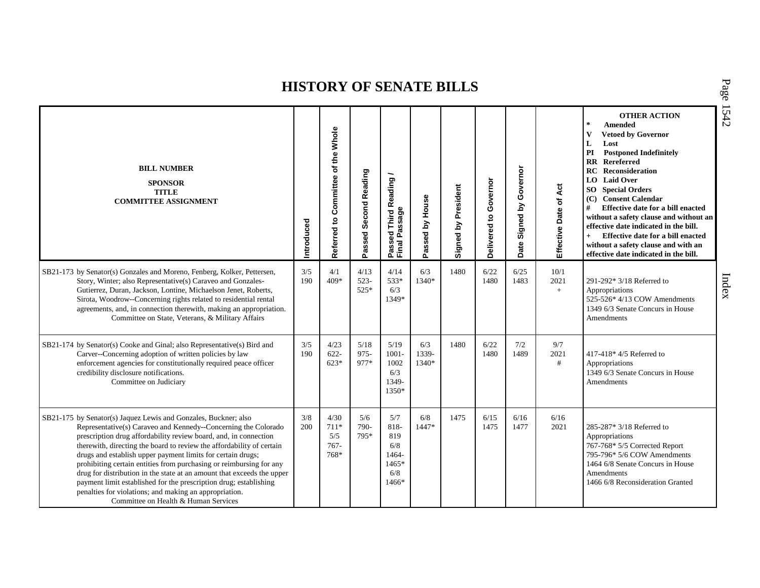| <b>BILL NUMBER</b><br><b>SPONSOR</b><br><b>TITLE</b><br><b>COMMITTEE ASSIGNMENT</b>                                                                                                                                                                                                                                                                                                                                                                                                                                                                                                                                                                                   | ntroduced  | Referred to Committee of the Whole       | Passed Second Reading    | Passed Third Reading<br>Final Passage                         | Passed by House       | President<br>Signed by | Governor<br>ë<br>Delivered | Governor<br>Σ<br>Signed I<br>Date | Act<br>Effective Date of | <b>OTHER ACTION</b><br>$\star$<br>Amended<br>$\mathbf{V}$<br><b>Vetoed by Governor</b><br>L<br>Lost<br><b>Postponed Indefinitely</b><br>PI<br><b>RR</b> Rereferred<br><b>Reconsideration</b><br>RC<br>LO Laid Over<br><b>SO</b> Special Orders<br>(C) Consent Calendar<br>#<br>Effective date for a bill enacted<br>without a safety clause and without an<br>effective date indicated in the bill.<br>Effective date for a bill enacted<br>$+$<br>without a safety clause and with an<br>effective date indicated in the bill. |
|-----------------------------------------------------------------------------------------------------------------------------------------------------------------------------------------------------------------------------------------------------------------------------------------------------------------------------------------------------------------------------------------------------------------------------------------------------------------------------------------------------------------------------------------------------------------------------------------------------------------------------------------------------------------------|------------|------------------------------------------|--------------------------|---------------------------------------------------------------|-----------------------|------------------------|----------------------------|-----------------------------------|--------------------------|---------------------------------------------------------------------------------------------------------------------------------------------------------------------------------------------------------------------------------------------------------------------------------------------------------------------------------------------------------------------------------------------------------------------------------------------------------------------------------------------------------------------------------|
| SB21-173 by Senator(s) Gonzales and Moreno, Fenberg, Kolker, Pettersen,<br>Story, Winter; also Representative(s) Caraveo and Gonzales-<br>Gutierrez, Duran, Jackson, Lontine, Michaelson Jenet, Roberts,<br>Sirota, Woodrow--Concerning rights related to residential rental<br>agreements, and, in connection therewith, making an appropriation.<br>Committee on State, Veterans, & Military Affairs                                                                                                                                                                                                                                                                | 3/5<br>190 | 4/1<br>$409*$                            | 4/13<br>$523-$<br>$525*$ | 4/14<br>533*<br>6/3<br>1349*                                  | 6/3<br>1340*          | 1480                   | 6/22<br>1480               | 6/25<br>1483                      | 10/1<br>2021<br>$+$      | 291-292* 3/18 Referred to<br>Appropriations<br>525-526* 4/13 COW Amendments<br>1349 6/3 Senate Concurs in House<br>Amendments                                                                                                                                                                                                                                                                                                                                                                                                   |
| SB21-174 by Senator(s) Cooke and Ginal; also Representative(s) Bird and<br>Carver--Concerning adoption of written policies by law<br>enforcement agencies for constitutionally required peace officer<br>credibility disclosure notifications.<br>Committee on Judiciary                                                                                                                                                                                                                                                                                                                                                                                              | 3/5<br>190 | 4/23<br>$622 -$<br>$623*$                | 5/18<br>$975 -$<br>977*  | 5/19<br>$1001 -$<br>1002<br>6/3<br>1349-<br>1350*             | 6/3<br>1339-<br>1340* | 1480                   | 6/22<br>1480               | 7/2<br>1489                       | 9/7<br>2021<br>#         | 417-418* 4/5 Referred to<br>Appropriations<br>1349 6/3 Senate Concurs in House<br>Amendments                                                                                                                                                                                                                                                                                                                                                                                                                                    |
| SB21-175 by Senator(s) Jaquez Lewis and Gonzales, Buckner; also<br>Representative(s) Caraveo and Kennedy--Concerning the Colorado<br>prescription drug affordability review board, and, in connection<br>therewith, directing the board to review the affordability of certain<br>drugs and establish upper payment limits for certain drugs;<br>prohibiting certain entities from purchasing or reimbursing for any<br>drug for distribution in the state at an amount that exceeds the upper<br>payment limit established for the prescription drug; establishing<br>penalties for violations; and making an appropriation.<br>Committee on Health & Human Services | 3/8<br>200 | 4/30<br>$711*$<br>5/5<br>$767 -$<br>768* | 5/6<br>790-<br>795*      | 5/7<br>818-<br>819<br>6/8<br>1464-<br>$1465*$<br>6/8<br>1466* | 6/8<br>$1447*$        | 1475                   | 6/15<br>1475               | 6/16<br>1477                      | 6/16<br>2021             | 285-287* 3/18 Referred to<br>Appropriations<br>767-768* 5/5 Corrected Report<br>795-796* 5/6 COW Amendments<br>1464 6/8 Senate Concurs in House<br>Amendments<br>1466 6/8 Reconsideration Granted                                                                                                                                                                                                                                                                                                                               |

P a g e 15 4 2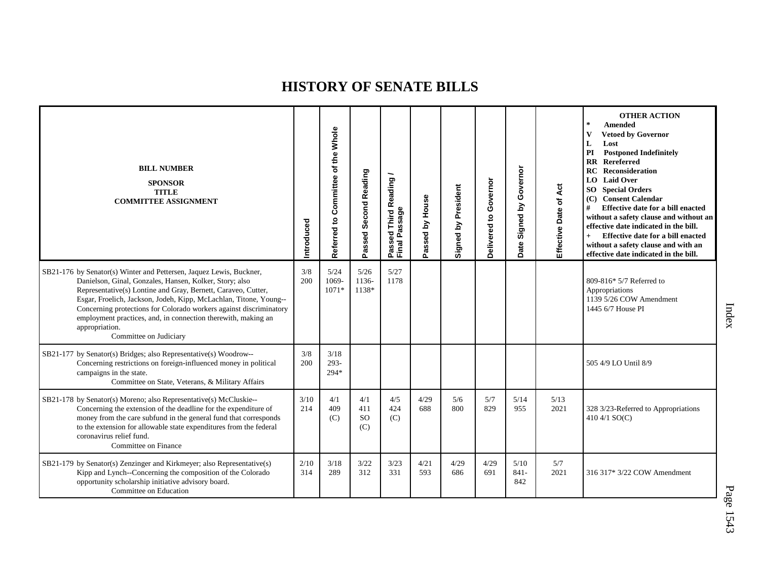| <b>BILL NUMBER</b><br><b>SPONSOR</b><br><b>TITLE</b><br><b>COMMITTEE ASSIGNMENT</b>                                                                                                                                                                                                                                                                                                                                                                     | Introduced  | Whole<br>Committee of the<br>Referred to | Passed Second Reading   | ∽<br>Passed Third Reading<br>Final Passage | House<br>Passed by | Signed by President | Governor<br>$\mathbf{S}$<br>Delivered | Governor<br>Signed by<br>Date | Effective Date of Act | <b>OTHER ACTION</b><br>$\star$<br><b>Amended</b><br>$\mathbf{V}$<br><b>Vetoed by Governor</b><br>L<br>Lost<br>PI<br><b>Postponed Indefinitely</b><br><b>RR</b> Rereferred<br>RC<br>Reconsideration<br><b>LO</b> Laid Over<br><b>SO</b> Special Orders<br>(C) Consent Calendar<br>Effective date for a bill enacted<br>#<br>without a safety clause and without an<br>effective date indicated in the bill.<br>Effective date for a bill enacted<br>$+$<br>without a safety clause and with an<br>effective date indicated in the bill. |
|---------------------------------------------------------------------------------------------------------------------------------------------------------------------------------------------------------------------------------------------------------------------------------------------------------------------------------------------------------------------------------------------------------------------------------------------------------|-------------|------------------------------------------|-------------------------|--------------------------------------------|--------------------|---------------------|---------------------------------------|-------------------------------|-----------------------|----------------------------------------------------------------------------------------------------------------------------------------------------------------------------------------------------------------------------------------------------------------------------------------------------------------------------------------------------------------------------------------------------------------------------------------------------------------------------------------------------------------------------------------|
| SB21-176 by Senator(s) Winter and Pettersen, Jaquez Lewis, Buckner,<br>Danielson, Ginal, Gonzales, Hansen, Kolker, Story; also<br>Representative(s) Lontine and Gray, Bernett, Caraveo, Cutter,<br>Esgar, Froelich, Jackson, Jodeh, Kipp, McLachlan, Titone, Young--<br>Concerning protections for Colorado workers against discriminatory<br>employment practices, and, in connection therewith, making an<br>appropriation.<br>Committee on Judiciary | 3/8<br>200  | 5/24<br>1069-<br>$1071*$                 | 5/26<br>1136-<br>1138*  | 5/27<br>1178                               |                    |                     |                                       |                               |                       | 809-816* 5/7 Referred to<br>Appropriations<br>1139 5/26 COW Amendment<br>1445 6/7 House PI                                                                                                                                                                                                                                                                                                                                                                                                                                             |
| SB21-177 by Senator(s) Bridges; also Representative(s) Woodrow--<br>Concerning restrictions on foreign-influenced money in political<br>campaigns in the state.<br>Committee on State, Veterans, & Military Affairs                                                                                                                                                                                                                                     | 3/8<br>200  | 3/18<br>$293 -$<br>294*                  |                         |                                            |                    |                     |                                       |                               |                       | 505 4/9 LO Until 8/9                                                                                                                                                                                                                                                                                                                                                                                                                                                                                                                   |
| SB21-178 by Senator(s) Moreno; also Representative(s) McCluskie--<br>Concerning the extension of the deadline for the expenditure of<br>money from the care subfund in the general fund that corresponds<br>to the extension for allowable state expenditures from the federal<br>coronavirus relief fund.<br>Committee on Finance                                                                                                                      | 3/10<br>214 | 4/1<br>409<br>(C)                        | 4/1<br>411<br>SO<br>(C) | 4/5<br>424<br>(C)                          | 4/29<br>688        | 5/6<br>800          | 5/7<br>829                            | 5/14<br>955                   | 5/13<br>2021          | 328 3/23-Referred to Appropriations<br>410 4/1 $SO(C)$                                                                                                                                                                                                                                                                                                                                                                                                                                                                                 |
| SB21-179 by Senator(s) Zenzinger and Kirkmeyer; also Representative(s)<br>Kipp and Lynch--Concerning the composition of the Colorado<br>opportunity scholarship initiative advisory board.<br>Committee on Education                                                                                                                                                                                                                                    | 2/10<br>314 | 3/18<br>289                              | 3/22<br>312             | 3/23<br>331                                | 4/21<br>593        | 4/29<br>686         | 4/29<br>691                           | 5/10<br>$841 -$<br>842        | 5/7<br>2021           | 316 317* 3/22 COW Amendment                                                                                                                                                                                                                                                                                                                                                                                                                                                                                                            |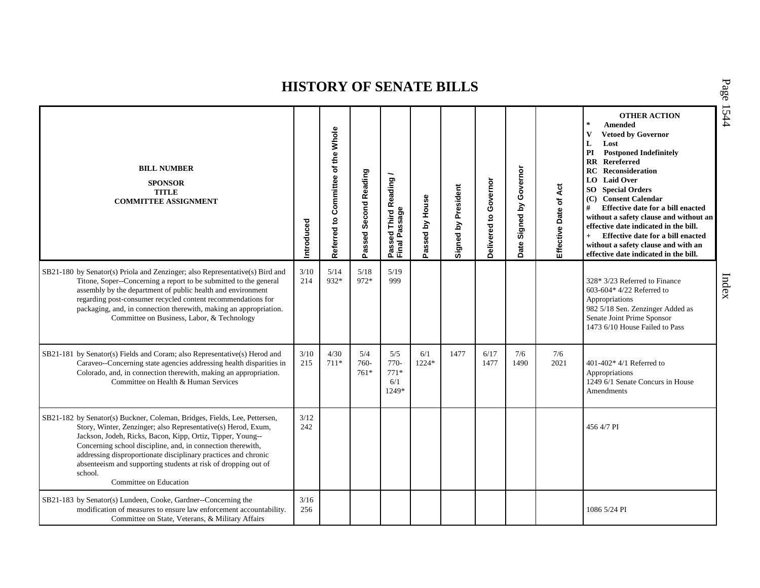| <b>BILL NUMBER</b><br><b>SPONSOR</b><br><b>TITLE</b><br><b>COMMITTEE ASSIGNMENT</b>                                                                                                                                                                                                                                                                                                                                                              | Introduced    | Referred to Committee of the Whole | Passed Second Reading | Passed Third Reading<br>Final Passage   | Passed by House | Signed by President | Governor<br>$\mathtt{S}$<br>Delivered | Governor<br>Signed by<br>Date | Effective Date of Act | <b>OTHER ACTION</b><br>$\sim$<br><b>Amended</b><br>$\mathbf{V}$<br><b>Vetoed by Governor</b><br>L<br>Lost<br>PI<br><b>Postponed Indefinitely</b><br>RR Rereferred<br>RC<br><b>Reconsideration</b><br>LO Laid Over<br><b>SO</b> Special Orders<br>(C) Consent Calendar<br>#<br>Effective date for a bill enacted<br>without a safety clause and without an<br>effective date indicated in the bill.<br>Effective date for a bill enacted<br>$+$<br>without a safety clause and with an<br>effective date indicated in the bill. |
|--------------------------------------------------------------------------------------------------------------------------------------------------------------------------------------------------------------------------------------------------------------------------------------------------------------------------------------------------------------------------------------------------------------------------------------------------|---------------|------------------------------------|-----------------------|-----------------------------------------|-----------------|---------------------|---------------------------------------|-------------------------------|-----------------------|--------------------------------------------------------------------------------------------------------------------------------------------------------------------------------------------------------------------------------------------------------------------------------------------------------------------------------------------------------------------------------------------------------------------------------------------------------------------------------------------------------------------------------|
| SB21-180 by Senator(s) Priola and Zenzinger; also Representative(s) Bird and<br>Titone, Soper--Concerning a report to be submitted to the general<br>assembly by the department of public health and environment<br>regarding post-consumer recycled content recommendations for<br>packaging, and, in connection therewith, making an appropriation.<br>Committee on Business, Labor, & Technology                                              | 3/10<br>214   | 5/14<br>932*                       | $5/18$<br>972*        | $5/19$<br>999                           |                 |                     |                                       |                               |                       | 328* 3/23 Referred to Finance<br>603-604* 4/22 Referred to<br>Appropriations<br>982 5/18 Sen. Zenzinger Added as<br>Senate Joint Prime Sponsor<br>1473 6/10 House Failed to Pass                                                                                                                                                                                                                                                                                                                                               |
| SB21-181 by Senator(s) Fields and Coram; also Representative(s) Herod and<br>Caraveo--Concerning state agencies addressing health disparities in<br>Colorado, and, in connection therewith, making an appropriation.<br>Committee on Health & Human Services                                                                                                                                                                                     | 3/10<br>215   | 4/30<br>$711*$                     | 5/4<br>760-<br>$761*$ | 5/5<br>$770-$<br>$771*$<br>6/1<br>1249* | 6/1<br>1224*    | 1477                | 6/17<br>1477                          | 7/6<br>1490                   | 7/6<br>2021           | $401-402*4/1$ Referred to<br>Appropriations<br>1249 6/1 Senate Concurs in House<br><b>Amendments</b>                                                                                                                                                                                                                                                                                                                                                                                                                           |
| SB21-182 by Senator(s) Buckner, Coleman, Bridges, Fields, Lee, Pettersen,<br>Story, Winter, Zenzinger; also Representative(s) Herod, Exum,<br>Jackson, Jodeh, Ricks, Bacon, Kipp, Ortiz, Tipper, Young--<br>Concerning school discipline, and, in connection therewith,<br>addressing disproportionate disciplinary practices and chronic<br>absenteeism and supporting students at risk of dropping out of<br>school.<br>Committee on Education | 3/12<br>242   |                                    |                       |                                         |                 |                     |                                       |                               |                       | 456 4/7 PI                                                                                                                                                                                                                                                                                                                                                                                                                                                                                                                     |
| SB21-183 by Senator(s) Lundeen, Cooke, Gardner--Concerning the<br>modification of measures to ensure law enforcement accountability.<br>Committee on State, Veterans, & Military Affairs                                                                                                                                                                                                                                                         | $3/16$<br>256 |                                    |                       |                                         |                 |                     |                                       |                               |                       | 1086 5/24 PI                                                                                                                                                                                                                                                                                                                                                                                                                                                                                                                   |

P a g e 15 4 4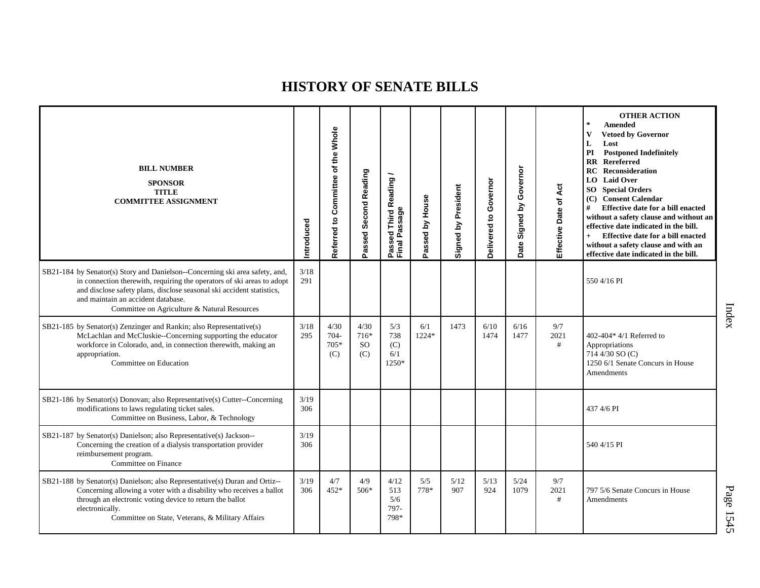| <b>BILL NUMBER</b><br><b>SPONSOR</b><br><b>TITLE</b><br><b>COMMITTEE ASSIGNMENT</b>                                                                                                                                                                                                                                   | Introduced  | Referred to Committee of the Whole | Passed Second Reading                | Passed Third Reading /<br>Final Passage | Passed by House | Signed by President | Governor<br>Delivered to | Governor<br>Signed by<br>Date | Act<br>Effective Date of | <b>OTHER ACTION</b><br>$\star$<br>Amended<br><b>Vetoed by Governor</b><br>$\mathbf{V}$<br>L<br>Lost<br><b>Postponed Indefinitely</b><br>PI<br><b>RR</b> Rereferred<br><b>RC</b> Reconsideration<br><b>LO</b> Laid Over<br><b>SO</b> Special Orders<br>(C) Consent Calendar<br>#<br>Effective date for a bill enacted<br>without a safety clause and without an<br>effective date indicated in the bill.<br>Effective date for a bill enacted<br>$+$<br>without a safety clause and with an<br>effective date indicated in the bill. |
|-----------------------------------------------------------------------------------------------------------------------------------------------------------------------------------------------------------------------------------------------------------------------------------------------------------------------|-------------|------------------------------------|--------------------------------------|-----------------------------------------|-----------------|---------------------|--------------------------|-------------------------------|--------------------------|-------------------------------------------------------------------------------------------------------------------------------------------------------------------------------------------------------------------------------------------------------------------------------------------------------------------------------------------------------------------------------------------------------------------------------------------------------------------------------------------------------------------------------------|
| SB21-184 by Senator(s) Story and Danielson--Concerning ski area safety, and,<br>in connection therewith, requiring the operators of ski areas to adopt<br>and disclose safety plans, disclose seasonal ski accident statistics,<br>and maintain an accident database.<br>Committee on Agriculture & Natural Resources | 3/18<br>291 |                                    |                                      |                                         |                 |                     |                          |                               |                          | 550 4/16 PI                                                                                                                                                                                                                                                                                                                                                                                                                                                                                                                         |
| SB21-185 by Senator(s) Zenzinger and Rankin; also Representative(s)<br>McLachlan and McCluskie--Concerning supporting the educator<br>workforce in Colorado, and, in connection therewith, making an<br>appropriation.<br>Committee on Education                                                                      | 3/18<br>295 | 4/30<br>$704 -$<br>705*<br>(C)     | 4/30<br>716*<br><sub>SO</sub><br>(C) | 5/3<br>738<br>(C)<br>6/1<br>1250*       | 6/1<br>1224*    | 1473                | 6/10<br>1474             | 6/16<br>1477                  | 9/7<br>2021<br>#         | 402-404* 4/1 Referred to<br>Appropriations<br>714 4/30 SO (C)<br>1250 6/1 Senate Concurs in House<br>Amendments                                                                                                                                                                                                                                                                                                                                                                                                                     |
| SB21-186 by Senator(s) Donovan; also Representative(s) Cutter--Concerning<br>modifications to laws regulating ticket sales.<br>Committee on Business, Labor, & Technology                                                                                                                                             | 3/19<br>306 |                                    |                                      |                                         |                 |                     |                          |                               |                          | 437 4/6 PI                                                                                                                                                                                                                                                                                                                                                                                                                                                                                                                          |
| SB21-187 by Senator(s) Danielson; also Representative(s) Jackson--<br>Concerning the creation of a dialysis transportation provider<br>reimbursement program.<br>Committee on Finance                                                                                                                                 | 3/19<br>306 |                                    |                                      |                                         |                 |                     |                          |                               |                          | 540 4/15 PI                                                                                                                                                                                                                                                                                                                                                                                                                                                                                                                         |
| SB21-188 by Senator(s) Danielson; also Representative(s) Duran and Ortiz--<br>Concerning allowing a voter with a disability who receives a ballot<br>through an electronic voting device to return the ballot<br>electronically.<br>Committee on State, Veterans, & Military Affairs                                  | 3/19<br>306 | 4/7<br>452*                        | 4/9<br>506*                          | 4/12<br>513<br>5/6<br>797-<br>798*      | 5/5<br>778*     | 5/12<br>907         | 5/13<br>924              | 5/24<br>1079                  | 9/7<br>2021<br>#         | 797 5/6 Senate Concurs in House<br>Amendments                                                                                                                                                                                                                                                                                                                                                                                                                                                                                       |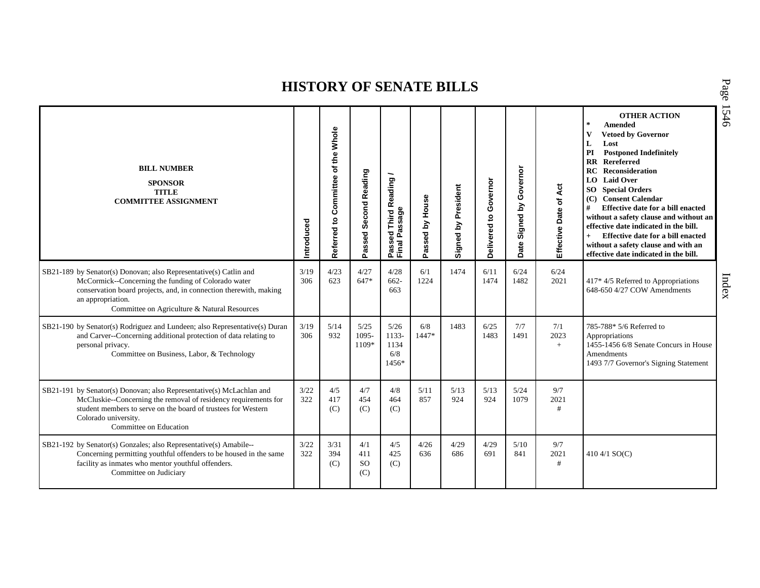| <b>BILL NUMBER</b><br><b>SPONSOR</b><br><b>TITLE</b><br><b>COMMITTEE ASSIGNMENT</b>                                                                                                                                                                                | Introduced  | Φ<br><b>Whole</b><br>₽₽<br>$\overline{\mathbf{o}}$<br>Committee<br>$\mathbf{S}$<br>Referred | Second Reading<br>Passed       | <b>Third Reading</b><br>Passed Third R<br>Final Passage | Passed by House | Signed by President | Governor<br>$\mathtt{S}$<br>Delivered | Governor<br>Signed by<br>Date | Effective Date of Act | <b>OTHER ACTION</b><br>$\pm$<br><b>Amended</b><br><b>Vetoed by Governor</b><br>V<br>L<br>Lost<br>PI<br><b>Postponed Indefinitely</b><br>Rereferred<br>$\mathbf{R}$<br><b>RC</b> Reconsideration<br>LO Laid Over<br><b>SO</b> Special Orders<br>(C) Consent Calendar<br>#<br>Effective date for a bill enacted<br>without a safety clause and without an<br>effective date indicated in the bill.<br>Effective date for a bill enacted<br>$+$<br>without a safety clause and with an<br>effective date indicated in the bill. |
|--------------------------------------------------------------------------------------------------------------------------------------------------------------------------------------------------------------------------------------------------------------------|-------------|---------------------------------------------------------------------------------------------|--------------------------------|---------------------------------------------------------|-----------------|---------------------|---------------------------------------|-------------------------------|-----------------------|------------------------------------------------------------------------------------------------------------------------------------------------------------------------------------------------------------------------------------------------------------------------------------------------------------------------------------------------------------------------------------------------------------------------------------------------------------------------------------------------------------------------------|
| SB21-189 by Senator(s) Donovan; also Representative(s) Catlin and<br>McCormick--Concerning the funding of Colorado water<br>conservation board projects, and, in connection therewith, making<br>an appropriation.<br>Committee on Agriculture & Natural Resources | 3/19<br>306 | 4/23<br>623                                                                                 | 4/27<br>647*                   | 4/28<br>$662 -$<br>663                                  | 6/1<br>1224     | 1474                | 6/11<br>1474                          | 6/24<br>1482                  | 6/24<br>2021          | 417* 4/5 Referred to Appropriations<br>648-650 4/27 COW Amendments                                                                                                                                                                                                                                                                                                                                                                                                                                                           |
| SB21-190 by Senator(s) Rodriguez and Lundeen; also Representative(s) Duran<br>and Carver--Concerning additional protection of data relating to<br>personal privacy.<br>Committee on Business, Labor, & Technology                                                  | 3/19<br>306 | 5/14<br>932                                                                                 | 5/25<br>1095-<br>1109*         | 5/26<br>1133-<br>1134<br>6/8<br>1456*                   | 6/8<br>1447*    | 1483                | 6/25<br>1483                          | 7/7<br>1491                   | 7/1<br>2023<br>$+$    | 785-788* 5/6 Referred to<br>Appropriations<br>1455-1456 6/8 Senate Concurs in House<br>Amendments<br>1493 7/7 Governor's Signing Statement                                                                                                                                                                                                                                                                                                                                                                                   |
| SB21-191 by Senator(s) Donovan; also Representative(s) McLachlan and<br>McCluskie--Concerning the removal of residency requirements for<br>student members to serve on the board of trustees for Western<br>Colorado university.<br>Committee on Education         | 3/22<br>322 | 4/5<br>417<br>(C)                                                                           | 4/7<br>454<br>(C)              | 4/8<br>464<br>(C)                                       | 5/11<br>857     | 5/13<br>924         | 5/13<br>924                           | 5/24<br>1079                  | 9/7<br>2021<br>#      |                                                                                                                                                                                                                                                                                                                                                                                                                                                                                                                              |
| SB21-192 by Senator(s) Gonzales; also Representative(s) Amabile--<br>Concerning permitting youthful offenders to be housed in the same<br>facility as inmates who mentor youthful offenders.<br>Committee on Judiciary                                             | 3/22<br>322 | 3/31<br>394<br>(C)                                                                          | 4/1<br>411<br><b>SO</b><br>(C) | 4/5<br>425<br>(C)                                       | 4/26<br>636     | 4/29<br>686         | 4/29<br>691                           | 5/10<br>841                   | 9/7<br>2021<br>$\#$   | 410 4/1 $SO(C)$                                                                                                                                                                                                                                                                                                                                                                                                                                                                                                              |

P a g e 15 4 6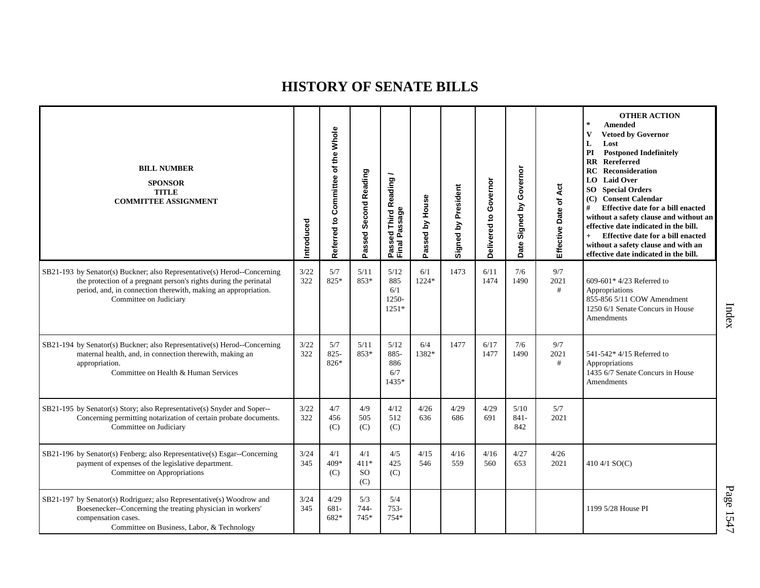| <b>BILL NUMBER</b><br><b>SPONSOR</b><br><b>TITLE</b><br><b>COMMITTEE ASSIGNMENT</b>                                                                                                                                                       | Introduced  | Referred to Committee of the Whole | Passed Second Reading             | Passed Third Reading<br>Final Passage  | Passed by House | Signed by President | Governor<br>Delivered to | Governor<br>Signed by<br>Date | Act<br>٦,<br>Effective Date | <b>OTHER ACTION</b><br>$\star$<br>Amended<br><b>Vetoed by Governor</b><br>V<br>L<br>Lost<br>PI<br><b>Postponed Indefinitely</b><br><b>RR</b> Rereferred<br><b>Reconsideration</b><br>RC<br><b>LO</b> Laid Over<br><b>SO</b> Special Orders<br>(C) Consent Calendar<br>Effective date for a bill enacted<br>#<br>without a safety clause and without an<br>effective date indicated in the bill.<br>Effective date for a bill enacted<br>$+$<br>without a safety clause and with an<br>effective date indicated in the bill. |
|-------------------------------------------------------------------------------------------------------------------------------------------------------------------------------------------------------------------------------------------|-------------|------------------------------------|-----------------------------------|----------------------------------------|-----------------|---------------------|--------------------------|-------------------------------|-----------------------------|-----------------------------------------------------------------------------------------------------------------------------------------------------------------------------------------------------------------------------------------------------------------------------------------------------------------------------------------------------------------------------------------------------------------------------------------------------------------------------------------------------------------------------|
| SB21-193 by Senator(s) Buckner; also Representative(s) Herod--Concerning<br>the protection of a pregnant person's rights during the perinatal<br>period, and, in connection therewith, making an appropriation.<br>Committee on Judiciary | 3/22<br>322 | 5/7<br>825*                        | 5/11<br>853*                      | 5/12<br>885<br>6/1<br>1250-<br>$1251*$ | 6/1<br>1224*    | 1473                | 6/11<br>1474             | 7/6<br>1490                   | 9/7<br>2021<br>#            | 609-601* $4/23$ Referred to<br>Appropriations<br>855-856 5/11 COW Amendment<br>1250 6/1 Senate Concurs in House<br>Amendments                                                                                                                                                                                                                                                                                                                                                                                               |
| SB21-194 by Senator(s) Buckner; also Representative(s) Herod--Concerning<br>maternal health, and, in connection therewith, making an<br>appropriation.<br>Committee on Health & Human Services                                            | 3/22<br>322 | 5/7<br>$825 -$<br>826*             | 5/11<br>853*                      | 5/12<br>$885 -$<br>886<br>6/7<br>1435* | 6/4<br>1382*    | 1477                | 6/17<br>1477             | 7/6<br>1490                   | 9/7<br>2021<br>#            | 541-542* 4/15 Referred to<br>Appropriations<br>1435 6/7 Senate Concurs in House<br>Amendments                                                                                                                                                                                                                                                                                                                                                                                                                               |
| SB21-195 by Senator(s) Story; also Representative(s) Snyder and Soper--<br>Concerning permitting notarization of certain probate documents.<br>Committee on Judiciary                                                                     | 3/22<br>322 | 4/7<br>456<br>(C)                  | 4/9<br>505<br>(C)                 | 4/12<br>512<br>(C)                     | 4/26<br>636     | 4/29<br>686         | 4/29<br>691              | 5/10<br>$841 -$<br>842        | 5/7<br>2021                 |                                                                                                                                                                                                                                                                                                                                                                                                                                                                                                                             |
| SB21-196 by Senator(s) Fenberg; also Representative(s) Esgar--Concerning<br>payment of expenses of the legislative department.<br>Committee on Appropriations                                                                             | 3/24<br>345 | 4/1<br>409*<br>(C)                 | 4/1<br>$411*$<br><b>SO</b><br>(C) | 4/5<br>425<br>(C)                      | 4/15<br>546     | 4/16<br>559         | 4/16<br>560              | 4/27<br>653                   | 4/26<br>2021                | 410 4/1 $SO(C)$                                                                                                                                                                                                                                                                                                                                                                                                                                                                                                             |
| SB21-197 by Senator(s) Rodriguez; also Representative(s) Woodrow and<br>Boesenecker--Concerning the treating physician in workers'<br>compensation cases.<br>Committee on Business, Labor, & Technology                                   | 3/24<br>345 | 4/29<br>$681 -$<br>682*            | 5/3<br>$744 -$<br>$745*$          | 5/4<br>$753-$<br>754*                  |                 |                     |                          |                               |                             | 1199 5/28 House PI                                                                                                                                                                                                                                                                                                                                                                                                                                                                                                          |

Index

P a g e 15 4 7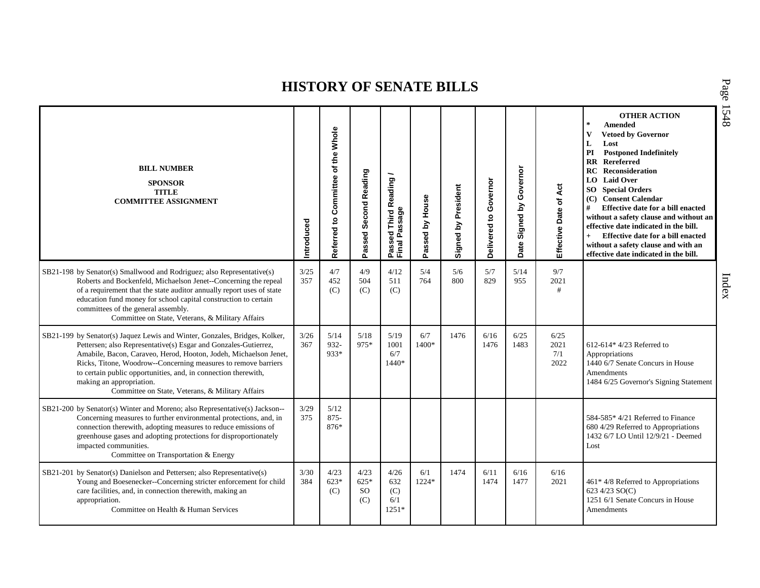P a g e

15 4 8

| <b>BILL NUMBER</b><br><b>SPONSOR</b><br><b>TITLE</b><br><b>COMMITTEE ASSIGNMENT</b>                                                                                                                                                                                                                                                                                                                                                   | ntroduced   | the Whole<br>Referred to Committee of | Passed Second Reading                  | Passed Third Reading<br>Final Passage | Passed by House | Signed by President | Governor<br>Delivered to | Governor<br>Signed by<br>Date | Effective Date of Act       | <b>OTHER ACTION</b><br>$\star$<br>Amended<br>$\mathbf{V}$<br><b>Vetoed by Governor</b><br>L<br>Lost<br><b>Postponed Indefinitely</b><br>PI<br>RR Rereferred<br>RC<br><b>Reconsideration</b><br>LO Laid Over<br><b>SO</b> Special Orders<br>(C) Consent Calendar<br>#<br>Effective date for a bill enacted<br>without a safety clause and without an<br>effective date indicated in the bill.<br>Effective date for a bill enacted<br>$+$<br>without a safety clause and with an<br>effective date indicated in the bill. |
|---------------------------------------------------------------------------------------------------------------------------------------------------------------------------------------------------------------------------------------------------------------------------------------------------------------------------------------------------------------------------------------------------------------------------------------|-------------|---------------------------------------|----------------------------------------|---------------------------------------|-----------------|---------------------|--------------------------|-------------------------------|-----------------------------|--------------------------------------------------------------------------------------------------------------------------------------------------------------------------------------------------------------------------------------------------------------------------------------------------------------------------------------------------------------------------------------------------------------------------------------------------------------------------------------------------------------------------|
| SB21-198 by Senator(s) Smallwood and Rodriguez; also Representative(s)<br>Roberts and Bockenfeld, Michaelson Jenet--Concerning the repeal<br>of a requirement that the state auditor annually report uses of state<br>education fund money for school capital construction to certain<br>committees of the general assembly.<br>Committee on State, Veterans, & Military Affairs                                                      | 3/25<br>357 | 4/7<br>452<br>(C)                     | 4/9<br>504<br>(C)                      | 4/12<br>511<br>(C)                    | 5/4<br>764      | $5/6$<br>800        | 5/7<br>829               | 5/14<br>955                   | 9/7<br>2021<br>#            |                                                                                                                                                                                                                                                                                                                                                                                                                                                                                                                          |
| SB21-199 by Senator(s) Jaquez Lewis and Winter, Gonzales, Bridges, Kolker,<br>Pettersen; also Representative(s) Esgar and Gonzales-Gutierrez,<br>Amabile, Bacon, Caraveo, Herod, Hooton, Jodeh, Michaelson Jenet,<br>Ricks, Titone, Woodrow--Concerning measures to remove barriers<br>to certain public opportunities, and, in connection therewith,<br>making an appropriation.<br>Committee on State, Veterans, & Military Affairs | 3/26<br>367 | 5/14<br>932-<br>933*                  | 5/18<br>975*                           | 5/19<br>1001<br>6/7<br>$1440*$        | 6/7<br>1400*    | 1476                | 6/16<br>1476             | 6/25<br>1483                  | 6/25<br>2021<br>7/1<br>2022 | 612-614* $4/23$ Referred to<br>Appropriations<br>1440 6/7 Senate Concurs in House<br>Amendments<br>1484 6/25 Governor's Signing Statement                                                                                                                                                                                                                                                                                                                                                                                |
| SB21-200 by Senator(s) Winter and Moreno; also Representative(s) Jackson--<br>Concerning measures to further environmental protections, and, in<br>connection therewith, adopting measures to reduce emissions of<br>greenhouse gases and adopting protections for disproportionately<br>impacted communities.<br>Committee on Transportation & Energy                                                                                | 3/29<br>375 | 5/12<br>875-<br>876*                  |                                        |                                       |                 |                     |                          |                               |                             | 584-585* 4/21 Referred to Finance<br>680 4/29 Referred to Appropriations<br>1432 6/7 LO Until 12/9/21 - Deemed<br>Lost                                                                                                                                                                                                                                                                                                                                                                                                   |
| SB21-201 by Senator(s) Danielson and Pettersen; also Representative(s)<br>Young and Boesenecker--Concerning stricter enforcement for child<br>care facilities, and, in connection therewith, making an<br>appropriation.<br>Committee on Health & Human Services                                                                                                                                                                      | 3/30<br>384 | 4/23<br>$623*$<br>(C)                 | 4/23<br>$625*$<br><sub>SO</sub><br>(C) | 4/26<br>632<br>(C)<br>6/1<br>$1251*$  | 6/1<br>1224*    | 1474                | 6/11<br>1474             | 6/16<br>1477                  | 6/16<br>2021                | 461* 4/8 Referred to Appropriations<br>623 4/23 SO(C)<br>1251 6/1 Senate Concurs in House<br>Amendments                                                                                                                                                                                                                                                                                                                                                                                                                  |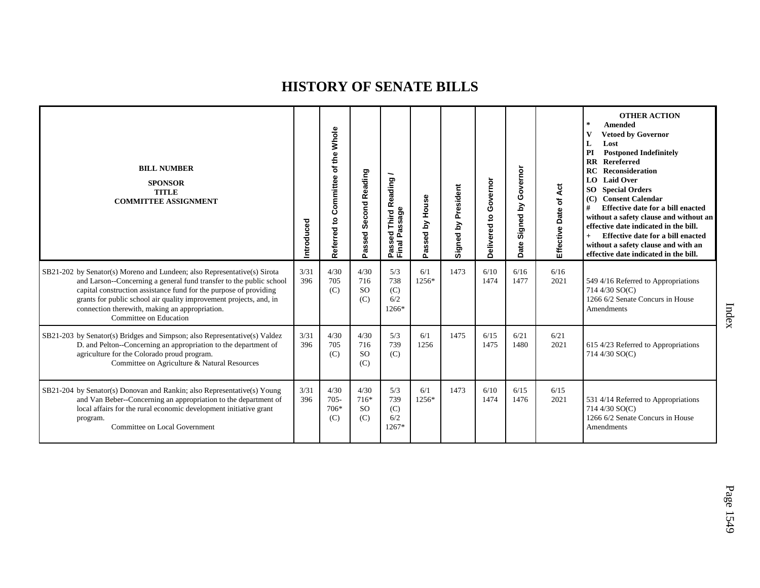| <b>BILL NUMBER</b><br><b>SPONSOR</b><br><b>TITLE</b><br><b>COMMITTEE ASSIGNMENT</b>                                                                                                                                                                                                                                                                                    | Introduced  | Whole<br>of the<br>Committee<br>5<br>Referred | Second Reading<br>Passed               | Third Reading /<br>Passage<br>assed<br>Passe<br>Final | Passed by House | President<br>Signed by | Governor<br>$\mathsf{S}$<br>Delivered | Governor<br>λá<br>Signed<br>Date | Effective Date of Act | <b>OTHER ACTION</b><br>$\star$<br><b>Amended</b><br><b>Vetoed by Governor</b><br>L<br>Lost<br>PI<br><b>Postponed Indefinitely</b><br>Rereferred<br>$\overline{\mathbf{R}}$<br>RC<br>Reconsideration<br>LO Laid Over<br><b>SO</b> Special Orders<br><b>Consent Calendar</b><br>#<br>Effective date for a bill enacted<br>without a safety clause and without an<br>effective date indicated in the bill.<br>Effective date for a bill enacted<br>without a safety clause and with an<br>effective date indicated in the bill. |
|------------------------------------------------------------------------------------------------------------------------------------------------------------------------------------------------------------------------------------------------------------------------------------------------------------------------------------------------------------------------|-------------|-----------------------------------------------|----------------------------------------|-------------------------------------------------------|-----------------|------------------------|---------------------------------------|----------------------------------|-----------------------|------------------------------------------------------------------------------------------------------------------------------------------------------------------------------------------------------------------------------------------------------------------------------------------------------------------------------------------------------------------------------------------------------------------------------------------------------------------------------------------------------------------------------|
| SB21-202 by Senator(s) Moreno and Lundeen; also Representative(s) Sirota<br>and Larson--Concerning a general fund transfer to the public school<br>capital construction assistance fund for the purpose of providing<br>grants for public school air quality improvement projects, and, in<br>connection therewith, making an appropriation.<br>Committee on Education | 3/31<br>396 | 4/30<br>705<br>(C)                            | 4/30<br>716<br><sub>SO</sub><br>(C)    | 5/3<br>738<br>(C)<br>6/2<br>1266*                     | 6/1<br>1256*    | 1473                   | 6/10<br>1474                          | 6/16<br>1477                     | 6/16<br>2021          | 549 4/16 Referred to Appropriations<br>714 4/30 SO(C)<br>1266 6/2 Senate Concurs in House<br>Amendments                                                                                                                                                                                                                                                                                                                                                                                                                      |
| SB21-203 by Senator(s) Bridges and Simpson; also Representative(s) Valdez<br>D. and Pelton--Concerning an appropriation to the department of<br>agriculture for the Colorado proud program.<br>Committee on Agriculture & Natural Resources                                                                                                                            | 3/31<br>396 | 4/30<br>705<br>(C)                            | 4/30<br>716<br><sub>SO</sub><br>(C)    | 5/3<br>739<br>(C)                                     | 6/1<br>1256     | 1475                   | 6/15<br>1475                          | 6/21<br>1480                     | 6/21<br>2021          | 615 4/23 Referred to Appropriations<br>714 4/30 SO(C)                                                                                                                                                                                                                                                                                                                                                                                                                                                                        |
| SB21-204 by Senator(s) Donovan and Rankin; also Representative(s) Young<br>and Van Beber--Concerning an appropriation to the department of<br>local affairs for the rural economic development initiative grant<br>program.<br>Committee on Local Government                                                                                                           | 3/31<br>396 | 4/30<br>$705 -$<br>706*<br>(C)                | 4/30<br>$716*$<br><sub>SO</sub><br>(C) | 5/3<br>739<br>(C)<br>6/2<br>$1267*$                   | 6/1<br>1256*    | 1473                   | 6/10<br>1474                          | 6/15<br>1476                     | 6/15<br>2021          | 531 4/14 Referred to Appropriations<br>714 4/30 SO(C)<br>1266 6/2 Senate Concurs in House<br>Amendments                                                                                                                                                                                                                                                                                                                                                                                                                      |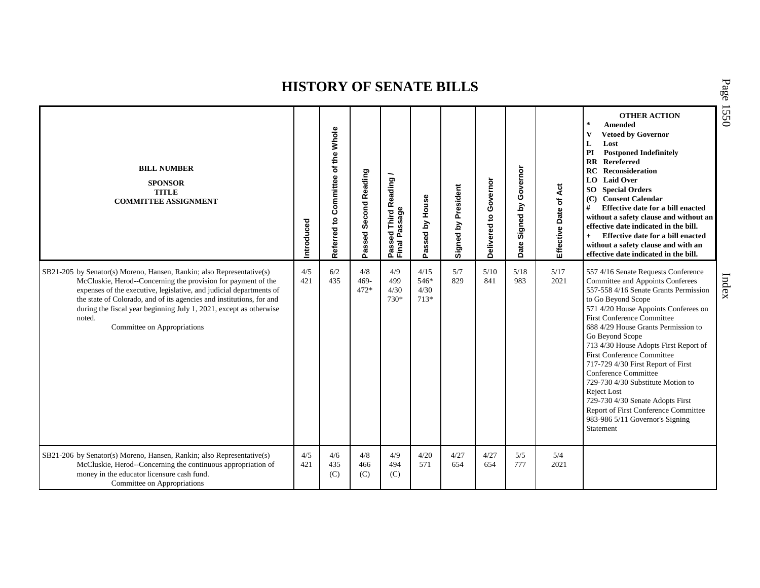| <b>BILL NUMBER</b><br><b>SPONSOR</b><br><b>TITLE</b><br><b>COMMITTEE ASSIGNMENT</b>                                                                                                                                                                                                                                                                                                                  | Introduced | Whole<br>of the<br>Committee<br>Referred to | Passed Second Reading  | Passed Third Reading<br>Final Passage | Passed by House                | President<br>Signed by | Governor<br>$\mathbf{S}$<br>Delivered | Governor<br><u>ځ</u><br>Signed<br>Date | Effective Date of Act | <b>OTHER ACTION</b><br>$\star$<br><b>Amended</b><br>$\mathbf{V}$<br><b>Vetoed by Governor</b><br>L<br>Lost<br>PI<br><b>Postponed Indefinitely</b><br><b>RR</b> Rereferred<br><b>RC</b> Reconsideration<br>LO Laid Over<br><b>SO</b> Special Orders<br>(C) Consent Calendar<br>#<br>Effective date for a bill enacted<br>without a safety clause and without an<br>effective date indicated in the bill.<br>Effective date for a bill enacted<br>$+$<br>without a safety clause and with an<br>effective date indicated in the bill.                                                                       |
|------------------------------------------------------------------------------------------------------------------------------------------------------------------------------------------------------------------------------------------------------------------------------------------------------------------------------------------------------------------------------------------------------|------------|---------------------------------------------|------------------------|---------------------------------------|--------------------------------|------------------------|---------------------------------------|----------------------------------------|-----------------------|-----------------------------------------------------------------------------------------------------------------------------------------------------------------------------------------------------------------------------------------------------------------------------------------------------------------------------------------------------------------------------------------------------------------------------------------------------------------------------------------------------------------------------------------------------------------------------------------------------------|
| SB21-205 by Senator(s) Moreno, Hansen, Rankin; also Representative(s)<br>McCluskie, Herod--Concerning the provision for payment of the<br>expenses of the executive, legislative, and judicial departments of<br>the state of Colorado, and of its agencies and institutions, for and<br>during the fiscal year beginning July 1, 2021, except as otherwise<br>noted.<br>Committee on Appropriations | 4/5<br>421 | 6/2<br>435                                  | 4/8<br>$469 -$<br>472* | 4/9<br>499<br>4/30<br>730*            | 4/15<br>546*<br>4/30<br>$713*$ | 5/7<br>829             | 5/10<br>841                           | 5/18<br>983                            | 5/17<br>2021          | 557 4/16 Senate Requests Conference<br>Committee and Appoints Conferees<br>557-558 4/16 Senate Grants Permission<br>to Go Beyond Scope<br>571 4/20 House Appoints Conferees on<br><b>First Conference Committee</b><br>688 4/29 House Grants Permission to<br>Go Beyond Scope<br>713 4/30 House Adopts First Report of<br><b>First Conference Committee</b><br>717-729 4/30 First Report of First<br>Conference Committee<br>729-730 4/30 Substitute Motion to<br>Reject Lost<br>729-730 4/30 Senate Adopts First<br>Report of First Conference Committee<br>983-986 5/11 Governor's Signing<br>Statement |
| SB21-206 by Senator(s) Moreno, Hansen, Rankin; also Representative(s)<br>McCluskie, Herod--Concerning the continuous appropriation of<br>money in the educator licensure cash fund.<br>Committee on Appropriations                                                                                                                                                                                   | 4/5<br>421 | 4/6<br>435<br>(C)                           | 4/8<br>466<br>(C)      | 4/9<br>494<br>(C)                     | 4/20<br>571                    | 4/27<br>654            | 4/27<br>654                           | 5/5<br>777                             | 5/4<br>2021           |                                                                                                                                                                                                                                                                                                                                                                                                                                                                                                                                                                                                           |

P a g e 15 5 0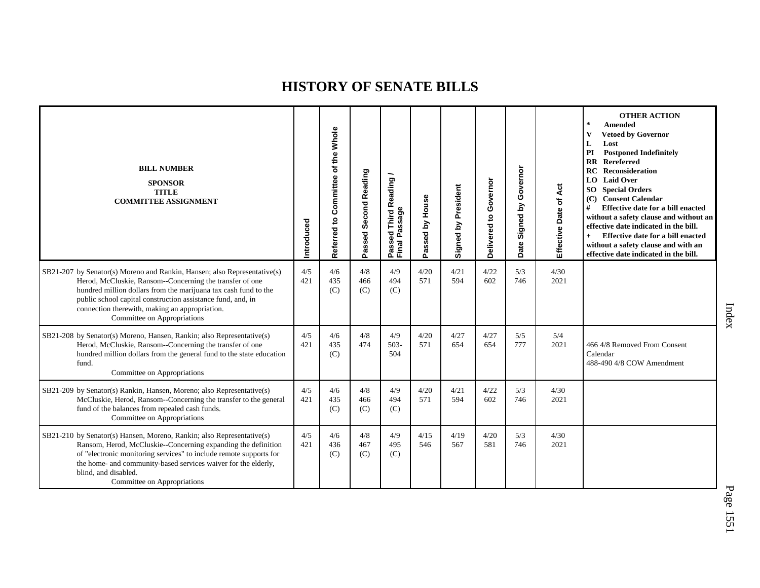| <b>BILL NUMBER</b><br><b>SPONSOR</b><br><b>TITLE</b><br><b>COMMITTEE ASSIGNMENT</b>                                                                                                                                                                                                                                                                     | Introduced | of the Whole<br>Committee<br>Referred to | Passed Second Reading | Passed Third Reading<br>Final Passage | Passed by House | Signed by President | Governor<br>5<br>Delivered | Governor<br>Signed by<br>Date | Act<br>Effective Date of | <b>OTHER ACTION</b><br>$\ast$<br><b>Amended</b><br>$\mathbf{V}$<br><b>Vetoed by Governor</b><br>L<br>Lost<br>PI<br><b>Postponed Indefinitely</b><br><b>RR</b> Rereferred<br>Reconsideration<br>RC<br><b>LO</b> Laid Over<br><b>SO</b> Special Orders<br>(C) Consent Calendar<br>Effective date for a bill enacted<br>#<br>without a safety clause and without an<br>effective date indicated in the bill.<br>$+$<br>Effective date for a bill enacted<br>without a safety clause and with an<br>effective date indicated in the bill. |
|---------------------------------------------------------------------------------------------------------------------------------------------------------------------------------------------------------------------------------------------------------------------------------------------------------------------------------------------------------|------------|------------------------------------------|-----------------------|---------------------------------------|-----------------|---------------------|----------------------------|-------------------------------|--------------------------|---------------------------------------------------------------------------------------------------------------------------------------------------------------------------------------------------------------------------------------------------------------------------------------------------------------------------------------------------------------------------------------------------------------------------------------------------------------------------------------------------------------------------------------|
| SB21-207 by Senator(s) Moreno and Rankin, Hansen; also Representative(s)<br>Herod, McCluskie, Ransom--Concerning the transfer of one<br>hundred million dollars from the marijuana tax cash fund to the<br>public school capital construction assistance fund, and, in<br>connection therewith, making an appropriation.<br>Committee on Appropriations | 4/5<br>421 | 4/6<br>435<br>(C)                        | 4/8<br>466<br>(C)     | 4/9<br>494<br>(C)                     | 4/20<br>571     | 4/21<br>594         | 4/22<br>602                | 5/3<br>746                    | 4/30<br>2021             |                                                                                                                                                                                                                                                                                                                                                                                                                                                                                                                                       |
| SB21-208 by Senator(s) Moreno, Hansen, Rankin; also Representative(s)<br>Herod, McCluskie, Ransom--Concerning the transfer of one<br>hundred million dollars from the general fund to the state education<br>fund.<br>Committee on Appropriations                                                                                                       | 4/5<br>421 | 4/6<br>435<br>(C)                        | 4/8<br>474            | 4/9<br>$503 -$<br>504                 | 4/20<br>571     | 4/27<br>654         | 4/27<br>654                | 5/5<br>777                    | 5/4<br>2021              | 466 4/8 Removed From Consent<br>Calendar<br>488-490 4/8 COW Amendment                                                                                                                                                                                                                                                                                                                                                                                                                                                                 |
| SB21-209 by Senator(s) Rankin, Hansen, Moreno; also Representative(s)<br>McCluskie, Herod, Ransom--Concerning the transfer to the general<br>fund of the balances from repealed cash funds.<br>Committee on Appropriations                                                                                                                              | 4/5<br>421 | 4/6<br>435<br>(C)                        | 4/8<br>466<br>(C)     | 4/9<br>494<br>(C)                     | 4/20<br>571     | 4/21<br>594         | 4/22<br>602                | 5/3<br>746                    | 4/30<br>2021             |                                                                                                                                                                                                                                                                                                                                                                                                                                                                                                                                       |
| SB21-210 by Senator(s) Hansen, Moreno, Rankin; also Representative(s)<br>Ransom, Herod, McCluskie--Concerning expanding the definition<br>of "electronic monitoring services" to include remote supports for<br>the home- and community-based services waiver for the elderly,<br>blind, and disabled.<br>Committee on Appropriations                   | 4/5<br>421 | 4/6<br>436<br>(C)                        | 4/8<br>467<br>(C)     | 4/9<br>495<br>(C)                     | 4/15<br>546     | 4/19<br>567         | 4/20<br>581                | 5/3<br>746                    | 4/30<br>2021             |                                                                                                                                                                                                                                                                                                                                                                                                                                                                                                                                       |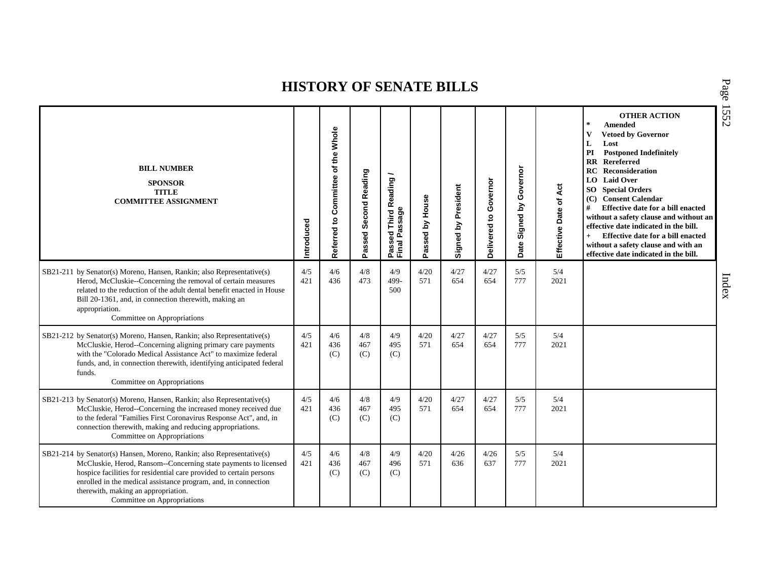| <b>BILL NUMBER</b><br><b>SPONSOR</b><br><b>TITLE</b><br><b>COMMITTEE ASSIGNMENT</b>                                                                                                                                                                                                                                                                     | ntroduced  | of the Whole<br>Committee<br>Referred to | Passed Second Reading | Passed Third Reading<br>Final Passage | Passed by House | Signed by President | Governor<br>$\mathbf{S}$<br>Delivered | Governor<br>Σ<br>Signed<br>Date | Act<br>Effective Date of | <b>OTHER ACTION</b><br>$\ast$<br><b>Amended</b><br>$\mathbf{V}$<br><b>Vetoed by Governor</b><br>L<br>Lost<br>PI<br><b>Postponed Indefinitely</b><br><b>RR</b> Rereferred<br>RC<br>Reconsideration<br>LO Laid Over<br><b>SO</b> Special Orders<br>(C) Consent Calendar<br>#<br>Effective date for a bill enacted<br>without a safety clause and without an<br>effective date indicated in the bill.<br>Effective date for a bill enacted<br>$+$<br>without a safety clause and with an<br>effective date indicated in the bill. |
|---------------------------------------------------------------------------------------------------------------------------------------------------------------------------------------------------------------------------------------------------------------------------------------------------------------------------------------------------------|------------|------------------------------------------|-----------------------|---------------------------------------|-----------------|---------------------|---------------------------------------|---------------------------------|--------------------------|--------------------------------------------------------------------------------------------------------------------------------------------------------------------------------------------------------------------------------------------------------------------------------------------------------------------------------------------------------------------------------------------------------------------------------------------------------------------------------------------------------------------------------|
| SB21-211 by Senator(s) Moreno, Hansen, Rankin; also Representative(s)<br>Herod, McCluskie--Concerning the removal of certain measures<br>related to the reduction of the adult dental benefit enacted in House<br>Bill 20-1361, and, in connection therewith, making an<br>appropriation.<br>Committee on Appropriations                                | 4/5<br>421 | 4/6<br>436                               | 4/8<br>473            | 4/9<br>499-<br>500                    | 4/20<br>571     | 4/27<br>654         | 4/27<br>654                           | 5/5<br>777                      | 5/4<br>2021              |                                                                                                                                                                                                                                                                                                                                                                                                                                                                                                                                |
| SB21-212 by Senator(s) Moreno, Hansen, Rankin; also Representative(s)<br>McCluskie, Herod--Concerning aligning primary care payments<br>with the "Colorado Medical Assistance Act" to maximize federal<br>funds, and, in connection therewith, identifying anticipated federal<br>funds.<br>Committee on Appropriations                                 | 4/5<br>421 | 4/6<br>436<br>(C)                        | 4/8<br>467<br>(C)     | 4/9<br>495<br>(C)                     | 4/20<br>571     | 4/27<br>654         | 4/27<br>654                           | 5/5<br>777                      | 5/4<br>2021              |                                                                                                                                                                                                                                                                                                                                                                                                                                                                                                                                |
| SB21-213 by Senator(s) Moreno, Hansen, Rankin; also Representative(s)<br>McCluskie, Herod--Concerning the increased money received due<br>to the federal "Families First Coronavirus Response Act", and, in<br>connection therewith, making and reducing appropriations.<br>Committee on Appropriations                                                 | 4/5<br>421 | 4/6<br>436<br>(C)                        | 4/8<br>467<br>(C)     | 4/9<br>495<br>(C)                     | 4/20<br>571     | 4/27<br>654         | 4/27<br>654                           | 5/5<br>777                      | 5/4<br>2021              |                                                                                                                                                                                                                                                                                                                                                                                                                                                                                                                                |
| SB21-214 by Senator(s) Hansen, Moreno, Rankin; also Representative(s)<br>McCluskie, Herod, Ransom--Concerning state payments to licensed<br>hospice facilities for residential care provided to certain persons<br>enrolled in the medical assistance program, and, in connection<br>therewith, making an appropriation.<br>Committee on Appropriations | 4/5<br>421 | 4/6<br>436<br>(C)                        | 4/8<br>467<br>(C)     | 4/9<br>496<br>(C)                     | 4/20<br>571     | 4/26<br>636         | 4/26<br>637                           | 5/5<br>777                      | 5/4<br>2021              |                                                                                                                                                                                                                                                                                                                                                                                                                                                                                                                                |

P a g e 15 5 2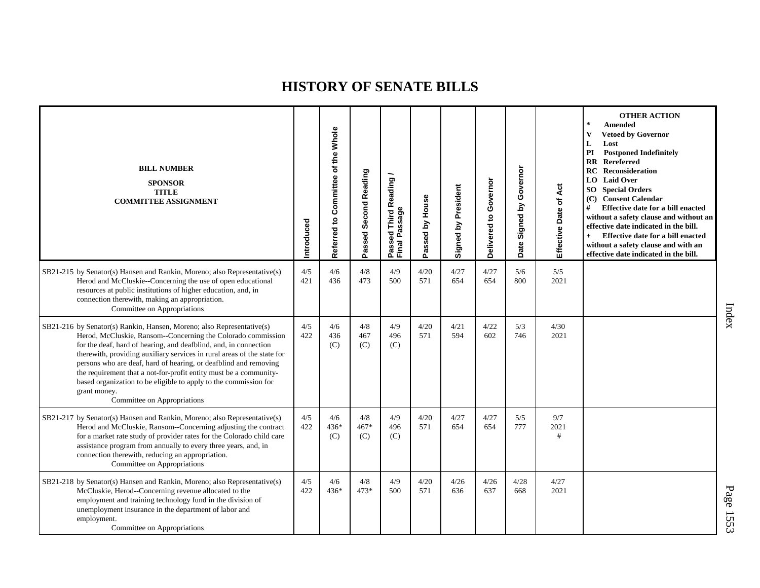| <b>BILL NUMBER</b><br><b>SPONSOR</b><br><b>TITLE</b><br><b>COMMITTEE ASSIGNMENT</b>                                                                                                                                                                                                                                                                                                                                                                                                                                                              | Introduced | Referred to Committee of the Whole | Passed Second Reading | Passed Third Reading<br>Final Passage | Passed by House | Signed by President | Governor<br>$\mathbf{c}$<br>Delivered | Governor<br>Signed by<br>Date: | Act<br>Effective Date of | <b>OTHER ACTION</b><br>$\star$<br><b>Amended</b><br>V<br><b>Vetoed by Governor</b><br>L<br>Lost<br>PI<br><b>Postponed Indefinitely</b><br><b>RR</b> Rereferred<br><b>RC</b> Reconsideration<br><b>LO</b> Laid Over<br><b>SO</b> Special Orders<br>(C) Consent Calendar<br>#<br>Effective date for a bill enacted<br>without a safety clause and without an<br>effective date indicated in the bill.<br>Effective date for a bill enacted<br>$+$<br>without a safety clause and with an<br>effective date indicated in the bill. |
|--------------------------------------------------------------------------------------------------------------------------------------------------------------------------------------------------------------------------------------------------------------------------------------------------------------------------------------------------------------------------------------------------------------------------------------------------------------------------------------------------------------------------------------------------|------------|------------------------------------|-----------------------|---------------------------------------|-----------------|---------------------|---------------------------------------|--------------------------------|--------------------------|---------------------------------------------------------------------------------------------------------------------------------------------------------------------------------------------------------------------------------------------------------------------------------------------------------------------------------------------------------------------------------------------------------------------------------------------------------------------------------------------------------------------------------|
| SB21-215 by Senator(s) Hansen and Rankin, Moreno; also Representative(s)<br>Herod and McCluskie--Concerning the use of open educational<br>resources at public institutions of higher education, and, in<br>connection therewith, making an appropriation.<br>Committee on Appropriations                                                                                                                                                                                                                                                        | 4/5<br>421 | 4/6<br>436                         | $4/8$<br>473          | 4/9<br>500                            | 4/20<br>571     | 4/27<br>654         | 4/27<br>654                           | 5/6<br>800                     | 5/5<br>2021              |                                                                                                                                                                                                                                                                                                                                                                                                                                                                                                                                 |
| SB21-216 by Senator(s) Rankin, Hansen, Moreno; also Representative(s)<br>Herod, McCluskie, Ransom--Concerning the Colorado commission<br>for the deaf, hard of hearing, and deafblind, and, in connection<br>therewith, providing auxiliary services in rural areas of the state for<br>persons who are deaf, hard of hearing, or deafblind and removing<br>the requirement that a not-for-profit entity must be a community-<br>based organization to be eligible to apply to the commission for<br>grant money.<br>Committee on Appropriations | 4/5<br>422 | 4/6<br>436<br>(C)                  | 4/8<br>467<br>(C)     | 4/9<br>496<br>(C)                     | 4/20<br>571     | 4/21<br>594         | 4/22<br>602                           | 5/3<br>746                     | 4/30<br>2021             |                                                                                                                                                                                                                                                                                                                                                                                                                                                                                                                                 |
| SB21-217 by Senator(s) Hansen and Rankin, Moreno; also Representative(s)<br>Herod and McCluskie, Ransom--Concerning adjusting the contract<br>for a market rate study of provider rates for the Colorado child care<br>assistance program from annually to every three years, and, in<br>connection therewith, reducing an appropriation.<br>Committee on Appropriations                                                                                                                                                                         | 4/5<br>422 | 4/6<br>436*<br>(C)                 | 4/8<br>467*<br>(C)    | 4/9<br>496<br>(C)                     | 4/20<br>571     | 4/27<br>654         | 4/27<br>654                           | 5/5<br>777                     | 9/7<br>2021<br>#         |                                                                                                                                                                                                                                                                                                                                                                                                                                                                                                                                 |
| SB21-218 by Senator(s) Hansen and Rankin, Moreno; also Representative(s)<br>McCluskie, Herod--Concerning revenue allocated to the<br>employment and training technology fund in the division of<br>unemployment insurance in the department of labor and<br>employment.<br>Committee on Appropriations                                                                                                                                                                                                                                           | 4/5<br>422 | 4/6<br>436*                        | 4/8<br>$473*$         | 4/9<br>500                            | 4/20<br>571     | 4/26<br>636         | 4/26<br>637                           | 4/28<br>668                    | 4/27<br>2021             |                                                                                                                                                                                                                                                                                                                                                                                                                                                                                                                                 |

Index

P a g e 15 5 3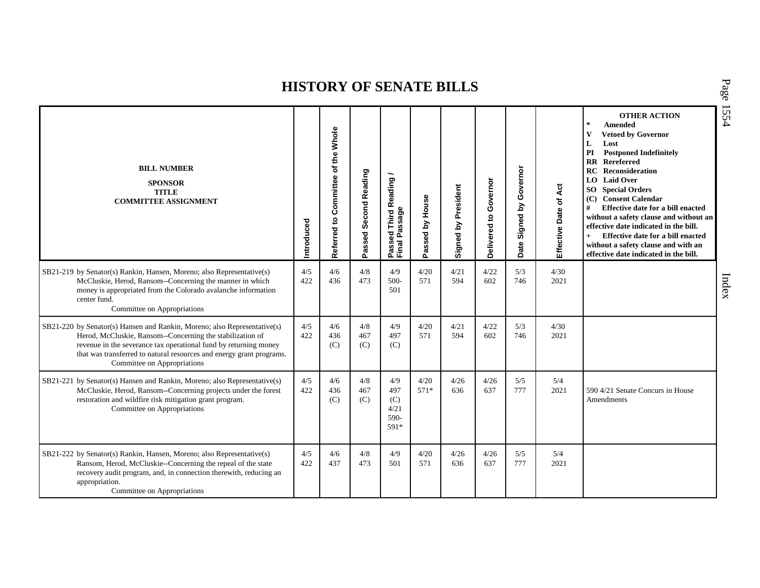| <b>BILL NUMBER</b><br><b>SPONSOR</b><br><b>TITLE</b><br><b>COMMITTEE ASSIGNMENT</b>                                                                                                                                                                                                                              | Introduced | Referred to Committee of the Whole | Passed Second Reading | Passed Third Reading<br>Final Passage     | Passed by House | Signed by President | Governor<br>$\mathtt{S}$<br>Delivered | Governor<br>Σ<br>Signed<br>Date | Act<br>Effective Date of | <b>OTHER ACTION</b><br>$\pm$<br><b>Amended</b><br>V<br><b>Vetoed by Governor</b><br>L<br>Lost<br>PI<br><b>Postponed Indefinitely</b><br><b>RR</b> Rereferred<br>RC<br>Reconsideration<br><b>LO</b> Laid Over<br><b>SO</b> Special Orders<br>(C) Consent Calendar<br>#<br>Effective date for a bill enacted<br>without a safety clause and without an<br>effective date indicated in the bill.<br>Effective date for a bill enacted<br>$+$<br>without a safety clause and with an<br>effective date indicated in the bill. |
|------------------------------------------------------------------------------------------------------------------------------------------------------------------------------------------------------------------------------------------------------------------------------------------------------------------|------------|------------------------------------|-----------------------|-------------------------------------------|-----------------|---------------------|---------------------------------------|---------------------------------|--------------------------|---------------------------------------------------------------------------------------------------------------------------------------------------------------------------------------------------------------------------------------------------------------------------------------------------------------------------------------------------------------------------------------------------------------------------------------------------------------------------------------------------------------------------|
| SB21-219 by Senator(s) Rankin, Hansen, Moreno; also Representative(s)<br>McCluskie, Herod, Ransom--Concerning the manner in which<br>money is appropriated from the Colorado avalanche information<br>center fund.<br>Committee on Appropriations                                                                | 4/5<br>422 | 4/6<br>436                         | 4/8<br>473            | 4/9<br>$500-$<br>501                      | 4/20<br>571     | 4/21<br>594         | 4/22<br>602                           | 5/3<br>746                      | 4/30<br>2021             |                                                                                                                                                                                                                                                                                                                                                                                                                                                                                                                           |
| SB21-220 by Senator(s) Hansen and Rankin, Moreno; also Representative(s)<br>Herod, McCluskie, Ransom--Concerning the stabilization of<br>revenue in the severance tax operational fund by returning money<br>that was transferred to natural resources and energy grant programs.<br>Committee on Appropriations | 4/5<br>422 | 4/6<br>436<br>(C)                  | 4/8<br>467<br>(C)     | 4/9<br>497<br>(C)                         | 4/20<br>571     | 4/21<br>594         | 4/22<br>602                           | 5/3<br>746                      | 4/30<br>2021             |                                                                                                                                                                                                                                                                                                                                                                                                                                                                                                                           |
| SB21-221 by Senator(s) Hansen and Rankin, Moreno; also Representative(s)<br>McCluskie, Herod, Ransom--Concerning projects under the forest<br>restoration and wildfire risk mitigation grant program.<br>Committee on Appropriations                                                                             | 4/5<br>422 | 4/6<br>436<br>(C)                  | 4/8<br>467<br>(C)     | 4/9<br>497<br>(C)<br>4/21<br>590-<br>591* | 4/20<br>$571*$  | 4/26<br>636         | 4/26<br>637                           | 5/5<br>777                      | 5/4<br>2021              | 590 4/21 Senate Concurs in House<br>Amendments                                                                                                                                                                                                                                                                                                                                                                                                                                                                            |
| SB21-222 by Senator(s) Rankin, Hansen, Moreno; also Representative(s)<br>Ransom, Herod, McCluskie--Concerning the repeal of the state<br>recovery audit program, and, in connection therewith, reducing an<br>appropriation.<br>Committee on Appropriations                                                      | 4/5<br>422 | 4/6<br>437                         | 4/8<br>473            | 4/9<br>501                                | 4/20<br>571     | 4/26<br>636         | 4/26<br>637                           | 5/5<br>777                      | 5/4<br>2021              |                                                                                                                                                                                                                                                                                                                                                                                                                                                                                                                           |

P a g e 15 5 4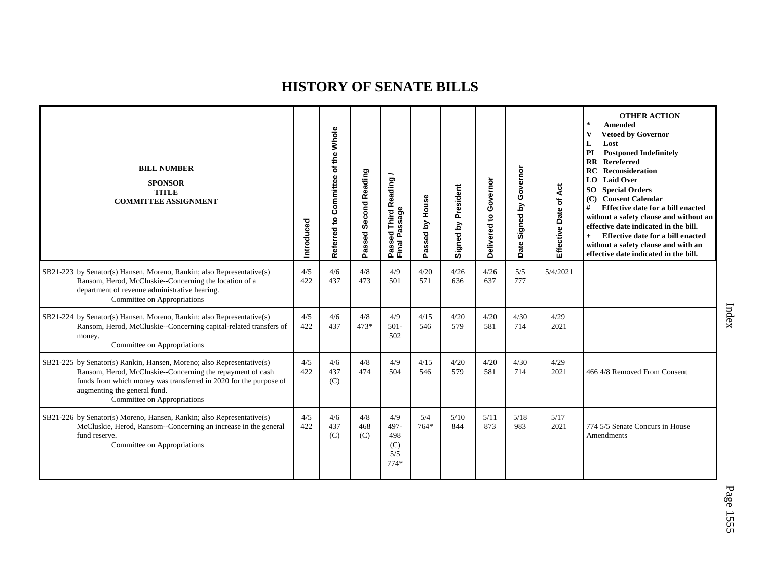| <b>BILL NUMBER</b><br><b>SPONSOR</b><br><b>TITLE</b><br><b>COMMITTEE ASSIGNMENT</b>                                                                                                                                                                                     | ntroduced  | Whole<br>of the<br>Committee<br>Referred to | Passed Second Reading | assed Third Reading<br>Passage<br>Passe<br>Final | Passed by House | Signed by President | Governor<br>Delivered to | Governor<br>Signed by<br>Date | Effective Date of Act | <b>OTHER ACTION</b><br>$\star$<br>Amended<br>$\mathbf{V}$<br><b>Vetoed by Governor</b><br>L<br>Lost<br>PI<br><b>Postponed Indefinitely</b><br><b>Rereferred</b><br>$\mathbf{R}$<br><b>RC</b> Reconsideration<br><b>LO</b> Laid Over<br><b>SO</b> Special Orders<br>(C) Consent Calendar<br>#<br>Effective date for a bill enacted<br>without a safety clause and without an<br>effective date indicated in the bill.<br>Effective date for a bill enacted<br>$^{+}$<br>without a safety clause and with an<br>effective date indicated in the bill. |
|-------------------------------------------------------------------------------------------------------------------------------------------------------------------------------------------------------------------------------------------------------------------------|------------|---------------------------------------------|-----------------------|--------------------------------------------------|-----------------|---------------------|--------------------------|-------------------------------|-----------------------|-----------------------------------------------------------------------------------------------------------------------------------------------------------------------------------------------------------------------------------------------------------------------------------------------------------------------------------------------------------------------------------------------------------------------------------------------------------------------------------------------------------------------------------------------------|
| SB21-223 by Senator(s) Hansen, Moreno, Rankin; also Representative(s)<br>Ransom, Herod, McCluskie--Concerning the location of a<br>department of revenue administrative hearing.<br>Committee on Appropriations                                                         | 4/5<br>422 | 4/6<br>437                                  | 4/8<br>473            | 4/9<br>501                                       | 4/20<br>571     | 4/26<br>636         | 4/26<br>637              | 5/5<br>777                    | 5/4/2021              |                                                                                                                                                                                                                                                                                                                                                                                                                                                                                                                                                     |
| SB21-224 by Senator(s) Hansen, Moreno, Rankin; also Representative(s)<br>Ransom, Herod, McCluskie--Concerning capital-related transfers of<br>money.<br>Committee on Appropriations                                                                                     | 4/5<br>422 | 4/6<br>437                                  | 4/8<br>$473*$         | 4/9<br>$501 -$<br>502                            | 4/15<br>546     | 4/20<br>579         | 4/20<br>581              | 4/30<br>714                   | 4/29<br>2021          |                                                                                                                                                                                                                                                                                                                                                                                                                                                                                                                                                     |
| SB21-225 by Senator(s) Rankin, Hansen, Moreno; also Representative(s)<br>Ransom, Herod, McCluskie--Concerning the repayment of cash<br>funds from which money was transferred in 2020 for the purpose of<br>augmenting the general fund.<br>Committee on Appropriations | 4/5<br>422 | 4/6<br>437<br>(C)                           | 4/8<br>474            | 4/9<br>504                                       | 4/15<br>546     | 4/20<br>579         | 4/20<br>581              | 4/30<br>714                   | 4/29<br>2021          | 466 4/8 Removed From Consent                                                                                                                                                                                                                                                                                                                                                                                                                                                                                                                        |
| SB21-226 by Senator(s) Moreno, Hansen, Rankin; also Representative(s)<br>McCluskie, Herod, Ransom--Concerning an increase in the general<br>fund reserve.<br>Committee on Appropriations                                                                                | 4/5<br>422 | 4/6<br>437<br>(C)                           | 4/8<br>468<br>(C)     | 4/9<br>497-<br>498<br>(C)<br>5/5<br>$774*$       | 5/4<br>$764*$   | 5/10<br>844         | 5/11<br>873              | 5/18<br>983                   | 5/17<br>2021          | 774 5/5 Senate Concurs in House<br>Amendments                                                                                                                                                                                                                                                                                                                                                                                                                                                                                                       |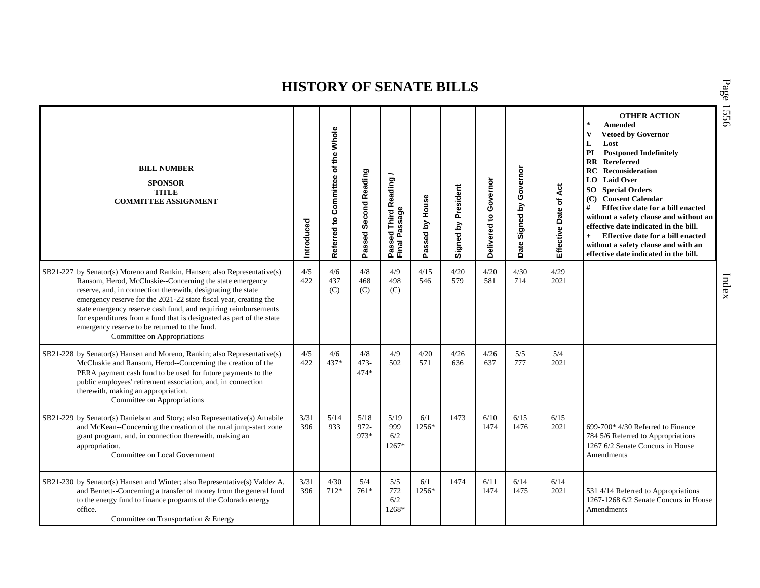| <b>BILL NUMBER</b><br><b>SPONSOR</b><br><b>TITLE</b><br><b>COMMITTEE ASSIGNMENT</b>                                                                                                                                                                                                                                                                                                                                                                                                                  | Introduced  | of the Whole<br>Referred to Committee | Passed Second Reading | Passed Third Reading<br>Final Passage | Passed by House | Signed by President | Governor<br>Delivered to | Governor<br>Signed by<br>Date | Act<br>Effective Date of | <b>OTHER ACTION</b><br>$\star$<br><b>Amended</b><br>$\mathbf{V}$<br><b>Vetoed by Governor</b><br>L<br>Lost<br>PI<br><b>Postponed Indefinitely</b><br><b>RR</b> Rereferred<br><b>RC</b> Reconsideration<br>LO Laid Over<br><b>SO</b> Special Orders<br>(C) Consent Calendar<br>#<br>Effective date for a bill enacted<br>without a safety clause and without an<br>effective date indicated in the bill.<br>Effective date for a bill enacted<br>$+$<br>without a safety clause and with an<br>effective date indicated in the bill. |
|------------------------------------------------------------------------------------------------------------------------------------------------------------------------------------------------------------------------------------------------------------------------------------------------------------------------------------------------------------------------------------------------------------------------------------------------------------------------------------------------------|-------------|---------------------------------------|-----------------------|---------------------------------------|-----------------|---------------------|--------------------------|-------------------------------|--------------------------|-------------------------------------------------------------------------------------------------------------------------------------------------------------------------------------------------------------------------------------------------------------------------------------------------------------------------------------------------------------------------------------------------------------------------------------------------------------------------------------------------------------------------------------|
| SB21-227 by Senator(s) Moreno and Rankin, Hansen; also Representative(s)<br>Ransom, Herod, McCluskie--Concerning the state emergency<br>reserve, and, in connection therewith, designating the state<br>emergency reserve for the 2021-22 state fiscal year, creating the<br>state emergency reserve cash fund, and requiring reimbursements<br>for expenditures from a fund that is designated as part of the state<br>emergency reserve to be returned to the fund.<br>Committee on Appropriations | 4/5<br>422  | 4/6<br>437<br>(C)                     | 4/8<br>468<br>(C)     | 4/9<br>498<br>(C)                     | 4/15<br>546     | 4/20<br>579         | 4/20<br>581              | 4/30<br>714                   | 4/29<br>2021             |                                                                                                                                                                                                                                                                                                                                                                                                                                                                                                                                     |
| SB21-228 by Senator(s) Hansen and Moreno, Rankin; also Representative(s)<br>McCluskie and Ransom, Herod--Concerning the creation of the<br>PERA payment cash fund to be used for future payments to the<br>public employees' retirement association, and, in connection<br>therewith, making an appropriation.<br>Committee on Appropriations                                                                                                                                                        | 4/5<br>422  | 4/6<br>437*                           | 4/8<br>473-<br>$474*$ | 4/9<br>502                            | 4/20<br>571     | 4/26<br>636         | 4/26<br>637              | 5/5<br>777                    | 5/4<br>2021              |                                                                                                                                                                                                                                                                                                                                                                                                                                                                                                                                     |
| SB21-229 by Senator(s) Danielson and Story; also Representative(s) Amabile<br>and McKean--Concerning the creation of the rural jump-start zone<br>grant program, and, in connection therewith, making an<br>appropriation.<br>Committee on Local Government                                                                                                                                                                                                                                          | 3/31<br>396 | 5/14<br>933                           | 5/18<br>972-<br>973*  | 5/19<br>999<br>6/2<br>1267*           | 6/1<br>1256*    | 1473                | 6/10<br>1474             | 6/15<br>1476                  | 6/15<br>2021             | 699-700* 4/30 Referred to Finance<br>784 5/6 Referred to Appropriations<br>1267 6/2 Senate Concurs in House<br><b>Amendments</b>                                                                                                                                                                                                                                                                                                                                                                                                    |
| SB21-230 by Senator(s) Hansen and Winter; also Representative(s) Valdez A.<br>and Bernett--Concerning a transfer of money from the general fund<br>to the energy fund to finance programs of the Colorado energy<br>office.<br>Committee on Transportation & Energy                                                                                                                                                                                                                                  | 3/31<br>396 | 4/30<br>$712*$                        | 5/4<br>$761*$         | 5/5<br>772<br>6/2<br>1268*            | 6/1<br>1256*    | 1474                | 6/11<br>1474             | 6/14<br>1475                  | 6/14<br>2021             | 531 4/14 Referred to Appropriations<br>1267-1268 6/2 Senate Concurs in House<br>Amendments                                                                                                                                                                                                                                                                                                                                                                                                                                          |

P a g e 15 5 6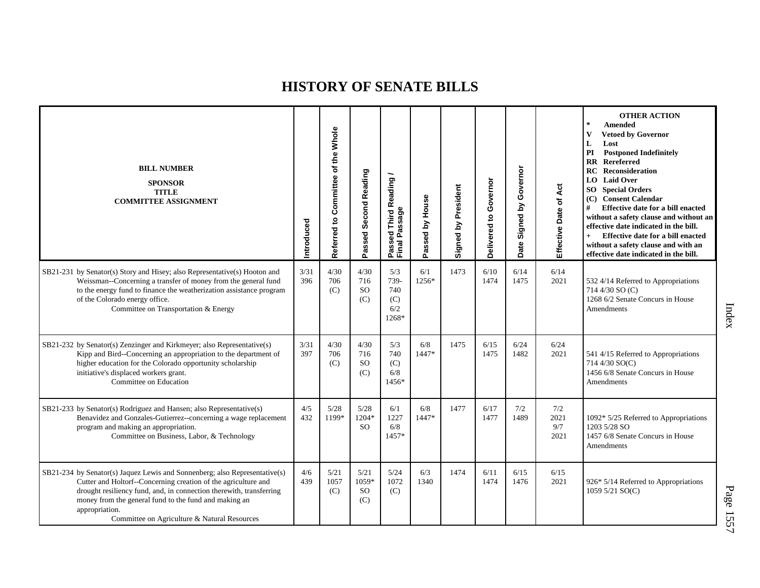| <b>BILL NUMBER</b><br><b>SPONSOR</b><br><b>TITLE</b><br><b>COMMITTEE ASSIGNMENT</b>                                                                                                                                                                                                                                                            | ntroduced   | Committee of the Whole<br>Referred to | Passed Second Reading             | Passed Third Reading<br>Final Passage     | Passed by House | Signed by President | Governor<br><u>ہ</u><br>Delivered | Governor<br>Date Signed by | Effective Date of Act      | <b>OTHER ACTION</b><br>$\star$<br>Amended<br><b>Vetoed by Governor</b><br>v<br>L<br>Lost<br><b>Postponed Indefinitely</b><br>PI<br><b>RR</b> Rereferred<br>Reconsideration<br>RC<br><b>LO</b> Laid Over<br><b>SO</b> Special Orders<br><b>Consent Calendar</b><br>(C)<br>#<br>Effective date for a bill enacted<br>without a safety clause and without an<br>effective date indicated in the bill.<br>Effective date for a bill enacted<br>$+$<br>without a safety clause and with an<br>effective date indicated in the bill. |
|------------------------------------------------------------------------------------------------------------------------------------------------------------------------------------------------------------------------------------------------------------------------------------------------------------------------------------------------|-------------|---------------------------------------|-----------------------------------|-------------------------------------------|-----------------|---------------------|-----------------------------------|----------------------------|----------------------------|--------------------------------------------------------------------------------------------------------------------------------------------------------------------------------------------------------------------------------------------------------------------------------------------------------------------------------------------------------------------------------------------------------------------------------------------------------------------------------------------------------------------------------|
| SB21-231 by Senator(s) Story and Hisey; also Representative(s) Hooton and<br>Weissman--Concerning a transfer of money from the general fund<br>to the energy fund to finance the weatherization assistance program<br>of the Colorado energy office.<br>Committee on Transportation & Energy                                                   | 3/31<br>396 | 4/30<br>706<br>(C)                    | 4/30<br>716<br><b>SO</b><br>(C)   | 5/3<br>739-<br>740<br>(C)<br>6/2<br>1268* | 6/1<br>1256*    | 1473                | 6/10<br>1474                      | 6/14<br>1475               | 6/14<br>2021               | 532 4/14 Referred to Appropriations<br>714 4/30 SO (C)<br>1268 6/2 Senate Concurs in House<br>Amendments                                                                                                                                                                                                                                                                                                                                                                                                                       |
| SB21-232 by Senator(s) Zenzinger and Kirkmeyer; also Representative(s)<br>Kipp and Bird--Concerning an appropriation to the department of<br>higher education for the Colorado opportunity scholarship<br>initiative's displaced workers grant.<br>Committee on Education                                                                      | 3/31<br>397 | 4/30<br>706<br>(C)                    | 4/30<br>716<br>SO.<br>(C)         | 5/3<br>740<br>(C)<br>6/8<br>1456*         | 6/8<br>1447*    | 1475                | 6/15<br>1475                      | 6/24<br>1482               | 6/24<br>2021               | 541 4/15 Referred to Appropriations<br>714 4/30 SO(C)<br>1456 6/8 Senate Concurs in House<br>Amendments                                                                                                                                                                                                                                                                                                                                                                                                                        |
| SB21-233 by Senator(s) Rodriguez and Hansen; also Representative(s)<br>Benavidez and Gonzales-Gutierrez--concerning a wage replacement<br>program and making an appropriation.<br>Committee on Business, Labor, & Technology                                                                                                                   | 4/5<br>432  | 5/28<br>1199*                         | 5/28<br>1204*<br>SO <sub>2</sub>  | 6/1<br>1227<br>6/8<br>1457*               | 6/8<br>1447*    | 1477                | 6/17<br>1477                      | 7/2<br>1489                | 7/2<br>2021<br>9/7<br>2021 | 1092* 5/25 Referred to Appropriations<br>1203 5/28 SO<br>1457 6/8 Senate Concurs in House<br>Amendments                                                                                                                                                                                                                                                                                                                                                                                                                        |
| SB21-234 by Senator(s) Jaquez Lewis and Sonnenberg; also Representative(s)<br>Cutter and Holtorf--Concerning creation of the agriculture and<br>drought resiliency fund, and, in connection therewith, transferring<br>money from the general fund to the fund and making an<br>appropriation.<br>Committee on Agriculture & Natural Resources | 4/6<br>439  | 5/21<br>1057<br>(C)                   | 5/21<br>1059*<br><b>SO</b><br>(C) | 5/24<br>1072<br>(C)                       | 6/3<br>1340     | 1474                | 6/11<br>1474                      | 6/15<br>1476               | 6/15<br>2021               | 926* 5/14 Referred to Appropriations<br>1059 5/21 SO(C)                                                                                                                                                                                                                                                                                                                                                                                                                                                                        |

Index

P a g e 1557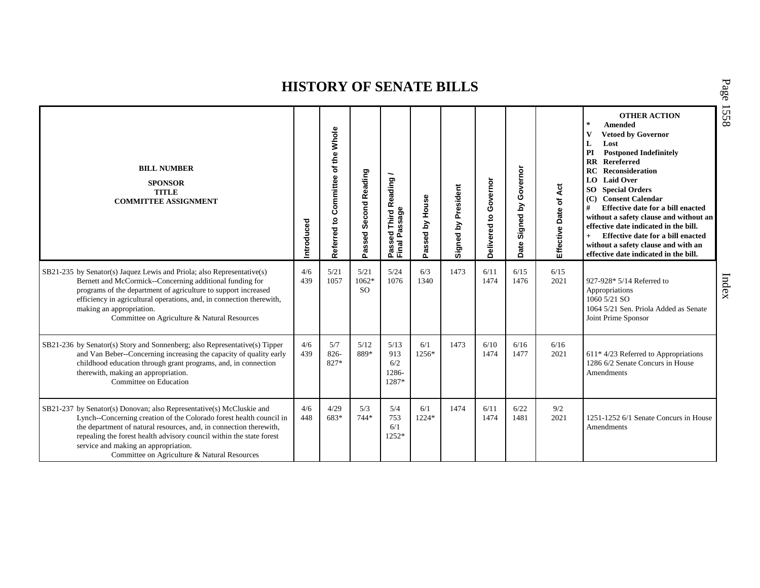| <b>BILL NUMBER</b><br><b>SPONSOR</b><br><b>TITLE</b><br><b>COMMITTEE ASSIGNMENT</b>                                                                                                                                                                                                                                                                                               | Introduced | Whole<br>of the<br>Committee<br>Referred to | Passed Second Reading          | <b>Third Reading</b><br>Passed Third R<br>Final Passage | Passed by House | Signed by President | Governor<br>Delivered to | Governor<br>ζq<br>Signed<br>Date | Effective Date of Act | <b>OTHER ACTION</b><br>$\star$<br><b>Amended</b><br><b>Vetoed by Governor</b><br>L<br>Lost<br>PI<br><b>Postponed Indefinitely</b><br>Rereferred<br>$\mathbf{R}$<br><b>RC</b> Reconsideration<br><b>LO</b> Laid Over<br>SO<br><b>Special Orders</b><br><b>Consent Calendar</b><br>(C)<br>#<br>Effective date for a bill enacted<br>without a safety clause and without an<br>effective date indicated in the bill.<br>Effective date for a bill enacted<br>$+$<br>without a safety clause and with an<br>effective date indicated in the bill. |
|-----------------------------------------------------------------------------------------------------------------------------------------------------------------------------------------------------------------------------------------------------------------------------------------------------------------------------------------------------------------------------------|------------|---------------------------------------------|--------------------------------|---------------------------------------------------------|-----------------|---------------------|--------------------------|----------------------------------|-----------------------|-----------------------------------------------------------------------------------------------------------------------------------------------------------------------------------------------------------------------------------------------------------------------------------------------------------------------------------------------------------------------------------------------------------------------------------------------------------------------------------------------------------------------------------------------|
| SB21-235 by Senator(s) Jaquez Lewis and Priola; also Representative(s)<br>Bernett and McCormick--Concerning additional funding for<br>programs of the department of agriculture to support increased<br>efficiency in agricultural operations, and, in connection therewith,<br>making an appropriation.<br>Committee on Agriculture & Natural Resources                          | 4/6<br>439 | 5/21<br>1057                                | 5/21<br>1062*<br><sub>SO</sub> | 5/24<br>1076                                            | 6/3<br>1340     | 1473                | 6/11<br>1474             | 6/15<br>1476                     | 6/15<br>2021          | 927-928* 5/14 Referred to<br>Appropriations<br>1060 5/21 SO<br>1064 5/21 Sen. Priola Added as Senate<br>Joint Prime Sponsor                                                                                                                                                                                                                                                                                                                                                                                                                   |
| SB21-236 by Senator(s) Story and Sonnenberg; also Representative(s) Tipper<br>and Van Beber--Concerning increasing the capacity of quality early<br>childhood education through grant programs, and, in connection<br>therewith, making an appropriation.<br>Committee on Education                                                                                               | 4/6<br>439 | 5/7<br>826-<br>827*                         | 5/12<br>889*                   | 5/13<br>913<br>6/2<br>1286-<br>1287*                    | 6/1<br>1256*    | 1473                | 6/10<br>1474             | 6/16<br>1477                     | 6/16<br>2021          | $611*4/23$ Referred to Appropriations<br>1286 6/2 Senate Concurs in House<br>Amendments                                                                                                                                                                                                                                                                                                                                                                                                                                                       |
| SB21-237 by Senator(s) Donovan; also Representative(s) McCluskie and<br>Lynch--Concerning creation of the Colorado forest health council in<br>the department of natural resources, and, in connection therewith,<br>repealing the forest health advisory council within the state forest<br>service and making an appropriation.<br>Committee on Agriculture & Natural Resources | 4/6<br>448 | 4/29<br>683*                                | 5/3<br>$744*$                  | 5/4<br>753<br>6/1<br>1252*                              | 6/1<br>1224*    | 1474                | 6/11<br>1474             | 6/22<br>1481                     | 9/2<br>2021           | 1251-1252 6/1 Senate Concurs in House<br>Amendments                                                                                                                                                                                                                                                                                                                                                                                                                                                                                           |

P a g e 15 5 8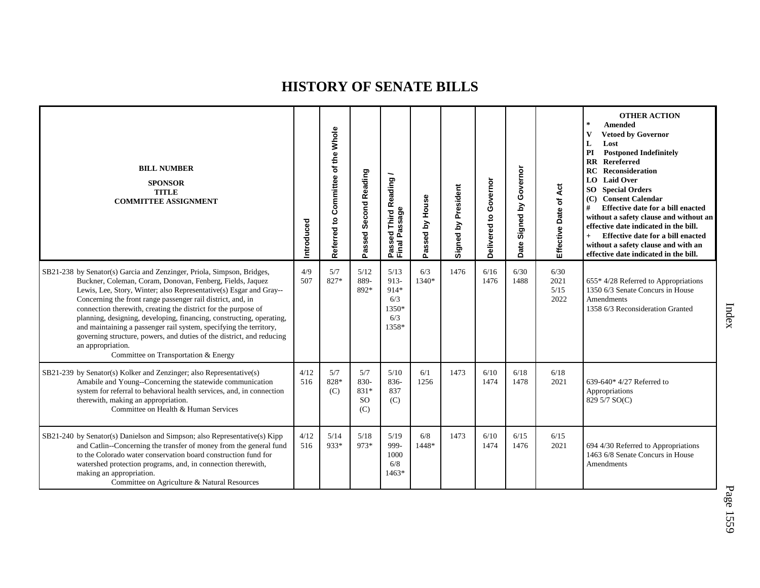| <b>BILL NUMBER</b><br><b>SPONSOR</b><br><b>TITLE</b><br><b>COMMITTEE ASSIGNMENT</b>                                                                                                                                                                                                                                                                                                                                                                                                                                                                                                                                            | Introduced  | Committee of the Whole<br>Referred to | Passed Second Reading                       | Passed Third Reading<br>Final Passage                   | Passed by House | Signed by President | Governor<br>$\mathbf{S}$<br>Delivered | Governor<br>Signed by<br>Date | Act<br>Effective Date of     | <b>OTHER ACTION</b><br>$\star$<br>Amended<br><b>Vetoed by Governor</b><br>V<br>L<br>Lost<br>PI<br><b>Postponed Indefinitely</b><br><b>RR</b> Rereferred<br>RC<br>Reconsideration<br><b>LO</b> Laid Over<br><b>SO</b> Special Orders<br>(C) Consent Calendar<br>#<br>Effective date for a bill enacted<br>without a safety clause and without an<br>effective date indicated in the bill.<br>Effective date for a bill enacted<br>$+$<br>without a safety clause and with an<br>effective date indicated in the bill. |
|--------------------------------------------------------------------------------------------------------------------------------------------------------------------------------------------------------------------------------------------------------------------------------------------------------------------------------------------------------------------------------------------------------------------------------------------------------------------------------------------------------------------------------------------------------------------------------------------------------------------------------|-------------|---------------------------------------|---------------------------------------------|---------------------------------------------------------|-----------------|---------------------|---------------------------------------|-------------------------------|------------------------------|----------------------------------------------------------------------------------------------------------------------------------------------------------------------------------------------------------------------------------------------------------------------------------------------------------------------------------------------------------------------------------------------------------------------------------------------------------------------------------------------------------------------|
| SB21-238 by Senator(s) Garcia and Zenzinger, Priola, Simpson, Bridges,<br>Buckner, Coleman, Coram, Donovan, Fenberg, Fields, Jaquez<br>Lewis, Lee, Story, Winter; also Representative(s) Esgar and Gray--<br>Concerning the front range passenger rail district, and, in<br>connection therewith, creating the district for the purpose of<br>planning, designing, developing, financing, constructing, operating,<br>and maintaining a passenger rail system, specifying the territory,<br>governing structure, powers, and duties of the district, and reducing<br>an appropriation.<br>Committee on Transportation & Energy | 4/9<br>507  | 5/7<br>827*                           | 5/12<br>889-<br>892*                        | 5/13<br>$913 -$<br>914*<br>6/3<br>1350*<br>6/3<br>1358* | 6/3<br>1340*    | 1476                | 6/16<br>1476                          | 6/30<br>1488                  | 6/30<br>2021<br>5/15<br>2022 | $655*4/28$ Referred to Appropriations<br>1350 6/3 Senate Concurs in House<br>Amendments<br>1358 6/3 Reconsideration Granted                                                                                                                                                                                                                                                                                                                                                                                          |
| SB21-239 by Senator(s) Kolker and Zenzinger; also Representative(s)<br>Amabile and Young--Concerning the statewide communication<br>system for referral to behavioral health services, and, in connection<br>therewith, making an appropriation.<br>Committee on Health & Human Services                                                                                                                                                                                                                                                                                                                                       | 4/12<br>516 | 5/7<br>828*<br>(C)                    | 5/7<br>830-<br>831*<br><sub>SO</sub><br>(C) | 5/10<br>836-<br>837<br>(C)                              | 6/1<br>1256     | 1473                | 6/10<br>1474                          | 6/18<br>1478                  | 6/18<br>2021                 | 639-640 $*$ 4/27 Referred to<br>Appropriations<br>829 5/7 SO(C)                                                                                                                                                                                                                                                                                                                                                                                                                                                      |
| SB21-240 by Senator(s) Danielson and Simpson; also Representative(s) Kipp<br>and Catlin--Concerning the transfer of money from the general fund<br>to the Colorado water conservation board construction fund for<br>watershed protection programs, and, in connection therewith,<br>making an appropriation.<br>Committee on Agriculture & Natural Resources                                                                                                                                                                                                                                                                  | 4/12<br>516 | 5/14<br>933*                          | 5/18<br>973*                                | 5/19<br>999-<br>1000<br>6/8<br>$1463*$                  | 6/8<br>1448*    | 1473                | 6/10<br>1474                          | 6/15<br>1476                  | 6/15<br>2021                 | 694 4/30 Referred to Appropriations<br>1463 6/8 Senate Concurs in House<br>Amendments                                                                                                                                                                                                                                                                                                                                                                                                                                |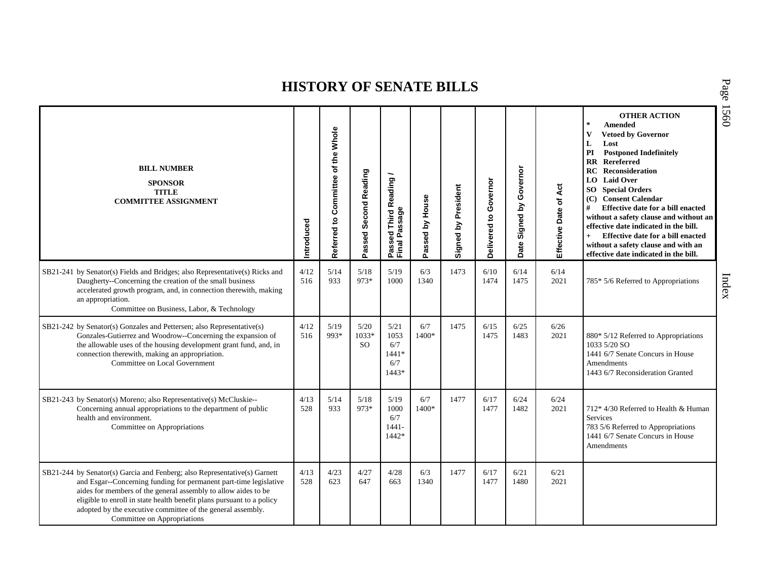P a g e

15 6 0

| <b>BILL NUMBER</b><br><b>SPONSOR</b><br><b>TITLE</b><br><b>COMMITTEE ASSIGNMENT</b>                                                                                                                                                                                                                                                                                                     | Introduced  | of the Whole<br>Referred to Committee | Passed Second Reading            | Passed Third Reading /<br>Final Passage        | Passed by House | Signed by President | Governor<br>Delivered to | Governor<br>Signed by<br>Date | Effective Date of Act | <b>OTHER ACTION</b><br>$\star$<br>Amended<br>$\mathbf{V}$<br><b>Vetoed by Governor</b><br>L<br>Lost<br><b>Postponed Indefinitely</b><br>PI<br><b>RR</b> Rereferred<br><b>RC</b> Reconsideration<br><b>LO</b> Laid Over<br><b>SO</b> Special Orders<br>(C) Consent Calendar<br>#<br>Effective date for a bill enacted<br>without a safety clause and without an<br>effective date indicated in the bill.<br>Effective date for a bill enacted<br>$+$<br>without a safety clause and with an<br>effective date indicated in the bill. |
|-----------------------------------------------------------------------------------------------------------------------------------------------------------------------------------------------------------------------------------------------------------------------------------------------------------------------------------------------------------------------------------------|-------------|---------------------------------------|----------------------------------|------------------------------------------------|-----------------|---------------------|--------------------------|-------------------------------|-----------------------|-------------------------------------------------------------------------------------------------------------------------------------------------------------------------------------------------------------------------------------------------------------------------------------------------------------------------------------------------------------------------------------------------------------------------------------------------------------------------------------------------------------------------------------|
| SB21-241 by Senator(s) Fields and Bridges; also Representative(s) Ricks and<br>Daugherty--Concerning the creation of the small business<br>accelerated growth program, and, in connection therewith, making<br>an appropriation.<br>Committee on Business, Labor, & Technology                                                                                                          | 4/12<br>516 | 5/14<br>933                           | 5/18<br>973*                     | 5/19<br>1000                                   | 6/3<br>1340     | 1473                | 6/10<br>1474             | 6/14<br>1475                  | 6/14<br>2021          | 785* 5/6 Referred to Appropriations                                                                                                                                                                                                                                                                                                                                                                                                                                                                                                 |
| SB21-242 by Senator(s) Gonzales and Pettersen; also Representative(s)<br>Gonzales-Gutierrez and Woodrow--Concerning the expansion of<br>the allowable uses of the housing development grant fund, and, in<br>connection therewith, making an appropriation.<br>Committee on Local Government                                                                                            | 4/12<br>516 | 5/19<br>993*                          | $5/20$<br>1033*<br><sub>SO</sub> | 5/21<br>1053<br>6/7<br>$1441*$<br>6/7<br>1443* | 6/7<br>1400*    | 1475                | 6/15<br>1475             | 6/25<br>1483                  | 6/26<br>2021          | 880* 5/12 Referred to Appropriations<br>1033 5/20 SO<br>1441 6/7 Senate Concurs in House<br>Amendments<br>1443 6/7 Reconsideration Granted                                                                                                                                                                                                                                                                                                                                                                                          |
| SB21-243 by Senator(s) Moreno; also Representative(s) McCluskie--<br>Concerning annual appropriations to the department of public<br>health and environment.<br>Committee on Appropriations                                                                                                                                                                                             | 4/13<br>528 | 5/14<br>933                           | 5/18<br>973*                     | 5/19<br>1000<br>6/7<br>$1441 -$<br>1442*       | 6/7<br>1400*    | 1477                | 6/17<br>1477             | 6/24<br>1482                  | 6/24<br>2021          | 712* 4/30 Referred to Health & Human<br>Services<br>783 5/6 Referred to Appropriations<br>1441 6/7 Senate Concurs in House<br>Amendments                                                                                                                                                                                                                                                                                                                                                                                            |
| SB21-244 by Senator(s) Garcia and Fenberg; also Representative(s) Garnett<br>and Esgar--Concerning funding for permanent part-time legislative<br>aides for members of the general assembly to allow aides to be<br>eligible to enroll in state health benefit plans pursuant to a policy<br>adopted by the executive committee of the general assembly.<br>Committee on Appropriations | 4/13<br>528 | 4/23<br>623                           | 4/27<br>647                      | 4/28<br>663                                    | 6/3<br>1340     | 1477                | 6/17<br>1477             | 6/21<br>1480                  | 6/21<br>2021          |                                                                                                                                                                                                                                                                                                                                                                                                                                                                                                                                     |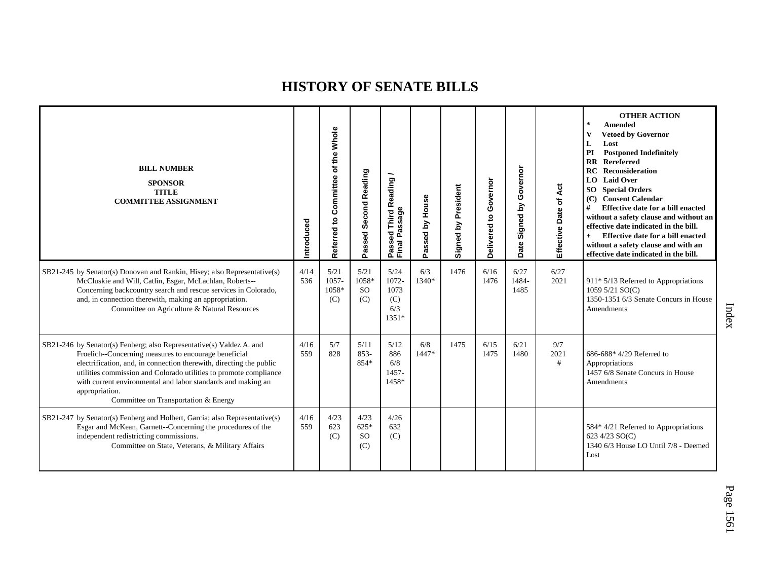| <b>BILL NUMBER</b><br><b>SPONSOR</b><br><b>TITLE</b><br><b>COMMITTEE ASSIGNMENT</b>                                                                                                                                                                                                                                                                                                                 | Introduced  | the Whole<br>$\overline{\mathbf{o}}$<br>Committee<br>Referred to | Second Reading<br>Passed              | <b>Third Reading</b><br>Passed Third R<br>Final Passage | Passed by House | Signed by President | Governor<br>ë<br>Delivered | Governor<br>Signed by<br>Date | Act<br>Effective Date of | <b>OTHER ACTION</b><br>*<br><b>Amended</b><br>V<br><b>Vetoed by Governor</b><br>Lost<br>L<br>PI<br><b>Postponed Indefinitely</b><br><b>RR</b> Rereferred<br><b>RC</b> Reconsideration<br><b>LO</b> Laid Over<br><b>SO</b> Special Orders<br>(C) Consent Calendar<br>Effective date for a bill enacted<br>#<br>without a safety clause and without an<br>effective date indicated in the bill.<br>Effective date for a bill enacted<br>$+$<br>without a safety clause and with an<br>effective date indicated in the bill. |
|-----------------------------------------------------------------------------------------------------------------------------------------------------------------------------------------------------------------------------------------------------------------------------------------------------------------------------------------------------------------------------------------------------|-------------|------------------------------------------------------------------|---------------------------------------|---------------------------------------------------------|-----------------|---------------------|----------------------------|-------------------------------|--------------------------|---------------------------------------------------------------------------------------------------------------------------------------------------------------------------------------------------------------------------------------------------------------------------------------------------------------------------------------------------------------------------------------------------------------------------------------------------------------------------------------------------------------------------|
| SB21-245 by Senator(s) Donovan and Rankin, Hisey; also Representative(s)<br>McCluskie and Will, Catlin, Esgar, McLachlan, Roberts--<br>Concerning backcountry search and rescue services in Colorado,<br>and, in connection therewith, making an appropriation.<br>Committee on Agriculture & Natural Resources                                                                                     | 4/14<br>536 | 5/21<br>$1057 -$<br>1058*<br>(C)                                 | 5/21<br>1058*<br><sub>SO</sub><br>(C) | 5/24<br>1072-<br>1073<br>(C)<br>6/3<br>$1351*$          | 6/3<br>1340*    | 1476                | 6/16<br>1476               | 6/27<br>1484-<br>1485         | 6/27<br>2021             | 911* 5/13 Referred to Appropriations<br>1059 5/21 SO(C)<br>1350-1351 6/3 Senate Concurs in House<br>Amendments                                                                                                                                                                                                                                                                                                                                                                                                            |
| SB21-246 by Senator(s) Fenberg; also Representative(s) Valdez A. and<br>Froelich--Concerning measures to encourage beneficial<br>electrification, and, in connection therewith, directing the public<br>utilities commission and Colorado utilities to promote compliance<br>with current environmental and labor standards and making an<br>appropriation.<br>Committee on Transportation & Energy | 4/16<br>559 | 5/7<br>828                                                       | 5/11<br>$853-$<br>854*                | 5/12<br>886<br>6/8<br>1457-<br>1458*                    | 6/8<br>1447*    | 1475                | 6/15<br>1475               | 6/21<br>1480                  | 9/7<br>2021<br>#         | 686-688* 4/29 Referred to<br>Appropriations<br>1457 6/8 Senate Concurs in House<br>Amendments                                                                                                                                                                                                                                                                                                                                                                                                                             |
| SB21-247 by Senator(s) Fenberg and Holbert, Garcia; also Representative(s)<br>Esgar and McKean, Garnett--Concerning the procedures of the<br>independent redistricting commissions.<br>Committee on State, Veterans, & Military Affairs                                                                                                                                                             | 4/16<br>559 | 4/23<br>623<br>(C)                                               | 4/23<br>$625*$<br><b>SO</b><br>(C)    | 4/26<br>632<br>(C)                                      |                 |                     |                            |                               |                          | 584* 4/21 Referred to Appropriations<br>623 4/23 SO(C)<br>1340 6/3 House LO Until 7/8 - Deemed<br>Lost                                                                                                                                                                                                                                                                                                                                                                                                                    |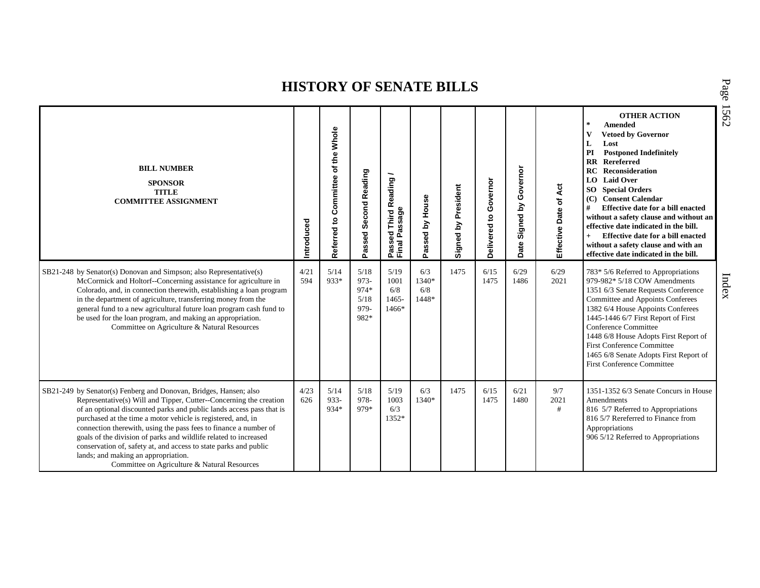| <b>BILL NUMBER</b><br><b>SPONSOR</b><br><b>TITLE</b><br><b>COMMITTEE ASSIGNMENT</b>                                                                                                                                                                                                                                                                                                                                                                                                                                                                                                | Introduced  | of the Whole<br>Committee<br>Referred to | Second Reading<br>Passed                     | Third Reading /<br>Passage<br>assed<br>Passe<br>Final | Passed by House              | Signed by President | Governor<br>Delivered to | Signed by Governor<br>Date | Effective Date of Act | <b>OTHER ACTION</b><br>$\ast$<br><b>Amended</b><br><b>Vetoed by Governor</b><br>$\mathbf{V}$<br>L<br>Lost<br>PI<br><b>Postponed Indefinitely</b><br><b>RR</b> Rereferred<br>RC<br><b>Reconsideration</b><br>LO Laid Over<br><b>SO</b> Special Orders<br><b>Consent Calendar</b><br>(C)<br>#<br><b>Effective date for a bill enacted</b><br>without a safety clause and without an<br>effective date indicated in the bill.<br>Effective date for a bill enacted<br>without a safety clause and with an<br>effective date indicated in the bill. |
|------------------------------------------------------------------------------------------------------------------------------------------------------------------------------------------------------------------------------------------------------------------------------------------------------------------------------------------------------------------------------------------------------------------------------------------------------------------------------------------------------------------------------------------------------------------------------------|-------------|------------------------------------------|----------------------------------------------|-------------------------------------------------------|------------------------------|---------------------|--------------------------|----------------------------|-----------------------|-------------------------------------------------------------------------------------------------------------------------------------------------------------------------------------------------------------------------------------------------------------------------------------------------------------------------------------------------------------------------------------------------------------------------------------------------------------------------------------------------------------------------------------------------|
| SB21-248 by Senator(s) Donovan and Simpson; also Representative(s)<br>McCormick and Holtorf--Concerning assistance for agriculture in<br>Colorado, and, in connection therewith, establishing a loan program<br>in the department of agriculture, transferring money from the<br>general fund to a new agricultural future loan program cash fund to<br>be used for the loan program, and making an appropriation.<br>Committee on Agriculture & Natural Resources                                                                                                                 | 4/21<br>594 | 5/14<br>933*                             | 5/18<br>973-<br>974*<br>5/18<br>979-<br>982* | 5/19<br>1001<br>6/8<br>1465-<br>1466*                 | 6/3<br>1340*<br>6/8<br>1448* | 1475                | 6/15<br>1475             | 6/29<br>1486               | 6/29<br>2021          | 783* 5/6 Referred to Appropriations<br>979-982* 5/18 COW Amendments<br>1351 6/3 Senate Requests Conference<br>Committee and Appoints Conferees<br>1382 6/4 House Appoints Conferees<br>1445-1446 6/7 First Report of First<br>Conference Committee<br>1448 6/8 House Adopts First Report of<br><b>First Conference Committee</b><br>1465 6/8 Senate Adopts First Report of<br><b>First Conference Committee</b>                                                                                                                                 |
| SB21-249 by Senator(s) Fenberg and Donovan, Bridges, Hansen; also<br>Representative(s) Will and Tipper, Cutter--Concerning the creation<br>of an optional discounted parks and public lands access pass that is<br>purchased at the time a motor vehicle is registered, and, in<br>connection therewith, using the pass fees to finance a number of<br>goals of the division of parks and wildlife related to increased<br>conservation of, safety at, and access to state parks and public<br>lands; and making an appropriation.<br>Committee on Agriculture & Natural Resources | 4/23<br>626 | 5/14<br>933-<br>934*                     | 5/18<br>978-<br>979*                         | 5/19<br>1003<br>6/3<br>1352*                          | 6/3<br>1340*                 | 1475                | 6/15<br>1475             | 6/21<br>1480               | 9/7<br>2021<br>#      | 1351-1352 6/3 Senate Concurs in House<br>Amendments<br>816 5/7 Referred to Appropriations<br>816 5/7 Rereferred to Finance from<br>Appropriations<br>906 5/12 Referred to Appropriations                                                                                                                                                                                                                                                                                                                                                        |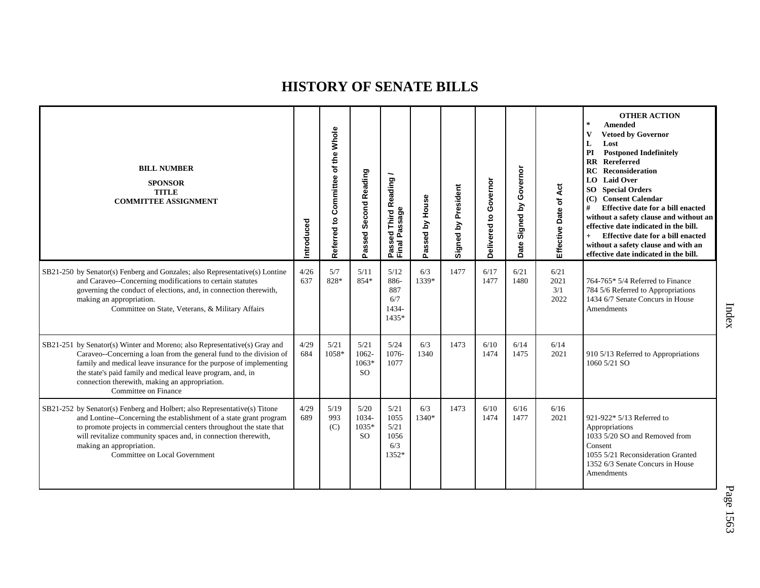| <b>BILL NUMBER</b><br><b>SPONSOR</b><br><b>TITLE</b><br><b>COMMITTEE ASSIGNMENT</b>                                                                                                                                                                                                                                                                            | Introduced  | Whole<br>the<br>$\mathbf{\tilde{o}}$<br>Committee<br>$\mathtt{S}$<br>Referred | Passed Second Reading                   | <b>Third Reading</b><br>Passed Third R<br>Final Passage | Passed by House | Signed by President | Governor<br>9<br>Delivered | Governor<br>Signed by<br>Date | Effective Date of Act       | <b>OTHER ACTION</b><br>$\ast$<br><b>Amended</b><br>$\mathbf{V}$<br><b>Vetoed by Governor</b><br>Lost<br>L<br>PI<br><b>Postponed Indefinitely</b><br><b>RR</b> Rereferred<br><b>RC</b> Reconsideration<br><b>LO</b> Laid Over<br><b>SO</b> Special Orders<br>(C) Consent Calendar<br>#<br>Effective date for a bill enacted<br>without a safety clause and without an<br>effective date indicated in the bill.<br>Effective date for a bill enacted<br>$+$<br>without a safety clause and with an<br>effective date indicated in the bill. |
|----------------------------------------------------------------------------------------------------------------------------------------------------------------------------------------------------------------------------------------------------------------------------------------------------------------------------------------------------------------|-------------|-------------------------------------------------------------------------------|-----------------------------------------|---------------------------------------------------------|-----------------|---------------------|----------------------------|-------------------------------|-----------------------------|-------------------------------------------------------------------------------------------------------------------------------------------------------------------------------------------------------------------------------------------------------------------------------------------------------------------------------------------------------------------------------------------------------------------------------------------------------------------------------------------------------------------------------------------|
| SB21-250 by Senator(s) Fenberg and Gonzales; also Representative(s) Lontine<br>and Caraveo--Concerning modifications to certain statutes<br>governing the conduct of elections, and, in connection therewith,<br>making an appropriation.<br>Committee on State, Veterans, & Military Affairs                                                                  | 4/26<br>637 | 5/7<br>828*                                                                   | 5/11<br>854*                            | 5/12<br>886-<br>887<br>6/7<br>1434-<br>1435*            | 6/3<br>1339*    | 1477                | 6/17<br>1477               | 6/21<br>1480                  | 6/21<br>2021<br>3/1<br>2022 | 764-765* 5/4 Referred to Finance<br>784 5/6 Referred to Appropriations<br>1434 6/7 Senate Concurs in House<br>Amendments                                                                                                                                                                                                                                                                                                                                                                                                                  |
| SB21-251 by Senator(s) Winter and Moreno; also Representative(s) Gray and<br>Caraveo--Concerning a loan from the general fund to the division of<br>family and medical leave insurance for the purpose of implementing<br>the state's paid family and medical leave program, and, in<br>connection therewith, making an appropriation.<br>Committee on Finance | 4/29<br>684 | 5/21<br>1058*                                                                 | 5/21<br>1062-<br>1063*<br><sub>SO</sub> | 5/24<br>1076-<br>1077                                   | 6/3<br>1340     | 1473                | 6/10<br>1474               | 6/14<br>1475                  | 6/14<br>2021                | 910 5/13 Referred to Appropriations<br>1060 5/21 SO                                                                                                                                                                                                                                                                                                                                                                                                                                                                                       |
| SB21-252 by Senator(s) Fenberg and Holbert; also Representative(s) Titone<br>and Lontine--Concerning the establishment of a state grant program<br>to promote projects in commercial centers throughout the state that<br>will revitalize community spaces and, in connection therewith,<br>making an appropriation.<br>Committee on Local Government          | 4/29<br>689 | 5/19<br>993<br>(C)                                                            | 5/20<br>1034-<br>1035*<br><sub>SO</sub> | 5/21<br>1055<br>5/21<br>1056<br>6/3<br>1352*            | 6/3<br>1340*    | 1473                | 6/10<br>1474               | 6/16<br>1477                  | 6/16<br>2021                | 921-922* 5/13 Referred to<br>Appropriations<br>1033 5/20 SO and Removed from<br>Consent<br>1055 5/21 Reconsideration Granted<br>1352 6/3 Senate Concurs in House<br>Amendments                                                                                                                                                                                                                                                                                                                                                            |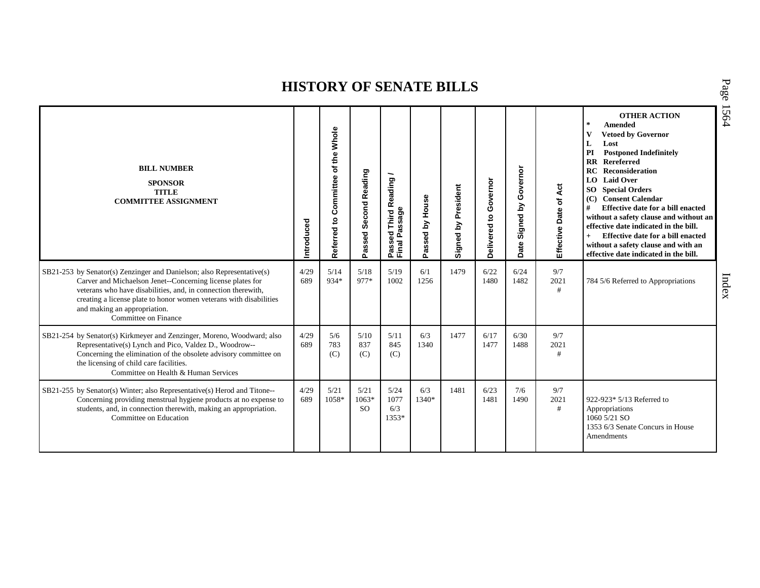| <b>BILL NUMBER</b><br><b>SPONSOR</b><br><b>TITLE</b><br><b>COMMITTEE ASSIGNMENT</b>                                                                                                                                                                                                                                                 | Introduced  | Whole<br>of the<br>Committee<br>Referred to | Second Reading<br>Passed         | Third Reading /<br>Passage<br>Passed<br>Final Pa | Passed by House | President<br>Signed by | Governor<br>e,<br>Delivered | Governor<br>Σ<br>Signed<br>Date | Effective Date of Act | <b>OTHER ACTION</b><br>$\star$<br>Amended<br><b>Vetoed by Governor</b><br>L<br>Lost<br>PI<br><b>Postponed Indefinitely</b><br><b>RR</b> Rereferred<br><b>RC</b> Reconsideration<br><b>LO</b> Laid Over<br><b>SO</b> Special Orders<br><b>Consent Calendar</b><br>(C)<br>#<br>Effective date for a bill enacted<br>without a safety clause and without an<br>effective date indicated in the bill.<br>Effective date for a bill enacted<br>$+$<br>without a safety clause and with an<br>effective date indicated in the bill. |
|-------------------------------------------------------------------------------------------------------------------------------------------------------------------------------------------------------------------------------------------------------------------------------------------------------------------------------------|-------------|---------------------------------------------|----------------------------------|--------------------------------------------------|-----------------|------------------------|-----------------------------|---------------------------------|-----------------------|-------------------------------------------------------------------------------------------------------------------------------------------------------------------------------------------------------------------------------------------------------------------------------------------------------------------------------------------------------------------------------------------------------------------------------------------------------------------------------------------------------------------------------|
| SB21-253 by Senator(s) Zenzinger and Danielson; also Representative(s)<br>Carver and Michaelson Jenet--Concerning license plates for<br>veterans who have disabilities, and, in connection therewith,<br>creating a license plate to honor women veterans with disabilities<br>and making an appropriation.<br>Committee on Finance | 4/29<br>689 | 5/14<br>934*                                | 5/18<br>977*                     | 5/19<br>1002                                     | 6/1<br>1256     | 1479                   | 6/22<br>1480                | 6/24<br>1482                    | 9/7<br>2021<br>#      | 784 5/6 Referred to Appropriations                                                                                                                                                                                                                                                                                                                                                                                                                                                                                            |
| SB21-254 by Senator(s) Kirkmeyer and Zenzinger, Moreno, Woodward; also<br>Representative(s) Lynch and Pico, Valdez D., Woodrow--<br>Concerning the elimination of the obsolete advisory committee on<br>the licensing of child care facilities.<br>Committee on Health & Human Services                                             | 4/29<br>689 | 5/6<br>783<br>(C)                           | 5/10<br>837<br>(C)               | 5/11<br>845<br>(C)                               | 6/3<br>1340     | 1477                   | 6/17<br>1477                | 6/30<br>1488                    | 9/7<br>2021<br>#      |                                                                                                                                                                                                                                                                                                                                                                                                                                                                                                                               |
| SB21-255 by Senator(s) Winter; also Representative(s) Herod and Titone--<br>Concerning providing menstrual hygiene products at no expense to<br>students, and, in connection therewith, making an appropriation.<br>Committee on Education                                                                                          | 4/29<br>689 | 5/21<br>1058*                               | 5/21<br>$1063*$<br><sub>SO</sub> | 5/24<br>1077<br>6/3<br>1353*                     | 6/3<br>1340*    | 1481                   | 6/23<br>1481                | 7/6<br>1490                     | 9/7<br>2021<br>$\#$   | 922-923* 5/13 Referred to<br>Appropriations<br>1060 5/21 SO<br>1353 6/3 Senate Concurs in House<br>Amendments                                                                                                                                                                                                                                                                                                                                                                                                                 |

P a g e 15 6 4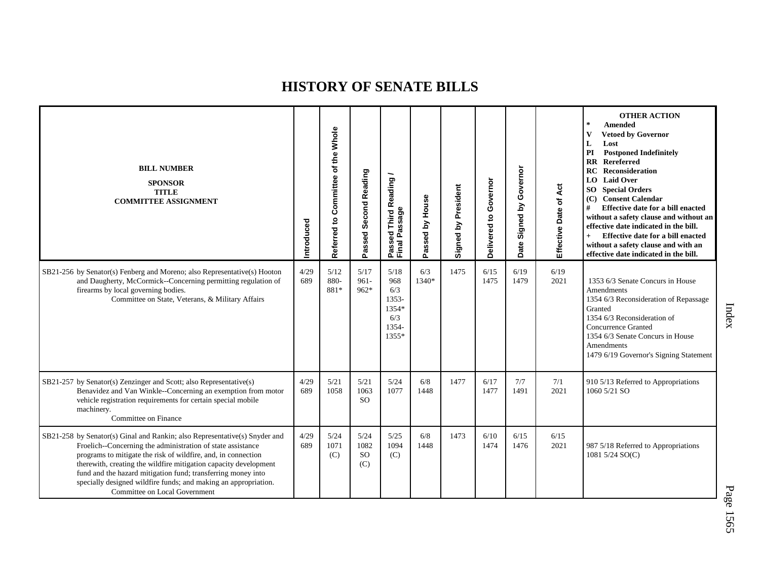| <b>BILL NUMBER</b><br><b>SPONSOR</b><br><b>TITLE</b><br><b>COMMITTEE ASSIGNMENT</b>                                                                                                                                                                                                                                                                                                                                                                | Introduced  | Whole<br>Referred to Committee of the | Second Reading<br>Passed             | Passed Third Reading<br>Final Passage                         | House<br>assed by<br>o. | Signed by President | Governor<br>$\mathbf{S}$<br>Delivered | Governor<br>Signed by<br>Date | Act<br>Effective Date of | <b>OTHER ACTION</b><br>$\star$<br>Amended<br>$\mathbf{V}$<br><b>Vetoed by Governor</b><br>L<br>Lost<br>PI<br><b>Postponed Indefinitely</b><br><b>RR</b> Rereferred<br>RC<br>Reconsideration<br><b>LO</b> Laid Over<br>SO Special Orders<br>(C) Consent Calendar<br>Effective date for a bill enacted<br>#<br>without a safety clause and without an<br>effective date indicated in the bill.<br>Effective date for a bill enacted<br>$+$<br>without a safety clause and with an<br>effective date indicated in the bill. |
|----------------------------------------------------------------------------------------------------------------------------------------------------------------------------------------------------------------------------------------------------------------------------------------------------------------------------------------------------------------------------------------------------------------------------------------------------|-------------|---------------------------------------|--------------------------------------|---------------------------------------------------------------|-------------------------|---------------------|---------------------------------------|-------------------------------|--------------------------|--------------------------------------------------------------------------------------------------------------------------------------------------------------------------------------------------------------------------------------------------------------------------------------------------------------------------------------------------------------------------------------------------------------------------------------------------------------------------------------------------------------------------|
| SB21-256 by Senator(s) Fenberg and Moreno; also Representative(s) Hooton<br>and Daugherty, McCormick--Concerning permitting regulation of<br>firearms by local governing bodies.<br>Committee on State, Veterans, & Military Affairs                                                                                                                                                                                                               | 4/29<br>689 | 5/12<br>880-<br>881*                  | 5/17<br>$961 -$<br>$962*$            | 5/18<br>968<br>6/3<br>1353-<br>1354*<br>6/3<br>1354-<br>1355* | 6/3<br>1340*            | 1475                | 6/15<br>1475                          | 6/19<br>1479                  | 6/19<br>2021             | 1353 6/3 Senate Concurs in House<br>Amendments<br>1354 6/3 Reconsideration of Repassage<br>Granted<br>1354 6/3 Reconsideration of<br><b>Concurrence Granted</b><br>1354 6/3 Senate Concurs in House<br>Amendments<br>1479 6/19 Governor's Signing Statement                                                                                                                                                                                                                                                              |
| SB21-257 by Senator(s) Zenzinger and Scott; also Representative(s)<br>Benavidez and Van Winkle--Concerning an exemption from motor<br>vehicle registration requirements for certain special mobile<br>machinery.<br>Committee on Finance                                                                                                                                                                                                           | 4/29<br>689 | 5/21<br>1058                          | 5/21<br>1063<br><b>SO</b>            | 5/24<br>1077                                                  | 6/8<br>1448             | 1477                | 6/17<br>1477                          | 7/7<br>1491                   | 7/1<br>2021              | 910 5/13 Referred to Appropriations<br>1060 5/21 SO                                                                                                                                                                                                                                                                                                                                                                                                                                                                      |
| SB21-258 by Senator(s) Ginal and Rankin; also Representative(s) Snyder and<br>Froelich--Concerning the administration of state assistance<br>programs to mitigate the risk of wildfire, and, in connection<br>therewith, creating the wildfire mitigation capacity development<br>fund and the hazard mitigation fund; transferring money into<br>specially designed wildfire funds; and making an appropriation.<br>Committee on Local Government | 4/29<br>689 | 5/24<br>1071<br>(C)                   | 5/24<br>1082<br><sub>SO</sub><br>(C) | 5/25<br>1094<br>(C)                                           | 6/8<br>1448             | 1473                | 6/10<br>1474                          | 6/15<br>1476                  | 6/15<br>2021             | 987 5/18 Referred to Appropriations<br>1081 5/24 SO(C)                                                                                                                                                                                                                                                                                                                                                                                                                                                                   |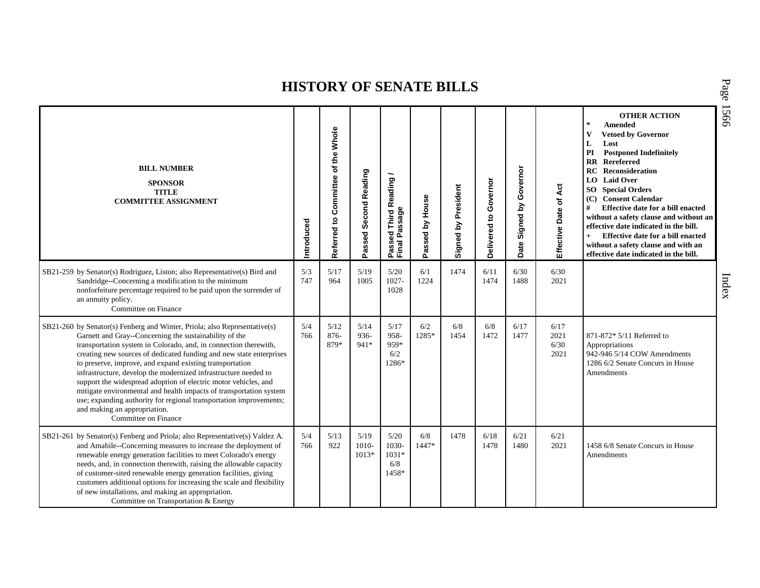| <b>BILL NUMBER</b><br><b>SPONSOR</b><br><b>TITLE</b><br><b>COMMITTEE ASSIGNMENT</b>                                                                                                                                                                                                                                                                                                                                                                                                                                                                                                                                                                                                  | ntroduced  | Whole<br>the<br>$\mathbf{\tilde{o}}$<br>Committee<br>Referred to | Passed Second Reading    | <b>Third Reading</b><br>Passed Third R<br>Final Passage | Passed by House | President<br>Signed by | Governor<br>$\mathbf{S}$<br>Delivered | Governor<br>Σ<br>Signed<br>Date | Act<br>Effective Date of     | <b>OTHER ACTION</b><br>$\ast$<br><b>Amended</b><br>$\mathbf{V}$<br><b>Vetoed by Governor</b><br>L<br>Lost<br>PI<br><b>Postponed Indefinitely</b><br><b>RR</b> Rereferred<br>RC<br>Reconsideration<br><b>LO</b> Laid Over<br><b>SO</b> Special Orders<br>(C) Consent Calendar<br>#<br>Effective date for a bill enacted<br>without a safety clause and without an<br>effective date indicated in the bill.<br>$+$<br>Effective date for a bill enacted<br>without a safety clause and with an<br>effective date indicated in the bill. |
|--------------------------------------------------------------------------------------------------------------------------------------------------------------------------------------------------------------------------------------------------------------------------------------------------------------------------------------------------------------------------------------------------------------------------------------------------------------------------------------------------------------------------------------------------------------------------------------------------------------------------------------------------------------------------------------|------------|------------------------------------------------------------------|--------------------------|---------------------------------------------------------|-----------------|------------------------|---------------------------------------|---------------------------------|------------------------------|---------------------------------------------------------------------------------------------------------------------------------------------------------------------------------------------------------------------------------------------------------------------------------------------------------------------------------------------------------------------------------------------------------------------------------------------------------------------------------------------------------------------------------------|
| SB21-259 by Senator(s) Rodriguez, Liston; also Representative(s) Bird and<br>Sandridge--Concerning a modification to the minimum<br>nonforfeiture percentage required to be paid upon the surrender of<br>an annuity policy.<br>Committee on Finance                                                                                                                                                                                                                                                                                                                                                                                                                                 | 5/3<br>747 | 5/17<br>964                                                      | 5/19<br>1005             | 5/20<br>1027-<br>1028                                   | 6/1<br>1224     | 1474                   | 6/11<br>1474                          | 6/30<br>1488                    | 6/30<br>2021                 |                                                                                                                                                                                                                                                                                                                                                                                                                                                                                                                                       |
| SB21-260 by Senator(s) Fenberg and Winter, Priola; also Representative(s)<br>Garnett and Gray--Concerning the sustainability of the<br>transportation system in Colorado, and, in connection therewith,<br>creating new sources of dedicated funding and new state enterprises<br>to preserve, improve, and expand existing transportation<br>infrastructure, develop the modernized infrastructure needed to<br>support the widespread adoption of electric motor vehicles, and<br>mitigate environmental and health impacts of transportation system<br>use; expanding authority for regional transportation improvements;<br>and making an appropriation.<br>Committee on Finance | 5/4<br>766 | 5/12<br>$876 -$<br>879*                                          | 5/14<br>936-<br>941*     | 5/17<br>958-<br>959*<br>6/2<br>1286*                    | 6/2<br>1285*    | 6/8<br>1454            | 6/8<br>1472                           | 6/17<br>1477                    | 6/17<br>2021<br>6/30<br>2021 | 871-872* 5/11 Referred to<br>Appropriations<br>942-946 5/14 COW Amendments<br>1286 6/2 Senate Concurs in House<br>Amendments                                                                                                                                                                                                                                                                                                                                                                                                          |
| SB21-261 by Senator(s) Fenberg and Priola; also Representative(s) Valdez A.<br>and Amabile--Concerning measures to increase the deployment of<br>renewable energy generation facilities to meet Colorado's energy<br>needs, and, in connection therewith, raising the allowable capacity<br>of customer-sited renewable energy generation facilities, giving<br>customers additional options for increasing the scale and flexibility<br>of new installations, and making an appropriation.<br>Committee on Transportation & Energy                                                                                                                                                  | 5/4<br>766 | 5/13<br>922                                                      | 5/19<br>1010-<br>$1013*$ | 5/20<br>1030-<br>$1031*$<br>6/8<br>1458*                | 6/8<br>1447*    | 1478                   | 6/18<br>1478                          | 6/21<br>1480                    | 6/21<br>2021                 | 1458 6/8 Senate Concurs in House<br>Amendments                                                                                                                                                                                                                                                                                                                                                                                                                                                                                        |

P a g e 15 6 6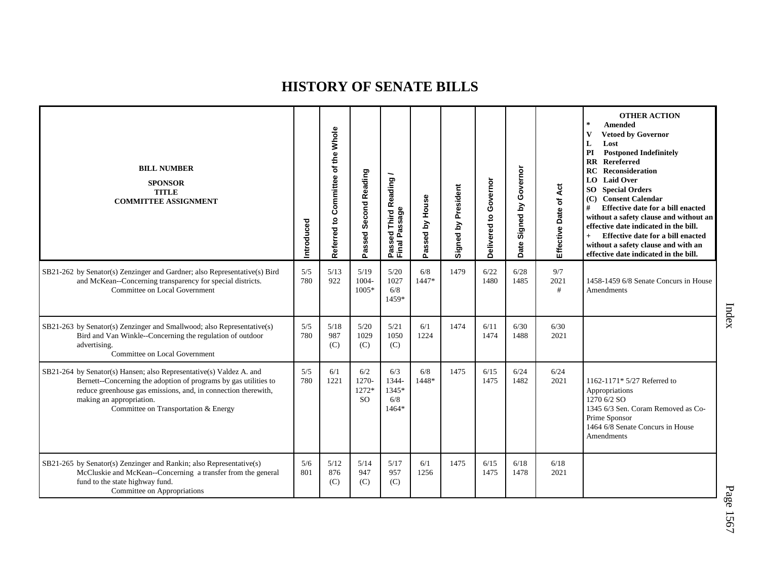| <b>BILL NUMBER</b><br><b>SPONSOR</b><br><b>TITLE</b><br><b>COMMITTEE ASSIGNMENT</b>                                                                                                                                                                                           | Introduced | Whole<br>of the<br>Committee<br>Referred to | Passed Second Reading                  | ∽<br>Passed Third Reading<br>Final Passage | Passed by House | Signed by President | Governor<br>$\mathbf{S}$<br>Delivered | Governor<br>Signed by<br>Date | Effective Date of Act | <b>OTHER ACTION</b><br>$\star$<br>Amended<br>v<br><b>Vetoed by Governor</b><br>L<br>Lost<br>PI<br><b>Postponed Indefinitely</b><br><b>RR</b> Rereferred<br>Reconsideration<br>RC<br><b>LO</b> Laid Over<br><b>SO</b> Special Orders<br>(C) Consent Calendar<br>#<br>Effective date for a bill enacted<br>without a safety clause and without an<br>effective date indicated in the bill.<br>Effective date for a bill enacted<br>$+$<br>without a safety clause and with an<br>effective date indicated in the bill. |
|-------------------------------------------------------------------------------------------------------------------------------------------------------------------------------------------------------------------------------------------------------------------------------|------------|---------------------------------------------|----------------------------------------|--------------------------------------------|-----------------|---------------------|---------------------------------------|-------------------------------|-----------------------|----------------------------------------------------------------------------------------------------------------------------------------------------------------------------------------------------------------------------------------------------------------------------------------------------------------------------------------------------------------------------------------------------------------------------------------------------------------------------------------------------------------------|
| SB21-262 by Senator(s) Zenzinger and Gardner; also Representative(s) Bird<br>and McKean--Concerning transparency for special districts.<br>Committee on Local Government                                                                                                      | 5/5<br>780 | 5/13<br>922                                 | 5/19<br>1004-<br>$1005*$               | 5/20<br>1027<br>6/8<br>1459*               | 6/8<br>1447*    | 1479                | 6/22<br>1480                          | 6/28<br>1485                  | 9/7<br>2021<br>#      | 1458-1459 6/8 Senate Concurs in House<br>Amendments                                                                                                                                                                                                                                                                                                                                                                                                                                                                  |
| SB21-263 by Senator(s) Zenzinger and Smallwood; also Representative(s)<br>Bird and Van Winkle--Concerning the regulation of outdoor<br>advertising.<br>Committee on Local Government                                                                                          | 5/5<br>780 | 5/18<br>987<br>(C)                          | 5/20<br>1029<br>(C)                    | 5/21<br>1050<br>(C)                        | 6/1<br>1224     | 1474                | 6/11<br>1474                          | 6/30<br>1488                  | 6/30<br>2021          |                                                                                                                                                                                                                                                                                                                                                                                                                                                                                                                      |
| SB21-264 by Senator(s) Hansen; also Representative(s) Valdez A. and<br>Bernett--Concerning the adoption of programs by gas utilities to<br>reduce greenhouse gas emissions, and, in connection therewith,<br>making an appropriation.<br>Committee on Transportation & Energy | 5/5<br>780 | 6/1<br>1221                                 | 6/2<br>1270-<br>1272*<br><sub>SO</sub> | 6/3<br>1344-<br>1345*<br>6/8<br>1464*      | 6/8<br>1448*    | 1475                | 6/15<br>1475                          | 6/24<br>1482                  | 6/24<br>2021          | 1162-1171* 5/27 Referred to<br>Appropriations<br>1270 6/2 SO<br>1345 6/3 Sen. Coram Removed as Co-<br>Prime Sponsor<br>1464 6/8 Senate Concurs in House<br>Amendments                                                                                                                                                                                                                                                                                                                                                |
| SB21-265 by Senator(s) Zenzinger and Rankin; also Representative(s)<br>McCluskie and McKean--Concerning a transfer from the general<br>fund to the state highway fund.<br>Committee on Appropriations                                                                         | 5/6<br>801 | 5/12<br>876<br>(C)                          | 5/14<br>947<br>(C)                     | 5/17<br>957<br>(C)                         | 6/1<br>1256     | 1475                | 6/15<br>1475                          | 6/18<br>1478                  | 6/18<br>2021          |                                                                                                                                                                                                                                                                                                                                                                                                                                                                                                                      |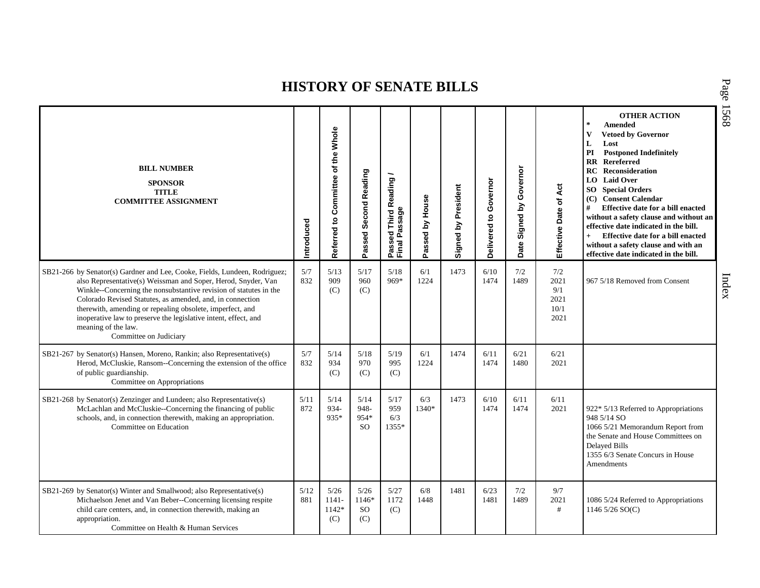| <b>BILL NUMBER</b><br><b>SPONSOR</b><br><b>TITLE</b><br><b>COMMITTEE ASSIGNMENT</b>                                                                                                                                                                                                                                                                                                                                                                            | Introduced  | Referred to Committee of the Whole | Passed Second Reading                  | Passed Third Reading<br>Final Passage | Passed by House | Signed by President | Governor<br>ë<br><b>Delivered</b> | Governor<br>Signed by<br>Date | of Act<br>Effective Date                   | <b>OTHER ACTION</b><br>$\star$<br>Amended<br>$\mathbf{V}$<br><b>Vetoed by Governor</b><br>L<br>Lost<br>PI<br><b>Postponed Indefinitely</b><br><b>RR</b> Rereferred<br>Reconsideration<br>RC<br>LO Laid Over<br><b>SO</b> Special Orders<br>(C) Consent Calendar<br>#<br><b>Effective date for a bill enacted</b><br>without a safety clause and without an<br>effective date indicated in the bill.<br>Effective date for a bill enacted<br>$+$<br>without a safety clause and with an<br>effective date indicated in the bill. |
|----------------------------------------------------------------------------------------------------------------------------------------------------------------------------------------------------------------------------------------------------------------------------------------------------------------------------------------------------------------------------------------------------------------------------------------------------------------|-------------|------------------------------------|----------------------------------------|---------------------------------------|-----------------|---------------------|-----------------------------------|-------------------------------|--------------------------------------------|---------------------------------------------------------------------------------------------------------------------------------------------------------------------------------------------------------------------------------------------------------------------------------------------------------------------------------------------------------------------------------------------------------------------------------------------------------------------------------------------------------------------------------|
| SB21-266 by Senator(s) Gardner and Lee, Cooke, Fields, Lundeen, Rodriguez;<br>also Representative(s) Weissman and Soper, Herod, Snyder, Van<br>Winkle--Concerning the nonsubstantive revision of statutes in the<br>Colorado Revised Statutes, as amended, and, in connection<br>therewith, amending or repealing obsolete, imperfect, and<br>inoperative law to preserve the legislative intent, effect, and<br>meaning of the law.<br>Committee on Judiciary | 5/7<br>832  | 5/13<br>909<br>(C)                 | 5/17<br>960<br>(C)                     | 5/18<br>969*                          | 6/1<br>1224     | 1473                | 6/10<br>1474                      | 7/2<br>1489                   | 7/2<br>2021<br>9/1<br>2021<br>10/1<br>2021 | 967 5/18 Removed from Consent                                                                                                                                                                                                                                                                                                                                                                                                                                                                                                   |
| SB21-267 by Senator(s) Hansen, Moreno, Rankin; also Representative(s)<br>Herod, McCluskie, Ransom--Concerning the extension of the office<br>of public guardianship.<br>Committee on Appropriations                                                                                                                                                                                                                                                            | 5/7<br>832  | 5/14<br>934<br>(C)                 | 5/18<br>970<br>(C)                     | 5/19<br>995<br>(C)                    | 6/1<br>1224     | 1474                | 6/11<br>1474                      | 6/21<br>1480                  | 6/21<br>2021                               |                                                                                                                                                                                                                                                                                                                                                                                                                                                                                                                                 |
| SB21-268 by Senator(s) Zenzinger and Lundeen; also Representative(s)<br>McLachlan and McCluskie--Concerning the financing of public<br>schools, and, in connection therewith, making an appropriation.<br>Committee on Education                                                                                                                                                                                                                               | 5/11<br>872 | 5/14<br>934-<br>935*               | 5/14<br>948-<br>954*<br>S <sub>O</sub> | 5/17<br>959<br>6/3<br>1355*           | 6/3<br>1340*    | 1473                | 6/10<br>1474                      | 6/11<br>1474                  | 6/11<br>2021                               | 922* 5/13 Referred to Appropriations<br>948 5/14 SO<br>1066 5/21 Memorandum Report from<br>the Senate and House Committees on<br><b>Delayed Bills</b><br>1355 6/3 Senate Concurs in House<br>Amendments                                                                                                                                                                                                                                                                                                                         |
| SB21-269 by Senator(s) Winter and Smallwood; also Representative(s)<br>Michaelson Jenet and Van Beber--Concerning licensing respite<br>child care centers, and, in connection therewith, making an<br>appropriation.<br>Committee on Health & Human Services                                                                                                                                                                                                   | 5/12<br>881 | 5/26<br>$1141 -$<br>1142*<br>(C)   | 5/26<br>1146*<br><b>SO</b><br>(C)      | 5/27<br>1172<br>(C)                   | 6/8<br>1448     | 1481                | 6/23<br>1481                      | 7/2<br>1489                   | 9/7<br>2021<br>#                           | 1086 5/24 Referred to Appropriations<br>1146 5/26 SO(C)                                                                                                                                                                                                                                                                                                                                                                                                                                                                         |

P a g e 15 6 8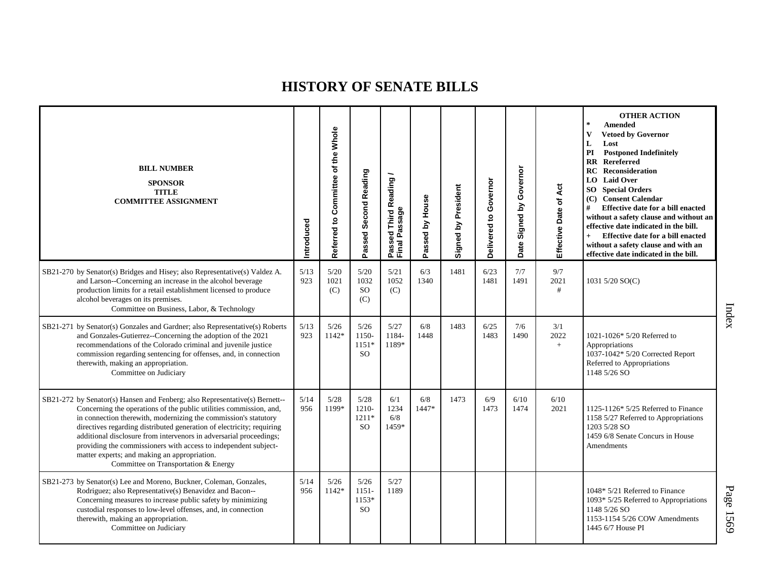| <b>BILL NUMBER</b><br><b>SPONSOR</b><br><b>TITLE</b><br><b>COMMITTEE ASSIGNMENT</b>                                                                                                                                                                                                                                                                                                                                                                                                                                            | Introduced    | Referred to Committee of the Whole | Passed Second Reading                     | Passed Third Reading<br>Final Passage | Passed by House | Signed by President | Governor<br>Delivered to | Governor<br>Signed by<br>Date | Effective Date of Act | <b>OTHER ACTION</b><br>$\star$<br><b>Amended</b><br>$\mathbf{V}$<br><b>Vetoed by Governor</b><br>L<br>Lost<br><b>Postponed Indefinitely</b><br>PI<br><b>RR</b> Rereferred<br><b>RC</b> Reconsideration<br><b>LO</b> Laid Over<br><b>SO</b> Special Orders<br>(C) Consent Calendar<br>#<br><b>Effective date for a bill enacted</b><br>without a safety clause and without an<br>effective date indicated in the bill.<br>$+$<br>Effective date for a bill enacted<br>without a safety clause and with an<br>effective date indicated in the bill. |
|--------------------------------------------------------------------------------------------------------------------------------------------------------------------------------------------------------------------------------------------------------------------------------------------------------------------------------------------------------------------------------------------------------------------------------------------------------------------------------------------------------------------------------|---------------|------------------------------------|-------------------------------------------|---------------------------------------|-----------------|---------------------|--------------------------|-------------------------------|-----------------------|---------------------------------------------------------------------------------------------------------------------------------------------------------------------------------------------------------------------------------------------------------------------------------------------------------------------------------------------------------------------------------------------------------------------------------------------------------------------------------------------------------------------------------------------------|
| SB21-270 by Senator(s) Bridges and Hisey; also Representative(s) Valdez A.<br>and Larson--Concerning an increase in the alcohol beverage<br>production limits for a retail establishment licensed to produce<br>alcohol beverages on its premises.<br>Committee on Business, Labor, & Technology                                                                                                                                                                                                                               | 5/13<br>923   | 5/20<br>1021<br>(C)                | 5/20<br>1032<br>SO<br>(C)                 | 5/21<br>1052<br>(C)                   | 6/3<br>1340     | 1481                | 6/23<br>1481             | 7/7<br>1491                   | 9/7<br>2021<br>#      | 1031 5/20 SO(C)                                                                                                                                                                                                                                                                                                                                                                                                                                                                                                                                   |
| SB21-271 by Senator(s) Gonzales and Gardner; also Representative(s) Roberts<br>and Gonzales-Gutierrez--Concerning the adoption of the 2021<br>recommendations of the Colorado criminal and juvenile justice<br>commission regarding sentencing for offenses, and, in connection<br>therewith, making an appropriation.<br>Committee on Judiciary                                                                                                                                                                               | 5/13<br>923   | 5/26<br>1142*                      | 5/26<br>1150-<br>$1151*$<br><sub>SO</sub> | 5/27<br>1184-<br>1189*                | 6/8<br>1448     | 1483                | 6/25<br>1483             | 7/6<br>1490                   | 3/1<br>2022<br>$+$    | 1021-1026* 5/20 Referred to<br>Appropriations<br>1037-1042* 5/20 Corrected Report<br>Referred to Appropriations<br>1148 5/26 SO                                                                                                                                                                                                                                                                                                                                                                                                                   |
| SB21-272 by Senator(s) Hansen and Fenberg; also Representative(s) Bernett--<br>Concerning the operations of the public utilities commission, and,<br>in connection therewith, modernizing the commission's statutory<br>directives regarding distributed generation of electricity; requiring<br>additional disclosure from intervenors in adversarial proceedings;<br>providing the commissioners with access to independent subject-<br>matter experts; and making an appropriation.<br>Committee on Transportation & Energy | 5/14<br>956   | 5/28<br>1199*                      | 5/28<br>1210-<br>$1211*$<br>SO.           | 6/1<br>1234<br>6/8<br>1459*           | 6/8<br>1447*    | 1473                | 6/9<br>1473              | 6/10<br>1474                  | 6/10<br>2021          | 1125-1126 $*$ 5/25 Referred to Finance<br>1158 5/27 Referred to Appropriations<br>1203 5/28 SO<br>1459 6/8 Senate Concurs in House<br>Amendments                                                                                                                                                                                                                                                                                                                                                                                                  |
| SB21-273 by Senator(s) Lee and Moreno, Buckner, Coleman, Gonzales,<br>Rodriguez; also Representative(s) Benavidez and Bacon--<br>Concerning measures to increase public safety by minimizing<br>custodial responses to low-level offenses, and, in connection<br>therewith, making an appropriation.<br>Committee on Judiciary                                                                                                                                                                                                 | $5/14$<br>956 | 5/26<br>$1142*$                    | 5/26<br>$1151 -$<br>1153*<br>SO.          | 5/27<br>1189                          |                 |                     |                          |                               |                       | 1048* 5/21 Referred to Finance<br>1093* 5/25 Referred to Appropriations<br>1148 5/26 SO<br>1153-1154 5/26 COW Amendments<br>1445 6/7 House PI                                                                                                                                                                                                                                                                                                                                                                                                     |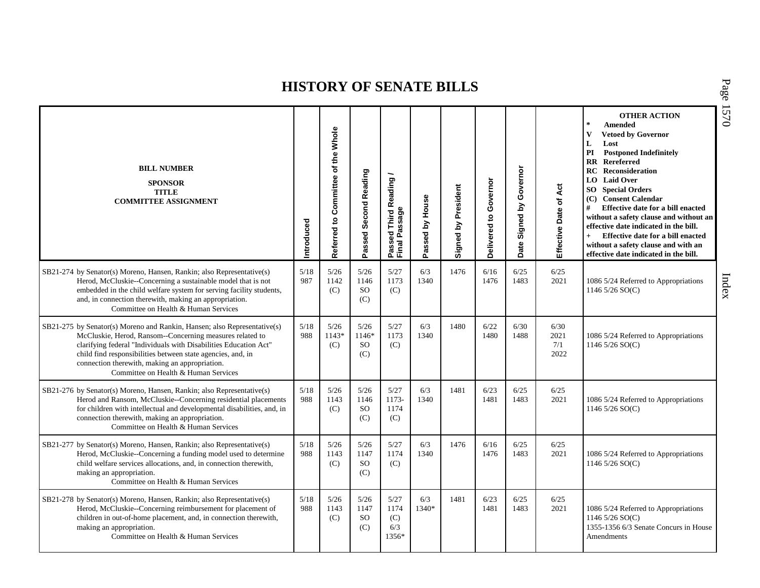| <b>BILL NUMBER</b><br><b>SPONSOR</b><br><b>TITLE</b><br><b>COMMITTEE ASSIGNMENT</b>                                                                                                                                                                                                                                                                               | Introduced  | of the Whole<br>Referred to Committee | Passed Second Reading                 | Passed Third Reading<br>Final Passage | Passed by House | Signed by President | Governor<br>Delivered to | Governor<br>Signed by<br>Date: | Act<br>Effective Date of    | <b>OTHER ACTION</b><br>$\star$<br>Amended<br>$\mathbf{V}$<br><b>Vetoed by Governor</b><br>L<br>Lost<br><b>Postponed Indefinitely</b><br>PI<br><b>RR</b> Rereferred<br><b>RC</b> Reconsideration<br>LO Laid Over<br><b>SO</b> Special Orders<br>(C) Consent Calendar<br>#<br><b>Effective date for a bill enacted</b><br>without a safety clause and without an<br>effective date indicated in the bill.<br>Effective date for a bill enacted<br>$+$<br>without a safety clause and with an<br>effective date indicated in the bill. |
|-------------------------------------------------------------------------------------------------------------------------------------------------------------------------------------------------------------------------------------------------------------------------------------------------------------------------------------------------------------------|-------------|---------------------------------------|---------------------------------------|---------------------------------------|-----------------|---------------------|--------------------------|--------------------------------|-----------------------------|-------------------------------------------------------------------------------------------------------------------------------------------------------------------------------------------------------------------------------------------------------------------------------------------------------------------------------------------------------------------------------------------------------------------------------------------------------------------------------------------------------------------------------------|
| SB21-274 by Senator(s) Moreno, Hansen, Rankin; also Representative(s)<br>Herod, McCluskie--Concerning a sustainable model that is not<br>embedded in the child welfare system for serving facility students,<br>and, in connection therewith, making an appropriation.<br>Committee on Health & Human Services                                                    | 5/18<br>987 | 5/26<br>1142<br>(C)                   | 5/26<br>1146<br><b>SO</b><br>(C)      | 5/27<br>1173<br>(C)                   | 6/3<br>1340     | 1476                | 6/16<br>1476             | 6/25<br>1483                   | 6/25<br>2021                | 1086 5/24 Referred to Appropriations<br>1146 $5/26$ SO(C)                                                                                                                                                                                                                                                                                                                                                                                                                                                                           |
| SB21-275 by Senator(s) Moreno and Rankin, Hansen; also Representative(s)<br>McCluskie, Herod, Ransom--Concerning measures related to<br>clarifying federal "Individuals with Disabilities Education Act"<br>child find responsibilities between state agencies, and, in<br>connection therewith, making an appropriation.<br>Committee on Health & Human Services | 5/18<br>988 | 5/26<br>$1143*$<br>(C)                | 5/26<br>1146*<br><sub>SO</sub><br>(C) | 5/27<br>1173<br>(C)                   | 6/3<br>1340     | 1480                | 6/22<br>1480             | 6/30<br>1488                   | 6/30<br>2021<br>7/1<br>2022 | 1086 5/24 Referred to Appropriations<br>1146 $5/26$ SO(C)                                                                                                                                                                                                                                                                                                                                                                                                                                                                           |
| SB21-276 by Senator(s) Moreno, Hansen, Rankin; also Representative(s)<br>Herod and Ransom, McCluskie--Concerning residential placements<br>for children with intellectual and developmental disabilities, and, in<br>connection therewith, making an appropriation.<br>Committee on Health & Human Services                                                       | 5/18<br>988 | 5/26<br>1143<br>(C)                   | 5/26<br>1146<br><b>SO</b><br>(C)      | 5/27<br>1173-<br>1174<br>(C)          | 6/3<br>1340     | 1481                | 6/23<br>1481             | 6/25<br>1483                   | 6/25<br>2021                | 1086 5/24 Referred to Appropriations<br>1146 $5/26$ SO(C)                                                                                                                                                                                                                                                                                                                                                                                                                                                                           |
| SB21-277 by Senator(s) Moreno, Hansen, Rankin; also Representative(s)<br>Herod, McCluskie--Concerning a funding model used to determine<br>child welfare services allocations, and, in connection therewith,<br>making an appropriation.<br>Committee on Health & Human Services                                                                                  | 5/18<br>988 | 5/26<br>1143<br>(C)                   | 5/26<br>1147<br><sub>SO</sub><br>(C)  | 5/27<br>1174<br>(C)                   | 6/3<br>1340     | 1476                | 6/16<br>1476             | 6/25<br>1483                   | 6/25<br>2021                | 1086 5/24 Referred to Appropriations<br>1146 $5/26$ SO(C)                                                                                                                                                                                                                                                                                                                                                                                                                                                                           |
| SB21-278 by Senator(s) Moreno, Hansen, Rankin; also Representative(s)<br>Herod, McCluskie--Concerning reimbursement for placement of<br>children in out-of-home placement, and, in connection therewith,<br>making an appropriation.<br>Committee on Health & Human Services                                                                                      | 5/18<br>988 | 5/26<br>1143<br>(C)                   | 5/26<br>1147<br><sub>SO</sub><br>(C)  | 5/27<br>1174<br>(C)<br>6/3<br>1356*   | 6/3<br>1340*    | 1481                | 6/23<br>1481             | 6/25<br>1483                   | 6/25<br>2021                | 1086 5/24 Referred to Appropriations<br>1146 5/26 SO(C)<br>1355-1356 6/3 Senate Concurs in House<br>Amendments                                                                                                                                                                                                                                                                                                                                                                                                                      |

P a g e 15 7 0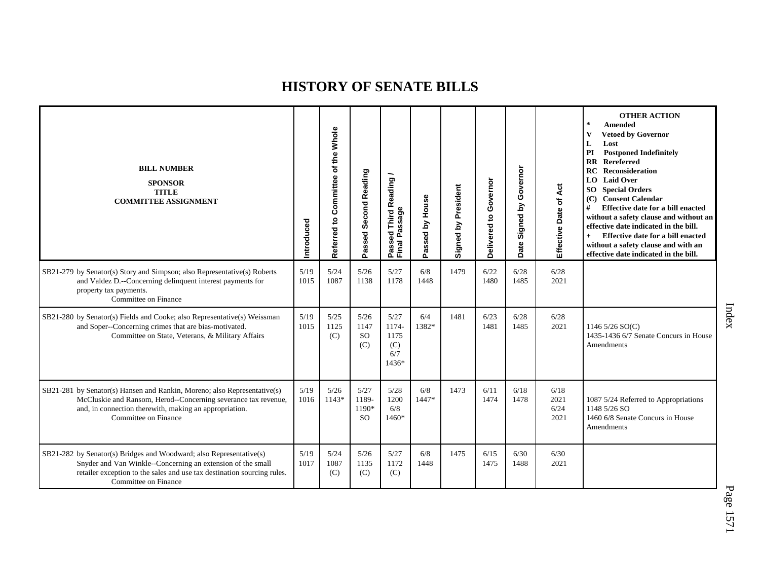| <b>BILL NUMBER</b><br><b>SPONSOR</b><br><b>TITLE</b><br><b>COMMITTEE ASSIGNMENT</b>                                                                                                                                                   | Introduced   | Whole<br>of the<br>Committee<br>Referred to | Second Reading<br>Passed                | <b>Third Reading</b>                         | Passed by House | by President<br>Signed | Governor<br>S<br>Delivered | Governor<br>Σ<br>Signed I<br>Date | Act<br>Effective Date of     | <b>OTHER ACTION</b><br>$\star$<br><b>Amended</b><br>V<br><b>Vetoed by Governor</b><br>L<br>Lost<br>PI<br><b>Postponed Indefinitely</b><br><b>RR</b> Rereferred<br><b>Reconsideration</b><br>RC<br><b>LO</b> Laid Over<br><b>SO</b> Special Orders<br>(C) Consent Calendar<br>#<br><b>Effective date for a bill enacted</b><br>without a safety clause and without an<br>effective date indicated in the bill.<br>Effective date for a bill enacted<br>$+$<br>without a safety clause and with an<br>effective date indicated in the bill. |
|---------------------------------------------------------------------------------------------------------------------------------------------------------------------------------------------------------------------------------------|--------------|---------------------------------------------|-----------------------------------------|----------------------------------------------|-----------------|------------------------|----------------------------|-----------------------------------|------------------------------|-------------------------------------------------------------------------------------------------------------------------------------------------------------------------------------------------------------------------------------------------------------------------------------------------------------------------------------------------------------------------------------------------------------------------------------------------------------------------------------------------------------------------------------------|
| SB21-279 by Senator(s) Story and Simpson; also Representative(s) Roberts<br>and Valdez D.--Concerning delinquent interest payments for<br>property tax payments.<br>Committee on Finance                                              | 5/19<br>1015 | 5/24<br>1087                                | 5/26<br>1138                            | 5/27<br>1178                                 | 6/8<br>1448     | 1479                   | 6/22<br>1480               | 6/28<br>1485                      | 6/28<br>2021                 |                                                                                                                                                                                                                                                                                                                                                                                                                                                                                                                                           |
| SB21-280 by Senator(s) Fields and Cooke; also Representative(s) Weissman<br>and Soper--Concerning crimes that are bias-motivated.<br>Committee on State, Veterans, & Military Affairs                                                 | 5/19<br>1015 | 5/25<br>1125<br>(C)                         | 5/26<br>1147<br><b>SO</b><br>(C)        | 5/27<br>1174-<br>1175<br>(C)<br>6/7<br>1436* | 6/4<br>1382*    | 1481                   | 6/23<br>1481               | 6/28<br>1485                      | 6/28<br>2021                 | 1146 $5/26$ SO(C)<br>1435-1436 6/7 Senate Concurs in House<br>Amendments                                                                                                                                                                                                                                                                                                                                                                                                                                                                  |
| SB21-281 by Senator(s) Hansen and Rankin, Moreno; also Representative(s)<br>McCluskie and Ransom, Herod--Concerning severance tax revenue,<br>and, in connection therewith, making an appropriation.<br>Committee on Finance          | 5/19<br>1016 | 5/26<br>$1143*$                             | 5/27<br>1189-<br>1190*<br><sub>SO</sub> | 5/28<br>1200<br>6/8<br>1460*                 | 6/8<br>1447*    | 1473                   | 6/11<br>1474               | 6/18<br>1478                      | 6/18<br>2021<br>6/24<br>2021 | 1087 5/24 Referred to Appropriations<br>1148 5/26 SO<br>1460 6/8 Senate Concurs in House<br>Amendments                                                                                                                                                                                                                                                                                                                                                                                                                                    |
| SB21-282 by Senator(s) Bridges and Woodward; also Representative(s)<br>Snyder and Van Winkle--Concerning an extension of the small<br>retailer exception to the sales and use tax destination sourcing rules.<br>Committee on Finance | 5/19<br>1017 | 5/24<br>1087<br>(C)                         | 5/26<br>1135<br>(C)                     | 5/27<br>1172<br>(C)                          | 6/8<br>1448     | 1475                   | 6/15<br>1475               | 6/30<br>1488                      | 6/30<br>2021                 |                                                                                                                                                                                                                                                                                                                                                                                                                                                                                                                                           |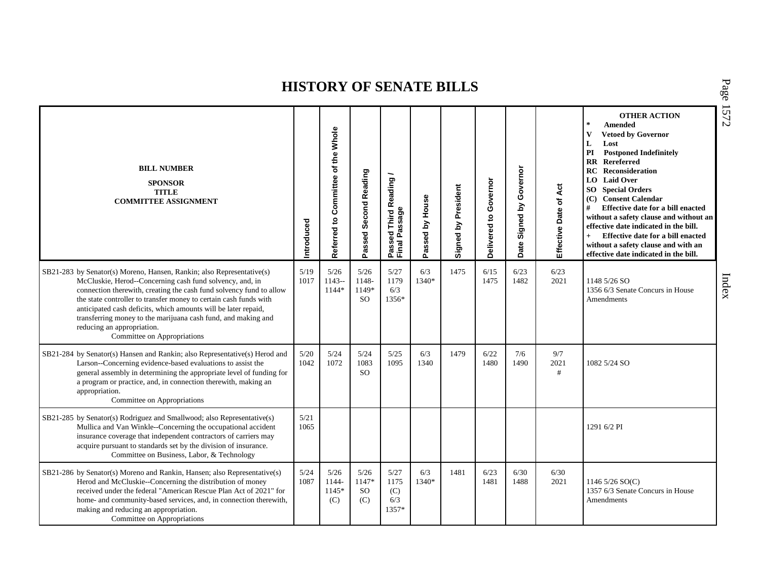| <b>BILL NUMBER</b><br><b>SPONSOR</b><br><b>TITLE</b><br><b>COMMITTEE ASSIGNMENT</b>                                                                                                                                                                                                                                                                                                                                                                                           | Introduced   | the Whole<br>Referred to Committee of | Passed Second Reading             | Passed Third Reading<br>Final Passage | Passed by House | Signed by President | Governor<br>$\mathtt{S}$<br>Delivered | Governor<br>Signed by<br>Date | Effective Date of Act | <b>OTHER ACTION</b><br>$\sim$<br><b>Amended</b><br>$\mathbf{V}$<br><b>Vetoed by Governor</b><br>L<br>Lost<br><b>Postponed Indefinitely</b><br>PI<br><b>RR</b> Rereferred<br>Reconsideration<br>RC<br><b>LO</b> Laid Over<br><b>SO</b> Special Orders<br>(C) Consent Calendar<br>#<br>Effective date for a bill enacted<br>without a safety clause and without an<br>effective date indicated in the bill.<br>Effective date for a bill enacted<br>$+$<br>without a safety clause and with an<br>effective date indicated in the bill. |
|-------------------------------------------------------------------------------------------------------------------------------------------------------------------------------------------------------------------------------------------------------------------------------------------------------------------------------------------------------------------------------------------------------------------------------------------------------------------------------|--------------|---------------------------------------|-----------------------------------|---------------------------------------|-----------------|---------------------|---------------------------------------|-------------------------------|-----------------------|---------------------------------------------------------------------------------------------------------------------------------------------------------------------------------------------------------------------------------------------------------------------------------------------------------------------------------------------------------------------------------------------------------------------------------------------------------------------------------------------------------------------------------------|
| SB21-283 by Senator(s) Moreno, Hansen, Rankin; also Representative(s)<br>McCluskie, Herod--Concerning cash fund solvency, and, in<br>connection therewith, creating the cash fund solvency fund to allow<br>the state controller to transfer money to certain cash funds with<br>anticipated cash deficits, which amounts will be later repaid,<br>transferring money to the marijuana cash fund, and making and<br>reducing an appropriation.<br>Committee on Appropriations | 5/19<br>1017 | 5/26<br>$1143-$<br>1144*              | 5/26<br>1148-<br>1149*<br>SO.     | 5/27<br>1179<br>6/3<br>1356*          | 6/3<br>1340*    | 1475                | 6/15<br>1475                          | 6/23<br>1482                  | 6/23<br>2021          | 1148 5/26 SO<br>1356 6/3 Senate Concurs in House<br>Amendments                                                                                                                                                                                                                                                                                                                                                                                                                                                                        |
| SB21-284 by Senator(s) Hansen and Rankin; also Representative(s) Herod and<br>Larson--Concerning evidence-based evaluations to assist the<br>general assembly in determining the appropriate level of funding for<br>a program or practice, and, in connection therewith, making an<br>appropriation.<br>Committee on Appropriations                                                                                                                                          | 5/20<br>1042 | 5/24<br>1072                          | 5/24<br>1083<br><b>SO</b>         | 5/25<br>1095                          | 6/3<br>1340     | 1479                | 6/22<br>1480                          | 7/6<br>1490                   | 9/7<br>2021<br>#      | 1082 5/24 SO                                                                                                                                                                                                                                                                                                                                                                                                                                                                                                                          |
| SB21-285 by Senator(s) Rodriguez and Smallwood; also Representative(s)<br>Mullica and Van Winkle--Concerning the occupational accident<br>insurance coverage that independent contractors of carriers may<br>acquire pursuant to standards set by the division of insurance.<br>Committee on Business, Labor, & Technology                                                                                                                                                    | 5/21<br>1065 |                                       |                                   |                                       |                 |                     |                                       |                               |                       | 1291 6/2 PI                                                                                                                                                                                                                                                                                                                                                                                                                                                                                                                           |
| SB21-286 by Senator(s) Moreno and Rankin, Hansen; also Representative(s)<br>Herod and McCluskie--Concerning the distribution of money<br>received under the federal "American Rescue Plan Act of 2021" for<br>home- and community-based services, and, in connection therewith,<br>making and reducing an appropriation.<br>Committee on Appropriations                                                                                                                       | 5/24<br>1087 | 5/26<br>1144-<br>1145*<br>(C)         | 5/26<br>1147*<br><b>SO</b><br>(C) | 5/27<br>1175<br>(C)<br>6/3<br>1357*   | 6/3<br>1340*    | 1481                | 6/23<br>1481                          | 6/30<br>1488                  | 6/30<br>2021          | 1146 5/26 SO(C)<br>1357 6/3 Senate Concurs in House<br>Amendments                                                                                                                                                                                                                                                                                                                                                                                                                                                                     |

P a g e 15 7 2

Index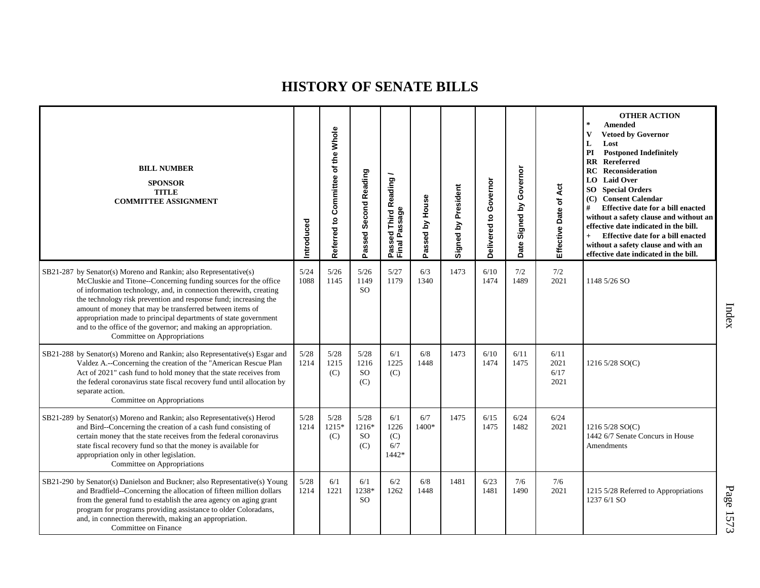| <b>BILL NUMBER</b><br><b>SPONSOR</b><br><b>TITLE</b><br><b>COMMITTEE ASSIGNMENT</b>                                                                                                                                                                                                                                                                                                                                                                                                                           | ntroduced    | Referred to Committee of the Whole | Passed Second Reading            | Passed Third Reading<br>Final Passage | Passed by House | Signed by President | Governor<br>Delivered to | Governor<br>Signed by<br>Date | Āct<br>Effective Date of     | <b>OTHER ACTION</b><br>$\ast$<br><b>Amended</b><br><b>Vetoed by Governor</b><br>V<br>L<br>Lost<br>PI<br><b>Postponed Indefinitely</b><br><b>RR</b> Rereferred<br><b>RC</b> Reconsideration<br><b>LO</b> Laid Over<br><b>SO</b> Special Orders<br>(C) Consent Calendar<br>#<br>Effective date for a bill enacted<br>without a safety clause and without an<br>effective date indicated in the bill.<br>Effective date for a bill enacted<br>$+$<br>without a safety clause and with an<br>effective date indicated in the bill. |
|---------------------------------------------------------------------------------------------------------------------------------------------------------------------------------------------------------------------------------------------------------------------------------------------------------------------------------------------------------------------------------------------------------------------------------------------------------------------------------------------------------------|--------------|------------------------------------|----------------------------------|---------------------------------------|-----------------|---------------------|--------------------------|-------------------------------|------------------------------|--------------------------------------------------------------------------------------------------------------------------------------------------------------------------------------------------------------------------------------------------------------------------------------------------------------------------------------------------------------------------------------------------------------------------------------------------------------------------------------------------------------------------------|
| SB21-287 by Senator(s) Moreno and Rankin; also Representative(s)<br>McCluskie and Titone--Concerning funding sources for the office<br>of information technology, and, in connection therewith, creating<br>the technology risk prevention and response fund; increasing the<br>amount of money that may be transferred between items of<br>appropriation made to principal departments of state government<br>and to the office of the governor; and making an appropriation.<br>Committee on Appropriations | 5/24<br>1088 | 5/26<br>1145                       | 5/26<br>1149<br><sub>SO</sub>    | 5/27<br>1179                          | 6/3<br>1340     | 1473                | 6/10<br>1474             | 7/2<br>1489                   | 7/2<br>2021                  | 1148 5/26 SO                                                                                                                                                                                                                                                                                                                                                                                                                                                                                                                   |
| SB21-288 by Senator(s) Moreno and Rankin; also Representative(s) Esgar and<br>Valdez A.--Concerning the creation of the "American Rescue Plan<br>Act of 2021" cash fund to hold money that the state receives from<br>the federal coronavirus state fiscal recovery fund until allocation by<br>separate action.<br>Committee on Appropriations                                                                                                                                                               | 5/28<br>1214 | 5/28<br>1215<br>(C)                | 5/28<br>1216<br><b>SO</b><br>(C) | 6/1<br>1225<br>(C)                    | 6/8<br>1448     | 1473                | 6/10<br>1474             | 6/11<br>1475                  | 6/11<br>2021<br>6/17<br>2021 | 1216 5/28 SO(C)                                                                                                                                                                                                                                                                                                                                                                                                                                                                                                                |
| SB21-289 by Senator(s) Moreno and Rankin; also Representative(s) Herod<br>and Bird--Concerning the creation of a cash fund consisting of<br>certain money that the state receives from the federal coronavirus<br>state fiscal recovery fund so that the money is available for<br>appropriation only in other legislation.<br>Committee on Appropriations                                                                                                                                                    | 5/28<br>1214 | 5/28<br>$1215*$<br>(C)             | 5/28<br>$1216*$<br>SO.<br>(C)    | 6/1<br>1226<br>(C)<br>6/7<br>1442*    | 6/7<br>1400*    | 1475                | 6/15<br>1475             | 6/24<br>1482                  | 6/24<br>2021                 | 1216 5/28 SO(C)<br>1442 6/7 Senate Concurs in House<br>Amendments                                                                                                                                                                                                                                                                                                                                                                                                                                                              |
| SB21-290 by Senator(s) Danielson and Buckner; also Representative(s) Young<br>and Bradfield--Concerning the allocation of fifteen million dollars<br>from the general fund to establish the area agency on aging grant<br>program for programs providing assistance to older Coloradans,<br>and, in connection therewith, making an appropriation.<br>Committee on Finance                                                                                                                                    | 5/28<br>1214 | 6/1<br>1221                        | 6/1<br>1238*<br><sub>SO</sub>    | 6/2<br>1262                           | 6/8<br>1448     | 1481                | 6/23<br>1481             | 7/6<br>1490                   | 7/6<br>2021                  | 1215 5/28 Referred to Appropriations<br>1237 6/1 SO                                                                                                                                                                                                                                                                                                                                                                                                                                                                            |

P a g e 15 7 3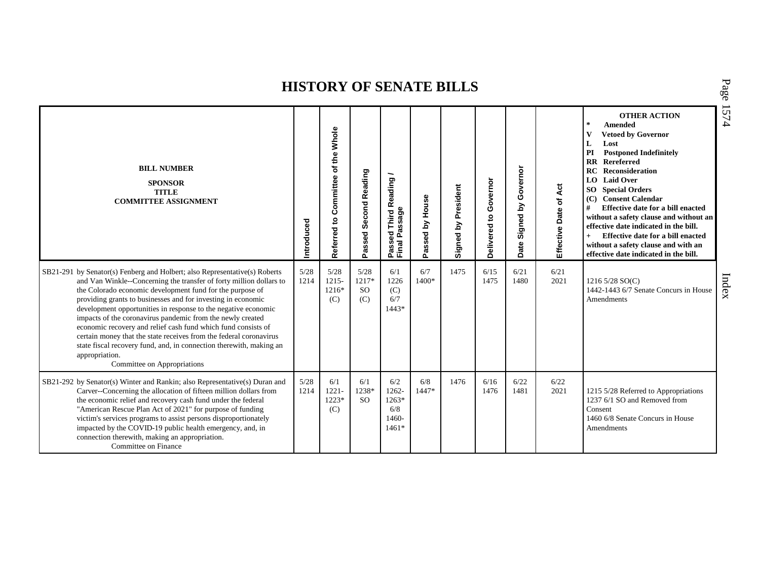| <b>BILL NUMBER</b><br><b>SPONSOR</b><br><b>TITLE</b><br><b>COMMITTEE ASSIGNMENT</b>                                                                                                                                                                                                                                                                                                                                                                                                                                                                                                                                                                                           | Introduced   | of the Whole<br>Committee<br>e,<br>Referred | Second Reading<br>Passed          | Third Reading /<br><sup>o</sup> assed Third R<br><sup>-</sup> inal Passage<br>Passe<br>Final | Passed by House | Signed by President | Governor<br>$\mathbf{S}$<br>Delivered | by Governor<br>Signed I<br>Date | Effective Date of Act | <b>OTHER ACTION</b><br>$\star$<br><b>Amended</b><br><b>Vetoed by Governor</b><br>L<br>Lost<br>PI<br><b>Postponed Indefinitely</b><br><b>RR</b> Rereferred<br><b>RC</b> Reconsideration<br>LO Laid Over<br><b>SO</b> Special Orders<br><b>Consent Calendar</b><br>(C)<br>#<br>Effective date for a bill enacted<br>without a safety clause and without an<br>effective date indicated in the bill.<br>Effective date for a bill enacted<br>$+$<br>without a safety clause and with an<br>effective date indicated in the bill. |
|-------------------------------------------------------------------------------------------------------------------------------------------------------------------------------------------------------------------------------------------------------------------------------------------------------------------------------------------------------------------------------------------------------------------------------------------------------------------------------------------------------------------------------------------------------------------------------------------------------------------------------------------------------------------------------|--------------|---------------------------------------------|-----------------------------------|----------------------------------------------------------------------------------------------|-----------------|---------------------|---------------------------------------|---------------------------------|-----------------------|-------------------------------------------------------------------------------------------------------------------------------------------------------------------------------------------------------------------------------------------------------------------------------------------------------------------------------------------------------------------------------------------------------------------------------------------------------------------------------------------------------------------------------|
| SB21-291 by Senator(s) Fenberg and Holbert; also Representative(s) Roberts<br>and Van Winkle--Concerning the transfer of forty million dollars to<br>the Colorado economic development fund for the purpose of<br>providing grants to businesses and for investing in economic<br>development opportunities in response to the negative economic<br>impacts of the coronavirus pandemic from the newly created<br>economic recovery and relief cash fund which fund consists of<br>certain money that the state receives from the federal coronavirus<br>state fiscal recovery fund, and, in connection therewith, making an<br>appropriation.<br>Committee on Appropriations | 5/28<br>1214 | 5/28<br>$1215 -$<br>1216*<br>(C)            | 5/28<br>1217*<br><b>SO</b><br>(C) | 6/1<br>1226<br>(C)<br>6/7<br>$1443*$                                                         | 6/7<br>1400*    | 1475                | 6/15<br>1475                          | 6/21<br>1480                    | 6/21<br>2021          | 1216 $5/28$ SO(C)<br>1442-1443 6/7 Senate Concurs in House<br>Amendments                                                                                                                                                                                                                                                                                                                                                                                                                                                      |
| SB21-292 by Senator(s) Winter and Rankin; also Representative(s) Duran and<br>Carver--Concerning the allocation of fifteen million dollars from<br>the economic relief and recovery cash fund under the federal<br>"American Rescue Plan Act of 2021" for purpose of funding<br>victim's services programs to assist persons disproportionately<br>impacted by the COVID-19 public health emergency, and, in<br>connection therewith, making an appropriation.<br>Committee on Finance                                                                                                                                                                                        | 5/28<br>1214 | 6/1<br>$1221 -$<br>1223*<br>(C)             | 6/1<br>1238*<br>SO <sub>2</sub>   | 6/2<br>1262-<br>$1263*$<br>6/8<br>1460-<br>$1461*$                                           | 6/8<br>$1447*$  | 1476                | 6/16<br>1476                          | 6/22<br>1481                    | 6/22<br>2021          | 1215 5/28 Referred to Appropriations<br>1237 6/1 SO and Removed from<br>Consent<br>1460 6/8 Senate Concurs in House<br>Amendments                                                                                                                                                                                                                                                                                                                                                                                             |

P a g e 15 7 4

Index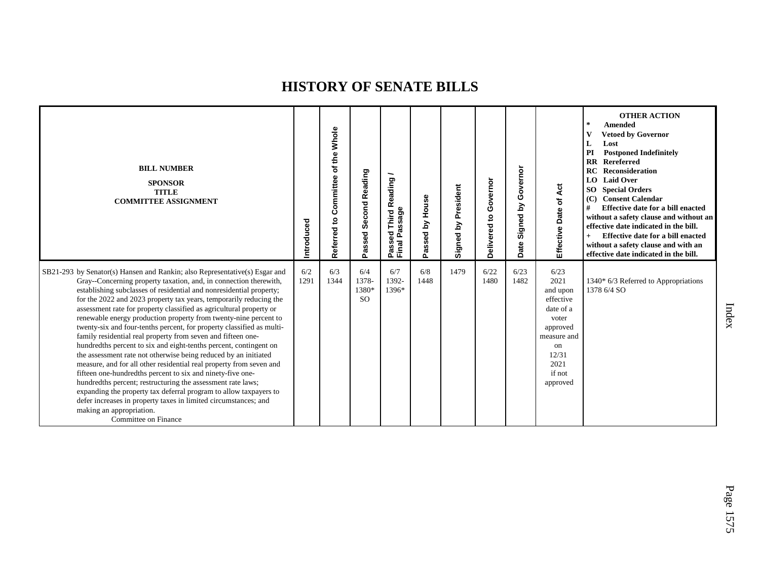| <b>BILL NUMBER</b><br><b>SPONSOR</b><br><b>TITLE</b><br><b>COMMITTEE ASSIGNMENT</b>                                                                                                                                                                                                                                                                                                                                                                                                                                                                                                                                                                                                                                                                                                                                                                                                                                                                                                                                                                                                                                      | Introduced  | Committee of the Whole<br>Referred to | Second Reading<br>Passed               | Reading<br>Passage<br>Third<br>g<br>Passe<br>Final | Passed by House | Signed by President | Governor<br>$\mathbf{S}$<br>Delivered | Governor<br>Signed by<br>Date | Effective Date of Act                                                                                                               | <b>OTHER ACTION</b><br>$\ast$<br><b>Amended</b><br>v<br><b>Vetoed by Governor</b><br>L<br>Lost<br>PI<br><b>Postponed Indefinitely</b><br><b>RR</b> Rereferred<br><b>RC</b> Reconsideration<br>LO Laid Over<br><b>SO</b> Special Orders<br><b>Consent Calendar</b><br>(C)<br>#<br>Effective date for a bill enacted<br>without a safety clause and without an<br>effective date indicated in the bill.<br>Effective date for a bill enacted<br>$+$<br>without a safety clause and with an<br>effective date indicated in the bill. |
|--------------------------------------------------------------------------------------------------------------------------------------------------------------------------------------------------------------------------------------------------------------------------------------------------------------------------------------------------------------------------------------------------------------------------------------------------------------------------------------------------------------------------------------------------------------------------------------------------------------------------------------------------------------------------------------------------------------------------------------------------------------------------------------------------------------------------------------------------------------------------------------------------------------------------------------------------------------------------------------------------------------------------------------------------------------------------------------------------------------------------|-------------|---------------------------------------|----------------------------------------|----------------------------------------------------|-----------------|---------------------|---------------------------------------|-------------------------------|-------------------------------------------------------------------------------------------------------------------------------------|-----------------------------------------------------------------------------------------------------------------------------------------------------------------------------------------------------------------------------------------------------------------------------------------------------------------------------------------------------------------------------------------------------------------------------------------------------------------------------------------------------------------------------------|
| SB21-293 by Senator(s) Hansen and Rankin; also Representative(s) Esgar and<br>Gray--Concerning property taxation, and, in connection therewith,<br>establishing subclasses of residential and nonresidential property;<br>for the 2022 and 2023 property tax years, temporarily reducing the<br>assessment rate for property classified as agricultural property or<br>renewable energy production property from twenty-nine percent to<br>twenty-six and four-tenths percent, for property classified as multi-<br>family residential real property from seven and fifteen one-<br>hundredths percent to six and eight-tenths percent, contingent on<br>the assessment rate not otherwise being reduced by an initiated<br>measure, and for all other residential real property from seven and<br>fifteen one-hundredths percent to six and ninety-five one-<br>hundredths percent; restructuring the assessment rate laws;<br>expanding the property tax deferral program to allow taxpayers to<br>defer increases in property taxes in limited circumstances; and<br>making an appropriation.<br>Committee on Finance | 6/2<br>1291 | 6/3<br>1344                           | 6/4<br>1378-<br>1380*<br><sub>SO</sub> | 6/7<br>1392-<br>1396*                              | 6/8<br>1448     | 1479                | 6/22<br>1480                          | 6/23<br>1482                  | 6/23<br>2021<br>and upon<br>effective<br>date of a<br>voter<br>approved<br>measure and<br>on<br>12/31<br>2021<br>if not<br>approved | 1340* 6/3 Referred to Appropriations<br>1378 6/4 SO                                                                                                                                                                                                                                                                                                                                                                                                                                                                               |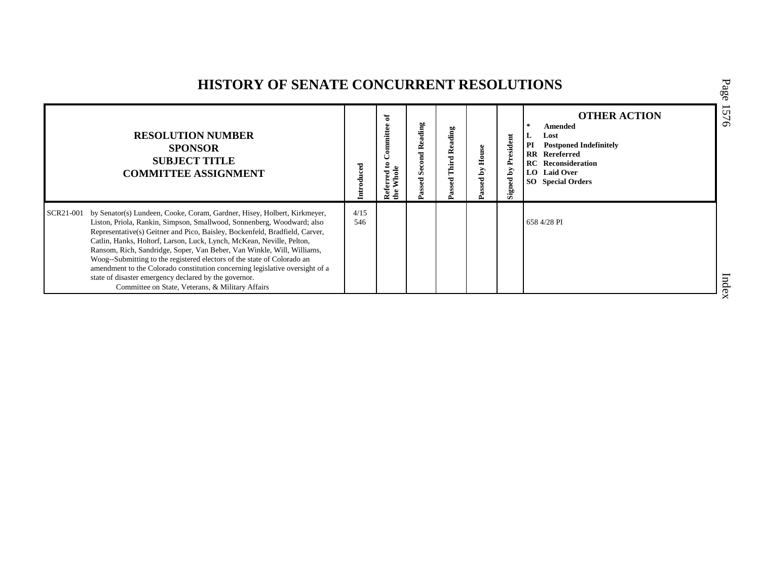## **HISTORY OF SENATE CONCURRENT RESOLUTIONS**

|           | <b>RESOLUTION NUMBER</b><br><b>SPONSOR</b><br><b>SUBJECT TITLE</b><br><b>COMMITTEE ASSIGNMENT</b>                                                                                                                                                                                                                                                                                                                                                                                                                                                                                                                                                            | Introduced  | ិ<br>Committee<br>Whole<br>Referred<br>de | ding<br>≃<br>Šē,<br>assed | Reading<br>Third<br>assed | House<br>ΣĀ<br>assed | resident<br>≏<br>Σđ<br>ned<br>Sig | <b>OTHER ACTION</b><br>Amended<br>Lost<br>L<br>PI<br><b>Postponed Indefinitely</b><br><b>RR</b> Rereferred<br><b>RC</b> Reconsideration<br>LO Laid Over<br><b>SO</b> Special Orders |
|-----------|--------------------------------------------------------------------------------------------------------------------------------------------------------------------------------------------------------------------------------------------------------------------------------------------------------------------------------------------------------------------------------------------------------------------------------------------------------------------------------------------------------------------------------------------------------------------------------------------------------------------------------------------------------------|-------------|-------------------------------------------|---------------------------|---------------------------|----------------------|-----------------------------------|-------------------------------------------------------------------------------------------------------------------------------------------------------------------------------------|
| SCR21-001 | by Senator(s) Lundeen, Cooke, Coram, Gardner, Hisey, Holbert, Kirkmeyer,<br>Liston, Priola, Rankin, Simpson, Smallwood, Sonnenberg, Woodward; also<br>Representative(s) Geitner and Pico, Baisley, Bockenfeld, Bradfield, Carver,<br>Catlin, Hanks, Holtorf, Larson, Luck, Lynch, McKean, Neville, Pelton,<br>Ransom, Rich, Sandridge, Soper, Van Beber, Van Winkle, Will, Williams,<br>Woog--Submitting to the registered electors of the state of Colorado an<br>amendment to the Colorado constitution concerning legislative oversight of a<br>state of disaster emergency declared by the governor.<br>Committee on State, Veterans, & Military Affairs | 4/15<br>546 |                                           |                           |                           |                      |                                   | 658 4/28 PI                                                                                                                                                                         |

P a g e 15 7 6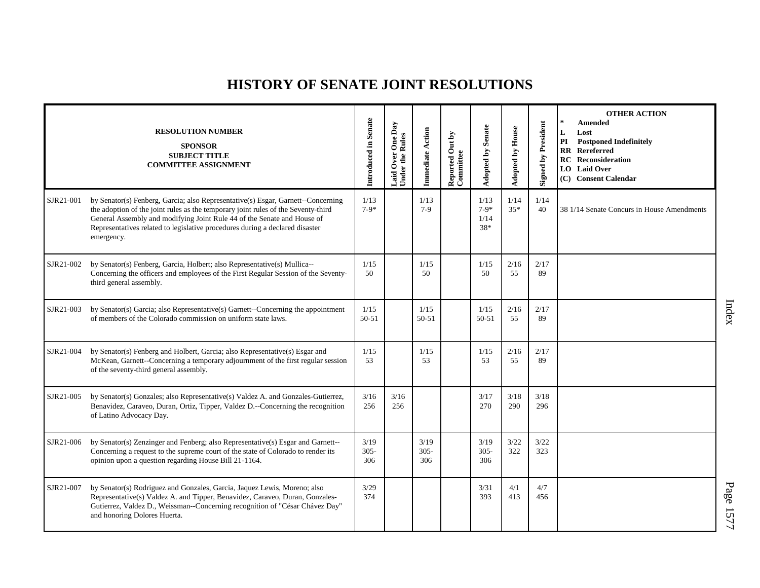|           | <b>RESOLUTION NUMBER</b><br><b>SPONSOR</b><br><b>SUBJECT TITLE</b><br><b>COMMITTEE ASSIGNMENT</b>                                                                                                                                                                                                                                              | Introduced in Senate   | Laid Over One Day<br>Under the Rules | Immediate Action       | Reported Out by<br>Committee | <b>Adopted by Senate</b>      | <b>Adopted by House</b> | <b>Signed by President</b> | <b>OTHER ACTION</b><br>$\star$<br>Amended<br>L<br>Lost<br>PI<br><b>Postponed Indefinitely</b><br><b>RR</b> Rereferred<br><b>RC</b> Reconsideration<br>LO Laid Over<br>(C) Consent Calendar |
|-----------|------------------------------------------------------------------------------------------------------------------------------------------------------------------------------------------------------------------------------------------------------------------------------------------------------------------------------------------------|------------------------|--------------------------------------|------------------------|------------------------------|-------------------------------|-------------------------|----------------------------|--------------------------------------------------------------------------------------------------------------------------------------------------------------------------------------------|
| SJR21-001 | by Senator(s) Fenberg, Garcia; also Representative(s) Esgar, Garnett--Concerning<br>the adoption of the joint rules as the temporary joint rules of the Seventy-third<br>General Assembly and modifying Joint Rule 44 of the Senate and House of<br>Representatives related to legislative procedures during a declared disaster<br>emergency. | 1/13<br>$7-9*$         |                                      | 1/13<br>$7-9$          |                              | 1/13<br>$7-9*$<br>1/14<br>38* | 1/14<br>$35*$           | 1/14<br>40                 | 38 1/14 Senate Concurs in House Amendments                                                                                                                                                 |
| SJR21-002 | by Senator(s) Fenberg, Garcia, Holbert; also Representative(s) Mullica--<br>Concerning the officers and employees of the First Regular Session of the Seventy-<br>third general assembly.                                                                                                                                                      | 1/15<br>50             |                                      | 1/15<br>50             |                              | 1/15<br>50                    | 2/16<br>55              | 2/17<br>89                 |                                                                                                                                                                                            |
| SJR21-003 | by Senator(s) Garcia; also Representative(s) Garnett--Concerning the appointment<br>of members of the Colorado commission on uniform state laws.                                                                                                                                                                                               | 1/15<br>50-51          |                                      | 1/15<br>$50 - 51$      |                              | 1/15<br>$50 - 51$             | 2/16<br>55              | 2/17<br>89                 |                                                                                                                                                                                            |
| SJR21-004 | by Senator(s) Fenberg and Holbert, Garcia; also Representative(s) Esgar and<br>McKean, Garnett--Concerning a temporary adjournment of the first regular session<br>of the seventy-third general assembly.                                                                                                                                      | 1/15<br>53             |                                      | 1/15<br>53             |                              | 1/15<br>53                    | 2/16<br>55              | 2/17<br>89                 |                                                                                                                                                                                            |
| SJR21-005 | by Senator(s) Gonzales; also Representative(s) Valdez A. and Gonzales-Gutierrez,<br>Benavidez, Caraveo, Duran, Ortiz, Tipper, Valdez D.--Concerning the recognition<br>of Latino Advocacy Day.                                                                                                                                                 | 3/16<br>256            | 3/16<br>256                          |                        |                              | 3/17<br>270                   | 3/18<br>290             | 3/18<br>296                |                                                                                                                                                                                            |
| SJR21-006 | by Senator(s) Zenzinger and Fenberg; also Representative(s) Esgar and Garnett--<br>Concerning a request to the supreme court of the state of Colorado to render its<br>opinion upon a question regarding House Bill 21-1164.                                                                                                                   | 3/19<br>$305 -$<br>306 |                                      | 3/19<br>$305 -$<br>306 |                              | 3/19<br>$305 -$<br>306        | 3/22<br>322             | 3/22<br>323                |                                                                                                                                                                                            |
| SJR21-007 | by Senator(s) Rodriguez and Gonzales, Garcia, Jaquez Lewis, Moreno; also<br>Representative(s) Valdez A. and Tipper, Benavidez, Caraveo, Duran, Gonzales-<br>Gutierrez, Valdez D., Weissman--Concerning recognition of "César Chávez Day"<br>and honoring Dolores Huerta.                                                                       | 3/29<br>374            |                                      |                        |                              | 3/31<br>393                   | 4/1<br>413              | 4/7<br>456                 |                                                                                                                                                                                            |

Index

P a g e 1577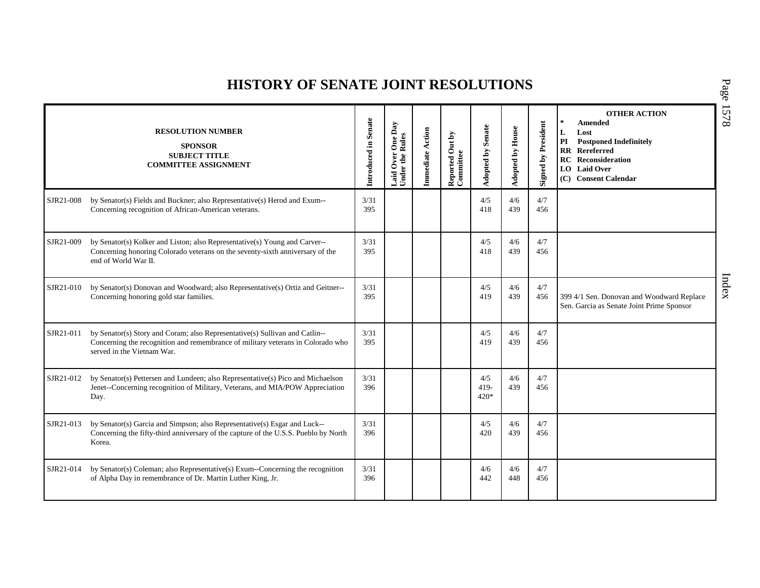|           | <b>RESOLUTION NUMBER</b><br><b>SPONSOR</b><br><b>SUBJECT TITLE</b><br><b>COMMITTEE ASSIGNMENT</b>                                                                                            | Introduced in Senate | Laid Over One Day<br>Under the Rules | Immediate Action | Reported Out by<br>Committee | <b>Senate</b><br>Adopted by | <b>Adopted by House</b> | <b>Signed by President</b> | <b>OTHER ACTION</b><br>$\star$<br><b>Amended</b><br>Lost<br>L<br>PI<br><b>Postponed Indefinitely</b><br>$\mathbf{R}$<br>Rereferred<br>RC<br>Reconsideration<br><b>Laid Over</b><br>LO<br>(C) Consent Calendar |
|-----------|----------------------------------------------------------------------------------------------------------------------------------------------------------------------------------------------|----------------------|--------------------------------------|------------------|------------------------------|-----------------------------|-------------------------|----------------------------|---------------------------------------------------------------------------------------------------------------------------------------------------------------------------------------------------------------|
| SJR21-008 | by Senator(s) Fields and Buckner; also Representative(s) Herod and Exum--<br>Concerning recognition of African-American veterans.                                                            | 3/31<br>395          |                                      |                  |                              | 4/5<br>418                  | 4/6<br>439              | 4/7<br>456                 |                                                                                                                                                                                                               |
| SJR21-009 | by Senator(s) Kolker and Liston; also Representative(s) Young and Carver--<br>Concerning honoring Colorado veterans on the seventy-sixth anniversary of the<br>end of World War II.          | 3/31<br>395          |                                      |                  |                              | 4/5<br>418                  | 4/6<br>439              | 4/7<br>456                 |                                                                                                                                                                                                               |
| SJR21-010 | by Senator(s) Donovan and Woodward; also Representative(s) Ortiz and Geitner--<br>Concerning honoring gold star families.                                                                    | 3/31<br>395          |                                      |                  |                              | 4/5<br>419                  | 4/6<br>439              | 4/7<br>456                 | 399 4/1 Sen. Donovan and Woodward Replace<br>Sen. Garcia as Senate Joint Prime Sponsor                                                                                                                        |
| SJR21-011 | by Senator(s) Story and Coram; also Representative(s) Sullivan and Catlin--<br>Concerning the recognition and remembrance of military veterans in Colorado who<br>served in the Vietnam War. | 3/31<br>395          |                                      |                  |                              | 4/5<br>419                  | 4/6<br>439              | 4/7<br>456                 |                                                                                                                                                                                                               |
| SJR21-012 | by Senator(s) Pettersen and Lundeen; also Representative(s) Pico and Michaelson<br>Jenet-Concerning recognition of Military, Veterans, and MIA/POW Appreciation<br>Day.                      | 3/31<br>396          |                                      |                  |                              | 4/5<br>$419-$<br>$420*$     | 4/6<br>439              | 4/7<br>456                 |                                                                                                                                                                                                               |
| SJR21-013 | by Senator(s) Garcia and Simpson; also Representative(s) Esgar and Luck--<br>Concerning the fifty-third anniversary of the capture of the U.S.S. Pueblo by North<br>Korea.                   | 3/31<br>396          |                                      |                  |                              | 4/5<br>420                  | 4/6<br>439              | 4/7<br>456                 |                                                                                                                                                                                                               |
| SJR21-014 | by Senator(s) Coleman; also Representative(s) Exum--Concerning the recognition<br>of Alpha Day in remembrance of Dr. Martin Luther King, Jr.                                                 | 3/31<br>396          |                                      |                  |                              | 4/6<br>442                  | 4/6<br>448              | 4/7<br>456                 |                                                                                                                                                                                                               |

P a g e 15 7 8

Index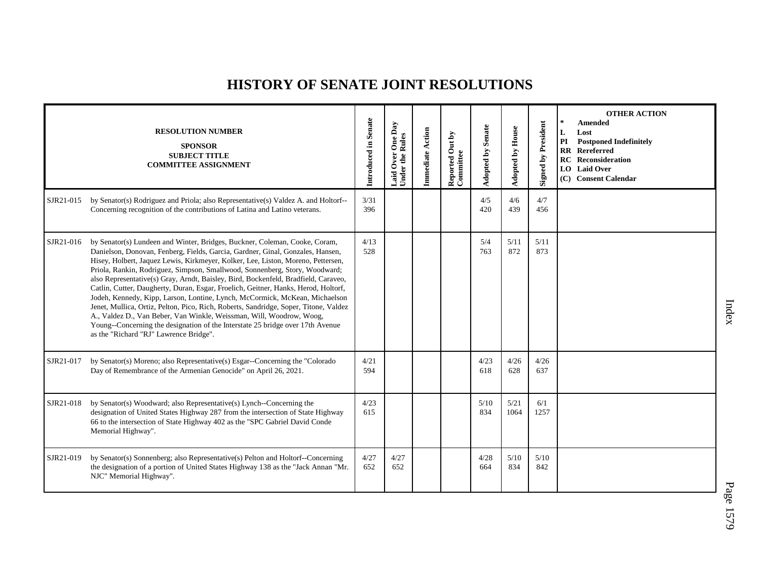|           | <b>RESOLUTION NUMBER</b><br><b>SPONSOR</b><br><b>SUBJECT TITLE</b><br><b>COMMITTEE ASSIGNMENT</b>                                                                                                                                                                                                                                                                                                                                                                                                                                                                                                                                                                                                                                                                                                                                                                                      | Introduced in Senate | One Day<br><b>Under the Rules</b><br>Over<br>Laid | <b>Immediate Action</b> | Reported Out by<br>Committee | <b>Adopted by Senate</b> | Adopted by House | <b>Signed by President</b> | <b>OTHER ACTION</b><br>$\star$<br><b>Amended</b><br>L<br>Lost<br><b>Postponed Indefinitely</b><br>PI<br><b>RR</b> Rereferred<br><b>RC</b> Reconsideration<br>LO Laid Over<br>(C) Consent Calendar |
|-----------|----------------------------------------------------------------------------------------------------------------------------------------------------------------------------------------------------------------------------------------------------------------------------------------------------------------------------------------------------------------------------------------------------------------------------------------------------------------------------------------------------------------------------------------------------------------------------------------------------------------------------------------------------------------------------------------------------------------------------------------------------------------------------------------------------------------------------------------------------------------------------------------|----------------------|---------------------------------------------------|-------------------------|------------------------------|--------------------------|------------------|----------------------------|---------------------------------------------------------------------------------------------------------------------------------------------------------------------------------------------------|
| SJR21-015 | by Senator(s) Rodriguez and Priola; also Representative(s) Valdez A. and Holtorf--<br>Concerning recognition of the contributions of Latina and Latino veterans.                                                                                                                                                                                                                                                                                                                                                                                                                                                                                                                                                                                                                                                                                                                       | 3/31<br>396          |                                                   |                         |                              | 4/5<br>420               | 4/6<br>439       | 4/7<br>456                 |                                                                                                                                                                                                   |
| SJR21-016 | by Senator(s) Lundeen and Winter, Bridges, Buckner, Coleman, Cooke, Coram,<br>Danielson, Donovan, Fenberg, Fields, Garcia, Gardner, Ginal, Gonzales, Hansen,<br>Hisey, Holbert, Jaquez Lewis, Kirkmeyer, Kolker, Lee, Liston, Moreno, Pettersen,<br>Priola, Rankin, Rodriguez, Simpson, Smallwood, Sonnenberg, Story, Woodward;<br>also Representative(s) Gray, Arndt, Baisley, Bird, Bockenfeld, Bradfield, Caraveo,<br>Catlin, Cutter, Daugherty, Duran, Esgar, Froelich, Geitner, Hanks, Herod, Holtorf,<br>Jodeh, Kennedy, Kipp, Larson, Lontine, Lynch, McCormick, McKean, Michaelson<br>Jenet, Mullica, Ortiz, Pelton, Pico, Rich, Roberts, Sandridge, Soper, Titone, Valdez<br>A., Valdez D., Van Beber, Van Winkle, Weissman, Will, Woodrow, Woog,<br>Young--Concerning the designation of the Interstate 25 bridge over 17th Avenue<br>as the "Richard "RJ" Lawrence Bridge". | 4/13<br>528          |                                                   |                         |                              | 5/4<br>763               | 5/11<br>872      | 5/11<br>873                |                                                                                                                                                                                                   |
| SJR21-017 | by Senator(s) Moreno; also Representative(s) Esgar--Concerning the "Colorado"<br>Day of Remembrance of the Armenian Genocide" on April 26, 2021.                                                                                                                                                                                                                                                                                                                                                                                                                                                                                                                                                                                                                                                                                                                                       | 4/21<br>594          |                                                   |                         |                              | 4/23<br>618              | 4/26<br>628      | 4/26<br>637                |                                                                                                                                                                                                   |
| SJR21-018 | by Senator(s) Woodward; also Representative(s) Lynch--Concerning the<br>designation of United States Highway 287 from the intersection of State Highway<br>66 to the intersection of State Highway 402 as the "SPC Gabriel David Conde<br>Memorial Highway".                                                                                                                                                                                                                                                                                                                                                                                                                                                                                                                                                                                                                           | 4/23<br>615          |                                                   |                         |                              | 5/10<br>834              | 5/21<br>1064     | 6/1<br>1257                |                                                                                                                                                                                                   |
| SJR21-019 | by Senator(s) Sonnenberg; also Representative(s) Pelton and Holtorf--Concerning<br>the designation of a portion of United States Highway 138 as the "Jack Annan "Mr.<br>NJC" Memorial Highway".                                                                                                                                                                                                                                                                                                                                                                                                                                                                                                                                                                                                                                                                                        | 4/27<br>652          | 4/27<br>652                                       |                         |                              | 4/28<br>664              | $5/10$<br>834    | 5/10<br>842                |                                                                                                                                                                                                   |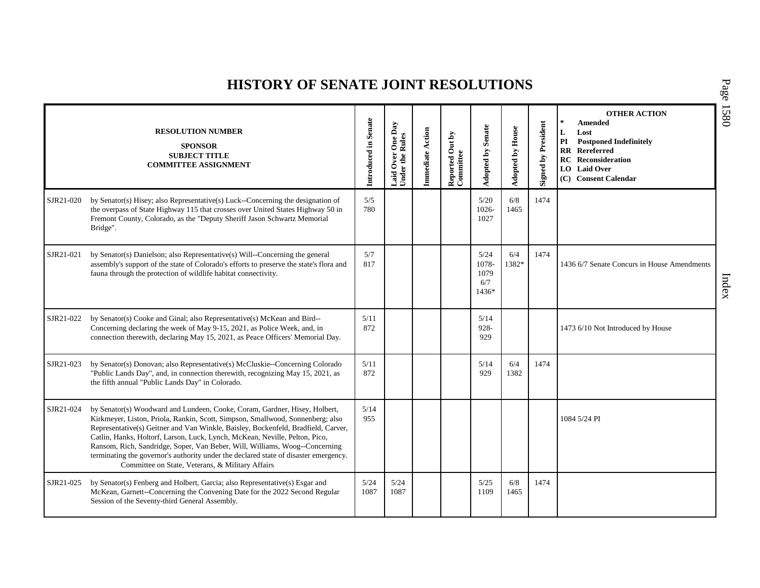|           | <b>RESOLUTION NUMBER</b><br><b>SPONSOR</b><br><b>SUBJECT TITLE</b><br><b>COMMITTEE ASSIGNMENT</b>                                                                                                                                                                                                                                                                                                                                                                                                                                                           | Introduced in Senate | One Day<br>Rules<br>Over<br>Under the<br>aid | Immediate Action | Reported Out by<br>Committee | <b>Adopted by Senate</b>              | Adopted by House | <b>Signed by President</b> | <b>OTHER ACTION</b><br>Amended<br>Lost<br>L<br>PI<br><b>Postponed Indefinitely</b><br><b>RR</b> Rereferred<br><b>RC</b> Reconsideration<br><b>LO</b> Laid Over<br>(C) Consent Calendar |
|-----------|-------------------------------------------------------------------------------------------------------------------------------------------------------------------------------------------------------------------------------------------------------------------------------------------------------------------------------------------------------------------------------------------------------------------------------------------------------------------------------------------------------------------------------------------------------------|----------------------|----------------------------------------------|------------------|------------------------------|---------------------------------------|------------------|----------------------------|----------------------------------------------------------------------------------------------------------------------------------------------------------------------------------------|
| SJR21-020 | by Senator(s) Hisey; also Representative(s) Luck--Concerning the designation of<br>the overpass of State Highway 115 that crosses over United States Highway 50 in<br>Fremont County, Colorado, as the "Deputy Sheriff Jason Schwartz Memorial<br>Bridge".                                                                                                                                                                                                                                                                                                  | 5/5<br>780           |                                              |                  |                              | 5/20<br>1026-<br>1027                 | 6/8<br>1465      | 1474                       |                                                                                                                                                                                        |
| SJR21-021 | by Senator(s) Danielson; also Representative(s) Will--Concerning the general<br>assembly's support of the state of Colorado's efforts to preserve the state's flora and<br>fauna through the protection of wildlife habitat connectivity.                                                                                                                                                                                                                                                                                                                   | 5/7<br>817           |                                              |                  |                              | 5/24<br>1078-<br>1079<br>6/7<br>1436* | 6/4<br>1382*     | 1474                       | 1436 6/7 Senate Concurs in House Amendments                                                                                                                                            |
| SJR21-022 | by Senator(s) Cooke and Ginal; also Representative(s) McKean and Bird--<br>Concerning declaring the week of May 9-15, 2021, as Police Week, and, in<br>connection therewith, declaring May 15, 2021, as Peace Officers' Memorial Day.                                                                                                                                                                                                                                                                                                                       | 5/11<br>872          |                                              |                  |                              | 5/14<br>928-<br>929                   |                  |                            | 1473 6/10 Not Introduced by House                                                                                                                                                      |
| SJR21-023 | by Senator(s) Donovan; also Representative(s) McCluskie--Concerning Colorado<br>"Public Lands Day", and, in connection therewith, recognizing May 15, 2021, as<br>the fifth annual "Public Lands Day" in Colorado.                                                                                                                                                                                                                                                                                                                                          | 5/11<br>872          |                                              |                  |                              | 5/14<br>929                           | 6/4<br>1382      | 1474                       |                                                                                                                                                                                        |
| SJR21-024 | by Senator(s) Woodward and Lundeen, Cooke, Coram, Gardner, Hisey, Holbert,<br>Kirkmeyer, Liston, Priola, Rankin, Scott, Simpson, Smallwood, Sonnenberg; also<br>Representative(s) Geitner and Van Winkle, Baisley, Bockenfeld, Bradfield, Carver,<br>Catlin, Hanks, Holtorf, Larson, Luck, Lynch, McKean, Neville, Pelton, Pico,<br>Ransom, Rich, Sandridge, Soper, Van Beber, Will, Williams, Woog--Concerning<br>terminating the governor's authority under the declared state of disaster emergency.<br>Committee on State, Veterans, & Military Affairs | 5/14<br>955          |                                              |                  |                              |                                       |                  |                            | 1084 5/24 PI                                                                                                                                                                           |
| SJR21-025 | by Senator(s) Fenberg and Holbert, Garcia; also Representative(s) Esgar and<br>McKean, Garnett--Concerning the Convening Date for the 2022 Second Regular<br>Session of the Seventy-third General Assembly.                                                                                                                                                                                                                                                                                                                                                 | 5/24<br>1087         | 5/24<br>1087                                 |                  |                              | 5/25<br>1109                          | 6/8<br>1465      | 1474                       |                                                                                                                                                                                        |

P a g e 15 8 0

Index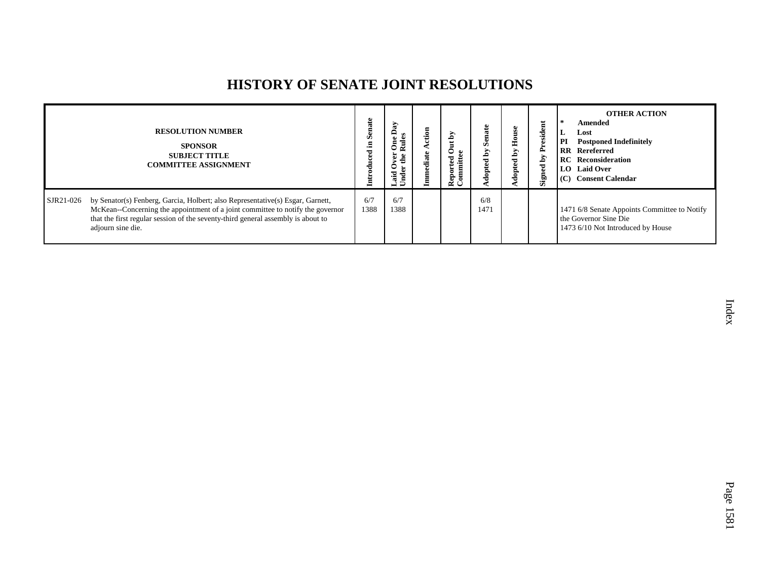|           | <b>RESOLUTION NUMBER</b><br><b>SPONSOR</b><br><b>SUBJECT TITLE</b><br><b>COMMITTEE ASSIGNMENT</b>                                                                                                                                                                         | <b>Senate</b><br>£. | S.<br>≏<br><b>Rul</b><br>Ē<br>ś<br>Laid<br>Ě<br>5 | হ<br>$\bullet$<br>Reported<br>Committee | Ø<br>⋗<br>ድ | House<br>$\mathbf{\tilde{q}}$<br>dopted | President<br>ð<br>Signed | <b>OTHER ACTION</b><br>Amended<br>Lost<br>L.<br>PI<br><b>Postponed Indefinitely</b><br><b>RR</b> Rereferred<br><b>RC</b> Reconsideration<br>LO Laid Over<br>(C) Consent Calendar |
|-----------|---------------------------------------------------------------------------------------------------------------------------------------------------------------------------------------------------------------------------------------------------------------------------|---------------------|---------------------------------------------------|-----------------------------------------|-------------|-----------------------------------------|--------------------------|----------------------------------------------------------------------------------------------------------------------------------------------------------------------------------|
| SJR21-026 | by Senator(s) Fenberg, Garcia, Holbert; also Representative(s) Esgar, Garnett,<br>McKean--Concerning the appointment of a joint committee to notify the governor<br>that the first regular session of the seventy-third general assembly is about to<br>adjourn sine die. | 6/7<br>1388         | 6/7<br>1388                                       |                                         | 6/8<br>1471 |                                         |                          | 1471 6/8 Senate Appoints Committee to Notify<br>the Governor Sine Die<br>1473 6/10 Not Introduced by House                                                                       |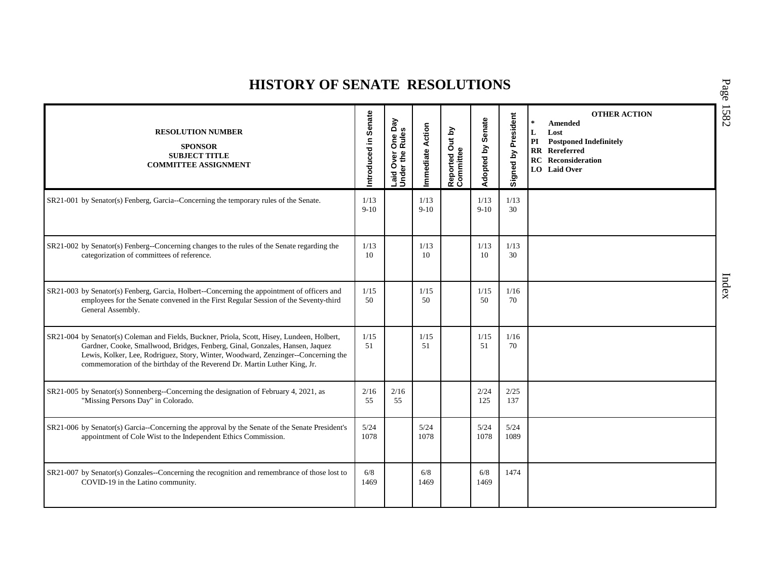| <b>RESOLUTION NUMBER</b><br><b>SPONSOR</b><br><b>SUBJECT TITLE</b><br><b>COMMITTEE ASSIGNMENT</b>                                                                                                                                                                                                                                             | Introduced in Senate | veq<br>One I<br>Over<br>If the<br>Laid O<br>Under 1 | Immediate Action | Reported Out by<br>Committee | Senate<br>Adopted by | Signed by President | <b>OTHER ACTION</b><br>Amended<br>L<br>Lost<br>$\mathbf{PI}$<br><b>Postponed Indefinitely</b><br>Rereferred<br>$\mathbf{R}$<br>RC<br>Reconsideration<br>LO Laid Over |
|-----------------------------------------------------------------------------------------------------------------------------------------------------------------------------------------------------------------------------------------------------------------------------------------------------------------------------------------------|----------------------|-----------------------------------------------------|------------------|------------------------------|----------------------|---------------------|----------------------------------------------------------------------------------------------------------------------------------------------------------------------|
| SR21-001 by Senator(s) Fenberg, Garcia--Concerning the temporary rules of the Senate.                                                                                                                                                                                                                                                         | 1/13<br>$9-10$       |                                                     | 1/13<br>$9-10$   |                              | 1/13<br>$9-10$       | 1/13<br>30          |                                                                                                                                                                      |
| SR21-002 by Senator(s) Fenberg--Concerning changes to the rules of the Senate regarding the<br>categorization of committees of reference.                                                                                                                                                                                                     | 1/13<br>10           |                                                     | 1/13<br>10       |                              | 1/13<br>10           | 1/13<br>30          |                                                                                                                                                                      |
| SR21-003 by Senator(s) Fenberg, Garcia, Holbert--Concerning the appointment of officers and<br>employees for the Senate convened in the First Regular Session of the Seventy-third<br>General Assembly.                                                                                                                                       | 1/15<br>50           |                                                     | 1/15<br>50       |                              | 1/15<br>50           | 1/16<br>70          |                                                                                                                                                                      |
| SR21-004 by Senator(s) Coleman and Fields, Buckner, Priola, Scott, Hisey, Lundeen, Holbert,<br>Gardner, Cooke, Smallwood, Bridges, Fenberg, Ginal, Gonzales, Hansen, Jaquez<br>Lewis, Kolker, Lee, Rodriguez, Story, Winter, Woodward, Zenzinger--Concerning the<br>commemoration of the birthday of the Reverend Dr. Martin Luther King, Jr. | 1/15<br>51           |                                                     | 1/15<br>51       |                              | 1/15<br>51           | 1/16<br>70          |                                                                                                                                                                      |
| SR21-005 by Senator(s) Sonnenberg--Concerning the designation of February 4, 2021, as<br>"Missing Persons Day" in Colorado.                                                                                                                                                                                                                   | 2/16<br>55           | 2/16<br>55                                          |                  |                              | 2/24<br>125          | 2/25<br>137         |                                                                                                                                                                      |
| SR21-006 by Senator(s) Garcia--Concerning the approval by the Senate of the Senate President's<br>appointment of Cole Wist to the Independent Ethics Commission.                                                                                                                                                                              | 5/24<br>1078         |                                                     | 5/24<br>1078     |                              | 5/24<br>1078         | 5/24<br>1089        |                                                                                                                                                                      |
| SR21-007 by Senator(s) Gonzales--Concerning the recognition and remembrance of those lost to<br>COVID-19 in the Latino community.                                                                                                                                                                                                             | 6/8<br>1469          |                                                     | 6/8<br>1469      |                              | 6/8<br>1469          | 1474                |                                                                                                                                                                      |

P a g e 15 8 2

Index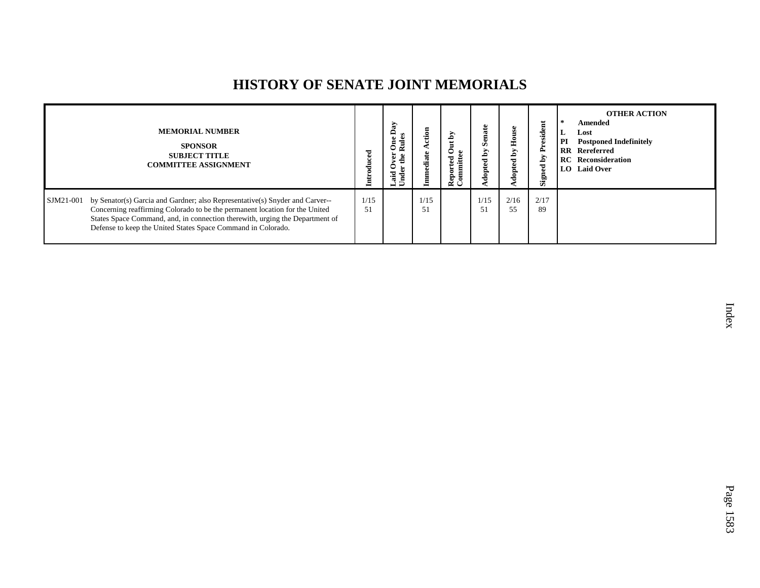## **HISTORY OF SENATE JOINT MEMORIALS**

|           | <b>MEMORIAL NUMBER</b><br><b>SPONSOR</b><br><b>SUBJECT TITLE</b><br><b>COMMITTEE ASSIGNMENT</b>                                                                                                                                                                                                             | roduced    | $\mathbf{a}$<br>$_{\rm{Eul}}$<br>ᇰ<br>Ē | ction<br>diate | 2<br>ಕ<br>Reporte<br>Commit | Ē<br>Z<br>ΣĀ<br>ಕ<br>pte | 운<br>Уq<br>opte | President<br>ð<br>Signed | <b>OTHER ACTION</b><br>Amended<br>Lost<br>L<br>PI<br><b>Postponed Indefinitely</b><br><b>RR</b> Rereferred<br><b>RC</b> Reconsideration<br>LO Laid Over |
|-----------|-------------------------------------------------------------------------------------------------------------------------------------------------------------------------------------------------------------------------------------------------------------------------------------------------------------|------------|-----------------------------------------|----------------|-----------------------------|--------------------------|-----------------|--------------------------|---------------------------------------------------------------------------------------------------------------------------------------------------------|
| SJM21-001 | by Senator(s) Garcia and Gardner; also Representative(s) Snyder and Carver--<br>Concerning reaffirming Colorado to be the permanent location for the United<br>States Space Command, and, in connection therewith, urging the Department of<br>Defense to keep the United States Space Command in Colorado. | 1/15<br>51 |                                         | 1/15<br>51     |                             | 1/15<br>51               | 2/16<br>55      | 2/17<br>89               |                                                                                                                                                         |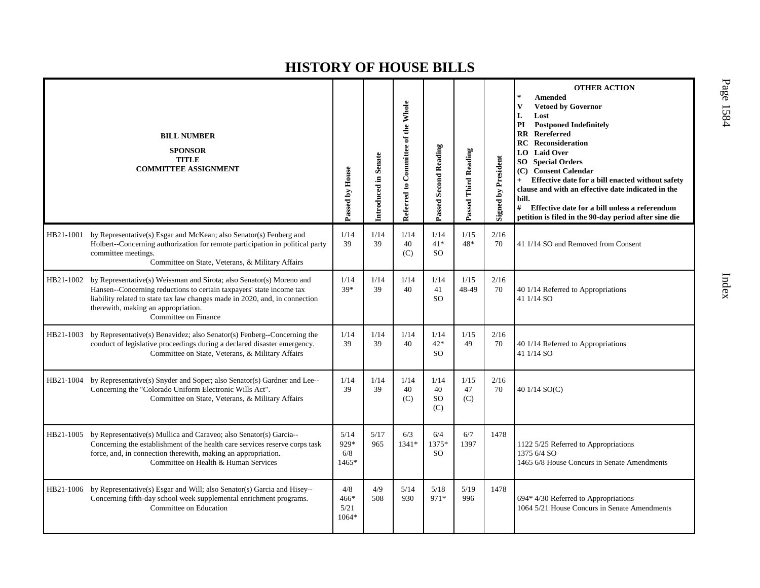|           | <b>BILL NUMBER</b><br><b>SPONSOR</b><br><b>TITLE</b><br><b>COMMITTEE ASSIGNMENT</b>                                                                                                                                                                                                        | Passed by House              | Introduced in Senate | Referred to Committee of the Whole | Passed Second Reading                | Passed Third Reading | <b>Signed by President</b> | <b>OTHER ACTION</b><br>$\frac{1}{2}$<br><b>Amended</b><br>$\mathbf{V}$<br><b>Vetoed by Governor</b><br>L<br>Lost<br><b>Postponed Indefinitely</b><br>PI<br><b>RR</b> Rereferred<br>Reconsideration<br>RC<br>LO Laid Over<br>SO.<br><b>Special Orders</b><br>(C) Consent Calendar<br>Effective date for a bill enacted without safety<br>$+$<br>clause and with an effective date indicated in the<br>bill.<br>#<br>Effective date for a bill unless a referendum<br>petition is filed in the 90-day period after sine die |
|-----------|--------------------------------------------------------------------------------------------------------------------------------------------------------------------------------------------------------------------------------------------------------------------------------------------|------------------------------|----------------------|------------------------------------|--------------------------------------|----------------------|----------------------------|---------------------------------------------------------------------------------------------------------------------------------------------------------------------------------------------------------------------------------------------------------------------------------------------------------------------------------------------------------------------------------------------------------------------------------------------------------------------------------------------------------------------------|
| HB21-1001 | by Representative(s) Esgar and McKean; also Senator(s) Fenberg and<br>Holbert--Concerning authorization for remote participation in political party<br>committee meetings.<br>Committee on State, Veterans, & Military Affairs                                                             | 1/14<br>39                   | 1/14<br>39           | 1/14<br>40<br>(C)                  | 1/14<br>$41*$<br><b>SO</b>           | 1/15<br>$48*$        | 2/16<br>70                 | 41 1/14 SO and Removed from Consent                                                                                                                                                                                                                                                                                                                                                                                                                                                                                       |
| HB21-1002 | by Representative(s) Weissman and Sirota; also Senator(s) Moreno and<br>Hansen--Concerning reductions to certain taxpayers' state income tax<br>liability related to state tax law changes made in 2020, and, in connection<br>therewith, making an appropriation.<br>Committee on Finance | 1/14<br>$39*$                | 1/14<br>39           | 1/14<br>40                         | 1/14<br>41<br><b>SO</b>              | 1/15<br>48-49        | 2/16<br>70                 | 40 1/14 Referred to Appropriations<br>41 1/14 SO                                                                                                                                                                                                                                                                                                                                                                                                                                                                          |
| HB21-1003 | by Representative(s) Benavidez; also Senator(s) Fenberg--Concerning the<br>conduct of legislative proceedings during a declared disaster emergency.<br>Committee on State, Veterans, & Military Affairs                                                                                    | 1/14<br>39                   | 1/14<br>39           | 1/14<br>40                         | 1/14<br>$42*$<br><b>SO</b>           | 1/15<br>49           | 2/16<br>70                 | 40 1/14 Referred to Appropriations<br>41 1/14 SO                                                                                                                                                                                                                                                                                                                                                                                                                                                                          |
| HB21-1004 | by Representative(s) Snyder and Soper; also Senator(s) Gardner and Lee--<br>Concerning the "Colorado Uniform Electronic Wills Act".<br>Committee on State, Veterans, & Military Affairs                                                                                                    | 1/14<br>39                   | 1/14<br>39           | 1/14<br>40<br>(C)                  | 1/14<br>40<br>SO <sub>1</sub><br>(C) | 1/15<br>47<br>(C)    | 2/16<br>70                 | 40 1/14 SO(C)                                                                                                                                                                                                                                                                                                                                                                                                                                                                                                             |
| HB21-1005 | by Representative(s) Mullica and Caraveo; also Senator(s) Garcia--<br>Concerning the establishment of the health care services reserve corps task<br>force, and, in connection therewith, making an appropriation.<br>Committee on Health & Human Services                                 | 5/14<br>929*<br>6/8<br>1465* | 5/17<br>965          | 6/3<br>1341*                       | 6/4<br>1375*<br><b>SO</b>            | 6/7<br>1397          | 1478                       | 1122 5/25 Referred to Appropriations<br>1375 6/4 SO<br>1465 6/8 House Concurs in Senate Amendments                                                                                                                                                                                                                                                                                                                                                                                                                        |
| HB21-1006 | by Representative(s) Esgar and Will; also Senator(s) Garcia and Hisey--<br>Concerning fifth-day school week supplemental enrichment programs.<br>Committee on Education                                                                                                                    | 4/8<br>466*<br>5/21<br>1064* | 4/9<br>508           | 5/14<br>930                        | 5/18<br>971*                         | 5/19<br>996          | 1478                       | 694* 4/30 Referred to Appropriations<br>1064 5/21 House Concurs in Senate Amendments                                                                                                                                                                                                                                                                                                                                                                                                                                      |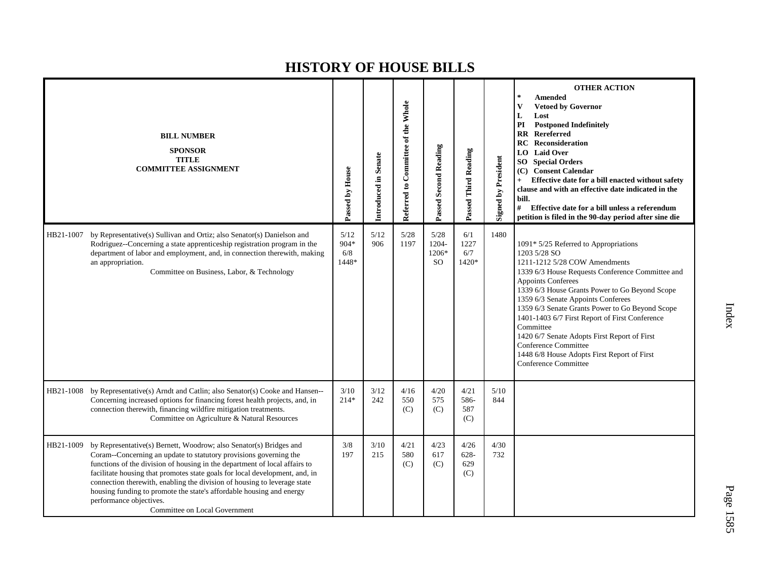|           | <b>BILL NUMBER</b><br><b>SPONSOR</b><br><b>TITLE</b><br><b>COMMITTEE ASSIGNMENT</b>                                                                                                                                                                                                                                                                                                                                                                                                                                  | Passed by House                | Introduced in Senate | Referred to Committee of the Whole | <b>Passed Second Reading</b>        | Passed Third Reading          | Signed by President | <b>OTHER ACTION</b><br><b>Amended</b><br><b>Vetoed by Governor</b><br>V<br>L<br>Lost<br><b>Postponed Indefinitely</b><br>PI<br><b>RR</b><br>Rereferred<br><b>RC</b> Reconsideration<br><b>Laid Over</b><br>LO.<br><b>SO</b> Special Orders<br>(C) Consent Calendar<br>Effective date for a bill enacted without safety<br>clause and with an effective date indicated in the<br>bill.<br>#<br>Effective date for a bill unless a referendum<br>petition is filed in the 90-day period after sine die                             |
|-----------|----------------------------------------------------------------------------------------------------------------------------------------------------------------------------------------------------------------------------------------------------------------------------------------------------------------------------------------------------------------------------------------------------------------------------------------------------------------------------------------------------------------------|--------------------------------|----------------------|------------------------------------|-------------------------------------|-------------------------------|---------------------|----------------------------------------------------------------------------------------------------------------------------------------------------------------------------------------------------------------------------------------------------------------------------------------------------------------------------------------------------------------------------------------------------------------------------------------------------------------------------------------------------------------------------------|
| HB21-1007 | by Representative(s) Sullivan and Ortiz; also Senator(s) Danielson and<br>Rodriguez--Concerning a state apprenticeship registration program in the<br>department of labor and employment, and, in connection therewith, making<br>an appropriation.<br>Committee on Business, Labor, & Technology                                                                                                                                                                                                                    | 5/12<br>904*<br>$6/8$<br>1448* | 5/12<br>906          | 5/28<br>1197                       | 5/28<br>1204-<br>1206*<br><b>SO</b> | 6/1<br>1227<br>6/7<br>1420*   | 1480                | 1091* 5/25 Referred to Appropriations<br>1203 5/28 SO<br>1211-1212 5/28 COW Amendments<br>1339 6/3 House Requests Conference Committee and<br>Appoints Conferees<br>1339 6/3 House Grants Power to Go Beyond Scope<br>1359 6/3 Senate Appoints Conferees<br>1359 6/3 Senate Grants Power to Go Beyond Scope<br>1401-1403 6/7 First Report of First Conference<br>Committee<br>1420 6/7 Senate Adopts First Report of First<br>Conference Committee<br>1448 6/8 House Adopts First Report of First<br><b>Conference Committee</b> |
| HB21-1008 | by Representative(s) Arndt and Catlin; also Senator(s) Cooke and Hansen--<br>Concerning increased options for financing forest health projects, and, in<br>connection therewith, financing wildfire mitigation treatments.<br>Committee on Agriculture & Natural Resources                                                                                                                                                                                                                                           | 3/10<br>$214*$                 | 3/12<br>242          | 4/16<br>550<br>(C)                 | 4/20<br>575<br>(C)                  | 4/21<br>586-<br>587<br>(C)    | 5/10<br>844         |                                                                                                                                                                                                                                                                                                                                                                                                                                                                                                                                  |
| HB21-1009 | by Representative(s) Bernett, Woodrow; also Senator(s) Bridges and<br>Coram--Concerning an update to statutory provisions governing the<br>functions of the division of housing in the department of local affairs to<br>facilitate housing that promotes state goals for local development, and, in<br>connection therewith, enabling the division of housing to leverage state<br>housing funding to promote the state's affordable housing and energy<br>performance objectives.<br>Committee on Local Government | 3/8<br>197                     | $3/10$<br>215        | 4/21<br>580<br>(C)                 | 4/23<br>617<br>(C)                  | 4/26<br>$628 -$<br>629<br>(C) | 4/30<br>732         |                                                                                                                                                                                                                                                                                                                                                                                                                                                                                                                                  |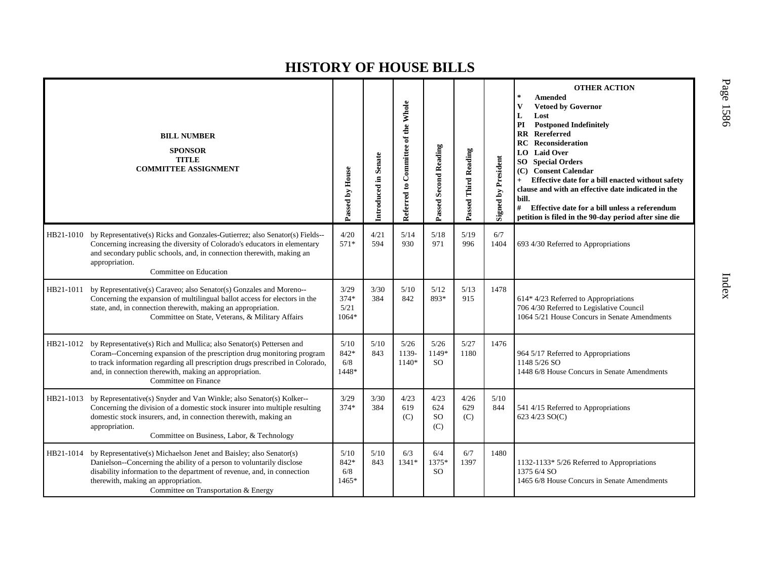|           | <b>BILL NUMBER</b><br><b>SPONSOR</b><br><b>TITLE</b><br><b>COMMITTEE ASSIGNMENT</b>                                                                                                                                                                                                                                | Passed by House                   | Introduced in Senate | Referred to Committee of the Whole | Passed Second Reading           | Passed Third Reading | <b>Signed by President</b> | <b>OTHER ACTION</b><br><b>Amended</b><br>$\star$<br><b>Vetoed by Governor</b><br>Lost<br>L<br>PI<br><b>Postponed Indefinitely</b><br>Rereferred<br>$\mathbf{R}$<br>Reconsideration<br>RC<br><b>LO</b> Laid Over<br>SO<br><b>Special Orders</b><br><b>Consent Calendar</b><br>(C)<br>Effective date for a bill enacted without safety<br>$+$<br>clause and with an effective date indicated in the<br>bill.<br>#<br>Effective date for a bill unless a referendum<br>petition is filed in the 90-day period after sine die |
|-----------|--------------------------------------------------------------------------------------------------------------------------------------------------------------------------------------------------------------------------------------------------------------------------------------------------------------------|-----------------------------------|----------------------|------------------------------------|---------------------------------|----------------------|----------------------------|---------------------------------------------------------------------------------------------------------------------------------------------------------------------------------------------------------------------------------------------------------------------------------------------------------------------------------------------------------------------------------------------------------------------------------------------------------------------------------------------------------------------------|
| HB21-1010 | by Representative(s) Ricks and Gonzales-Gutierrez; also Senator(s) Fields--<br>Concerning increasing the diversity of Colorado's educators in elementary<br>and secondary public schools, and, in connection therewith, making an<br>appropriation.<br>Committee on Education                                      | 4/20<br>$571*$                    | 4/21<br>594          | 5/14<br>930                        | 5/18<br>971                     | 5/19<br>996          | 6/7<br>1404                | 693 4/30 Referred to Appropriations                                                                                                                                                                                                                                                                                                                                                                                                                                                                                       |
| HB21-1011 | by Representative(s) Caraveo; also Senator(s) Gonzales and Moreno--<br>Concerning the expansion of multilingual ballot access for electors in the<br>state, and, in connection therewith, making an appropriation.<br>Committee on State, Veterans, & Military Affairs                                             | 3/29<br>$374*$<br>5/21<br>$1064*$ | 3/30<br>384          | 5/10<br>842                        | 5/12<br>893*                    | 5/13<br>915          | 1478                       | 614* 4/23 Referred to Appropriations<br>706 4/30 Referred to Legislative Council<br>1064 5/21 House Concurs in Senate Amendments                                                                                                                                                                                                                                                                                                                                                                                          |
| HB21-1012 | by Representative(s) Rich and Mullica; also Senator(s) Pettersen and<br>Coram--Concerning expansion of the prescription drug monitoring program<br>to track information regarding all prescription drugs prescribed in Colorado,<br>and, in connection therewith, making an appropriation.<br>Committee on Finance | 5/10<br>842*<br>6/8<br>1448*      | 5/10<br>843          | 5/26<br>1139-<br>1140*             | 5/26<br>1149*<br><sub>SO</sub>  | 5/27<br>1180         | 1476                       | 964 5/17 Referred to Appropriations<br>1148 5/26 SO<br>1448 6/8 House Concurs in Senate Amendments                                                                                                                                                                                                                                                                                                                                                                                                                        |
| HB21-1013 | by Representative(s) Snyder and Van Winkle; also Senator(s) Kolker--<br>Concerning the division of a domestic stock insurer into multiple resulting<br>domestic stock insurers, and, in connection therewith, making an<br>appropriation.<br>Committee on Business, Labor, & Technology                            | 3/29<br>$374*$                    | 3/30<br>384          | 4/23<br>619<br>(C)                 | 4/23<br>624<br><b>SO</b><br>(C) | 4/26<br>629<br>(C)   | 5/10<br>844                | 541 4/15 Referred to Appropriations<br>623 4/23 SO(C)                                                                                                                                                                                                                                                                                                                                                                                                                                                                     |
| HB21-1014 | by Representative(s) Michaelson Jenet and Baisley; also Senator(s)<br>Danielson--Concerning the ability of a person to voluntarily disclose<br>disability information to the department of revenue, and, in connection<br>therewith, making an appropriation.<br>Committee on Transportation & Energy              | 5/10<br>842*<br>6/8<br>1465*      | 5/10<br>843          | 6/3<br>$1341*$                     | 6/4<br>1375*<br><sub>SO</sub>   | 6/7<br>1397          | 1480                       | 1132-1133* 5/26 Referred to Appropriations<br>1375 6/4 SO<br>1465 6/8 House Concurs in Senate Amendments                                                                                                                                                                                                                                                                                                                                                                                                                  |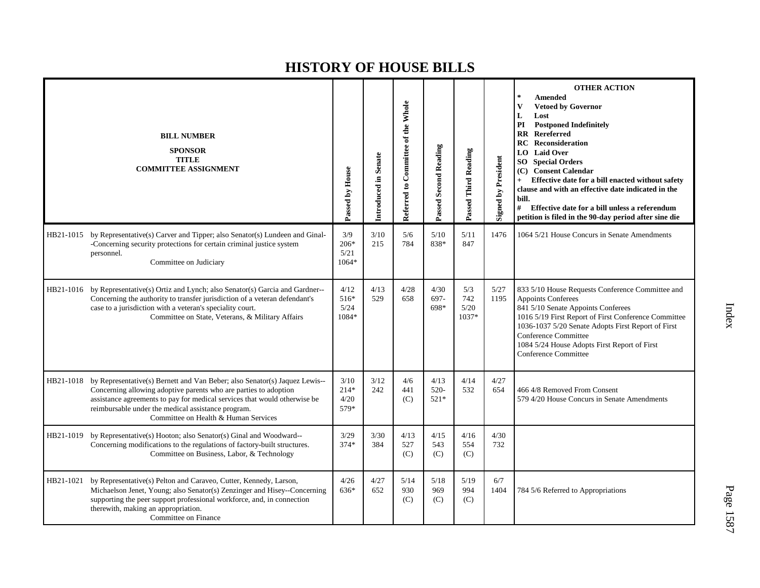|           | <b>BILL NUMBER</b><br><b>SPONSOR</b><br><b>TITLE</b><br><b>COMMITTEE ASSIGNMENT</b>                                                                                                                                                                                                                                                 | Passed by House                | Introduced in Senate | Referred to Committee of the Whole | <b>Passed Second Reading</b> | Passed Third Reading        | <b>Signed by President</b> | <b>OTHER ACTION</b><br>$\mathbf{k}$<br><b>Amended</b><br><b>Vetoed by Governor</b><br>V<br>L<br>Lost<br><b>Postponed Indefinitely</b><br>PI<br>$\overline{\text{RR}}$<br>Rereferred<br><b>RC</b> Reconsideration<br><b>Laid Over</b><br>LO  <br><b>SO</b> Special Orders<br><b>Consent Calendar</b><br>(C)<br>Effective date for a bill enacted without safety<br>$+$<br>clause and with an effective date indicated in the<br>bill.<br>#<br>Effective date for a bill unless a referendum<br>petition is filed in the 90-day period after sine die |
|-----------|-------------------------------------------------------------------------------------------------------------------------------------------------------------------------------------------------------------------------------------------------------------------------------------------------------------------------------------|--------------------------------|----------------------|------------------------------------|------------------------------|-----------------------------|----------------------------|-----------------------------------------------------------------------------------------------------------------------------------------------------------------------------------------------------------------------------------------------------------------------------------------------------------------------------------------------------------------------------------------------------------------------------------------------------------------------------------------------------------------------------------------------------|
|           | HB21-1015 by Representative(s) Carver and Tipper; also Senator(s) Lundeen and Ginal-<br>-Concerning security protections for certain criminal justice system<br>personnel.<br>Committee on Judiciary                                                                                                                                | 3/9<br>$206*$<br>5/21<br>1064* | 3/10<br>215          | 5/6<br>784                         | 5/10<br>838*                 | 5/11<br>847                 | 1476                       | 1064 5/21 House Concurs in Senate Amendments                                                                                                                                                                                                                                                                                                                                                                                                                                                                                                        |
|           | HB21-1016 by Representative(s) Ortiz and Lynch; also Senator(s) Garcia and Gardner--<br>Concerning the authority to transfer jurisdiction of a veteran defendant's<br>case to a jurisdiction with a veteran's speciality court.<br>Committee on State, Veterans, & Military Affairs                                                 | 4/12<br>516*<br>5/24<br>1084*  | 4/13<br>529          | 4/28<br>658                        | 4/30<br>697-<br>698*         | 5/3<br>742<br>5/20<br>1037* | 5/27<br>1195               | 833 5/10 House Requests Conference Committee and<br>Appoints Conferees<br>841 5/10 Senate Appoints Conferees<br>1016 5/19 First Report of First Conference Committee<br>1036-1037 5/20 Senate Adopts First Report of First<br>Conference Committee<br>1084 5/24 House Adopts First Report of First<br><b>Conference Committee</b>                                                                                                                                                                                                                   |
|           | HB21-1018 by Representative(s) Bernett and Van Beber; also Senator(s) Jaquez Lewis--<br>Concerning allowing adoptive parents who are parties to adoption<br>assistance agreements to pay for medical services that would otherwise be<br>reimbursable under the medical assistance program.<br>Committee on Health & Human Services | 3/10<br>$214*$<br>4/20<br>579* | 3/12<br>242          | 4/6<br>441<br>(C)                  | 4/13<br>$520-$<br>$521*$     | 4/14<br>532                 | 4/27<br>654                | 466 4/8 Removed From Consent<br>579 4/20 House Concurs in Senate Amendments                                                                                                                                                                                                                                                                                                                                                                                                                                                                         |
| HB21-1019 | by Representative(s) Hooton; also Senator(s) Ginal and Woodward--<br>Concerning modifications to the regulations of factory-built structures.<br>Committee on Business, Labor, & Technology                                                                                                                                         | 3/29<br>$374*$                 | 3/30<br>384          | 4/13<br>527<br>(C)                 | 4/15<br>543<br>(C)           | 4/16<br>554<br>(C)          | 4/30<br>732                |                                                                                                                                                                                                                                                                                                                                                                                                                                                                                                                                                     |
| HB21-1021 | by Representative(s) Pelton and Caraveo, Cutter, Kennedy, Larson,<br>Michaelson Jenet, Young; also Senator(s) Zenzinger and Hisey--Concerning<br>supporting the peer support professional workforce, and, in connection<br>therewith, making an appropriation.<br>Committee on Finance                                              | 4/26<br>636*                   | 4/27<br>652          | 5/14<br>930<br>(C)                 | 5/18<br>969<br>(C)           | 5/19<br>994<br>(C)          | 6/7<br>1404                | 784 5/6 Referred to Appropriations                                                                                                                                                                                                                                                                                                                                                                                                                                                                                                                  |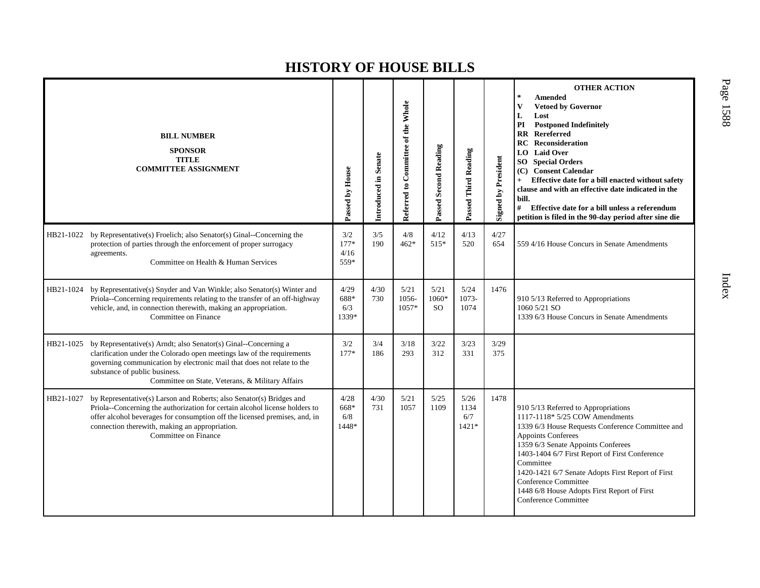|           | <b>BILL NUMBER</b><br><b>SPONSOR</b><br><b>TITLE</b><br><b>COMMITTEE ASSIGNMENT</b>                                                                                                                                                                                                                         | Passed by House               | Introduced in Senate | Referred to Committee of the Whole | Passed Second Reading          | Passed Third Reading           | <b>Signed by President</b> | <b>OTHER ACTION</b><br>$\ast$<br>Amended<br>V<br><b>Vetoed by Governor</b><br>L<br>Lost<br>PI<br><b>Postponed Indefinitely</b><br>$\mathbf{R}$<br>Rereferred<br><b>RC</b> Reconsideration<br><b>Laid Over</b><br>LO.<br>SO <sub>1</sub><br><b>Special Orders</b><br>(C) Consent Calendar<br>Effective date for a bill enacted without safety<br>$+$<br>clause and with an effective date indicated in the<br>bill.<br>#<br>Effective date for a bill unless a referendum<br>petition is filed in the 90-day period after sine die |
|-----------|-------------------------------------------------------------------------------------------------------------------------------------------------------------------------------------------------------------------------------------------------------------------------------------------------------------|-------------------------------|----------------------|------------------------------------|--------------------------------|--------------------------------|----------------------------|-----------------------------------------------------------------------------------------------------------------------------------------------------------------------------------------------------------------------------------------------------------------------------------------------------------------------------------------------------------------------------------------------------------------------------------------------------------------------------------------------------------------------------------|
| HB21-1022 | by Representative(s) Froelich; also Senator(s) Ginal--Concerning the<br>protection of parties through the enforcement of proper surrogacy<br>agreements.<br>Committee on Health & Human Services                                                                                                            | 3/2<br>$177*$<br>4/16<br>559* | 3/5<br>190           | $4/8$<br>$462*$                    | 4/12<br>515*                   | 4/13<br>520                    | 4/27<br>654                | 559 4/16 House Concurs in Senate Amendments                                                                                                                                                                                                                                                                                                                                                                                                                                                                                       |
| HB21-1024 | by Representative(s) Snyder and Van Winkle; also Senator(s) Winter and<br>Priola--Concerning requirements relating to the transfer of an off-highway<br>vehicle, and, in connection therewith, making an appropriation.<br>Committee on Finance                                                             | 4/29<br>688*<br>6/3<br>1339*  | 4/30<br>730          | 5/21<br>1056-<br>$1057*$           | 5/21<br>1060*<br><sub>SO</sub> | 5/24<br>1073-<br>1074          | 1476                       | 910 5/13 Referred to Appropriations<br>1060 5/21 SO<br>1339 6/3 House Concurs in Senate Amendments                                                                                                                                                                                                                                                                                                                                                                                                                                |
| HB21-1025 | by Representative(s) Arndt; also Senator(s) Ginal--Concerning a<br>clarification under the Colorado open meetings law of the requirements<br>governing communication by electronic mail that does not relate to the<br>substance of public business.<br>Committee on State, Veterans, & Military Affairs    | 3/2<br>$177*$                 | 3/4<br>186           | 3/18<br>293                        | 3/22<br>312                    | 3/23<br>331                    | 3/29<br>375                |                                                                                                                                                                                                                                                                                                                                                                                                                                                                                                                                   |
| HB21-1027 | by Representative(s) Larson and Roberts; also Senator(s) Bridges and<br>Priola--Concerning the authorization for certain alcohol license holders to<br>offer alcohol beverages for consumption off the licensed premises, and, in<br>connection therewith, making an appropriation.<br>Committee on Finance | 4/28<br>668*<br>6/8<br>1448*  | 4/30<br>731          | 5/21<br>1057                       | 5/25<br>1109                   | 5/26<br>1134<br>6/7<br>$1421*$ | 1478                       | 910 5/13 Referred to Appropriations<br>1117-1118* 5/25 COW Amendments<br>1339 6/3 House Requests Conference Committee and<br>Appoints Conferees<br>1359 6/3 Senate Appoints Conferees<br>1403-1404 6/7 First Report of First Conference<br>Committee<br>1420-1421 6/7 Senate Adopts First Report of First<br>Conference Committee<br>1448 6/8 House Adopts First Report of First<br><b>Conference Committee</b>                                                                                                                   |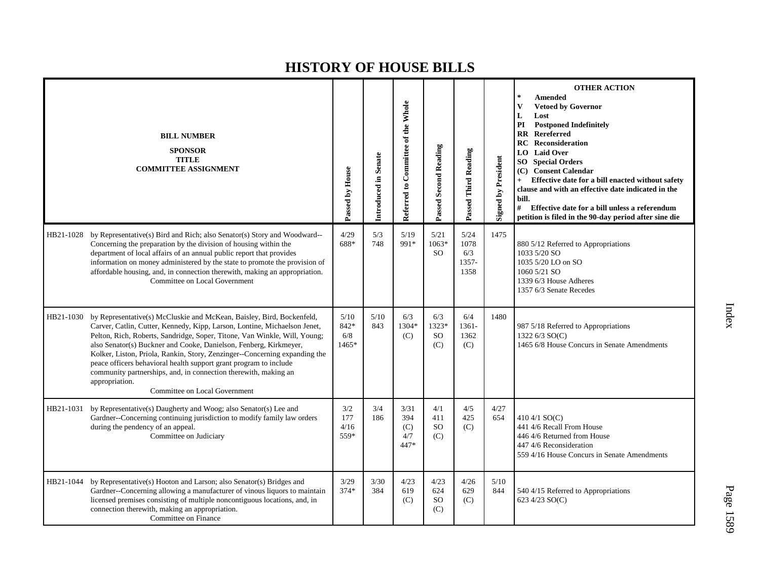|           | <b>BILL NUMBER</b><br><b>SPONSOR</b><br><b>TITLE</b><br><b>COMMITTEE ASSIGNMENT</b>                                                                                                                                                                                                                                                                                                                                                                                                                                                                                           | Passed by House                  | Introduced in Senate | Referred to Committee of the Whole | Passed Second Reading                 | Passed Third Reading                 | <b>Signed by President</b> | <b>OTHER ACTION</b><br>$\ast$<br><b>Amended</b><br>V<br><b>Vetoed by Governor</b><br>L<br>Lost<br>PI<br><b>Postponed Indefinitely</b><br>$\mathbf{R}$<br><b>Rereferred</b><br>RC<br><b>Reconsideration</b><br>LO.<br><b>Laid Over</b><br><b>SO</b> Special Orders<br>(C) Consent Calendar<br>Effective date for a bill enacted without safety<br>$+$<br>clause and with an effective date indicated in the<br>bill.<br>#<br>Effective date for a bill unless a referendum<br>petition is filed in the 90-day period after sine die |
|-----------|-------------------------------------------------------------------------------------------------------------------------------------------------------------------------------------------------------------------------------------------------------------------------------------------------------------------------------------------------------------------------------------------------------------------------------------------------------------------------------------------------------------------------------------------------------------------------------|----------------------------------|----------------------|------------------------------------|---------------------------------------|--------------------------------------|----------------------------|------------------------------------------------------------------------------------------------------------------------------------------------------------------------------------------------------------------------------------------------------------------------------------------------------------------------------------------------------------------------------------------------------------------------------------------------------------------------------------------------------------------------------------|
| HB21-1028 | by Representative(s) Bird and Rich; also Senator(s) Story and Woodward--<br>Concerning the preparation by the division of housing within the<br>department of local affairs of an annual public report that provides<br>information on money administered by the state to promote the provision of<br>affordable housing, and, in connection therewith, making an appropriation.<br>Committee on Local Government                                                                                                                                                             | 4/29<br>688*                     | 5/3<br>748           | 5/19<br>991*                       | 5/21<br>$1063*$<br><b>SO</b>          | 5/24<br>1078<br>6/3<br>1357-<br>1358 | 1475                       | 880 5/12 Referred to Appropriations<br>1033 5/20 SO<br>1035 5/20 LO on SO<br>1060 5/21 SO<br>1339 6/3 House Adheres<br>1357 6/3 Senate Recedes                                                                                                                                                                                                                                                                                                                                                                                     |
| HB21-1030 | by Representative(s) McCluskie and McKean, Baisley, Bird, Bockenfeld,<br>Carver, Catlin, Cutter, Kennedy, Kipp, Larson, Lontine, Michaelson Jenet,<br>Pelton, Rich, Roberts, Sandridge, Soper, Titone, Van Winkle, Will, Young;<br>also Senator(s) Buckner and Cooke, Danielson, Fenberg, Kirkmeyer,<br>Kolker, Liston, Priola, Rankin, Story, Zenzinger--Concerning expanding the<br>peace officers behavioral health support grant program to include<br>community partnerships, and, in connection therewith, making an<br>appropriation.<br>Committee on Local Government | $5/10$<br>842*<br>6/8<br>$1465*$ | 5/10<br>843          | 6/3<br>1304*<br>(C)                | 6/3<br>1323*<br><b>SO</b><br>(C)      | 6/4<br>1361-<br>1362<br>(C)          | 1480                       | 987 5/18 Referred to Appropriations<br>1322 6/3 SO(C)<br>1465 6/8 House Concurs in Senate Amendments                                                                                                                                                                                                                                                                                                                                                                                                                               |
| HB21-1031 | by Representative(s) Daugherty and Woog; also Senator(s) Lee and<br>Gardner--Concerning continuing jurisdiction to modify family law orders<br>during the pendency of an appeal.<br>Committee on Judiciary                                                                                                                                                                                                                                                                                                                                                                    | 3/2<br>177<br>4/16<br>559*       | 3/4<br>186           | 3/31<br>394<br>(C)<br>4/7<br>447*  | 4/1<br>411<br>SO<br>(C)               | 4/5<br>425<br>(C)                    | 4/27<br>654                | 410 4/1 $SO(C)$<br>441 4/6 Recall From House<br>446 4/6 Returned from House<br>447 4/6 Reconsideration<br>559 4/16 House Concurs in Senate Amendments                                                                                                                                                                                                                                                                                                                                                                              |
|           | HB21-1044 by Representative(s) Hooton and Larson; also Senator(s) Bridges and<br>Gardner--Concerning allowing a manufacturer of vinous liquors to maintain<br>licensed premises consisting of multiple noncontiguous locations, and, in<br>connection therewith, making an appropriation.<br>Committee on Finance                                                                                                                                                                                                                                                             | 3/29<br>$374*$                   | 3/30<br>384          | 4/23<br>619<br>(C)                 | 4/23<br>624<br>SO <sub>1</sub><br>(C) | 4/26<br>629<br>(C)                   | 5/10<br>844                | 540 4/15 Referred to Appropriations<br>623 4/23 SO(C)                                                                                                                                                                                                                                                                                                                                                                                                                                                                              |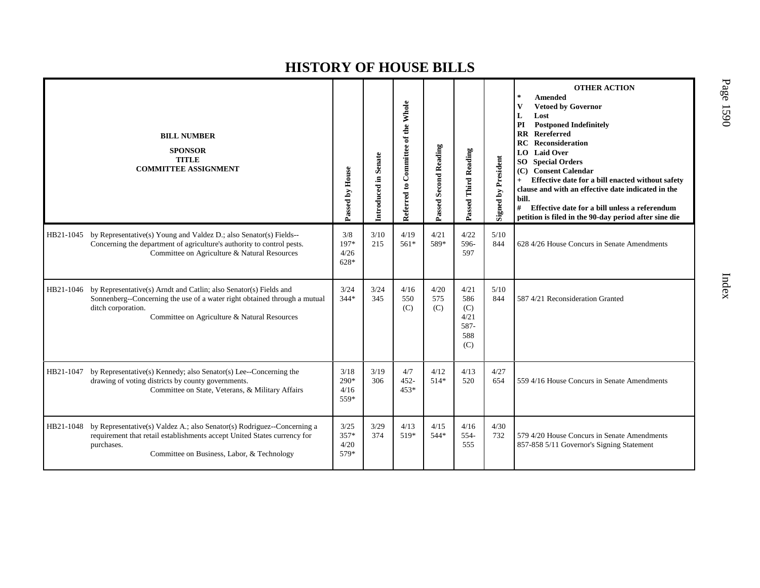|           | <b>BILL NUMBER</b><br><b>SPONSOR</b><br><b>TITLE</b><br><b>COMMITTEE ASSIGNMENT</b>                                                                                                                                  | Passed by House                | Introduced in Senate | Referred to Committee of the Whole | Passed Second Reading | Passed Third Reading                             | <b>Signed by President</b> | <b>OTHER ACTION</b><br><b>Amended</b><br>$\star$<br>$\mathbf{V}$<br><b>Vetoed by Governor</b><br>Lost<br>L<br>PI<br><b>Postponed Indefinitely</b><br>Rereferred<br>$\mathbf{R}$<br><b>Reconsideration</b><br>RC.<br><b>LO</b> Laid Over<br><b>SO</b> Special Orders<br><b>Consent Calendar</b><br>(C)<br>Effective date for a bill enacted without safety<br>$+$<br>clause and with an effective date indicated in the<br>bill.<br>#<br>Effective date for a bill unless a referendum<br>petition is filed in the 90-day period after sine die |
|-----------|----------------------------------------------------------------------------------------------------------------------------------------------------------------------------------------------------------------------|--------------------------------|----------------------|------------------------------------|-----------------------|--------------------------------------------------|----------------------------|------------------------------------------------------------------------------------------------------------------------------------------------------------------------------------------------------------------------------------------------------------------------------------------------------------------------------------------------------------------------------------------------------------------------------------------------------------------------------------------------------------------------------------------------|
| HB21-1045 | by Representative(s) Young and Valdez D.; also Senator(s) Fields--<br>Concerning the department of agriculture's authority to control pests.<br>Committee on Agriculture & Natural Resources                         | 3/8<br>197*<br>4/26<br>628*    | 3/10<br>215          | 4/19<br>561*                       | 4/21<br>589*          | 4/22<br>596-<br>597                              | 5/10<br>844                | 628 4/26 House Concurs in Senate Amendments                                                                                                                                                                                                                                                                                                                                                                                                                                                                                                    |
| HB21-1046 | by Representative(s) Arndt and Catlin; also Senator(s) Fields and<br>Sonnenberg--Concerning the use of a water right obtained through a mutual<br>ditch corporation.<br>Committee on Agriculture & Natural Resources | 3/24<br>$344*$                 | 3/24<br>345          | 4/16<br>550<br>(C)                 | 4/20<br>575<br>(C)    | 4/21<br>586<br>(C)<br>4/21<br>587-<br>588<br>(C) | 5/10<br>844                | 587 4/21 Reconsideration Granted                                                                                                                                                                                                                                                                                                                                                                                                                                                                                                               |
| HB21-1047 | by Representative(s) Kennedy; also Senator(s) Lee--Concerning the<br>drawing of voting districts by county governments.<br>Committee on State, Veterans, & Military Affairs                                          | 3/18<br>$290*$<br>4/16<br>559* | 3/19<br>306          | 4/7<br>$452 -$<br>$453*$           | 4/12<br>$514*$        | 4/13<br>520                                      | 4/27<br>654                | 559 4/16 House Concurs in Senate Amendments                                                                                                                                                                                                                                                                                                                                                                                                                                                                                                    |
| HB21-1048 | by Representative(s) Valdez A.; also Senator(s) Rodriguez--Concerning a<br>requirement that retail establishments accept United States currency for<br>purchases.<br>Committee on Business, Labor, & Technology      | 3/25<br>357*<br>4/20<br>579*   | 3/29<br>374          | 4/13<br>519*                       | 4/15<br>544*          | 4/16<br>554-<br>555                              | 4/30<br>732                | 579 4/20 House Concurs in Senate Amendments<br>857-858 5/11 Governor's Signing Statement                                                                                                                                                                                                                                                                                                                                                                                                                                                       |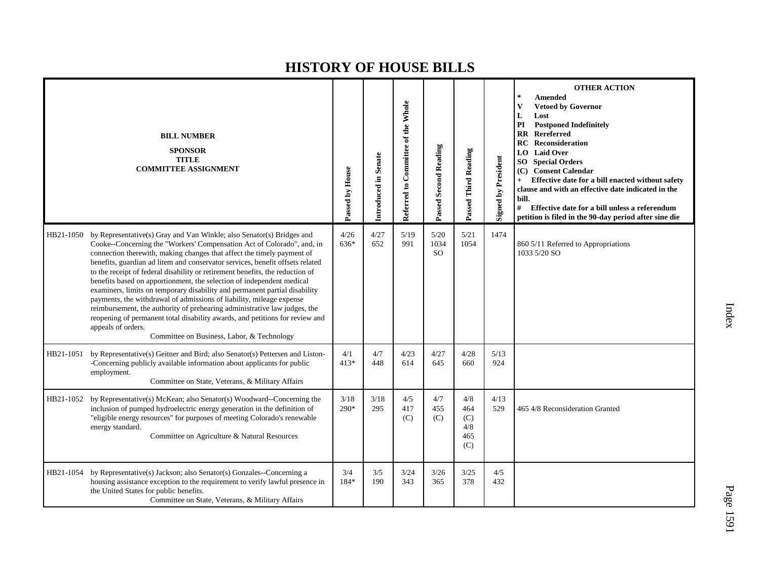|           | <b>BILL NUMBER</b><br><b>SPONSOR</b><br><b>TITLE</b><br><b>COMMITTEE ASSIGNMENT</b>                                                                                                                                                                                                                                                                                                                                                                                                                                                                                                                                                                                                                                                                                                                                                                         | Passed by House | Introduced in Senate | Referred to Committee of the Whole | <b>Passed Second Reading</b> | Passed Third Reading                   | <b>Signed by President</b> | <b>OTHER ACTION</b><br><b>Amended</b><br><b>Vetoed by Governor</b><br>V<br>L<br>Lost<br><b>Postponed Indefinitely</b><br>PI<br><b>Rereferred</b><br>$\mathbf{R}\mathbf{R}$<br><b>RC</b><br>Reconsideration<br><b>LO</b> Laid Over<br><b>SO</b> Special Orders<br>(C) Consent Calendar<br>Effective date for a bill enacted without safety<br>$+$<br>clause and with an effective date indicated in the<br>bill.<br>#<br>Effective date for a bill unless a referendum<br>petition is filed in the 90-day period after sine die |
|-----------|-------------------------------------------------------------------------------------------------------------------------------------------------------------------------------------------------------------------------------------------------------------------------------------------------------------------------------------------------------------------------------------------------------------------------------------------------------------------------------------------------------------------------------------------------------------------------------------------------------------------------------------------------------------------------------------------------------------------------------------------------------------------------------------------------------------------------------------------------------------|-----------------|----------------------|------------------------------------|------------------------------|----------------------------------------|----------------------------|--------------------------------------------------------------------------------------------------------------------------------------------------------------------------------------------------------------------------------------------------------------------------------------------------------------------------------------------------------------------------------------------------------------------------------------------------------------------------------------------------------------------------------|
| HB21-1050 | by Representative(s) Gray and Van Winkle; also Senator(s) Bridges and<br>Cooke--Concerning the "Workers' Compensation Act of Colorado", and, in<br>connection therewith, making changes that affect the timely payment of<br>benefits, guardian ad litem and conservator services, benefit offsets related<br>to the receipt of federal disability or retirement benefits, the reduction of<br>benefits based on apportionment, the selection of independent medical<br>examiners, limits on temporary disability and permanent partial disability<br>payments, the withdrawal of admissions of liability, mileage expense<br>reimbursement, the authority of prehearing administrative law judges, the<br>reopening of permanent total disability awards, and petitions for review and<br>appeals of orders.<br>Committee on Business, Labor, & Technology | 4/26<br>636*    | 4/27<br>652          | 5/19<br>991                        | 5/20<br>1034<br>SO.          | 5/21<br>1054                           | 1474                       | 860 5/11 Referred to Appropriations<br>1033 5/20 SO                                                                                                                                                                                                                                                                                                                                                                                                                                                                            |
| HB21-1051 | by Representative(s) Geitner and Bird; also Senator(s) Pettersen and Liston-<br>-Concerning publicly available information about applicants for public<br>employment.<br>Committee on State, Veterans, & Military Affairs                                                                                                                                                                                                                                                                                                                                                                                                                                                                                                                                                                                                                                   | 4/1<br>$413*$   | 4/7<br>448           | 4/23<br>614                        | 4/27<br>645                  | 4/28<br>660                            | 5/13<br>924                |                                                                                                                                                                                                                                                                                                                                                                                                                                                                                                                                |
| HB21-1052 | by Representative(s) McKean; also Senator(s) Woodward--Concerning the<br>inclusion of pumped hydroelectric energy generation in the definition of<br>"eligible energy resources" for purposes of meeting Colorado's renewable<br>energy standard.<br>Committee on Agriculture & Natural Resources                                                                                                                                                                                                                                                                                                                                                                                                                                                                                                                                                           | 3/18<br>290*    | 3/18<br>295          | 4/5<br>417<br>(C)                  | 4/7<br>455<br>(C)            | 4/8<br>464<br>(C)<br>4/8<br>465<br>(C) | 4/13<br>529                | 465 4/8 Reconsideration Granted                                                                                                                                                                                                                                                                                                                                                                                                                                                                                                |
| HB21-1054 | by Representative(s) Jackson; also Senator(s) Gonzales--Concerning a<br>housing assistance exception to the requirement to verify lawful presence in<br>the United States for public benefits.<br>Committee on State, Veterans, & Military Affairs                                                                                                                                                                                                                                                                                                                                                                                                                                                                                                                                                                                                          | 3/4<br>184*     | 3/5<br>190           | 3/24<br>343                        | 3/26<br>365                  | 3/25<br>378                            | 4/5<br>432                 |                                                                                                                                                                                                                                                                                                                                                                                                                                                                                                                                |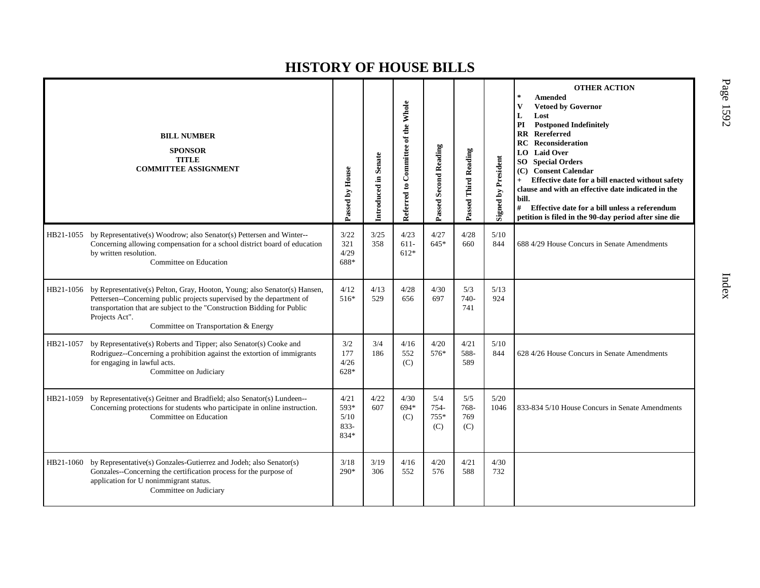|           | <b>BILL NUMBER</b><br><b>SPONSOR</b><br><b>TITLE</b><br><b>COMMITTEE ASSIGNMENT</b>                                                                                                                                                                                                     | Passed by House                         | Introduced in Senate | Referred to Committee of the Whole | <b>Passed Second Reading</b> | Passed Third Reading      | <b>Signed by President</b> | <b>OTHER ACTION</b><br>$\star$<br><b>Amended</b><br><b>Vetoed by Governor</b><br>V<br>L<br>Lost<br><b>Postponed Indefinitely</b><br>PI<br>Rereferred<br>$\mathbf{R} \mathbf{R}$<br>Reconsideration<br>RC<br><b>Laid Over</b><br>LO  <br>SO <sub>-</sub><br><b>Special Orders</b><br>(C) Consent Calendar<br>Effective date for a bill enacted without safety<br>clause and with an effective date indicated in the<br>bill.<br>#<br>Effective date for a bill unless a referendum<br>petition is filed in the 90-day period after sine die |
|-----------|-----------------------------------------------------------------------------------------------------------------------------------------------------------------------------------------------------------------------------------------------------------------------------------------|-----------------------------------------|----------------------|------------------------------------|------------------------------|---------------------------|----------------------------|--------------------------------------------------------------------------------------------------------------------------------------------------------------------------------------------------------------------------------------------------------------------------------------------------------------------------------------------------------------------------------------------------------------------------------------------------------------------------------------------------------------------------------------------|
| HB21-1055 | by Representative(s) Woodrow; also Senator(s) Pettersen and Winter--<br>Concerning allowing compensation for a school district board of education<br>by written resolution.<br>Committee on Education                                                                                   | 3/22<br>321<br>4/29<br>688*             | 3/25<br>358          | 4/23<br>$611-$<br>612*             | 4/27<br>$645*$               | 4/28<br>660               | 5/10<br>844                | 688 4/29 House Concurs in Senate Amendments                                                                                                                                                                                                                                                                                                                                                                                                                                                                                                |
| HB21-1056 | by Representative(s) Pelton, Gray, Hooton, Young; also Senator(s) Hansen,<br>Pettersen--Concerning public projects supervised by the department of<br>transportation that are subject to the "Construction Bidding for Public<br>Projects Act".<br>Committee on Transportation & Energy | 4/12<br>516*                            | 4/13<br>529          | 4/28<br>656                        | 4/30<br>697                  | 5/3<br>740-<br>741        | 5/13<br>924                |                                                                                                                                                                                                                                                                                                                                                                                                                                                                                                                                            |
| HB21-1057 | by Representative(s) Roberts and Tipper; also Senator(s) Cooke and<br>Rodriguez--Concerning a prohibition against the extortion of immigrants<br>for engaging in lawful acts.<br>Committee on Judiciary                                                                                 | 3/2<br>177<br>4/26<br>628*              | 3/4<br>186           | 4/16<br>552<br>(C)                 | 4/20<br>576*                 | 4/21<br>588-<br>589       | 5/10<br>844                | 628 4/26 House Concurs in Senate Amendments                                                                                                                                                                                                                                                                                                                                                                                                                                                                                                |
| HB21-1059 | by Representative(s) Geitner and Bradfield; also Senator(s) Lundeen--<br>Concerning protections for students who participate in online instruction.<br>Committee on Education                                                                                                           | 4/21<br>593*<br>5/10<br>$833 -$<br>834* | 4/22<br>607          | 4/30<br>694*<br>(C)                | 5/4<br>754-<br>755*<br>(C)   | 5/5<br>768-<br>769<br>(C) | 5/20<br>1046               | 833-834 5/10 House Concurs in Senate Amendments                                                                                                                                                                                                                                                                                                                                                                                                                                                                                            |
| HB21-1060 | by Representative(s) Gonzales-Gutierrez and Jodeh; also Senator(s)<br>Gonzales--Concerning the certification process for the purpose of<br>application for U nonimmigrant status.<br>Committee on Judiciary                                                                             | 3/18<br>$290*$                          | 3/19<br>306          | 4/16<br>552                        | 4/20<br>576                  | 4/21<br>588               | 4/30<br>732                |                                                                                                                                                                                                                                                                                                                                                                                                                                                                                                                                            |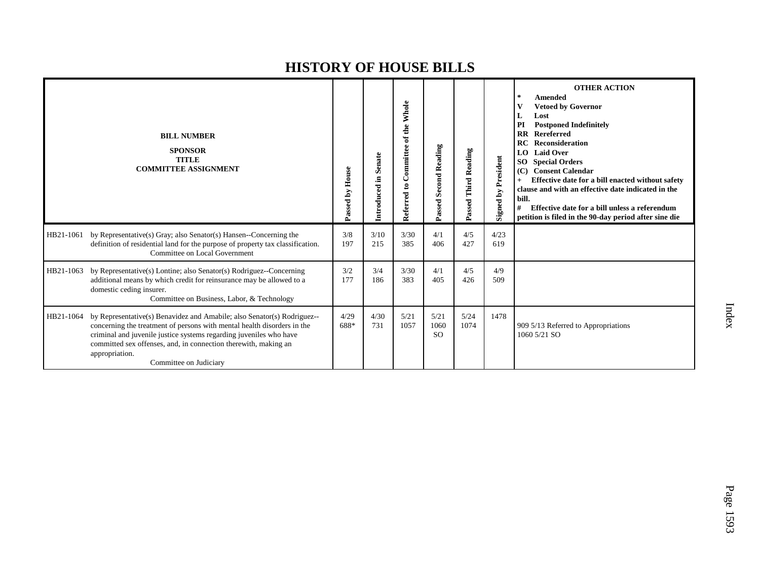|           | <b>BILL NUMBER</b><br><b>SPONSOR</b><br><b>TITLE</b><br><b>COMMITTEE ASSIGNMENT</b>                                                                                                                                                                                                                                                     | Passed by House | Introduced in Senate | Whole<br>Committee of the<br>Referred to | <b>Second Reading</b><br>Passed | Passed Third Reading | <b>Signed by President</b> | <b>OTHER ACTION</b><br><b>Amended</b><br><b>Vetoed by Governor</b><br>Lost<br>PI<br><b>Postponed Indefinitely</b><br><b>Rereferred</b><br>$\overline{\mathbf{R}}$<br>RC<br>Reconsideration<br><b>Laid Over</b><br>LO.<br><b>Special Orders</b><br>SO <sub>1</sub><br><b>Consent Calendar</b><br>(C)<br>Effective date for a bill enacted without safety<br>$+$<br>clause and with an effective date indicated in the<br>bill.<br>Effective date for a bill unless a referendum<br>#<br>petition is filed in the 90-day period after sine die |
|-----------|-----------------------------------------------------------------------------------------------------------------------------------------------------------------------------------------------------------------------------------------------------------------------------------------------------------------------------------------|-----------------|----------------------|------------------------------------------|---------------------------------|----------------------|----------------------------|----------------------------------------------------------------------------------------------------------------------------------------------------------------------------------------------------------------------------------------------------------------------------------------------------------------------------------------------------------------------------------------------------------------------------------------------------------------------------------------------------------------------------------------------|
| HB21-1061 | by Representative(s) Gray; also Senator(s) Hansen--Concerning the<br>definition of residential land for the purpose of property tax classification.<br>Committee on Local Government                                                                                                                                                    | 3/8<br>197      | 3/10<br>215          | 3/30<br>385                              | 4/1<br>406                      | 4/5<br>427           | 4/23<br>619                |                                                                                                                                                                                                                                                                                                                                                                                                                                                                                                                                              |
| HB21-1063 | by Representative(s) Lontine; also Senator(s) Rodriguez--Concerning<br>additional means by which credit for reinsurance may be allowed to a<br>domestic ceding insurer.<br>Committee on Business, Labor, & Technology                                                                                                                   | 3/2<br>177      | 3/4<br>186           | 3/30<br>383                              | 4/1<br>405                      | 4/5<br>426           | 4/9<br>509                 |                                                                                                                                                                                                                                                                                                                                                                                                                                                                                                                                              |
| HB21-1064 | by Representative(s) Benavidez and Amabile; also Senator(s) Rodriguez--<br>concerning the treatment of persons with mental health disorders in the<br>criminal and juvenile justice systems regarding juveniles who have<br>committed sex offenses, and, in connection therewith, making an<br>appropriation.<br>Committee on Judiciary | 4/29<br>688*    | 4/30<br>731          | 5/21<br>1057                             | 5/21<br>1060<br><sub>SO</sub>   | 5/24<br>1074         | 1478                       | 909 5/13 Referred to Appropriations<br>1060 5/21 SO                                                                                                                                                                                                                                                                                                                                                                                                                                                                                          |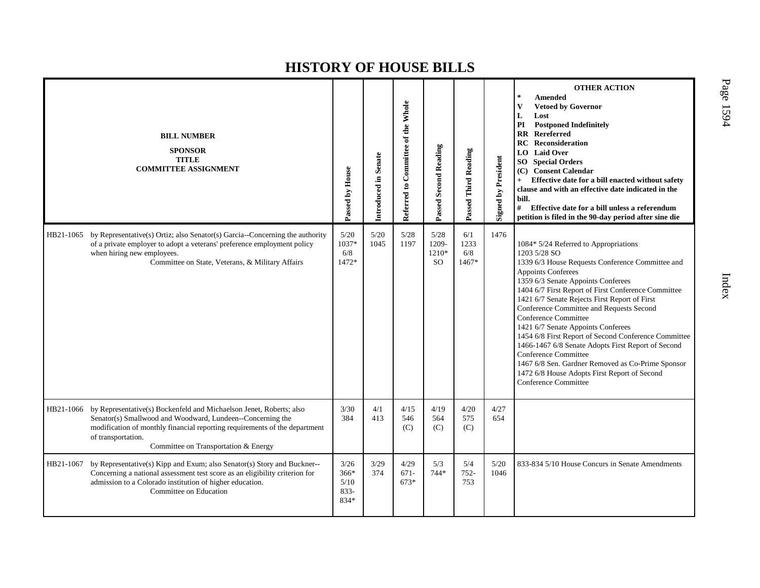|           | <b>BILL NUMBER</b><br><b>SPONSOR</b><br><b>TITLE</b><br><b>COMMITTEE ASSIGNMENT</b>                                                                                                                                                                                           | Passed by House                         | Introduced in Senate | Referred to Committee of the Whole | Passed Second Reading               | Passed Third Reading        | <b>Signed by President</b> | <b>OTHER ACTION</b><br>$\star$<br><b>Amended</b><br><b>Vetoed by Governor</b><br>V<br>L<br>Lost<br>PI<br><b>Postponed Indefinitely</b><br><b>RR</b> Rereferred<br><b>RC</b> Reconsideration<br>LO Laid Over<br><b>SO</b> Special Orders<br>(C) Consent Calendar<br>Effective date for a bill enacted without safety<br>clause and with an effective date indicated in the<br>bill.<br>#<br>Effective date for a bill unless a referendum<br>petition is filed in the 90-day period after sine die                                                                                                                                                                               |
|-----------|-------------------------------------------------------------------------------------------------------------------------------------------------------------------------------------------------------------------------------------------------------------------------------|-----------------------------------------|----------------------|------------------------------------|-------------------------------------|-----------------------------|----------------------------|---------------------------------------------------------------------------------------------------------------------------------------------------------------------------------------------------------------------------------------------------------------------------------------------------------------------------------------------------------------------------------------------------------------------------------------------------------------------------------------------------------------------------------------------------------------------------------------------------------------------------------------------------------------------------------|
| HB21-1065 | by Representative(s) Ortiz; also Senator(s) Garcia--Concerning the authority<br>of a private employer to adopt a veterans' preference employment policy<br>when hiring new employees.<br>Committee on State, Veterans, & Military Affairs                                     | 5/20<br>1037*<br>6/8<br>1472*           | 5/20<br>1045         | 5/28<br>1197                       | 5/28<br>1209-<br>1210*<br><b>SO</b> | 6/1<br>1233<br>6/8<br>1467* | 1476                       | 1084* 5/24 Referred to Appropriations<br>1203 5/28 SO<br>1339 6/3 House Requests Conference Committee and<br><b>Appoints Conferees</b><br>1359 6/3 Senate Appoints Conferees<br>1404 6/7 First Report of First Conference Committee<br>1421 6/7 Senate Rejects First Report of First<br>Conference Committee and Requests Second<br>Conference Committee<br>1421 6/7 Senate Appoints Conferees<br>1454 6/8 First Report of Second Conference Committee<br>1466-1467 6/8 Senate Adopts First Report of Second<br><b>Conference Committee</b><br>1467 6/8 Sen. Gardner Removed as Co-Prime Sponsor<br>1472 6/8 House Adopts First Report of Second<br><b>Conference Committee</b> |
| HB21-1066 | by Representative(s) Bockenfeld and Michaelson Jenet, Roberts; also<br>Senator(s) Smallwood and Woodward, Lundeen--Concerning the<br>modification of monthly financial reporting requirements of the department<br>of transportation.<br>Committee on Transportation & Energy | 3/30<br>384                             | 4/1<br>413           | 4/15<br>546<br>(C)                 | 4/19<br>564<br>(C)                  | 4/20<br>575<br>(C)          | 4/27<br>654                |                                                                                                                                                                                                                                                                                                                                                                                                                                                                                                                                                                                                                                                                                 |
| HB21-1067 | by Representative(s) Kipp and Exum; also Senator(s) Story and Buckner--<br>Concerning a national assessment test score as an eligibility criterion for<br>admission to a Colorado institution of higher education.<br>Committee on Education                                  | 3/26<br>366*<br>5/10<br>$833 -$<br>834* | 3/29<br>374          | 4/29<br>$671 -$<br>$673*$          | 5/3<br>744*                         | 5/4<br>$752 -$<br>753       | 5/20<br>1046               | 833-834 5/10 House Concurs in Senate Amendments                                                                                                                                                                                                                                                                                                                                                                                                                                                                                                                                                                                                                                 |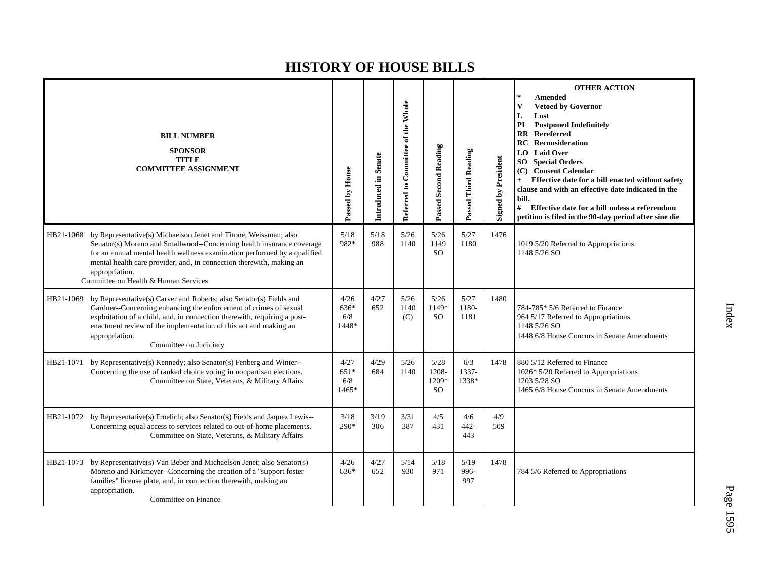|                             | <b>BILL NUMBER</b><br><b>SPONSOR</b><br><b>TITLE</b><br><b>COMMITTEE ASSIGNMENT</b>                                                                                                                                                                                                                                                    | Passed by House                | Introduced in Senate | Referred to Committee of the Whole | <b>Passed Second Reading</b>            | Passed Third Reading  | <b>Signed by President</b> | <b>OTHER ACTION</b><br>$\star$<br><b>Amended</b><br><b>Vetoed by Governor</b><br>$\mathbf{V}$<br>L<br>Lost<br><b>Postponed Indefinitely</b><br>PI<br>Rereferred<br>$\mathbf{R} \mathbf{R}$<br><b>Reconsideration</b><br>RC<br>LO Laid Over<br><b>Special Orders</b><br>SO<br><b>Consent Calendar</b><br>(C)<br>Effective date for a bill enacted without safety<br>clause and with an effective date indicated in the<br>bill.<br># Effective date for a bill unless a referendum<br>petition is filed in the 90-day period after sine die |
|-----------------------------|----------------------------------------------------------------------------------------------------------------------------------------------------------------------------------------------------------------------------------------------------------------------------------------------------------------------------------------|--------------------------------|----------------------|------------------------------------|-----------------------------------------|-----------------------|----------------------------|--------------------------------------------------------------------------------------------------------------------------------------------------------------------------------------------------------------------------------------------------------------------------------------------------------------------------------------------------------------------------------------------------------------------------------------------------------------------------------------------------------------------------------------------|
| HB21-1068<br>appropriation. | by Representative(s) Michaelson Jenet and Titone, Weissman; also<br>Senator(s) Moreno and Smallwood--Concerning health insurance coverage<br>for an annual mental health wellness examination performed by a qualified<br>mental health care provider, and, in connection therewith, making an<br>Committee on Health & Human Services | 5/18<br>982*                   | 5/18<br>988          | 5/26<br>1140                       | 5/26<br>1149<br><b>SO</b>               | 5/27<br>1180          | 1476                       | 1019 5/20 Referred to Appropriations<br>1148 5/26 SO                                                                                                                                                                                                                                                                                                                                                                                                                                                                                       |
| HB21-1069<br>appropriation. | by Representative(s) Carver and Roberts; also Senator(s) Fields and<br>Gardner--Concerning enhancing the enforcement of crimes of sexual<br>exploitation of a child, and, in connection therewith, requiring a post-<br>enactment review of the implementation of this act and making an<br>Committee on Judiciary                     | 4/26<br>636*<br>6/8<br>1448*   | 4/27<br>652          | 5/26<br>1140<br>(C)                | 5/26<br>1149*<br><sub>SO</sub>          | 5/27<br>1180-<br>1181 | 1480                       | 784-785* 5/6 Referred to Finance<br>964 5/17 Referred to Appropriations<br>1148 5/26 SO<br>1448 6/8 House Concurs in Senate Amendments                                                                                                                                                                                                                                                                                                                                                                                                     |
| HB21-1071                   | by Representative(s) Kennedy; also Senator(s) Fenberg and Winter--<br>Concerning the use of ranked choice voting in nonpartisan elections.<br>Committee on State, Veterans, & Military Affairs                                                                                                                                         | 4/27<br>$651*$<br>6/8<br>1465* | 4/29<br>684          | 5/26<br>1140                       | 5/28<br>1208-<br>1209*<br><sub>SO</sub> | 6/3<br>1337-<br>1338* | 1478                       | 880 5/12 Referred to Finance<br>1026* 5/20 Referred to Appropriations<br>1203 5/28 SO<br>1465 6/8 House Concurs in Senate Amendments                                                                                                                                                                                                                                                                                                                                                                                                       |
|                             | HB21-1072 by Representative(s) Froelich; also Senator(s) Fields and Jaquez Lewis--<br>Concerning equal access to services related to out-of-home placements.<br>Committee on State, Veterans, & Military Affairs                                                                                                                       | 3/18<br>290*                   | 3/19<br>306          | 3/31<br>387                        | 4/5<br>431                              | 4/6<br>$442 -$<br>443 | 4/9<br>509                 |                                                                                                                                                                                                                                                                                                                                                                                                                                                                                                                                            |
| HB21-1073<br>appropriation. | by Representative(s) Van Beber and Michaelson Jenet; also Senator(s)<br>Moreno and Kirkmeyer--Concerning the creation of a "support foster<br>families" license plate, and, in connection therewith, making an<br>Committee on Finance                                                                                                 | 4/26<br>636*                   | 4/27<br>652          | 5/14<br>930                        | 5/18<br>971                             | 5/19<br>996-<br>997   | 1478                       | 784 5/6 Referred to Appropriations                                                                                                                                                                                                                                                                                                                                                                                                                                                                                                         |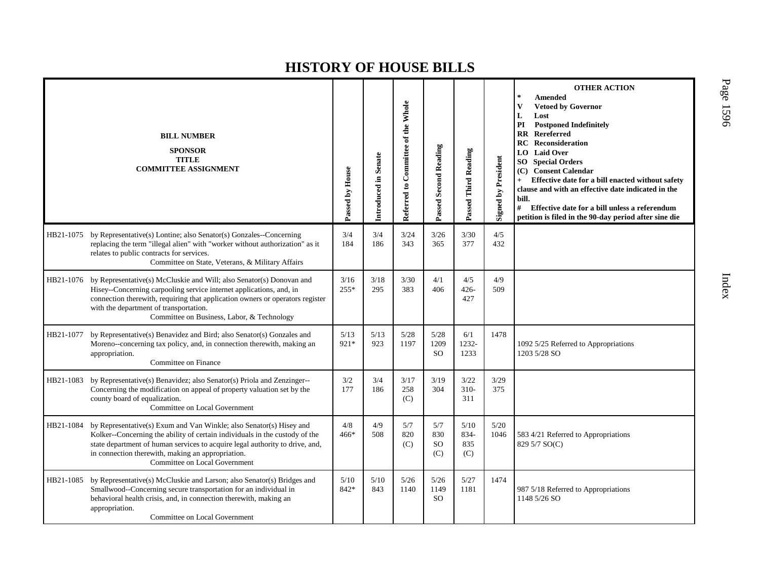|           | <b>BILL NUMBER</b><br><b>SPONSOR</b><br><b>TITLE</b><br><b>COMMITTEE ASSIGNMENT</b>                                                                                                                                                                                                                                      | Passed by House | Introduced in Senate | Referred to Committee of the Whole | <b>Passed Second Reading</b>       | Passed Third Reading       | <b>Signed by President</b> | <b>OTHER ACTION</b><br><b>Amended</b><br>$\mathbf{V}$<br><b>Vetoed by Governor</b><br>Lost<br>L<br><b>Postponed Indefinitely</b><br>PI<br>Rereferred<br>$\mathbf{R}\mathbf{R}$<br>RC<br>Reconsideration<br><b>Laid Over</b><br>LO.<br>SO.<br><b>Special Orders</b><br><b>Consent Calendar</b><br>(C)<br>Effective date for a bill enacted without safety<br>clause and with an effective date indicated in the<br>bill.<br>#<br>Effective date for a bill unless a referendum<br>petition is filed in the 90-day period after sine die |
|-----------|--------------------------------------------------------------------------------------------------------------------------------------------------------------------------------------------------------------------------------------------------------------------------------------------------------------------------|-----------------|----------------------|------------------------------------|------------------------------------|----------------------------|----------------------------|----------------------------------------------------------------------------------------------------------------------------------------------------------------------------------------------------------------------------------------------------------------------------------------------------------------------------------------------------------------------------------------------------------------------------------------------------------------------------------------------------------------------------------------|
| HB21-1075 | by Representative(s) Lontine; also Senator(s) Gonzales--Concerning<br>replacing the term "illegal alien" with "worker without authorization" as it<br>relates to public contracts for services.<br>Committee on State, Veterans, & Military Affairs                                                                      | 3/4<br>184      | 3/4<br>186           | 3/24<br>343                        | 3/26<br>365                        | 3/30<br>377                | 4/5<br>432                 |                                                                                                                                                                                                                                                                                                                                                                                                                                                                                                                                        |
| HB21-1076 | by Representative(s) McCluskie and Will; also Senator(s) Donovan and<br>Hisey--Concerning carpooling service internet applications, and, in<br>connection therewith, requiring that application owners or operators register<br>with the department of transportation.<br>Committee on Business, Labor, & Technology     | 3/16<br>$255*$  | 3/18<br>295          | 3/30<br>383                        | 4/1<br>406                         | 4/5<br>$426 -$<br>427      | 4/9<br>509                 |                                                                                                                                                                                                                                                                                                                                                                                                                                                                                                                                        |
| HB21-1077 | by Representative(s) Benavidez and Bird; also Senator(s) Gonzales and<br>Moreno--concerning tax policy, and, in connection therewith, making an<br>appropriation.<br>Committee on Finance                                                                                                                                | 5/13<br>$921*$  | 5/13<br>923          | $5/28$<br>1197                     | 5/28<br>1209<br><sub>SO</sub>      | 6/1<br>1232-<br>1233       | 1478                       | 1092 5/25 Referred to Appropriations<br>1203 5/28 SO                                                                                                                                                                                                                                                                                                                                                                                                                                                                                   |
| HB21-1083 | by Representative(s) Benavidez; also Senator(s) Priola and Zenzinger--<br>Concerning the modification on appeal of property valuation set by the<br>county board of equalization.<br>Committee on Local Government                                                                                                       | 3/2<br>177      | 3/4<br>186           | 3/17<br>258<br>(C)                 | 3/19<br>304                        | 3/22<br>$310-$<br>311      | 3/29<br>375                |                                                                                                                                                                                                                                                                                                                                                                                                                                                                                                                                        |
| HB21-1084 | by Representative(s) Exum and Van Winkle; also Senator(s) Hisey and<br>Kolker--Concerning the ability of certain individuals in the custody of the<br>state department of human services to acquire legal authority to drive, and,<br>in connection therewith, making an appropriation.<br>Committee on Local Government | 4/8<br>$466*$   | 4/9<br>508           | 5/7<br>820<br>(C)                  | 5/7<br>830<br><sub>SO</sub><br>(C) | 5/10<br>834-<br>835<br>(C) | 5/20<br>1046               | 583 4/21 Referred to Appropriations<br>829 5/7 SO(C)                                                                                                                                                                                                                                                                                                                                                                                                                                                                                   |
| HB21-1085 | by Representative(s) McCluskie and Larson; also Senator(s) Bridges and<br>Smallwood--Concerning secure transportation for an individual in<br>behavioral health crisis, and, in connection therewith, making an<br>appropriation.<br>Committee on Local Government                                                       | 5/10<br>842*    | 5/10<br>843          | 5/26<br>1140                       | 5/26<br>1149<br><sub>SO</sub>      | 5/27<br>1181               | 1474                       | 987 5/18 Referred to Appropriations<br>1148 5/26 SO                                                                                                                                                                                                                                                                                                                                                                                                                                                                                    |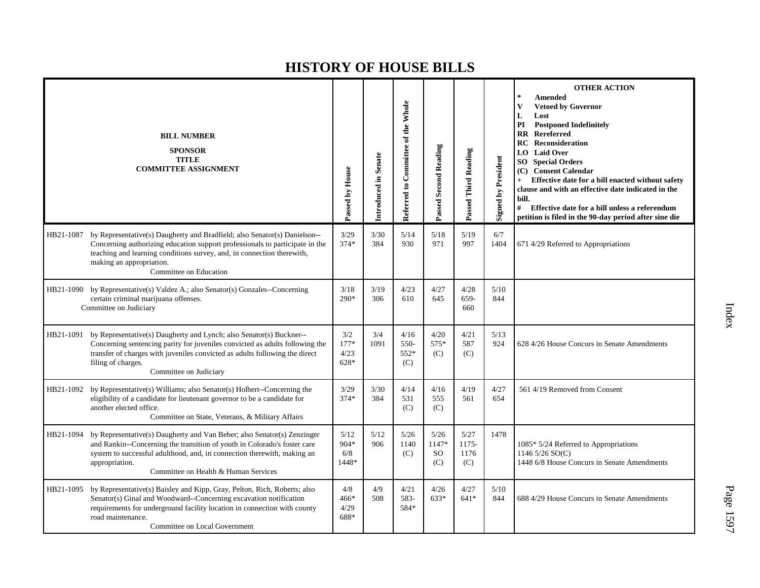|           | <b>BILL NUMBER</b><br><b>SPONSOR</b><br><b>TITLE</b><br><b>COMMITTEE ASSIGNMENT</b>                                                                                                                                                                                                       | Passed by House                 | Introduced in Senate | Referred to Committee of the Whole | Passed Second Reading                 | Passed Third Reading           | <b>Signed by President</b> | <b>OTHER ACTION</b><br>$\star$<br>Amended<br>$\mathbf{V}$<br><b>Vetoed by Governor</b><br>L<br>Lost<br>PI<br><b>Postponed Indefinitely</b><br><b>RR</b> Rereferred<br><b>Reconsideration</b><br>RC<br>LO Laid Over<br>SO <sub>1</sub><br><b>Special Orders</b><br>(C) Consent Calendar<br>Effective date for a bill enacted without safety<br>clause and with an effective date indicated in the<br>bill.<br>#<br>Effective date for a bill unless a referendum<br>petition is filed in the 90-day period after sine die |
|-----------|-------------------------------------------------------------------------------------------------------------------------------------------------------------------------------------------------------------------------------------------------------------------------------------------|---------------------------------|----------------------|------------------------------------|---------------------------------------|--------------------------------|----------------------------|--------------------------------------------------------------------------------------------------------------------------------------------------------------------------------------------------------------------------------------------------------------------------------------------------------------------------------------------------------------------------------------------------------------------------------------------------------------------------------------------------------------------------|
| HB21-1087 | by Representative(s) Daugherty and Bradfield; also Senator(s) Danielson--<br>Concerning authorizing education support professionals to participate in the<br>teaching and learning conditions survey, and, in connection therewith,<br>making an appropriation.<br>Committee on Education | 3/29<br>$374*$                  | 3/30<br>384          | 5/14<br>930                        | 5/18<br>971                           | 5/19<br>997                    | 6/7<br>1404                | 671 4/29 Referred to Appropriations                                                                                                                                                                                                                                                                                                                                                                                                                                                                                      |
|           | HB21-1090 by Representative(s) Valdez A.; also Senator(s) Gonzales--Concerning<br>certain criminal marijuana offenses.<br>Committee on Judiciary                                                                                                                                          | 3/18<br>$290*$                  | 3/19<br>306          | 4/23<br>610                        | 4/27<br>645                           | 4/28<br>659-<br>660            | 5/10<br>844                |                                                                                                                                                                                                                                                                                                                                                                                                                                                                                                                          |
| HB21-1091 | by Representative(s) Daugherty and Lynch; also Senator(s) Buckner--<br>Concerning sentencing parity for juveniles convicted as adults following the<br>transfer of charges with juveniles convicted as adults following the direct<br>filing of charges.<br>Committee on Judiciary        | 3/2<br>$177*$<br>4/23<br>$628*$ | 3/4<br>1091          | 4/16<br>550-<br>552*<br>(C)        | 4/20<br>575*<br>(C)                   | 4/21<br>587<br>(C)             | 5/13<br>924                | 628 4/26 House Concurs in Senate Amendments                                                                                                                                                                                                                                                                                                                                                                                                                                                                              |
| HB21-1092 | by Representative(s) Williams; also Senator(s) Holbert--Concerning the<br>eligibility of a candidate for lieutenant governor to be a candidate for<br>another elected office.<br>Committee on State, Veterans, & Military Affairs                                                         | 3/29<br>$374*$                  | 3/30<br>384          | 4/14<br>531<br>(C)                 | 4/16<br>555<br>(C)                    | 4/19<br>561                    | 4/27<br>654                | 561 4/19 Removed from Consent                                                                                                                                                                                                                                                                                                                                                                                                                                                                                            |
| HB21-1094 | by Representative(s) Daugherty and Van Beber; also Senator(s) Zenzinger<br>and Rankin--Concerning the transition of youth in Colorado's foster care<br>system to successful adulthood, and, in connection therewith, making an<br>appropriation.<br>Committee on Health & Human Services  | 5/12<br>904*<br>6/8<br>1448*    | 5/12<br>906          | 5/26<br>1140<br>(C)                | 5/26<br>1147*<br><sub>SO</sub><br>(C) | $5/27$<br>1175-<br>1176<br>(C) | 1478                       | 1085* 5/24 Referred to Appropriations<br>1146 $5/26$ SO(C)<br>1448 6/8 House Concurs in Senate Amendments                                                                                                                                                                                                                                                                                                                                                                                                                |
| HB21-1095 | by Representative(s) Baisley and Kipp, Gray, Pelton, Rich, Roberts; also<br>Senator(s) Ginal and Woodward--Concerning excavation notification<br>requirements for underground facility location in connection with county<br>road maintenance.<br>Committee on Local Government           | 4/8<br>466*<br>4/29<br>688*     | 4/9<br>508           | 4/21<br>583-<br>584*               | 4/26<br>633*                          | 4/27<br>$641*$                 | 5/10<br>844                | 688 4/29 House Concurs in Senate Amendments                                                                                                                                                                                                                                                                                                                                                                                                                                                                              |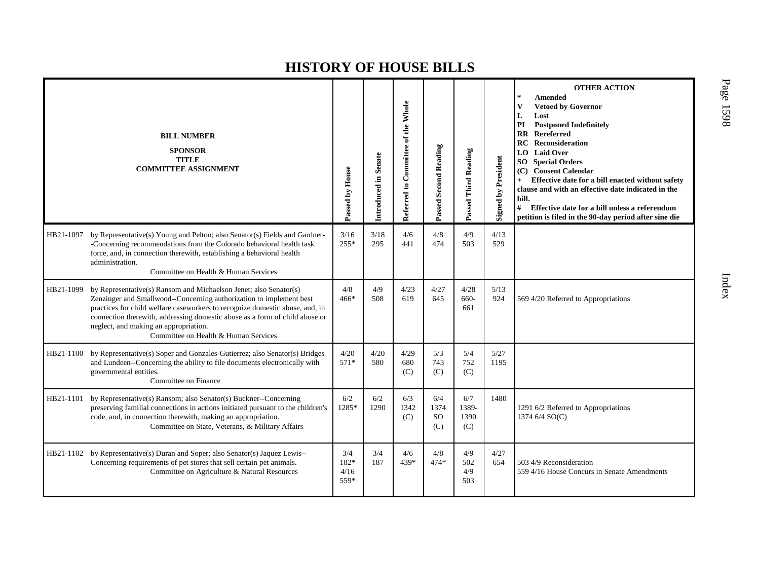|           | <b>BILL NUMBER</b><br><b>SPONSOR</b><br><b>TITLE</b><br><b>COMMITTEE ASSIGNMENT</b>                                                                                                                                                                                                                                                                                                      | Passed by House             | Introduced in Senate | Referred to Committee of the Whole | <b>Passed Second Reading</b>    | Passed Third Reading        | <b>Signed by President</b> | <b>OTHER ACTION</b><br><b>Amended</b><br><b>Vetoed by Governor</b><br>V<br>L<br>Lost<br><b>Postponed Indefinitely</b><br>PI<br>$\mathbf{R}$<br>Rereferred<br>Reconsideration<br>RC<br>LO  <br><b>Laid Over</b><br><b>Special Orders</b><br>SO.<br><b>Consent Calendar</b><br>(C)<br>Effective date for a bill enacted without safety<br>clause and with an effective date indicated in the<br>bill.<br>#<br>Effective date for a bill unless a referendum<br>petition is filed in the 90-day period after sine die |
|-----------|------------------------------------------------------------------------------------------------------------------------------------------------------------------------------------------------------------------------------------------------------------------------------------------------------------------------------------------------------------------------------------------|-----------------------------|----------------------|------------------------------------|---------------------------------|-----------------------------|----------------------------|--------------------------------------------------------------------------------------------------------------------------------------------------------------------------------------------------------------------------------------------------------------------------------------------------------------------------------------------------------------------------------------------------------------------------------------------------------------------------------------------------------------------|
| HB21-1097 | by Representative(s) Young and Pelton; also Senator(s) Fields and Gardner-<br>-Concerning recommendations from the Colorado behavioral health task<br>force, and, in connection therewith, establishing a behavioral health<br>administration.<br>Committee on Health & Human Services                                                                                                   | 3/16<br>$255*$              | 3/18<br>295          | 4/6<br>441                         | $4/8$<br>474                    | 4/9<br>503                  | 4/13<br>529                |                                                                                                                                                                                                                                                                                                                                                                                                                                                                                                                    |
| HB21-1099 | by Representative(s) Ransom and Michaelson Jenet; also Senator(s)<br>Zenzinger and Smallwood--Concerning authorization to implement best<br>practices for child welfare caseworkers to recognize domestic abuse, and, in<br>connection therewith, addressing domestic abuse as a form of child abuse or<br>neglect, and making an appropriation.<br>Committee on Health & Human Services | 4/8<br>$466*$               | 4/9<br>508           | 4/23<br>619                        | 4/27<br>645                     | 4/28<br>660-<br>661         | 5/13<br>924                | 569 4/20 Referred to Appropriations                                                                                                                                                                                                                                                                                                                                                                                                                                                                                |
| HB21-1100 | by Representative(s) Soper and Gonzales-Gutierrez; also Senator(s) Bridges<br>and Lundeen--Concerning the ability to file documents electronically with<br>governmental entities.<br>Committee on Finance                                                                                                                                                                                | 4/20<br>571*                | 4/20<br>580          | 4/29<br>680<br>(C)                 | 5/3<br>743<br>(C)               | 5/4<br>752<br>(C)           | 5/27<br>1195               |                                                                                                                                                                                                                                                                                                                                                                                                                                                                                                                    |
| HB21-1101 | by Representative(s) Ransom; also Senator(s) Buckner--Concerning<br>preserving familial connections in actions initiated pursuant to the children's<br>code, and, in connection therewith, making an appropriation.<br>Committee on State, Veterans, & Military Affairs                                                                                                                  | 6/2<br>1285*                | 6/2<br>1290          | 6/3<br>1342<br>(C)                 | 6/4<br>1374<br><b>SO</b><br>(C) | 6/7<br>1389-<br>1390<br>(C) | 1480                       | 1291 6/2 Referred to Appropriations<br>1374 6/4 SO(C)                                                                                                                                                                                                                                                                                                                                                                                                                                                              |
| HB21-1102 | by Representative(s) Duran and Soper; also Senator(s) Jaquez Lewis--<br>Concerning requirements of pet stores that sell certain pet animals.<br>Committee on Agriculture & Natural Resources                                                                                                                                                                                             | 3/4<br>182*<br>4/16<br>559* | 3/4<br>187           | 4/6<br>439*                        | 4/8<br>474*                     | 4/9<br>502<br>4/9<br>503    | 4/27<br>654                | 503 4/9 Reconsideration<br>559 4/16 House Concurs in Senate Amendments                                                                                                                                                                                                                                                                                                                                                                                                                                             |

P a g e 15 9 8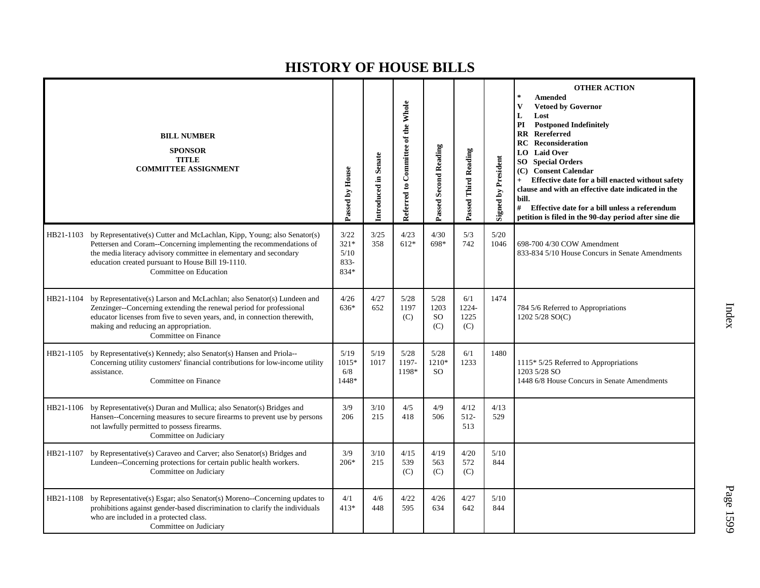|           | <b>BILL NUMBER</b><br><b>SPONSOR</b><br><b>TITLE</b><br><b>COMMITTEE ASSIGNMENT</b>                                                                                                                                                                                                                          | Passed by House                        | Introduced in Senate | Referred to Committee of the Whole | <b>Passed Second Reading</b>         | Passed Third Reading        | <b>Signed by President</b> | <b>OTHER ACTION</b><br>$\star$<br><b>Amended</b><br>$\mathbf{V}$<br><b>Vetoed by Governor</b><br>L<br>Lost<br>PI<br><b>Postponed Indefinitely</b><br><b>RR</b> Rereferred<br><b>RC</b> Reconsideration<br><b>LO</b> Laid Over<br><b>SO</b> Special Orders<br>(C) Consent Calendar<br>Effective date for a bill enacted without safety<br>$+$<br>clause and with an effective date indicated in the<br>bill.<br>#<br>Effective date for a bill unless a referendum<br>petition is filed in the 90-day period after sine die |
|-----------|--------------------------------------------------------------------------------------------------------------------------------------------------------------------------------------------------------------------------------------------------------------------------------------------------------------|----------------------------------------|----------------------|------------------------------------|--------------------------------------|-----------------------------|----------------------------|----------------------------------------------------------------------------------------------------------------------------------------------------------------------------------------------------------------------------------------------------------------------------------------------------------------------------------------------------------------------------------------------------------------------------------------------------------------------------------------------------------------------------|
|           | HB21-1103 by Representative(s) Cutter and McLachlan, Kipp, Young; also Senator(s)<br>Pettersen and Coram--Concerning implementing the recommendations of<br>the media literacy advisory committee in elementary and secondary<br>education created pursuant to House Bill 19-1110.<br>Committee on Education | 3/22<br>$321*$<br>5/10<br>833-<br>834* | 3/25<br>358          | 4/23<br>$612*$                     | 4/30<br>698*                         | 5/3<br>742                  | $5/20$<br>1046             | 698-700 4/30 COW Amendment<br>833-834 5/10 House Concurs in Senate Amendments                                                                                                                                                                                                                                                                                                                                                                                                                                              |
|           | HB21-1104 by Representative(s) Larson and McLachlan; also Senator(s) Lundeen and<br>Zenzinger--Concerning extending the renewal period for professional<br>educator licenses from five to seven years, and, in connection therewith,<br>making and reducing an appropriation.<br>Committee on Finance        | 4/26<br>636*                           | 4/27<br>652          | 5/28<br>1197<br>(C)                | 5/28<br>1203<br><sub>SO</sub><br>(C) | 6/1<br>1224-<br>1225<br>(C) | 1474                       | 784 5/6 Referred to Appropriations<br>1202 5/28 SO(C)                                                                                                                                                                                                                                                                                                                                                                                                                                                                      |
| HB21-1105 | by Representative(s) Kennedy; also Senator(s) Hansen and Priola--<br>Concerning utility customers' financial contributions for low-income utility<br>assistance.<br>Committee on Finance                                                                                                                     | 5/19<br>$1015*$<br>6/8<br>1448*        | 5/19<br>1017         | 5/28<br>1197-<br>1198*             | 5/28<br>1210*<br><b>SO</b>           | 6/1<br>1233                 | 1480                       | 1115* 5/25 Referred to Appropriations<br>1203 5/28 SO<br>1448 6/8 House Concurs in Senate Amendments                                                                                                                                                                                                                                                                                                                                                                                                                       |
| HB21-1106 | by Representative(s) Duran and Mullica; also Senator(s) Bridges and<br>Hansen--Concerning measures to secure firearms to prevent use by persons<br>not lawfully permitted to possess firearms.<br>Committee on Judiciary                                                                                     | 3/9<br>206                             | 3/10<br>215          | 4/5<br>418                         | 4/9<br>506                           | 4/12<br>$512 -$<br>513      | 4/13<br>529                |                                                                                                                                                                                                                                                                                                                                                                                                                                                                                                                            |
| HB21-1107 | by Representative(s) Caraveo and Carver; also Senator(s) Bridges and<br>Lundeen--Concerning protections for certain public health workers.<br>Committee on Judiciary                                                                                                                                         | 3/9<br>$206*$                          | 3/10<br>215          | 4/15<br>539<br>(C)                 | 4/19<br>563<br>(C)                   | 4/20<br>572<br>(C)          | 5/10<br>844                |                                                                                                                                                                                                                                                                                                                                                                                                                                                                                                                            |
|           | HB21-1108 by Representative(s) Esgar; also Senator(s) Moreno--Concerning updates to<br>prohibitions against gender-based discrimination to clarify the individuals<br>who are included in a protected class.<br>Committee on Judiciary                                                                       | 4/1<br>413*                            | 4/6<br>448           | 4/22<br>595                        | 4/26<br>634                          | 4/27<br>642                 | 5/10<br>844                |                                                                                                                                                                                                                                                                                                                                                                                                                                                                                                                            |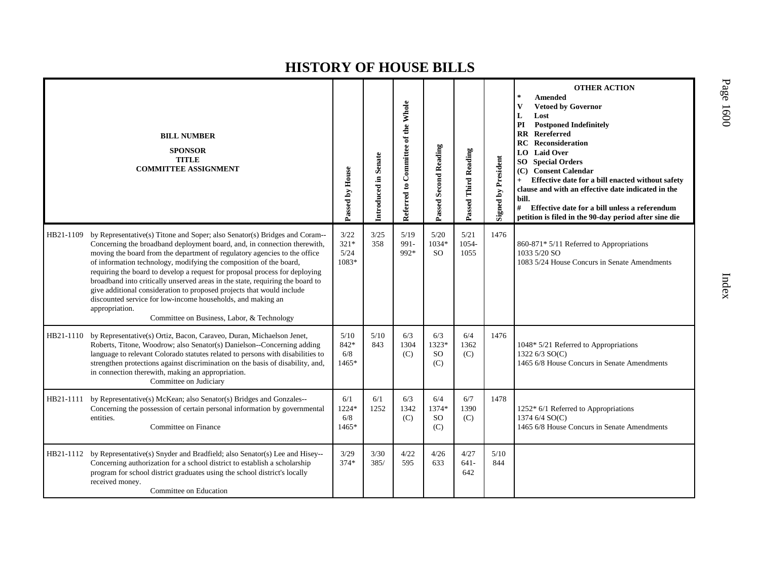|           | <b>BILL NUMBER</b><br><b>SPONSOR</b><br><b>TITLE</b><br><b>COMMITTEE ASSIGNMENT</b>                                                                                                                                                                                                                                                                                                                                                                                                                                                                                                                                                                                               | Passed by House                 | Introduced in Senate | Committee of the Whole<br>Referred to | Passed Second Reading                | Passed Third Reading   | Signed by President | <b>OTHER ACTION</b><br>$\ast$<br><b>Amended</b><br><b>Vetoed by Governor</b><br>V<br>Lost<br>L<br><b>Postponed Indefinitely</b><br>PI<br><b>RR</b> Rereferred<br>Reconsideration<br><b>RC</b><br><b>LO</b> Laid Over<br><b>SO</b> Special Orders<br><b>Consent Calendar</b><br>(C)<br>Effective date for a bill enacted without safety<br>$+$<br>clause and with an effective date indicated in the<br>bill.<br># Effective date for a bill unless a referendum<br>petition is filed in the 90-day period after sine die |
|-----------|-----------------------------------------------------------------------------------------------------------------------------------------------------------------------------------------------------------------------------------------------------------------------------------------------------------------------------------------------------------------------------------------------------------------------------------------------------------------------------------------------------------------------------------------------------------------------------------------------------------------------------------------------------------------------------------|---------------------------------|----------------------|---------------------------------------|--------------------------------------|------------------------|---------------------|--------------------------------------------------------------------------------------------------------------------------------------------------------------------------------------------------------------------------------------------------------------------------------------------------------------------------------------------------------------------------------------------------------------------------------------------------------------------------------------------------------------------------|
| HB21-1109 | by Representative(s) Titone and Soper; also Senator(s) Bridges and Coram--<br>Concerning the broadband deployment board, and, in connection therewith,<br>moving the board from the department of regulatory agencies to the office<br>of information technology, modifying the composition of the board,<br>requiring the board to develop a request for proposal process for deploying<br>broadband into critically unserved areas in the state, requiring the board to<br>give additional consideration to proposed projects that would include<br>discounted service for low-income households, and making an<br>appropriation.<br>Committee on Business, Labor, & Technology | 3/22<br>$321*$<br>5/24<br>1083* | 3/25<br>358          | 5/19<br>991-<br>992*                  | 5/20<br>1034*<br><b>SO</b>           | 5/21<br>1054-<br>1055  | 1476                | 860-871* 5/11 Referred to Appropriations<br>1033 5/20 SO<br>1083 5/24 House Concurs in Senate Amendments                                                                                                                                                                                                                                                                                                                                                                                                                 |
| HB21-1110 | by Representative(s) Ortiz, Bacon, Caraveo, Duran, Michaelson Jenet,<br>Roberts, Titone, Woodrow; also Senator(s) Danielson--Concerning adding<br>language to relevant Colorado statutes related to persons with disabilities to<br>strengthen protections against discrimination on the basis of disability, and,<br>in connection therewith, making an appropriation.<br>Committee on Judiciary                                                                                                                                                                                                                                                                                 | 5/10<br>842*<br>6/8<br>1465*    | 5/10<br>843          | 6/3<br>1304<br>(C)                    | 6/3<br>1323*<br><b>SO</b><br>(C)     | 6/4<br>1362<br>(C)     | 1476                | 1048* 5/21 Referred to Appropriations<br>1322 6/3 SO(C)<br>1465 6/8 House Concurs in Senate Amendments                                                                                                                                                                                                                                                                                                                                                                                                                   |
| HB21-1111 | by Representative(s) McKean; also Senator(s) Bridges and Gonzales--<br>Concerning the possession of certain personal information by governmental<br>entities.<br>Committee on Finance                                                                                                                                                                                                                                                                                                                                                                                                                                                                                             | 6/1<br>1224*<br>6/8<br>1465*    | 6/1<br>1252          | 6/3<br>1342<br>(C)                    | 6/4<br>1374*<br><sub>SO</sub><br>(C) | 6/7<br>1390<br>(C)     | 1478                | $1252*6/1$ Referred to Appropriations<br>1374 6/4 SO(C)<br>1465 6/8 House Concurs in Senate Amendments                                                                                                                                                                                                                                                                                                                                                                                                                   |
|           | HB21-1112 by Representative(s) Snyder and Bradfield; also Senator(s) Lee and Hisey--<br>Concerning authorization for a school district to establish a scholarship<br>program for school district graduates using the school district's locally<br>received money.<br>Committee on Education                                                                                                                                                                                                                                                                                                                                                                                       | 3/29<br>374*                    | 3/30<br>385/         | 4/22<br>595                           | 4/26<br>633                          | 4/27<br>$641 -$<br>642 | 5/10<br>844         |                                                                                                                                                                                                                                                                                                                                                                                                                                                                                                                          |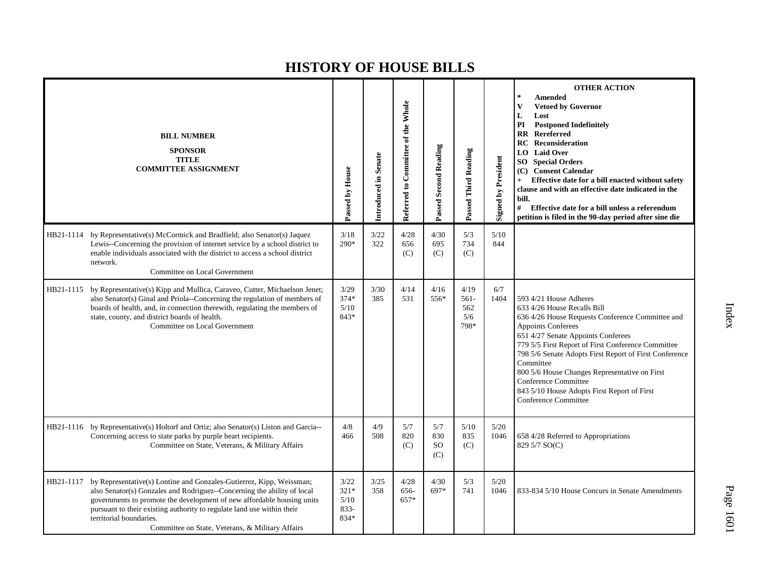|           | <b>BILL NUMBER</b><br><b>SPONSOR</b><br><b>TITLE</b><br><b>COMMITTEE ASSIGNMENT</b>                                                                                                                                                                                                                                                                                                | Passed by House                        | Introduced in Senate | Referred to Committee of the Whole | Passed Second Reading                | Passed Third Reading                  | <b>Signed by President</b> | <b>OTHER ACTION</b><br><b>Amended</b><br>$\star$<br><b>Vetoed by Governor</b><br>$\mathbf{V}$<br>L<br>Lost<br>PI<br><b>Postponed Indefinitely</b><br>Rereferred<br>$\mathbf{R}\mathbf{R}$<br><b>Reconsideration</b><br>RC<br><b>LO</b> Laid Over<br><b>SO</b> Special Orders<br>(C) Consent Calendar<br>Effective date for a bill enacted without safety<br>$+$<br>clause and with an effective date indicated in the<br>bill.<br># Effective date for a bill unless a referendum<br>petition is filed in the 90-day period after sine die |
|-----------|------------------------------------------------------------------------------------------------------------------------------------------------------------------------------------------------------------------------------------------------------------------------------------------------------------------------------------------------------------------------------------|----------------------------------------|----------------------|------------------------------------|--------------------------------------|---------------------------------------|----------------------------|--------------------------------------------------------------------------------------------------------------------------------------------------------------------------------------------------------------------------------------------------------------------------------------------------------------------------------------------------------------------------------------------------------------------------------------------------------------------------------------------------------------------------------------------|
|           | HB21-1114 by Representative(s) McCormick and Bradfield; also Senator(s) Jaquez<br>Lewis--Concerning the provision of internet service by a school district to<br>enable individuals associated with the district to access a school district<br>network.<br>Committee on Local Government                                                                                          | 3/18<br>290*                           | 3/22<br>322          | 4/28<br>656<br>(C)                 | 4/30<br>695<br>(C)                   | 5/3<br>734<br>(C)                     | 5/10<br>844                |                                                                                                                                                                                                                                                                                                                                                                                                                                                                                                                                            |
| HB21-1115 | by Representative(s) Kipp and Mullica, Caraveo, Cutter, Michaelson Jenet;<br>also Senator(s) Ginal and Priola--Concerning the regulation of members of<br>boards of health, and, in connection therewith, regulating the members of<br>state, county, and district boards of health.<br>Committee on Local Government                                                              | 3/29<br>374*<br>5/10<br>843*           | 3/30<br>385          | 4/14<br>531                        | 4/16<br>556*                         | 4/19<br>$561 -$<br>562<br>5/6<br>798* | 6/7<br>1404                | 593 4/21 House Adheres<br>633 4/26 House Recalls Bill<br>636 4/26 House Requests Conference Committee and<br><b>Appoints Conferees</b><br>651 4/27 Senate Appoints Conferees<br>779 5/5 First Report of First Conference Committee<br>798 5/6 Senate Adopts First Report of First Conference<br>Committee<br>800 5/6 House Changes Representative on First<br><b>Conference Committee</b><br>843 5/10 House Adopts First Report of First<br><b>Conference Committee</b>                                                                    |
|           | HB21-1116 by Representative(s) Holtorf and Ortiz; also Senator(s) Liston and Garcia--<br>Concerning access to state parks by purple heart recipients.<br>Committee on State, Veterans, & Military Affairs                                                                                                                                                                          | 4/8<br>466                             | 4/9<br>508           | 5/7<br>820<br>(C)                  | 5/7<br>830<br>SO <sub>1</sub><br>(C) | 5/10<br>835<br>(C)                    | 5/20<br>1046               | 658 4/28 Referred to Appropriations<br>829 5/7 SO(C)                                                                                                                                                                                                                                                                                                                                                                                                                                                                                       |
| HB21-1117 | by Representative(s) Lontine and Gonzales-Gutierrez, Kipp, Weissman;<br>also Senator(s) Gonzales and Rodriguez--Concerning the ability of local<br>governments to promote the development of new affordable housing units<br>pursuant to their existing authority to regulate land use within their<br>territorial boundaries.<br>Committee on State, Veterans, & Military Affairs | 3/22<br>$321*$<br>5/10<br>833-<br>834* | 3/25<br>358          | 4/28<br>656-<br>657*               | 4/30<br>697*                         | 5/3<br>741                            | 5/20<br>1046               | 833-834 5/10 House Concurs in Senate Amendments                                                                                                                                                                                                                                                                                                                                                                                                                                                                                            |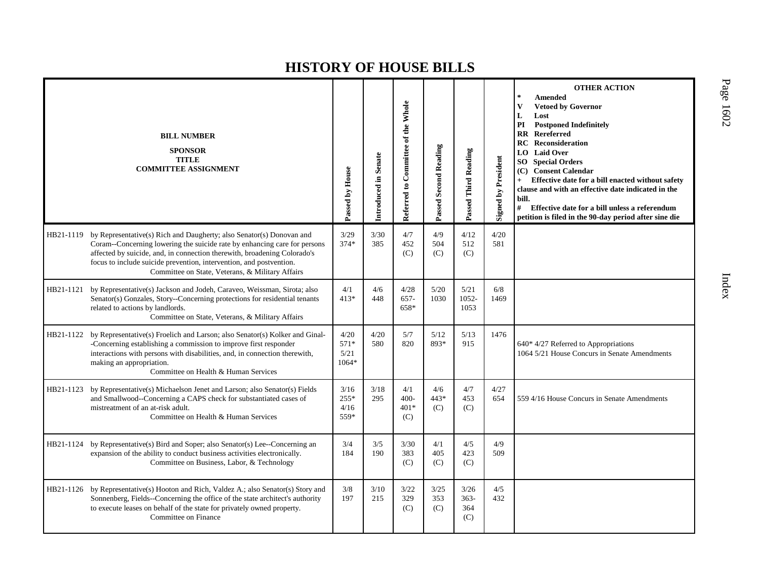|           | <b>BILL NUMBER</b><br><b>SPONSOR</b><br><b>TITLE</b><br><b>COMMITTEE ASSIGNMENT</b>                                                                                                                                                                                                                                                                      | Passed by House                 | Introduced in Senate | Referred to Committee of the Whole | Passed Second Reading | Passed Third Reading         | <b>Signed by President</b> | <b>OTHER ACTION</b><br><b>Amended</b><br>$\mathbf{V}$<br><b>Vetoed by Governor</b><br>L<br>Lost<br><b>Postponed Indefinitely</b><br>PI<br><b>RR</b> Rereferred<br>RC<br>Reconsideration<br><b>LO</b> Laid Over<br><b>Special Orders</b><br>SO.<br><b>Consent Calendar</b><br>(C)<br>Effective date for a bill enacted without safety<br>clause and with an effective date indicated in the<br>bill.<br># Effective date for a bill unless a referendum<br>petition is filed in the 90-day period after sine die |
|-----------|----------------------------------------------------------------------------------------------------------------------------------------------------------------------------------------------------------------------------------------------------------------------------------------------------------------------------------------------------------|---------------------------------|----------------------|------------------------------------|-----------------------|------------------------------|----------------------------|-----------------------------------------------------------------------------------------------------------------------------------------------------------------------------------------------------------------------------------------------------------------------------------------------------------------------------------------------------------------------------------------------------------------------------------------------------------------------------------------------------------------|
| HB21-1119 | by Representative(s) Rich and Daugherty; also Senator(s) Donovan and<br>Coram--Concerning lowering the suicide rate by enhancing care for persons<br>affected by suicide, and, in connection therewith, broadening Colorado's<br>focus to include suicide prevention, intervention, and postvention.<br>Committee on State, Veterans, & Military Affairs | 3/29<br>$374*$                  | 3/30<br>385          | 4/7<br>452<br>(C)                  | 4/9<br>504<br>(C)     | 4/12<br>512<br>(C)           | 4/20<br>581                |                                                                                                                                                                                                                                                                                                                                                                                                                                                                                                                 |
| HB21-1121 | by Representative(s) Jackson and Jodeh, Caraveo, Weissman, Sirota; also<br>Senator(s) Gonzales, Story--Concerning protections for residential tenants<br>related to actions by landlords.<br>Committee on State, Veterans, & Military Affairs                                                                                                            | 4/1<br>$413*$                   | 4/6<br>448           | 4/28<br>$657 -$<br>658*            | 5/20<br>1030          | 5/21<br>1052-<br>1053        | 6/8<br>1469                |                                                                                                                                                                                                                                                                                                                                                                                                                                                                                                                 |
| HB21-1122 | by Representative(s) Froelich and Larson; also Senator(s) Kolker and Ginal-<br>-Concerning establishing a commission to improve first responder<br>interactions with persons with disabilities, and, in connection therewith,<br>making an appropriation.<br>Committee on Health & Human Services                                                        | 4/20<br>571*<br>5/21<br>$1064*$ | 4/20<br>580          | 5/7<br>820                         | 5/12<br>893*          | 5/13<br>915                  | 1476                       | $640*4/27$ Referred to Appropriations<br>1064 5/21 House Concurs in Senate Amendments                                                                                                                                                                                                                                                                                                                                                                                                                           |
| HB21-1123 | by Representative(s) Michaelson Jenet and Larson; also Senator(s) Fields<br>and Smallwood--Concerning a CAPS check for substantiated cases of<br>mistreatment of an at-risk adult.<br>Committee on Health & Human Services                                                                                                                               | 3/16<br>$255*$<br>4/16<br>559*  | 3/18<br>295          | 4/1<br>$400 -$<br>401*<br>(C)      | 4/6<br>443*<br>(C)    | 4/7<br>453<br>(C)            | 4/27<br>654                | 559 4/16 House Concurs in Senate Amendments                                                                                                                                                                                                                                                                                                                                                                                                                                                                     |
| HB21-1124 | by Representative(s) Bird and Soper; also Senator(s) Lee--Concerning an<br>expansion of the ability to conduct business activities electronically.<br>Committee on Business, Labor, & Technology                                                                                                                                                         | 3/4<br>184                      | 3/5<br>190           | 3/30<br>383<br>(C)                 | 4/1<br>405<br>(C)     | 4/5<br>423<br>(C)            | 4/9<br>509                 |                                                                                                                                                                                                                                                                                                                                                                                                                                                                                                                 |
| HB21-1126 | by Representative(s) Hooton and Rich, Valdez A.; also Senator(s) Story and<br>Sonnenberg, Fields--Concerning the office of the state architect's authority<br>to execute leases on behalf of the state for privately owned property.<br>Committee on Finance                                                                                             | 3/8<br>197                      | 3/10<br>215          | 3/22<br>329<br>(C)                 | 3/25<br>353<br>(C)    | 3/26<br>$363-$<br>364<br>(C) | 4/5<br>432                 |                                                                                                                                                                                                                                                                                                                                                                                                                                                                                                                 |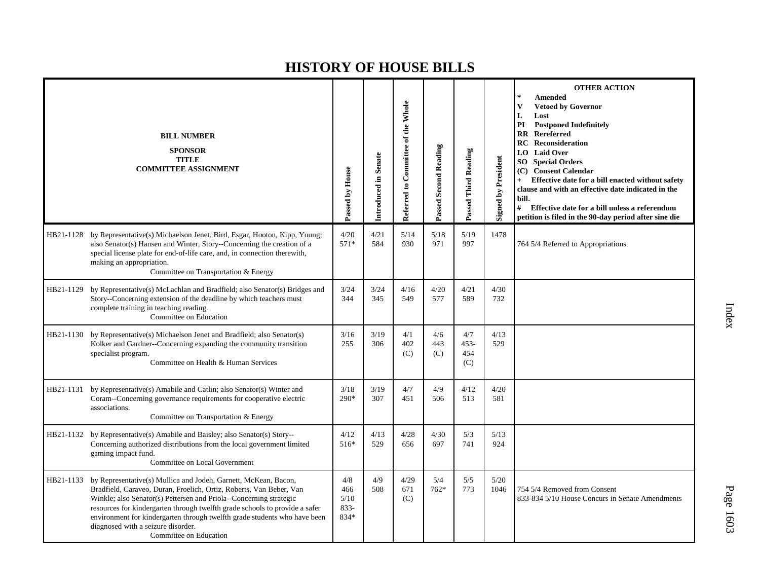|           | <b>BILL NUMBER</b><br><b>SPONSOR</b><br><b>TITLE</b><br><b>COMMITTEE ASSIGNMENT</b>                                                                                                                                                                                                                                                                                                                                                      | Passed by House                       | Introduced in Senate | Referred to Committee of the Whole | Passed Second Reading | Passed Third Reading         | <b>Signed by President</b> | <b>OTHER ACTION</b><br><b>Amended</b><br><b>Vetoed by Governor</b><br>$\mathbf{V}$<br>L<br>Lost<br>PI<br><b>Postponed Indefinitely</b><br>Rereferred<br>$\mathbf{R}$<br>Reconsideration<br>RC<br><b>Laid Over</b><br>LO  <br>SO<br><b>Special Orders</b><br>(C) Consent Calendar<br>Effective date for a bill enacted without safety<br>clause and with an effective date indicated in the<br>bill.<br>#<br>Effective date for a bill unless a referendum<br>petition is filed in the 90-day period after sine die |
|-----------|------------------------------------------------------------------------------------------------------------------------------------------------------------------------------------------------------------------------------------------------------------------------------------------------------------------------------------------------------------------------------------------------------------------------------------------|---------------------------------------|----------------------|------------------------------------|-----------------------|------------------------------|----------------------------|--------------------------------------------------------------------------------------------------------------------------------------------------------------------------------------------------------------------------------------------------------------------------------------------------------------------------------------------------------------------------------------------------------------------------------------------------------------------------------------------------------------------|
| HB21-1128 | by Representative(s) Michaelson Jenet, Bird, Esgar, Hooton, Kipp, Young;<br>also Senator(s) Hansen and Winter, Story--Concerning the creation of a<br>special license plate for end-of-life care, and, in connection therewith,<br>making an appropriation.<br>Committee on Transportation & Energy                                                                                                                                      | 4/20<br>$571*$                        | 4/21<br>584          | 5/14<br>930                        | 5/18<br>971           | 5/19<br>997                  | 1478                       | 764 5/4 Referred to Appropriations                                                                                                                                                                                                                                                                                                                                                                                                                                                                                 |
| HB21-1129 | by Representative(s) McLachlan and Bradfield; also Senator(s) Bridges and<br>Story--Concerning extension of the deadline by which teachers must<br>complete training in teaching reading.<br>Committee on Education                                                                                                                                                                                                                      | 3/24<br>344                           | 3/24<br>345          | 4/16<br>549                        | 4/20<br>577           | 4/21<br>589                  | 4/30<br>732                |                                                                                                                                                                                                                                                                                                                                                                                                                                                                                                                    |
| HB21-1130 | by Representative(s) Michaelson Jenet and Bradfield; also Senator(s)<br>Kolker and Gardner--Concerning expanding the community transition<br>specialist program.<br>Committee on Health & Human Services                                                                                                                                                                                                                                 | 3/16<br>255                           | 3/19<br>306          | 4/1<br>402<br>(C)                  | 4/6<br>443<br>(C)     | 4/7<br>$453 -$<br>454<br>(C) | 4/13<br>529                |                                                                                                                                                                                                                                                                                                                                                                                                                                                                                                                    |
| HB21-1131 | by Representative(s) Amabile and Catlin; also Senator(s) Winter and<br>Coram--Concerning governance requirements for cooperative electric<br>associations.<br>Committee on Transportation & Energy                                                                                                                                                                                                                                       | 3/18<br>$290*$                        | 3/19<br>307          | 4/7<br>451                         | 4/9<br>506            | 4/12<br>513                  | 4/20<br>581                |                                                                                                                                                                                                                                                                                                                                                                                                                                                                                                                    |
| HB21-1132 | by Representative(s) Amabile and Baisley; also Senator(s) Story--<br>Concerning authorized distributions from the local government limited<br>gaming impact fund.<br>Committee on Local Government                                                                                                                                                                                                                                       | 4/12<br>516*                          | 4/13<br>529          | 4/28<br>656                        | 4/30<br>697           | 5/3<br>741                   | 5/13<br>924                |                                                                                                                                                                                                                                                                                                                                                                                                                                                                                                                    |
| HB21-1133 | by Representative(s) Mullica and Jodeh, Garnett, McKean, Bacon,<br>Bradfield, Caraveo, Duran, Froelich, Ortiz, Roberts, Van Beber, Van<br>Winkle; also Senator(s) Pettersen and Priola--Concerning strategic<br>resources for kindergarten through twelfth grade schools to provide a safer<br>environment for kindergarten through twelfth grade students who have been<br>diagnosed with a seizure disorder.<br>Committee on Education | 4/8<br>466<br>5/10<br>$833 -$<br>834* | 4/9<br>508           | 4/29<br>671<br>(C)                 | 5/4<br>$762*$         | 5/5<br>773                   | 5/20<br>1046               | 754 5/4 Removed from Consent<br>833-834 5/10 House Concurs in Senate Amendments                                                                                                                                                                                                                                                                                                                                                                                                                                    |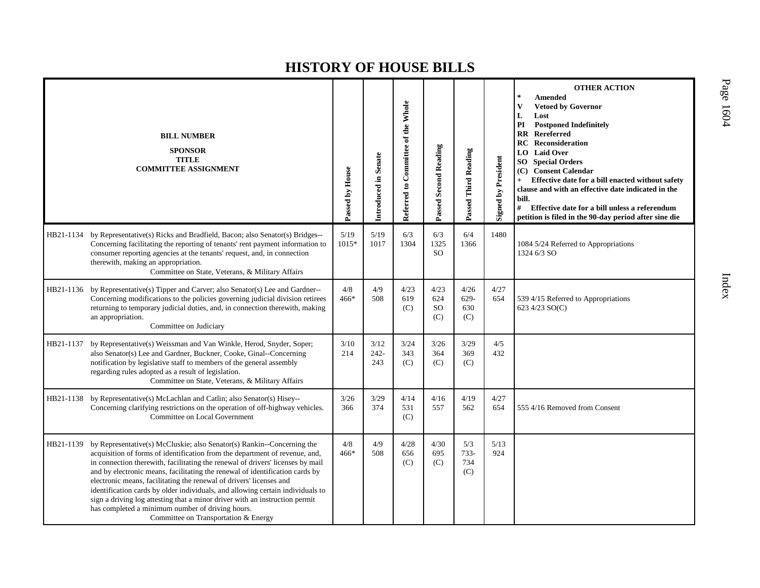|           | <b>BILL NUMBER</b><br><b>SPONSOR</b><br><b>TITLE</b><br><b>COMMITTEE ASSIGNMENT</b>                                                                                                                                                                                                                                                                                                                                                                                                                                                                                                                                                                         | Passed by House | Introduced in Senate | Referred to Committee of the Whole | <b>Passed Second Reading</b>    | Passed Third Reading          | <b>Signed by President</b> | <b>OTHER ACTION</b><br><b>Amended</b><br><b>Vetoed by Governor</b><br>L<br>Lost<br>PI<br><b>Postponed Indefinitely</b><br><b>RR</b> Rereferred<br>Reconsideration<br><b>RC</b><br><b>Laid Over</b><br>LO.<br>SO.<br><b>Special Orders</b><br><b>Consent Calendar</b><br>(C)<br>Effective date for a bill enacted without safety<br>$+$<br>clause and with an effective date indicated in the<br>bill.<br>#<br>Effective date for a bill unless a referendum<br>petition is filed in the 90-day period after sine die |
|-----------|-------------------------------------------------------------------------------------------------------------------------------------------------------------------------------------------------------------------------------------------------------------------------------------------------------------------------------------------------------------------------------------------------------------------------------------------------------------------------------------------------------------------------------------------------------------------------------------------------------------------------------------------------------------|-----------------|----------------------|------------------------------------|---------------------------------|-------------------------------|----------------------------|----------------------------------------------------------------------------------------------------------------------------------------------------------------------------------------------------------------------------------------------------------------------------------------------------------------------------------------------------------------------------------------------------------------------------------------------------------------------------------------------------------------------|
|           | HB21-1134 by Representative(s) Ricks and Bradfield, Bacon; also Senator(s) Bridges--<br>Concerning facilitating the reporting of tenants' rent payment information to<br>consumer reporting agencies at the tenants' request, and, in connection<br>therewith, making an appropriation.<br>Committee on State, Veterans, & Military Affairs                                                                                                                                                                                                                                                                                                                 | 5/19<br>1015*   | 5/19<br>1017         | 6/3<br>1304                        | 6/3<br>1325<br><b>SO</b>        | 6/4<br>1366                   | 1480                       | 1084 5/24 Referred to Appropriations<br>1324 6/3 SO                                                                                                                                                                                                                                                                                                                                                                                                                                                                  |
|           | HB21-1136 by Representative(s) Tipper and Carver; also Senator(s) Lee and Gardner--<br>Concerning modifications to the policies governing judicial division retirees<br>returning to temporary judicial duties, and, in connection therewith, making<br>an appropriation.<br>Committee on Judiciary                                                                                                                                                                                                                                                                                                                                                         | 4/8<br>466*     | 4/9<br>508           | 4/23<br>619<br>(C)                 | 4/23<br>624<br><b>SO</b><br>(C) | 4/26<br>$629 -$<br>630<br>(C) | 4/27<br>654                | 539 4/15 Referred to Appropriations<br>623 4/23 SO(C)                                                                                                                                                                                                                                                                                                                                                                                                                                                                |
| HB21-1137 | by Representative(s) Weissman and Van Winkle, Herod, Snyder, Soper;<br>also Senator(s) Lee and Gardner, Buckner, Cooke, Ginal--Concerning<br>notification by legislative staff to members of the general assembly<br>regarding rules adopted as a result of legislation.<br>Committee on State, Veterans, & Military Affairs                                                                                                                                                                                                                                                                                                                                | 3/10<br>214     | 3/12<br>242-<br>243  | 3/24<br>343<br>(C)                 | 3/26<br>364<br>(C)              | 3/29<br>369<br>(C)            | 4/5<br>432                 |                                                                                                                                                                                                                                                                                                                                                                                                                                                                                                                      |
|           | HB21-1138 by Representative(s) McLachlan and Catlin; also Senator(s) Hisey--<br>Concerning clarifying restrictions on the operation of off-highway vehicles.<br>Committee on Local Government                                                                                                                                                                                                                                                                                                                                                                                                                                                               | 3/26<br>366     | 3/29<br>374          | 4/14<br>531<br>(C)                 | 4/16<br>557                     | 4/19<br>562                   | 4/27<br>654                | 555 4/16 Removed from Consent                                                                                                                                                                                                                                                                                                                                                                                                                                                                                        |
| HB21-1139 | by Representative(s) McCluskie; also Senator(s) Rankin--Concerning the<br>acquisition of forms of identification from the department of revenue, and,<br>in connection therewith, facilitating the renewal of drivers' licenses by mail<br>and by electronic means, facilitating the renewal of identification cards by<br>electronic means, facilitating the renewal of drivers' licenses and<br>identification cards by older individuals, and allowing certain individuals to<br>sign a driving log attesting that a minor driver with an instruction permit<br>has completed a minimum number of driving hours.<br>Committee on Transportation & Energy | 4/8<br>$466*$   | 4/9<br>508           | 4/28<br>656<br>(C)                 | 4/30<br>695<br>(C)              | 5/3<br>$733-$<br>734<br>(C)   | 5/13<br>924                |                                                                                                                                                                                                                                                                                                                                                                                                                                                                                                                      |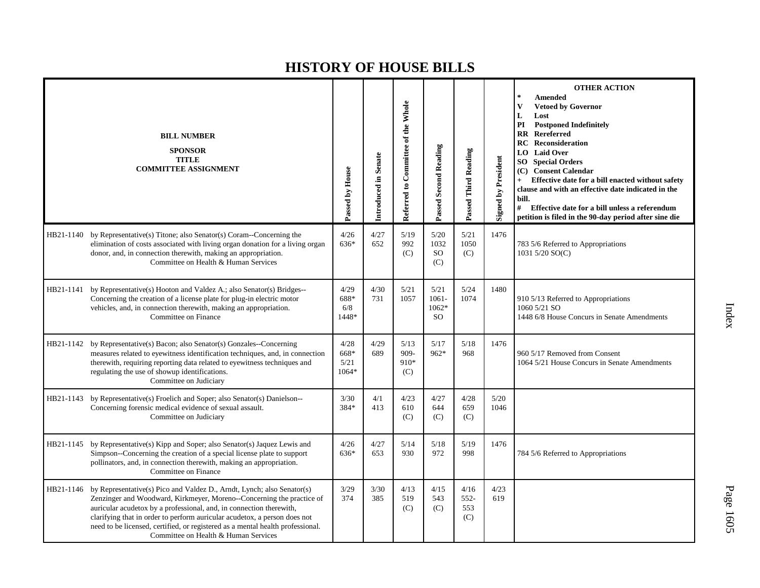|           | <b>BILL NUMBER</b><br><b>SPONSOR</b><br><b>TITLE</b><br><b>COMMITTEE ASSIGNMENT</b>                                                                                                                                                                                                                                                                                                                                                     | Passed by House                 | <b>Introduced in Senate</b> | Referred to Committee of the Whole | Passed Second Reading                  | Passed Third Reading         | <b>Signed by President</b> | <b>OTHER ACTION</b><br>$\mathbb{R}$<br><b>Amended</b><br>V<br><b>Vetoed by Governor</b><br>L<br>Lost<br>PI<br><b>Postponed Indefinitely</b><br><b>RR</b> Rereferred<br><b>Reconsideration</b><br>RC<br><b>Laid Over</b><br>LO<br>SO <sub>1</sub><br><b>Special Orders</b><br>(C) Consent Calendar<br>Effective date for a bill enacted without safety<br>$+$<br>clause and with an effective date indicated in the<br>bill.<br>#<br>Effective date for a bill unless a referendum<br>petition is filed in the 90-day period after sine die |
|-----------|-----------------------------------------------------------------------------------------------------------------------------------------------------------------------------------------------------------------------------------------------------------------------------------------------------------------------------------------------------------------------------------------------------------------------------------------|---------------------------------|-----------------------------|------------------------------------|----------------------------------------|------------------------------|----------------------------|--------------------------------------------------------------------------------------------------------------------------------------------------------------------------------------------------------------------------------------------------------------------------------------------------------------------------------------------------------------------------------------------------------------------------------------------------------------------------------------------------------------------------------------------|
| HB21-1140 | by Representative(s) Titone; also Senator(s) Coram--Concerning the<br>elimination of costs associated with living organ donation for a living organ<br>donor, and, in connection therewith, making an appropriation.<br>Committee on Health & Human Services                                                                                                                                                                            | 4/26<br>636*                    | 4/27<br>652                 | 5/19<br>992<br>(C)                 | 5/20<br>1032<br><sub>SO</sub><br>(C)   | 5/21<br>1050<br>(C)          | 1476                       | 783 5/6 Referred to Appropriations<br>1031 5/20 SO(C)                                                                                                                                                                                                                                                                                                                                                                                                                                                                                      |
|           | HB21-1141 by Representative(s) Hooton and Valdez A.; also Senator(s) Bridges--<br>Concerning the creation of a license plate for plug-in electric motor<br>vehicles, and, in connection therewith, making an appropriation.<br>Committee on Finance                                                                                                                                                                                     | 4/29<br>688*<br>6/8<br>1448*    | 4/30<br>731                 | 5/21<br>1057                       | 5/21<br>$1061 -$<br>1062*<br><b>SO</b> | 5/24<br>1074                 | 1480                       | 910 5/13 Referred to Appropriations<br>1060 5/21 SO<br>1448 6/8 House Concurs in Senate Amendments                                                                                                                                                                                                                                                                                                                                                                                                                                         |
|           | HB21-1142 by Representative(s) Bacon; also Senator(s) Gonzales--Concerning<br>measures related to eyewitness identification techniques, and, in connection<br>therewith, requiring reporting data related to eyewitness techniques and<br>regulating the use of showup identifications.<br>Committee on Judiciary                                                                                                                       | 4/28<br>668*<br>5/21<br>$1064*$ | 4/29<br>689                 | 5/13<br>909-<br>910*<br>(C)        | 5/17<br>962*                           | 5/18<br>968                  | 1476                       | 960 5/17 Removed from Consent<br>1064 5/21 House Concurs in Senate Amendments                                                                                                                                                                                                                                                                                                                                                                                                                                                              |
| HB21-1143 | by Representative(s) Froelich and Soper; also Senator(s) Danielson--<br>Concerning forensic medical evidence of sexual assault.<br>Committee on Judiciary                                                                                                                                                                                                                                                                               | 3/30<br>384*                    | 4/1<br>413                  | 4/23<br>610<br>(C)                 | 4/27<br>644<br>(C)                     | 4/28<br>659<br>(C)           | 5/20<br>1046               |                                                                                                                                                                                                                                                                                                                                                                                                                                                                                                                                            |
| HB21-1145 | by Representative(s) Kipp and Soper; also Senator(s) Jaquez Lewis and<br>Simpson--Concerning the creation of a special license plate to support<br>pollinators, and, in connection therewith, making an appropriation.<br>Committee on Finance                                                                                                                                                                                          | 4/26<br>$636*$                  | 4/27<br>653                 | 5/14<br>930                        | 5/18<br>972                            | 5/19<br>998                  | 1476                       | 784 5/6 Referred to Appropriations                                                                                                                                                                                                                                                                                                                                                                                                                                                                                                         |
|           | HB21-1146 by Representative(s) Pico and Valdez D., Arndt, Lynch; also Senator(s)<br>Zenzinger and Woodward, Kirkmeyer, Moreno--Concerning the practice of<br>auricular acudetox by a professional, and, in connection therewith,<br>clarifying that in order to perform auricular acudetox, a person does not<br>need to be licensed, certified, or registered as a mental health professional.<br>Committee on Health & Human Services | 3/29<br>374                     | 3/30<br>385                 | 4/13<br>519<br>(C)                 | 4/15<br>543<br>(C)                     | 4/16<br>$552-$<br>553<br>(C) | 4/23<br>619                |                                                                                                                                                                                                                                                                                                                                                                                                                                                                                                                                            |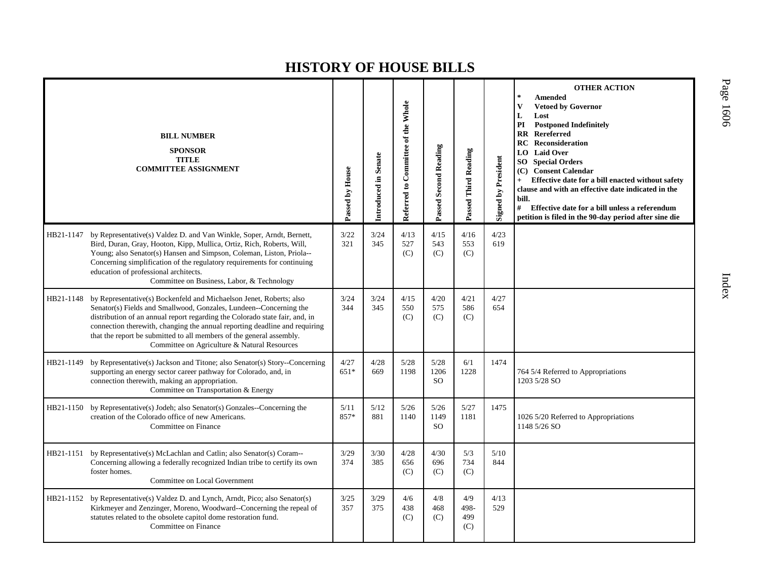|           | <b>BILL NUMBER</b><br><b>SPONSOR</b><br><b>TITLE</b><br><b>COMMITTEE ASSIGNMENT</b>                                                                                                                                                                                                                                                                                                                                                      | Passed by House | Introduced in Senate | Referred to Committee of the Whole | <b>Passed Second Reading</b>  | Passed Third Reading      | <b>Signed by President</b> | <b>OTHER ACTION</b><br><b>Amended</b><br>V<br><b>Vetoed by Governor</b><br>L<br>Lost<br>PI<br><b>Postponed Indefinitely</b><br><b>Rereferred</b><br>$\mathbf{R}\mathbf{R}$<br><b>Reconsideration</b><br>RC<br><b>Laid Over</b><br>LO.<br>SO.<br><b>Special Orders</b><br><b>Consent Calendar</b><br>(C)<br>Effective date for a bill enacted without safety<br>clause and with an effective date indicated in the<br>bill.<br>#<br>Effective date for a bill unless a referendum<br>petition is filed in the 90-day period after sine die |
|-----------|------------------------------------------------------------------------------------------------------------------------------------------------------------------------------------------------------------------------------------------------------------------------------------------------------------------------------------------------------------------------------------------------------------------------------------------|-----------------|----------------------|------------------------------------|-------------------------------|---------------------------|----------------------------|-------------------------------------------------------------------------------------------------------------------------------------------------------------------------------------------------------------------------------------------------------------------------------------------------------------------------------------------------------------------------------------------------------------------------------------------------------------------------------------------------------------------------------------------|
|           | HB21-1147 by Representative(s) Valdez D. and Van Winkle, Soper, Arndt, Bernett,<br>Bird, Duran, Gray, Hooton, Kipp, Mullica, Ortiz, Rich, Roberts, Will,<br>Young; also Senator(s) Hansen and Simpson, Coleman, Liston, Priola--<br>Concerning simplification of the regulatory requirements for continuing<br>education of professional architects.<br>Committee on Business, Labor, & Technology                                       | 3/22<br>321     | 3/24<br>345          | 4/13<br>527<br>(C)                 | 4/15<br>543<br>(C)            | 4/16<br>553<br>(C)        | 4/23<br>619                |                                                                                                                                                                                                                                                                                                                                                                                                                                                                                                                                           |
|           | HB21-1148 by Representative(s) Bockenfeld and Michaelson Jenet, Roberts; also<br>Senator(s) Fields and Smallwood, Gonzales, Lundeen--Concerning the<br>distribution of an annual report regarding the Colorado state fair, and, in<br>connection therewith, changing the annual reporting deadline and requiring<br>that the report be submitted to all members of the general assembly.<br>Committee on Agriculture & Natural Resources | 3/24<br>344     | 3/24<br>345          | 4/15<br>550<br>(C)                 | 4/20<br>575<br>(C)            | 4/21<br>586<br>(C)        | 4/27<br>654                |                                                                                                                                                                                                                                                                                                                                                                                                                                                                                                                                           |
| HB21-1149 | by Representative(s) Jackson and Titone; also Senator(s) Story--Concerning<br>supporting an energy sector career pathway for Colorado, and, in<br>connection therewith, making an appropriation.<br>Committee on Transportation & Energy                                                                                                                                                                                                 | 4/27<br>$651*$  | 4/28<br>669          | 5/28<br>1198                       | 5/28<br>1206<br><sub>SO</sub> | 6/1<br>1228               | 1474                       | 764 5/4 Referred to Appropriations<br>1203 5/28 SO                                                                                                                                                                                                                                                                                                                                                                                                                                                                                        |
|           | HB21-1150 by Representative(s) Jodeh; also Senator(s) Gonzales--Concerning the<br>creation of the Colorado office of new Americans.<br>Committee on Finance                                                                                                                                                                                                                                                                              | 5/11<br>857*    | $5/12$<br>881        | 5/26<br>1140                       | 5/26<br>1149<br><sub>SO</sub> | 5/27<br>1181              | 1475                       | 1026 5/20 Referred to Appropriations<br>1148 5/26 SO                                                                                                                                                                                                                                                                                                                                                                                                                                                                                      |
|           | HB21-1151 by Representative(s) McLachlan and Catlin; also Senator(s) Coram--<br>Concerning allowing a federally recognized Indian tribe to certify its own<br>foster homes.<br>Committee on Local Government                                                                                                                                                                                                                             | 3/29<br>374     | 3/30<br>385          | 4/28<br>656<br>(C)                 | 4/30<br>696<br>(C)            | 5/3<br>734<br>(C)         | 5/10<br>844                |                                                                                                                                                                                                                                                                                                                                                                                                                                                                                                                                           |
|           | HB21-1152 by Representative(s) Valdez D. and Lynch, Arndt, Pico; also Senator(s)<br>Kirkmeyer and Zenzinger, Moreno, Woodward--Concerning the repeal of<br>statutes related to the obsolete capitol dome restoration fund.<br>Committee on Finance                                                                                                                                                                                       | 3/25<br>357     | 3/29<br>375          | 4/6<br>438<br>(C)                  | 4/8<br>468<br>(C)             | 4/9<br>498-<br>499<br>(C) | 4/13<br>529                |                                                                                                                                                                                                                                                                                                                                                                                                                                                                                                                                           |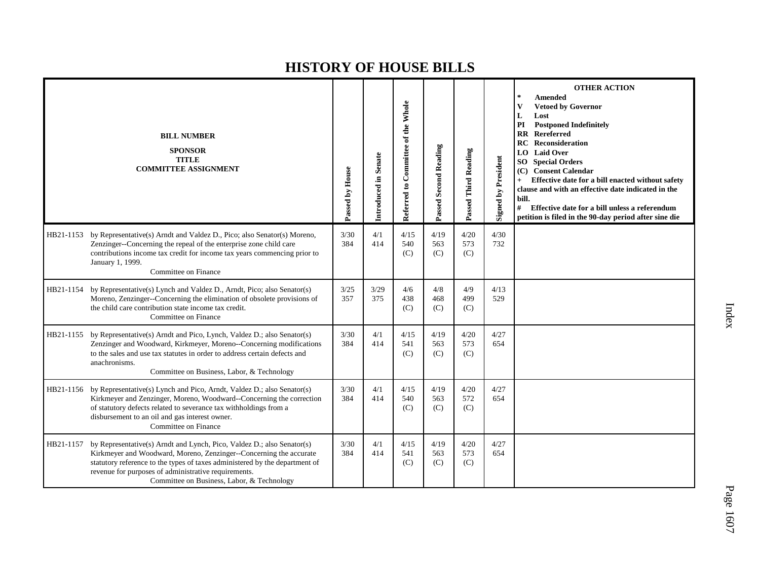|           | <b>BILL NUMBER</b><br><b>SPONSOR</b><br><b>TITLE</b><br><b>COMMITTEE ASSIGNMENT</b>                                                                                                                                                                                                                                               | Passed by House | Introduced in Senate | Referred to Committee of the Whole | <b>Passed Second Reading</b> | Passed Third Reading | <b>Signed by President</b> | <b>OTHER ACTION</b><br>$\ast$<br><b>Amended</b><br>$\mathbf{V}$<br><b>Vetoed by Governor</b><br>L<br>Lost<br>PI<br><b>Postponed Indefinitely</b><br><b>RR</b> Rereferred<br>Reconsideration<br>RC<br><b>Laid Over</b><br>LO.<br><b>Special Orders</b><br>SO.<br><b>Consent Calendar</b><br>(C)<br>Effective date for a bill enacted without safety<br>$+$<br>clause and with an effective date indicated in the<br>bill.<br>#<br>Effective date for a bill unless a referendum<br>petition is filed in the 90-day period after sine die |
|-----------|-----------------------------------------------------------------------------------------------------------------------------------------------------------------------------------------------------------------------------------------------------------------------------------------------------------------------------------|-----------------|----------------------|------------------------------------|------------------------------|----------------------|----------------------------|-----------------------------------------------------------------------------------------------------------------------------------------------------------------------------------------------------------------------------------------------------------------------------------------------------------------------------------------------------------------------------------------------------------------------------------------------------------------------------------------------------------------------------------------|
| HB21-1153 | by Representative(s) Arndt and Valdez D., Pico; also Senator(s) Moreno,<br>Zenzinger--Concerning the repeal of the enterprise zone child care<br>contributions income tax credit for income tax years commencing prior to<br>January 1, 1999.<br>Committee on Finance                                                             | 3/30<br>384     | 4/1<br>414           | 4/15<br>540<br>(C)                 | 4/19<br>563<br>(C)           | 4/20<br>573<br>(C)   | 4/30<br>732                |                                                                                                                                                                                                                                                                                                                                                                                                                                                                                                                                         |
| HB21-1154 | by Representative(s) Lynch and Valdez D., Arndt, Pico; also Senator(s)<br>Moreno, Zenzinger--Concerning the elimination of obsolete provisions of<br>the child care contribution state income tax credit.<br>Committee on Finance                                                                                                 | 3/25<br>357     | 3/29<br>375          | 4/6<br>438<br>(C)                  | 4/8<br>468<br>(C)            | 4/9<br>499<br>(C)    | 4/13<br>529                |                                                                                                                                                                                                                                                                                                                                                                                                                                                                                                                                         |
| HB21-1155 | by Representative(s) Arndt and Pico, Lynch, Valdez D.; also Senator(s)<br>Zenzinger and Woodward, Kirkmeyer, Moreno--Concerning modifications<br>to the sales and use tax statutes in order to address certain defects and<br>anachronisms.<br>Committee on Business, Labor, & Technology                                         | 3/30<br>384     | 4/1<br>414           | 4/15<br>541<br>(C)                 | 4/19<br>563<br>(C)           | 4/20<br>573<br>(C)   | 4/27<br>654                |                                                                                                                                                                                                                                                                                                                                                                                                                                                                                                                                         |
| HB21-1156 | by Representative(s) Lynch and Pico, Arndt, Valdez D.; also Senator(s)<br>Kirkmeyer and Zenzinger, Moreno, Woodward--Concerning the correction<br>of statutory defects related to severance tax withholdings from a<br>disbursement to an oil and gas interest owner.<br>Committee on Finance                                     | 3/30<br>384     | 4/1<br>414           | 4/15<br>540<br>(C)                 | 4/19<br>563<br>(C)           | 4/20<br>572<br>(C)   | 4/27<br>654                |                                                                                                                                                                                                                                                                                                                                                                                                                                                                                                                                         |
| HB21-1157 | by Representative(s) Arndt and Lynch, Pico, Valdez D.; also Senator(s)<br>Kirkmeyer and Woodward, Moreno, Zenzinger--Concerning the accurate<br>statutory reference to the types of taxes administered by the department of<br>revenue for purposes of administrative requirements.<br>Committee on Business, Labor, & Technology | 3/30<br>384     | 4/1<br>414           | 4/15<br>541<br>(C)                 | 4/19<br>563<br>(C)           | 4/20<br>573<br>(C)   | 4/27<br>654                |                                                                                                                                                                                                                                                                                                                                                                                                                                                                                                                                         |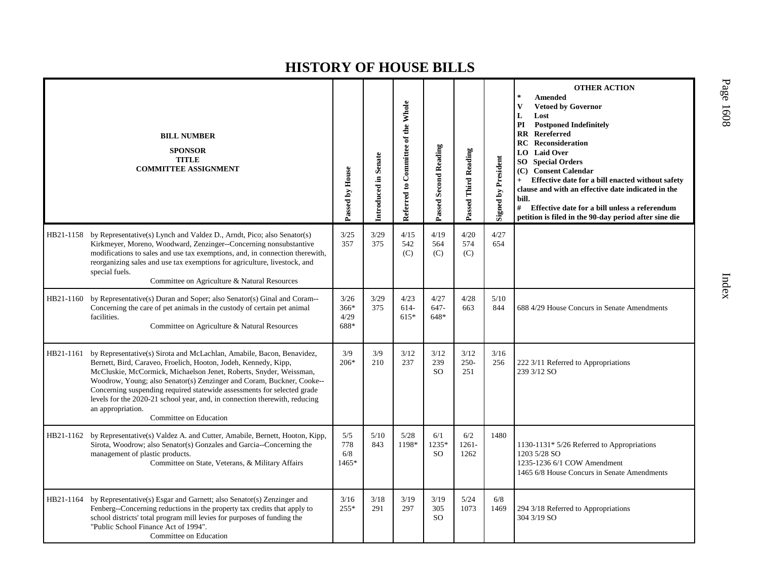|           | <b>BILL NUMBER</b><br><b>SPONSOR</b><br><b>TITLE</b><br><b>COMMITTEE ASSIGNMENT</b>                                                                                                                                                                                                                                                                                                                                                                                                             | Passed by House                | Introduced in Senate | Referred to Committee of the Whole | Passed Second Reading         | Passed Third Reading    | <b>Signed by President</b> | <b>OTHER ACTION</b><br><b>Amended</b><br>$\mathbf{V}$<br><b>Vetoed by Governor</b><br>L<br>Lost<br><b>Postponed Indefinitely</b><br>PI<br>Rereferred<br>$\mathbf{R}$<br>Reconsideration<br><b>RC</b><br><b>Laid Over</b><br>LO.<br>SO-<br><b>Special Orders</b><br>(C) Consent Calendar<br>Effective date for a bill enacted without safety<br>$+$<br>clause and with an effective date indicated in the<br>bill.<br>#<br>Effective date for a bill unless a referendum<br>petition is filed in the 90-day period after sine die |
|-----------|-------------------------------------------------------------------------------------------------------------------------------------------------------------------------------------------------------------------------------------------------------------------------------------------------------------------------------------------------------------------------------------------------------------------------------------------------------------------------------------------------|--------------------------------|----------------------|------------------------------------|-------------------------------|-------------------------|----------------------------|----------------------------------------------------------------------------------------------------------------------------------------------------------------------------------------------------------------------------------------------------------------------------------------------------------------------------------------------------------------------------------------------------------------------------------------------------------------------------------------------------------------------------------|
|           | HB21-1158 by Representative(s) Lynch and Valdez D., Arndt, Pico; also Senator(s)<br>Kirkmeyer, Moreno, Woodward, Zenzinger--Concerning nonsubstantive<br>modifications to sales and use tax exemptions, and, in connection therewith,<br>reorganizing sales and use tax exemptions for agriculture, livestock, and<br>special fuels.<br>Committee on Agriculture & Natural Resources                                                                                                            | 3/25<br>357                    | 3/29<br>375          | 4/15<br>542<br>(C)                 | 4/19<br>564<br>(C)            | 4/20<br>574<br>(C)      | 4/27<br>654                |                                                                                                                                                                                                                                                                                                                                                                                                                                                                                                                                  |
| HB21-1160 | by Representative(s) Duran and Soper; also Senator(s) Ginal and Coram--<br>Concerning the care of pet animals in the custody of certain pet animal<br>facilities.<br>Committee on Agriculture & Natural Resources                                                                                                                                                                                                                                                                               | 3/26<br>$366*$<br>4/29<br>688* | 3/29<br>375          | 4/23<br>614-<br>$615*$             | 4/27<br>$647 -$<br>648*       | 4/28<br>663             | $5/10$<br>844              | 688 4/29 House Concurs in Senate Amendments                                                                                                                                                                                                                                                                                                                                                                                                                                                                                      |
| HB21-1161 | by Representative(s) Sirota and McLachlan, Amabile, Bacon, Benavidez,<br>Bernett, Bird, Caraveo, Froelich, Hooton, Jodeh, Kennedy, Kipp,<br>McCluskie, McCormick, Michaelson Jenet, Roberts, Snyder, Weissman,<br>Woodrow, Young; also Senator(s) Zenzinger and Coram, Buckner, Cooke--<br>Concerning suspending required statewide assessments for selected grade<br>levels for the 2020-21 school year, and, in connection therewith, reducing<br>an appropriation.<br>Committee on Education | 3/9<br>$206*$                  | 3/9<br>210           | 3/12<br>237                        | 3/12<br>239<br><b>SO</b>      | 3/12<br>$250 -$<br>251  | 3/16<br>256                | 222 3/11 Referred to Appropriations<br>239 3/12 SO                                                                                                                                                                                                                                                                                                                                                                                                                                                                               |
|           | HB21-1162 by Representative(s) Valdez A. and Cutter, Amabile, Bernett, Hooton, Kipp,<br>Sirota, Woodrow; also Senator(s) Gonzales and Garcia--Concerning the<br>management of plastic products.<br>Committee on State, Veterans, & Military Affairs                                                                                                                                                                                                                                             | 5/5<br>778<br>6/8<br>1465*     | 5/10<br>843          | 5/28<br>1198*                      | 6/1<br>1235*<br><sub>SO</sub> | 6/2<br>$1261 -$<br>1262 | 1480                       | 1130-1131* $5/26$ Referred to Appropriations<br>1203 5/28 SO<br>1235-1236 6/1 COW Amendment<br>1465 6/8 House Concurs in Senate Amendments                                                                                                                                                                                                                                                                                                                                                                                       |
|           | HB21-1164 by Representative(s) Esgar and Garnett; also Senator(s) Zenzinger and<br>Fenberg--Concerning reductions in the property tax credits that apply to<br>school districts' total program mill levies for purposes of funding the<br>"Public School Finance Act of 1994".<br>Committee on Education                                                                                                                                                                                        | 3/16<br>$255*$                 | 3/18<br>291          | 3/19<br>297                        | 3/19<br>305<br><sub>SO</sub>  | 5/24<br>1073            | 6/8<br>1469                | 294 3/18 Referred to Appropriations<br>304 3/19 SO                                                                                                                                                                                                                                                                                                                                                                                                                                                                               |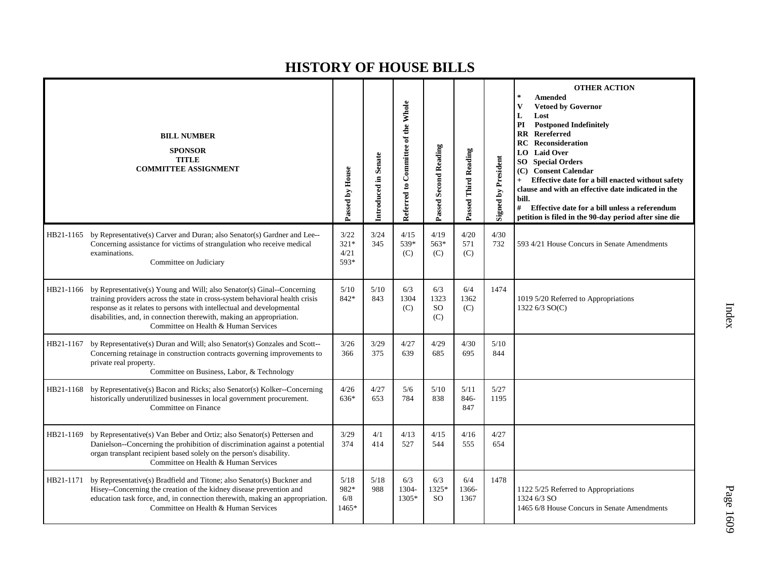|           | <b>BILL NUMBER</b><br><b>SPONSOR</b><br><b>TITLE</b><br><b>COMMITTEE ASSIGNMENT</b>                                                                                                                                                                                                                                                                       | Passed by House                | Introduced in Senate | Referred to Committee of the Whole | <b>Passed Second Reading</b>    | Passed Third Reading | <b>Signed by President</b> | <b>OTHER ACTION</b><br><b>Amended</b><br><b>Vetoed by Governor</b><br>V<br>L<br>Lost<br><b>Postponed Indefinitely</b><br>PI<br>$\overline{\mathbf{R}}$<br>Rereferred<br><b>RC</b> Reconsideration<br><b>Laid Over</b><br>LO  <br><b>SO</b> Special Orders<br><b>Consent Calendar</b><br>(C)<br>Effective date for a bill enacted without safety<br>$+$<br>clause and with an effective date indicated in the<br>bill.<br>#<br>Effective date for a bill unless a referendum<br>petition is filed in the 90-day period after sine die |
|-----------|-----------------------------------------------------------------------------------------------------------------------------------------------------------------------------------------------------------------------------------------------------------------------------------------------------------------------------------------------------------|--------------------------------|----------------------|------------------------------------|---------------------------------|----------------------|----------------------------|--------------------------------------------------------------------------------------------------------------------------------------------------------------------------------------------------------------------------------------------------------------------------------------------------------------------------------------------------------------------------------------------------------------------------------------------------------------------------------------------------------------------------------------|
|           | HB21-1165 by Representative(s) Carver and Duran; also Senator(s) Gardner and Lee--<br>Concerning assistance for victims of strangulation who receive medical<br>examinations.<br>Committee on Judiciary                                                                                                                                                   | 3/22<br>$321*$<br>4/21<br>593* | 3/24<br>345          | 4/15<br>539*<br>(C)                | 4/19<br>563*<br>(C)             | 4/20<br>571<br>(C)   | 4/30<br>732                | 593 4/21 House Concurs in Senate Amendments                                                                                                                                                                                                                                                                                                                                                                                                                                                                                          |
|           | HB21-1166 by Representative(s) Young and Will; also Senator(s) Ginal--Concerning<br>training providers across the state in cross-system behavioral health crisis<br>response as it relates to persons with intellectual and developmental<br>disabilities, and, in connection therewith, making an appropriation.<br>Committee on Health & Human Services | 5/10<br>842*                   | 5/10<br>843          | 6/3<br>1304<br>(C)                 | 6/3<br>1323<br><b>SO</b><br>(C) | 6/4<br>1362<br>(C)   | 1474                       | 1019 5/20 Referred to Appropriations<br>1322 6/3 SO(C)                                                                                                                                                                                                                                                                                                                                                                                                                                                                               |
| HB21-1167 | by Representative(s) Duran and Will; also Senator(s) Gonzales and Scott--<br>Concerning retainage in construction contracts governing improvements to<br>private real property.<br>Committee on Business, Labor, & Technology                                                                                                                             | 3/26<br>366                    | 3/29<br>375          | 4/27<br>639                        | 4/29<br>685                     | 4/30<br>695          | 5/10<br>844                |                                                                                                                                                                                                                                                                                                                                                                                                                                                                                                                                      |
| HB21-1168 | by Representative(s) Bacon and Ricks; also Senator(s) Kolker--Concerning<br>historically underutilized businesses in local government procurement.<br>Committee on Finance                                                                                                                                                                                | 4/26<br>$636*$                 | 4/27<br>653          | 5/6<br>784                         | 5/10<br>838                     | 5/11<br>846-<br>847  | 5/27<br>1195               |                                                                                                                                                                                                                                                                                                                                                                                                                                                                                                                                      |
| HB21-1169 | by Representative(s) Van Beber and Ortiz; also Senator(s) Pettersen and<br>Danielson--Concerning the prohibition of discrimination against a potential<br>organ transplant recipient based solely on the person's disability.<br>Committee on Health & Human Services                                                                                     | 3/29<br>374                    | 4/1<br>414           | 4/13<br>527                        | 4/15<br>544                     | 4/16<br>555          | 4/27<br>654                |                                                                                                                                                                                                                                                                                                                                                                                                                                                                                                                                      |
| HB21-1171 | by Representative(s) Bradfield and Titone; also Senator(s) Buckner and<br>Hisey--Concerning the creation of the kidney disease prevention and<br>education task force, and, in connection therewith, making an appropriation.<br>Committee on Health & Human Services                                                                                     | 5/18<br>982*<br>6/8<br>1465*   | 5/18<br>988          | 6/3<br>1304-<br>1305*              | 6/3<br>1325*<br><b>SO</b>       | 6/4<br>1366-<br>1367 | 1478                       | 1122 5/25 Referred to Appropriations<br>1324 6/3 SO<br>1465 6/8 House Concurs in Senate Amendments                                                                                                                                                                                                                                                                                                                                                                                                                                   |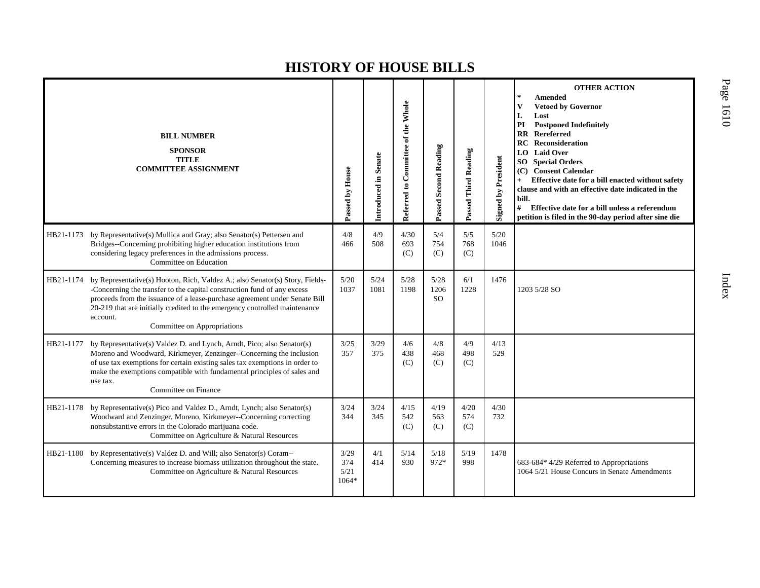|           | <b>BILL NUMBER</b><br><b>SPONSOR</b><br><b>TITLE</b><br><b>COMMITTEE ASSIGNMENT</b>                                                                                                                                                                                                                                                                            | Passed by House              | Introduced in Senate | Referred to Committee of the Whole | <b>Passed Second Reading</b>  | Passed Third Reading | <b>Signed by President</b> | <b>OTHER ACTION</b><br><b>Amended</b><br><b>Vetoed by Governor</b><br>$\mathbf{V}$<br>L<br>Lost<br>PI<br><b>Postponed Indefinitely</b><br><b>RR</b> Rereferred<br><b>Reconsideration</b><br>RC.<br><b>Laid Over</b><br>LO.<br><b>Special Orders</b><br>SO<br><b>Consent Calendar</b><br>(C)<br>Effective date for a bill enacted without safety<br>$+$<br>clause and with an effective date indicated in the<br>bill.<br>#<br>Effective date for a bill unless a referendum<br>petition is filed in the 90-day period after sine die |
|-----------|----------------------------------------------------------------------------------------------------------------------------------------------------------------------------------------------------------------------------------------------------------------------------------------------------------------------------------------------------------------|------------------------------|----------------------|------------------------------------|-------------------------------|----------------------|----------------------------|--------------------------------------------------------------------------------------------------------------------------------------------------------------------------------------------------------------------------------------------------------------------------------------------------------------------------------------------------------------------------------------------------------------------------------------------------------------------------------------------------------------------------------------|
| HB21-1173 | by Representative(s) Mullica and Gray; also Senator(s) Pettersen and<br>Bridges--Concerning prohibiting higher education institutions from<br>considering legacy preferences in the admissions process.<br>Committee on Education                                                                                                                              | 4/8<br>466                   | 4/9<br>508           | 4/30<br>693<br>(C)                 | 5/4<br>754<br>(C)             | 5/5<br>768<br>(C)    | 5/20<br>1046               |                                                                                                                                                                                                                                                                                                                                                                                                                                                                                                                                      |
| HB21-1174 | by Representative(s) Hooton, Rich, Valdez A.; also Senator(s) Story, Fields-<br>-Concerning the transfer to the capital construction fund of any excess<br>proceeds from the issuance of a lease-purchase agreement under Senate Bill<br>20-219 that are initially credited to the emergency controlled maintenance<br>account.<br>Committee on Appropriations | 5/20<br>1037                 | 5/24<br>1081         | 5/28<br>1198                       | 5/28<br>1206<br><sub>SO</sub> | 6/1<br>1228          | 1476                       | 1203 5/28 SO                                                                                                                                                                                                                                                                                                                                                                                                                                                                                                                         |
| HB21-1177 | by Representative(s) Valdez D. and Lynch, Arndt, Pico; also Senator(s)<br>Moreno and Woodward, Kirkmeyer, Zenzinger--Concerning the inclusion<br>of use tax exemptions for certain existing sales tax exemptions in order to<br>make the exemptions compatible with fundamental principles of sales and<br>use tax.<br>Committee on Finance                    | 3/25<br>357                  | 3/29<br>375          | 4/6<br>438<br>(C)                  | 4/8<br>468<br>(C)             | 4/9<br>498<br>(C)    | 4/13<br>529                |                                                                                                                                                                                                                                                                                                                                                                                                                                                                                                                                      |
| HB21-1178 | by Representative(s) Pico and Valdez D., Arndt, Lynch; also Senator(s)<br>Woodward and Zenzinger, Moreno, Kirkmeyer--Concerning correcting<br>nonsubstantive errors in the Colorado marijuana code.<br>Committee on Agriculture & Natural Resources                                                                                                            | 3/24<br>344                  | 3/24<br>345          | 4/15<br>542<br>(C)                 | 4/19<br>563<br>(C)            | 4/20<br>574<br>(C)   | 4/30<br>732                |                                                                                                                                                                                                                                                                                                                                                                                                                                                                                                                                      |
| HB21-1180 | by Representative(s) Valdez D. and Will; also Senator(s) Coram--<br>Concerning measures to increase biomass utilization throughout the state.<br>Committee on Agriculture & Natural Resources                                                                                                                                                                  | 3/29<br>374<br>5/21<br>1064* | 4/1<br>414           | 5/14<br>930                        | 5/18<br>972*                  | 5/19<br>998          | 1478                       | 683-684* 4/29 Referred to Appropriations<br>1064 5/21 House Concurs in Senate Amendments                                                                                                                                                                                                                                                                                                                                                                                                                                             |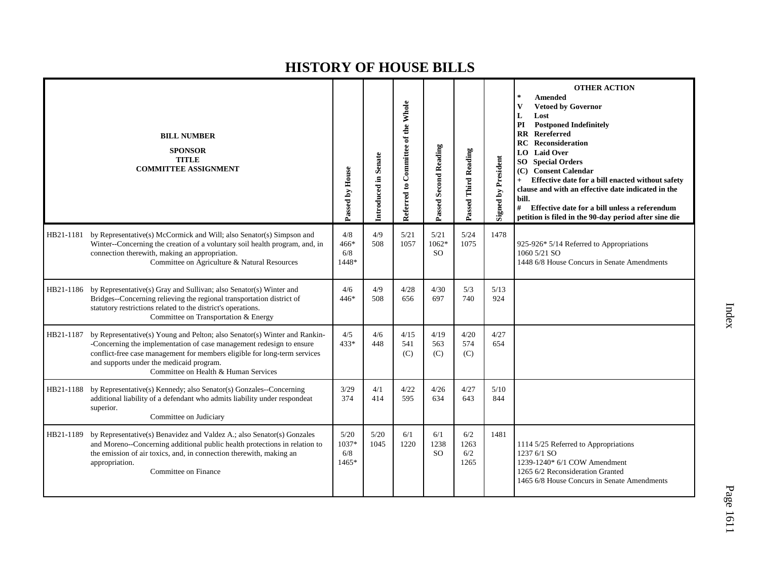|           | <b>BILL NUMBER</b><br><b>SPONSOR</b><br><b>TITLE</b><br><b>COMMITTEE ASSIGNMENT</b>                                                                                                                                                                                                                                | Passed by House               | Introduced in Senate | Referred to Committee of the Whole | Passed Second Reading            | Passed Third Reading       | <b>Signed by President</b> | <b>OTHER ACTION</b><br>$\ast$<br><b>Amended</b><br>$\mathbf{V}$<br><b>Vetoed by Governor</b><br>L<br>Lost<br>PI<br><b>Postponed Indefinitely</b><br><b>RR</b> Rereferred<br>Reconsideration<br>RC<br><b>Laid Over</b><br>LO.<br><b>Special Orders</b><br>SO <sub>-</sub><br><b>Consent Calendar</b><br>(C)<br>Effective date for a bill enacted without safety<br>$+$<br>clause and with an effective date indicated in the<br>bill.<br>#<br>Effective date for a bill unless a referendum<br>petition is filed in the 90-day period after sine die |
|-----------|--------------------------------------------------------------------------------------------------------------------------------------------------------------------------------------------------------------------------------------------------------------------------------------------------------------------|-------------------------------|----------------------|------------------------------------|----------------------------------|----------------------------|----------------------------|-----------------------------------------------------------------------------------------------------------------------------------------------------------------------------------------------------------------------------------------------------------------------------------------------------------------------------------------------------------------------------------------------------------------------------------------------------------------------------------------------------------------------------------------------------|
| HB21-1181 | by Representative(s) McCormick and Will; also Senator(s) Simpson and<br>Winter--Concerning the creation of a voluntary soil health program, and, in<br>connection therewith, making an appropriation.<br>Committee on Agriculture & Natural Resources                                                              | 4/8<br>466*<br>6/8<br>1448*   | 4/9<br>508           | 5/21<br>1057                       | 5/21<br>$1062*$<br><sub>SO</sub> | 5/24<br>1075               | 1478                       | 925-926* 5/14 Referred to Appropriations<br>1060 5/21 SO<br>1448 6/8 House Concurs in Senate Amendments                                                                                                                                                                                                                                                                                                                                                                                                                                             |
|           | HB21-1186 by Representative(s) Gray and Sullivan; also Senator(s) Winter and<br>Bridges--Concerning relieving the regional transportation district of<br>statutory restrictions related to the district's operations.<br>Committee on Transportation & Energy                                                      | 4/6<br>446*                   | 4/9<br>508           | 4/28<br>656                        | 4/30<br>697                      | 5/3<br>740                 | 5/13<br>924                |                                                                                                                                                                                                                                                                                                                                                                                                                                                                                                                                                     |
| HB21-1187 | by Representative(s) Young and Pelton; also Senator(s) Winter and Rankin-<br>-Concerning the implementation of case management redesign to ensure<br>conflict-free case management for members eligible for long-term services<br>and supports under the medicaid program.<br>Committee on Health & Human Services | 4/5<br>433*                   | 4/6<br>448           | 4/15<br>541<br>(C)                 | 4/19<br>563<br>(C)               | 4/20<br>574<br>(C)         | 4/27<br>654                |                                                                                                                                                                                                                                                                                                                                                                                                                                                                                                                                                     |
| HB21-1188 | by Representative(s) Kennedy; also Senator(s) Gonzales--Concerning<br>additional liability of a defendant who admits liability under respondeat<br>superior.<br>Committee on Judiciary                                                                                                                             | 3/29<br>374                   | 4/1<br>414           | 4/22<br>595                        | 4/26<br>634                      | 4/27<br>643                | 5/10<br>844                |                                                                                                                                                                                                                                                                                                                                                                                                                                                                                                                                                     |
| HB21-1189 | by Representative(s) Benavidez and Valdez A.; also Senator(s) Gonzales<br>and Moreno--Concerning additional public health protections in relation to<br>the emission of air toxics, and, in connection therewith, making an<br>appropriation.<br>Committee on Finance                                              | 5/20<br>1037*<br>6/8<br>1465* | 5/20<br>1045         | 6/1<br>1220                        | 6/1<br>1238<br>SO.               | 6/2<br>1263<br>6/2<br>1265 | 1481                       | 1114 5/25 Referred to Appropriations<br>1237 6/1 SO<br>1239-1240* 6/1 COW Amendment<br>1265 6/2 Reconsideration Granted<br>1465 6/8 House Concurs in Senate Amendments                                                                                                                                                                                                                                                                                                                                                                              |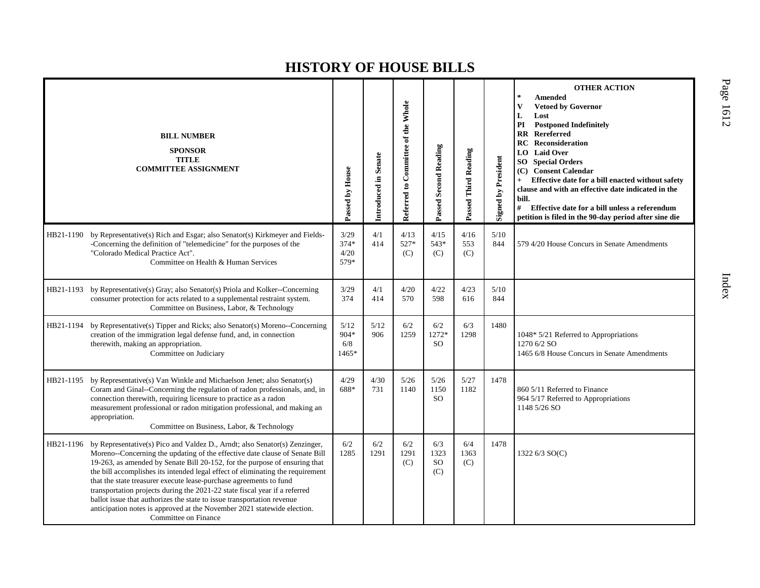|           | <b>BILL NUMBER</b><br><b>SPONSOR</b><br><b>TITLE</b><br><b>COMMITTEE ASSIGNMENT</b>                                                                                                                                                                                                                                                                                                                                                                                                                                                                                                                                                                        | Passed by House                | Introduced in Senate | Referred to Committee of the Whole | Passed Second Reading           | Passed Third Reading | Signed by President | <b>OTHER ACTION</b><br>$\ast$<br><b>Amended</b><br>$\mathbf{V}$<br><b>Vetoed by Governor</b><br>L<br>Lost<br>PI<br><b>Postponed Indefinitely</b><br><b>RR</b> Rereferred<br>Reconsideration<br>RC<br><b>Laid Over</b><br>LO.<br><b>Special Orders</b><br>SO.<br><b>Consent Calendar</b><br>(C)<br>Effective date for a bill enacted without safety<br>$^{+}$<br>clause and with an effective date indicated in the<br>bill.<br>#<br>Effective date for a bill unless a referendum<br>petition is filed in the 90-day period after sine die |
|-----------|------------------------------------------------------------------------------------------------------------------------------------------------------------------------------------------------------------------------------------------------------------------------------------------------------------------------------------------------------------------------------------------------------------------------------------------------------------------------------------------------------------------------------------------------------------------------------------------------------------------------------------------------------------|--------------------------------|----------------------|------------------------------------|---------------------------------|----------------------|---------------------|--------------------------------------------------------------------------------------------------------------------------------------------------------------------------------------------------------------------------------------------------------------------------------------------------------------------------------------------------------------------------------------------------------------------------------------------------------------------------------------------------------------------------------------------|
| HB21-1190 | by Representative(s) Rich and Esgar; also Senator(s) Kirkmeyer and Fields-<br>-Concerning the definition of "telemedicine" for the purposes of the<br>"Colorado Medical Practice Act".<br>Committee on Health & Human Services                                                                                                                                                                                                                                                                                                                                                                                                                             | 3/29<br>$374*$<br>4/20<br>579* | 4/1<br>414           | 4/13<br>527*<br>(C)                | 4/15<br>543*<br>(C)             | 4/16<br>553<br>(C)   | 5/10<br>844         | 579 4/20 House Concurs in Senate Amendments                                                                                                                                                                                                                                                                                                                                                                                                                                                                                                |
|           | HB21-1193 by Representative(s) Gray; also Senator(s) Priola and Kolker--Concerning<br>consumer protection for acts related to a supplemental restraint system.<br>Committee on Business, Labor, & Technology                                                                                                                                                                                                                                                                                                                                                                                                                                               | 3/29<br>374                    | 4/1<br>414           | 4/20<br>570                        | 4/22<br>598                     | 4/23<br>616          | 5/10<br>844         |                                                                                                                                                                                                                                                                                                                                                                                                                                                                                                                                            |
| HB21-1194 | by Representative(s) Tipper and Ricks; also Senator(s) Moreno--Concerning<br>creation of the immigration legal defense fund, and, in connection<br>therewith, making an appropriation.<br>Committee on Judiciary                                                                                                                                                                                                                                                                                                                                                                                                                                           | $5/12$<br>904*<br>6/8<br>1465* | 5/12<br>906          | 6/2<br>1259                        | 6/2<br>1272*<br><sub>SO</sub>   | 6/3<br>1298          | 1480                | 1048* 5/21 Referred to Appropriations<br>1270 6/2 SO<br>1465 6/8 House Concurs in Senate Amendments                                                                                                                                                                                                                                                                                                                                                                                                                                        |
| HB21-1195 | by Representative(s) Van Winkle and Michaelson Jenet; also Senator(s)<br>Coram and Ginal--Concerning the regulation of radon professionals, and, in<br>connection therewith, requiring licensure to practice as a radon<br>measurement professional or radon mitigation professional, and making an<br>appropriation.<br>Committee on Business, Labor, & Technology                                                                                                                                                                                                                                                                                        | 4/29<br>688*                   | 4/30<br>731          | 5/26<br>1140                       | $5/26$<br>1150<br><sub>SO</sub> | 5/27<br>1182         | 1478                | 860 5/11 Referred to Finance<br>964 5/17 Referred to Appropriations<br>1148 5/26 SO                                                                                                                                                                                                                                                                                                                                                                                                                                                        |
| HB21-1196 | by Representative(s) Pico and Valdez D., Arndt; also Senator(s) Zenzinger,<br>Moreno--Concerning the updating of the effective date clause of Senate Bill<br>19-263, as amended by Senate Bill 20-152, for the purpose of ensuring that<br>the bill accomplishes its intended legal effect of eliminating the requirement<br>that the state treasurer execute lease-purchase agreements to fund<br>transportation projects during the 2021-22 state fiscal year if a referred<br>ballot issue that authorizes the state to issue transportation revenue<br>anticipation notes is approved at the November 2021 statewide election.<br>Committee on Finance | 6/2<br>1285                    | 6/2<br>1291          | 6/2<br>1291<br>(C)                 | 6/3<br>1323<br><b>SO</b><br>(C) | 6/4<br>1363<br>(C)   | 1478                | 1322 6/3 SO(C)                                                                                                                                                                                                                                                                                                                                                                                                                                                                                                                             |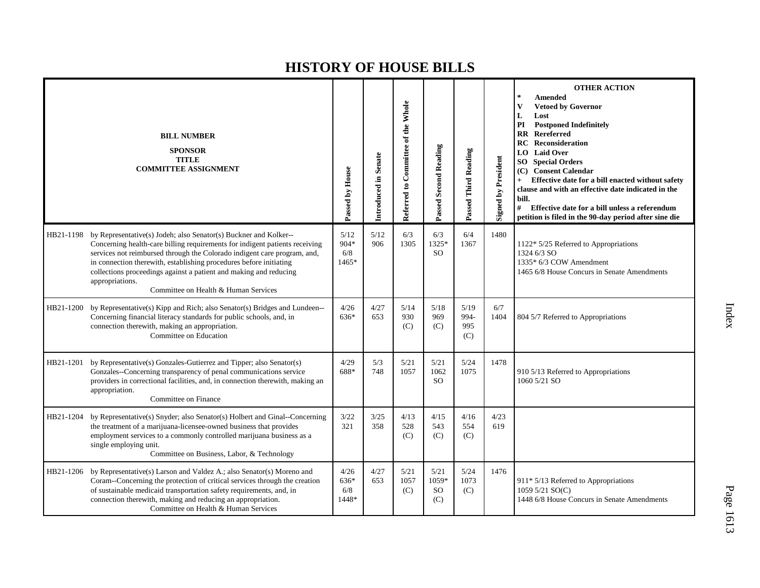|           | <b>BILL NUMBER</b><br><b>SPONSOR</b><br><b>TITLE</b><br><b>COMMITTEE ASSIGNMENT</b>                                                                                                                                                                                                                                                                                                                                               | Passed by House              | Introduced in Senate | Referred to Committee of the Whole | Passed Second Reading                 | Passed Third Reading       | <b>Signed by President</b> | <b>OTHER ACTION</b><br><b>Amended</b><br><b>Vetoed by Governor</b><br>V<br>L<br>Lost<br>PI<br><b>Postponed Indefinitely</b><br>$\mathbf{R}$<br>Rereferred<br><b>RC</b> Reconsideration<br><b>Laid Over</b><br>LO  <br><b>Special Orders</b><br>SO -<br><b>Consent Calendar</b><br>(C)<br>Effective date for a bill enacted without safety<br>clause and with an effective date indicated in the<br>bill.<br>#<br>Effective date for a bill unless a referendum<br>petition is filed in the 90-day period after sine die |
|-----------|-----------------------------------------------------------------------------------------------------------------------------------------------------------------------------------------------------------------------------------------------------------------------------------------------------------------------------------------------------------------------------------------------------------------------------------|------------------------------|----------------------|------------------------------------|---------------------------------------|----------------------------|----------------------------|-------------------------------------------------------------------------------------------------------------------------------------------------------------------------------------------------------------------------------------------------------------------------------------------------------------------------------------------------------------------------------------------------------------------------------------------------------------------------------------------------------------------------|
| HB21-1198 | by Representative(s) Jodeh; also Senator(s) Buckner and Kolker--<br>Concerning health-care billing requirements for indigent patients receiving<br>services not reimbursed through the Colorado indigent care program, and,<br>in connection therewith, establishing procedures before initiating<br>collections proceedings against a patient and making and reducing<br>appropriations.<br>Committee on Health & Human Services | 5/12<br>904*<br>6/8<br>1465* | 5/12<br>906          | 6/3<br>1305                        | 6/3<br>1325*<br><b>SO</b>             | 6/4<br>1367                | 1480                       | 1122* 5/25 Referred to Appropriations<br>1324 6/3 SO<br>1335* 6/3 COW Amendment<br>1465 6/8 House Concurs in Senate Amendments                                                                                                                                                                                                                                                                                                                                                                                          |
| HB21-1200 | by Representative(s) Kipp and Rich; also Senator(s) Bridges and Lundeen--<br>Concerning financial literacy standards for public schools, and, in<br>connection therewith, making an appropriation.<br>Committee on Education                                                                                                                                                                                                      | 4/26<br>636*                 | 4/27<br>653          | 5/14<br>930<br>(C)                 | 5/18<br>969<br>(C)                    | 5/19<br>994-<br>995<br>(C) | 6/7<br>1404                | 804 5/7 Referred to Appropriations                                                                                                                                                                                                                                                                                                                                                                                                                                                                                      |
| HB21-1201 | by Representative(s) Gonzales-Gutierrez and Tipper; also Senator(s)<br>Gonzales--Concerning transparency of penal communications service<br>providers in correctional facilities, and, in connection therewith, making an<br>appropriation.<br>Committee on Finance                                                                                                                                                               | 4/29<br>688*                 | 5/3<br>748           | 5/21<br>1057                       | 5/21<br>1062<br><sub>SO</sub>         | 5/24<br>1075               | 1478                       | 910 5/13 Referred to Appropriations<br>1060 5/21 SO                                                                                                                                                                                                                                                                                                                                                                                                                                                                     |
| HB21-1204 | by Representative(s) Snyder; also Senator(s) Holbert and Ginal--Concerning<br>the treatment of a marijuana-licensee-owned business that provides<br>employment services to a commonly controlled marijuana business as a<br>single employing unit.<br>Committee on Business, Labor, & Technology                                                                                                                                  | 3/22<br>321                  | 3/25<br>358          | 4/13<br>528<br>(C)                 | 4/15<br>543<br>(C)                    | 4/16<br>554<br>(C)         | 4/23<br>619                |                                                                                                                                                                                                                                                                                                                                                                                                                                                                                                                         |
| HB21-1206 | by Representative(s) Larson and Valdez A.; also Senator(s) Moreno and<br>Coram--Concerning the protection of critical services through the creation<br>of sustainable medicaid transportation safety requirements, and, in<br>connection therewith, making and reducing an appropriation.<br>Committee on Health & Human Services                                                                                                 | 4/26<br>636*<br>6/8<br>1448* | 4/27<br>653          | 5/21<br>1057<br>(C)                | 5/21<br>1059*<br><sub>SO</sub><br>(C) | 5/24<br>1073<br>(C)        | 1476                       | 911* 5/13 Referred to Appropriations<br>1059 5/21 SO(C)<br>1448 6/8 House Concurs in Senate Amendments                                                                                                                                                                                                                                                                                                                                                                                                                  |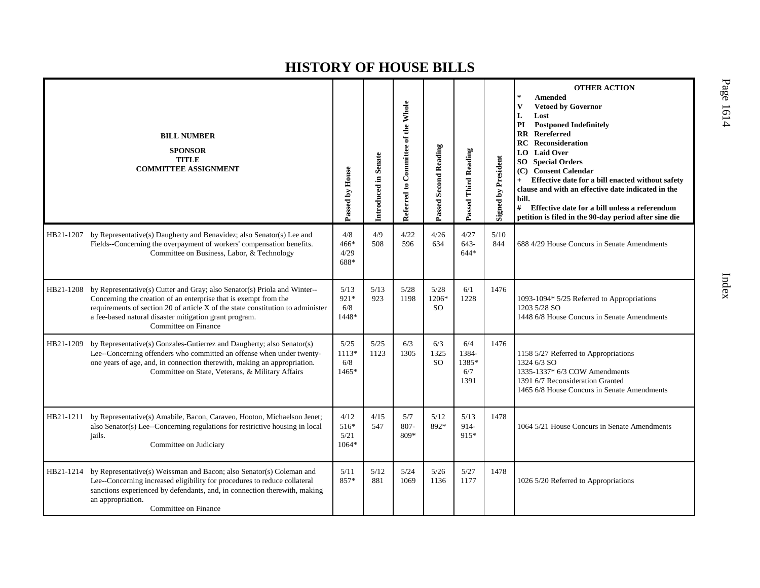|           | <b>BILL NUMBER</b><br><b>SPONSOR</b><br><b>TITLE</b><br><b>COMMITTEE ASSIGNMENT</b>                                                                                                                                                                                                                                | Passed by House               | Introduced in Senate | Referred to Committee of the Whole | <b>Passed Second Reading</b>   | Passed Third Reading                 | <b>Signed by President</b> | <b>OTHER ACTION</b><br>Amended<br><b>Vetoed by Governor</b><br>V<br>L<br>Lost<br>PI<br><b>Postponed Indefinitely</b><br><b>Rereferred</b><br><b>RR</b><br><b>RC</b> Reconsideration<br><b>Laid Over</b><br>LO.<br><b>Special Orders</b><br>SO  <br>(C) Consent Calendar<br>Effective date for a bill enacted without safety<br>clause and with an effective date indicated in the<br>bill.<br>#<br>Effective date for a bill unless a referendum<br>petition is filed in the 90-day period after sine die |
|-----------|--------------------------------------------------------------------------------------------------------------------------------------------------------------------------------------------------------------------------------------------------------------------------------------------------------------------|-------------------------------|----------------------|------------------------------------|--------------------------------|--------------------------------------|----------------------------|-----------------------------------------------------------------------------------------------------------------------------------------------------------------------------------------------------------------------------------------------------------------------------------------------------------------------------------------------------------------------------------------------------------------------------------------------------------------------------------------------------------|
| HB21-1207 | by Representative(s) Daugherty and Benavidez; also Senator(s) Lee and<br>Fields--Concerning the overpayment of workers' compensation benefits.<br>Committee on Business, Labor, & Technology                                                                                                                       | 4/8<br>466*<br>4/29<br>688*   | 4/9<br>508           | 4/22<br>596                        | 4/26<br>634                    | 4/27<br>$643-$<br>$644*$             | 5/10<br>844                | 688 4/29 House Concurs in Senate Amendments                                                                                                                                                                                                                                                                                                                                                                                                                                                               |
| HB21-1208 | by Representative(s) Cutter and Gray; also Senator(s) Priola and Winter--<br>Concerning the creation of an enterprise that is exempt from the<br>requirements of section 20 of article X of the state constitution to administer<br>a fee-based natural disaster mitigation grant program.<br>Committee on Finance | 5/13<br>921*<br>6/8<br>1448*  | 5/13<br>923          | 5/28<br>1198                       | 5/28<br>1206*<br><sub>SO</sub> | 6/1<br>1228                          | 1476                       | 1093-1094* 5/25 Referred to Appropriations<br>1203 5/28 SO<br>1448 6/8 House Concurs in Senate Amendments                                                                                                                                                                                                                                                                                                                                                                                                 |
| HB21-1209 | by Representative(s) Gonzales-Gutierrez and Daugherty; also Senator(s)<br>Lee--Concerning offenders who committed an offense when under twenty-<br>one years of age, and, in connection therewith, making an appropriation.<br>Committee on State, Veterans, & Military Affairs                                    | 5/25<br>1113*<br>6/8<br>1465* | 5/25<br>1123         | 6/3<br>1305                        | 6/3<br>1325<br><sub>SO</sub>   | 6/4<br>1384-<br>1385*<br>6/7<br>1391 | 1476                       | 1158 5/27 Referred to Appropriations<br>1324 6/3 SO<br>1335-1337* 6/3 COW Amendments<br>1391 6/7 Reconsideration Granted<br>1465 6/8 House Concurs in Senate Amendments                                                                                                                                                                                                                                                                                                                                   |
| HB21-1211 | by Representative(s) Amabile, Bacon, Caraveo, Hooton, Michaelson Jenet;<br>also Senator(s) Lee--Concerning regulations for restrictive housing in local<br>jails.<br>Committee on Judiciary                                                                                                                        | 4/12<br>516*<br>5/21<br>1064* | 4/15<br>547          | 5/7<br>$807 -$<br>809*             | 5/12<br>892*                   | 5/13<br>914-<br>915*                 | 1478                       | 1064 5/21 House Concurs in Senate Amendments                                                                                                                                                                                                                                                                                                                                                                                                                                                              |
|           | HB21-1214 by Representative(s) Weissman and Bacon; also Senator(s) Coleman and<br>Lee--Concerning increased eligibility for procedures to reduce collateral<br>sanctions experienced by defendants, and, in connection therewith, making<br>an appropriation.<br>Committee on Finance                              | 5/11<br>857*                  | 5/12<br>881          | 5/24<br>1069                       | 5/26<br>1136                   | 5/27<br>1177                         | 1478                       | 1026 5/20 Referred to Appropriations                                                                                                                                                                                                                                                                                                                                                                                                                                                                      |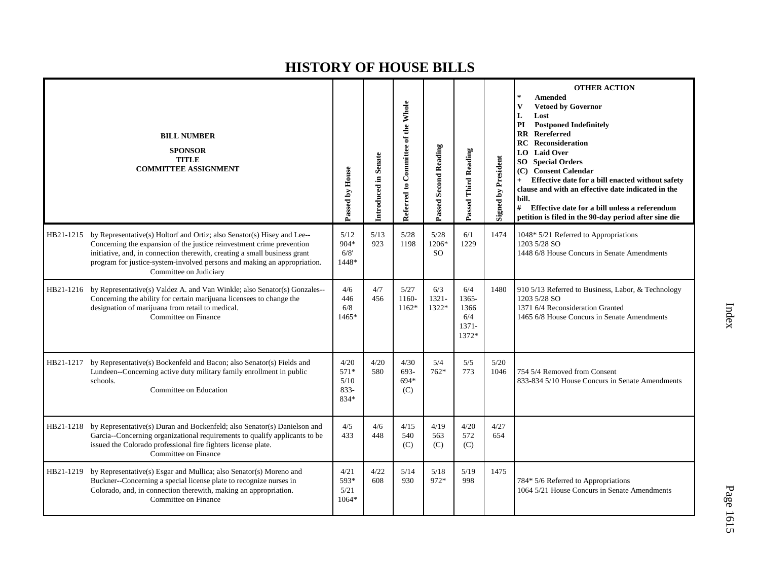|           | <b>BILL NUMBER</b><br><b>SPONSOR</b><br><b>TITLE</b><br><b>COMMITTEE ASSIGNMENT</b>                                                                                                                                                                                                                                                           | Passed by House                           | Introduced in Senate | Referred to Committee of the Whole | <b>Passed Second Reading</b> | Passed Third Reading                             | <b>Signed by President</b> | <b>OTHER ACTION</b><br>$\star$<br><b>Amended</b><br>V<br><b>Vetoed by Governor</b><br>L<br>Lost<br>PI<br><b>Postponed Indefinitely</b><br>Rereferred<br>$\mathbf{R} \mathbf{R}$<br><b>RC</b> Reconsideration<br><b>Laid Over</b><br>LO  <br><b>SO</b> Special Orders<br>(C) Consent Calendar<br>Effective date for a bill enacted without safety<br>clause and with an effective date indicated in the<br>bill.<br>#<br>Effective date for a bill unless a referendum<br>petition is filed in the 90-day period after sine die |
|-----------|-----------------------------------------------------------------------------------------------------------------------------------------------------------------------------------------------------------------------------------------------------------------------------------------------------------------------------------------------|-------------------------------------------|----------------------|------------------------------------|------------------------------|--------------------------------------------------|----------------------------|--------------------------------------------------------------------------------------------------------------------------------------------------------------------------------------------------------------------------------------------------------------------------------------------------------------------------------------------------------------------------------------------------------------------------------------------------------------------------------------------------------------------------------|
|           | HB21-1215 by Representative(s) Holtorf and Ortiz; also Senator(s) Hisey and Lee--<br>Concerning the expansion of the justice reinvestment crime prevention<br>initiative, and, in connection therewith, creating a small business grant<br>program for justice-system-involved persons and making an appropriation.<br>Committee on Judiciary | 5/12<br>$904*$<br>6/8'<br>1448*           | 5/13<br>923          | 5/28<br>1198                       | 5/28<br>1206*<br><b>SO</b>   | 6/1<br>1229                                      | 1474                       | 1048* 5/21 Referred to Appropriations<br>1203 5/28 SO<br>1448 6/8 House Concurs in Senate Amendments                                                                                                                                                                                                                                                                                                                                                                                                                           |
|           | HB21-1216 by Representative(s) Valdez A. and Van Winkle; also Senator(s) Gonzales--<br>Concerning the ability for certain marijuana licensees to change the<br>designation of marijuana from retail to medical.<br>Committee on Finance                                                                                                       | 4/6<br>446<br>6/8<br>1465*                | 4/7<br>456           | 5/27<br>1160-<br>$1162*$           | 6/3<br>$1321 -$<br>1322*     | 6/4<br>1365-<br>1366<br>6/4<br>$1371 -$<br>1372* | 1480                       | 910 5/13 Referred to Business, Labor, & Technology<br>1203 5/28 SO<br>1371 6/4 Reconsideration Granted<br>1465 6/8 House Concurs in Senate Amendments                                                                                                                                                                                                                                                                                                                                                                          |
| HB21-1217 | by Representative(s) Bockenfeld and Bacon; also Senator(s) Fields and<br>Lundeen--Concerning active duty military family enrollment in public<br>schools.<br>Committee on Education                                                                                                                                                           | 4/20<br>$571*$<br>5/10<br>$833 -$<br>834* | 4/20<br>580          | 4/30<br>693-<br>694*<br>(C)        | 5/4<br>$762*$                | 5/5<br>773                                       | 5/20<br>1046               | 754 5/4 Removed from Consent<br>833-834 5/10 House Concurs in Senate Amendments                                                                                                                                                                                                                                                                                                                                                                                                                                                |
|           | HB21-1218 by Representative(s) Duran and Bockenfeld; also Senator(s) Danielson and<br>Garcia--Concerning organizational requirements to qualify applicants to be<br>issued the Colorado professional fire fighters license plate.<br>Committee on Finance                                                                                     | 4/5<br>433                                | 4/6<br>448           | 4/15<br>540<br>(C)                 | 4/19<br>563<br>(C)           | 4/20<br>572<br>(C)                               | 4/27<br>654                |                                                                                                                                                                                                                                                                                                                                                                                                                                                                                                                                |
| HB21-1219 | by Representative(s) Esgar and Mullica; also Senator(s) Moreno and<br>Buckner--Concerning a special license plate to recognize nurses in<br>Colorado, and, in connection therewith, making an appropriation.<br>Committee on Finance                                                                                                          | 4/21<br>593*<br>5/21<br>1064*             | 4/22<br>608          | 5/14<br>930                        | 5/18<br>972*                 | 5/19<br>998                                      | 1475                       | 784* 5/6 Referred to Appropriations<br>1064 5/21 House Concurs in Senate Amendments                                                                                                                                                                                                                                                                                                                                                                                                                                            |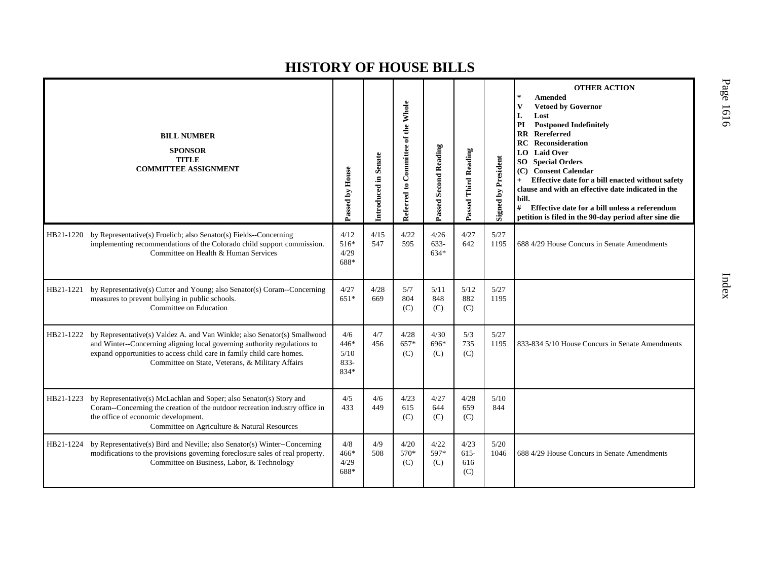|           | <b>BILL NUMBER</b><br><b>SPONSOR</b><br><b>TITLE</b><br><b>COMMITTEE ASSIGNMENT</b>                                                                                                                                                                                               | Passed by House                          | Introduced in Senate | Referred to Committee of the Whole | <b>Passed Second Reading</b> | Passed Third Reading          | <b>Signed by President</b> | <b>OTHER ACTION</b><br>Amended<br>$\ast$<br><b>Vetoed by Governor</b><br>v<br>Lost<br>L<br><b>Postponed Indefinitely</b><br>PI<br><b>RR</b> Rereferred<br><b>Reconsideration</b><br>RC.<br><b>Laid Over</b><br>LO.<br>SO<br><b>Special Orders</b><br><b>Consent Calendar</b><br>(C)<br>Effective date for a bill enacted without safety<br>clause and with an effective date indicated in the<br>bill.<br>#<br>Effective date for a bill unless a referendum<br>petition is filed in the 90-day period after sine die |
|-----------|-----------------------------------------------------------------------------------------------------------------------------------------------------------------------------------------------------------------------------------------------------------------------------------|------------------------------------------|----------------------|------------------------------------|------------------------------|-------------------------------|----------------------------|-----------------------------------------------------------------------------------------------------------------------------------------------------------------------------------------------------------------------------------------------------------------------------------------------------------------------------------------------------------------------------------------------------------------------------------------------------------------------------------------------------------------------|
| HB21-1220 | by Representative(s) Froelich; also Senator(s) Fields--Concerning<br>implementing recommendations of the Colorado child support commission.<br>Committee on Health & Human Services                                                                                               | 4/12<br>$516*$<br>4/29<br>688*           | 4/15<br>547          | 4/22<br>595                        | 4/26<br>633-<br>$634*$       | 4/27<br>642                   | 5/27<br>1195               | 688 4/29 House Concurs in Senate Amendments                                                                                                                                                                                                                                                                                                                                                                                                                                                                           |
| HB21-1221 | by Representative(s) Cutter and Young; also Senator(s) Coram--Concerning<br>measures to prevent bullying in public schools.<br>Committee on Education                                                                                                                             | 4/27<br>$651*$                           | 4/28<br>669          | 5/7<br>804<br>(C)                  | 5/11<br>848<br>(C)           | 5/12<br>882<br>(C)            | 5/27<br>1195               |                                                                                                                                                                                                                                                                                                                                                                                                                                                                                                                       |
| HB21-1222 | by Representative(s) Valdez A. and Van Winkle; also Senator(s) Smallwood<br>and Winter--Concerning aligning local governing authority regulations to<br>expand opportunities to access child care in family child care homes.<br>Committee on State, Veterans, & Military Affairs | 4/6<br>$446*$<br>5/10<br>$833 -$<br>834* | 4/7<br>456           | 4/28<br>657*<br>(C)                | 4/30<br>696*<br>(C)          | 5/3<br>735<br>(C)             | 5/27<br>1195               | 833-834 5/10 House Concurs in Senate Amendments                                                                                                                                                                                                                                                                                                                                                                                                                                                                       |
| HB21-1223 | by Representative(s) McLachlan and Soper; also Senator(s) Story and<br>Coram--Concerning the creation of the outdoor recreation industry office in<br>the office of economic development.<br>Committee on Agriculture & Natural Resources                                         | 4/5<br>433                               | 4/6<br>449           | 4/23<br>615<br>(C)                 | 4/27<br>644<br>(C)           | 4/28<br>659<br>(C)            | 5/10<br>844                |                                                                                                                                                                                                                                                                                                                                                                                                                                                                                                                       |
| HB21-1224 | by Representative(s) Bird and Neville; also Senator(s) Winter--Concerning<br>modifications to the provisions governing foreclosure sales of real property.<br>Committee on Business, Labor, & Technology                                                                          | 4/8<br>466*<br>4/29<br>688*              | 4/9<br>508           | 4/20<br>570*<br>(C)                | 4/22<br>597*<br>(C)          | 4/23<br>$615 -$<br>616<br>(C) | 5/20<br>1046               | 688 4/29 House Concurs in Senate Amendments                                                                                                                                                                                                                                                                                                                                                                                                                                                                           |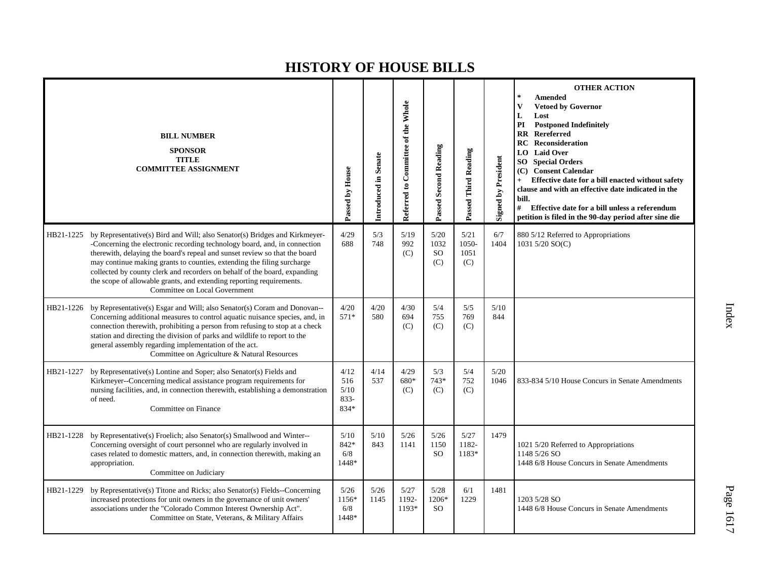|           | <b>BILL NUMBER</b><br><b>SPONSOR</b><br><b>TITLE</b><br><b>COMMITTEE ASSIGNMENT</b>                                                                                                                                                                                                                                                                                                                                                                                                                   | Passed by House                        | Introduced in Senate | Referred to Committee of the Whole | Passed Second Reading                  | Passed Third Reading         | <b>Signed by President</b> | <b>OTHER ACTION</b><br>法<br><b>Amended</b><br><b>Vetoed by Governor</b><br>V<br>L<br>Lost<br><b>Postponed Indefinitely</b><br>PI<br><b>RR</b> Rereferred<br>Reconsideration<br>RC<br>LO Laid Over<br><b>SO</b> Special Orders<br>(C) Consent Calendar<br>Effective date for a bill enacted without safety<br>$\ddot{}$<br>clause and with an effective date indicated in the<br>bill.<br>$\#$ Effective date for a bill unless a referendum<br>petition is filed in the 90-day period after sine die |
|-----------|-------------------------------------------------------------------------------------------------------------------------------------------------------------------------------------------------------------------------------------------------------------------------------------------------------------------------------------------------------------------------------------------------------------------------------------------------------------------------------------------------------|----------------------------------------|----------------------|------------------------------------|----------------------------------------|------------------------------|----------------------------|------------------------------------------------------------------------------------------------------------------------------------------------------------------------------------------------------------------------------------------------------------------------------------------------------------------------------------------------------------------------------------------------------------------------------------------------------------------------------------------------------|
| HB21-1225 | by Representative(s) Bird and Will; also Senator(s) Bridges and Kirkmeyer-<br>-Concerning the electronic recording technology board, and, in connection<br>therewith, delaying the board's repeal and sunset review so that the board<br>may continue making grants to counties, extending the filing surcharge<br>collected by county clerk and recorders on behalf of the board, expanding<br>the scope of allowable grants, and extending reporting requirements.<br>Committee on Local Government | 4/29<br>688                            | 5/3<br>748           | 5/19<br>992<br>(C)                 | 5/20<br>1032<br>SO <sub>1</sub><br>(C) | 5/21<br>1050-<br>1051<br>(C) | 6/7<br>1404                | 880 5/12 Referred to Appropriations<br>1031 5/20 SO(C)                                                                                                                                                                                                                                                                                                                                                                                                                                               |
| HB21-1226 | by Representative(s) Esgar and Will; also Senator(s) Coram and Donovan--<br>Concerning additional measures to control aquatic nuisance species, and, in<br>connection therewith, prohibiting a person from refusing to stop at a check<br>station and directing the division of parks and wildlife to report to the<br>general assembly regarding implementation of the act.<br>Committee on Agriculture & Natural Resources                                                                          | 4/20<br>$571*$                         | 4/20<br>580          | 4/30<br>694<br>(C)                 | 5/4<br>755<br>(C)                      | 5/5<br>769<br>(C)            | 5/10<br>844                |                                                                                                                                                                                                                                                                                                                                                                                                                                                                                                      |
| HB21-1227 | by Representative(s) Lontine and Soper; also Senator(s) Fields and<br>Kirkmeyer--Concerning medical assistance program requirements for<br>nursing facilities, and, in connection therewith, establishing a demonstration<br>of need.<br>Committee on Finance                                                                                                                                                                                                                                         | 4/12<br>516<br>5/10<br>$833 -$<br>834* | 4/14<br>537          | 4/29<br>680*<br>(C)                | 5/3<br>$743*$<br>(C)                   | 5/4<br>752<br>(C)            | 5/20<br>1046               | 833-834 5/10 House Concurs in Senate Amendments                                                                                                                                                                                                                                                                                                                                                                                                                                                      |
| HB21-1228 | by Representative(s) Froelich; also Senator(s) Smallwood and Winter--<br>Concerning oversight of court personnel who are regularly involved in<br>cases related to domestic matters, and, in connection therewith, making an<br>appropriation.<br>Committee on Judiciary                                                                                                                                                                                                                              | 5/10<br>842*<br>6/8<br>1448*           | 5/10<br>843          | 5/26<br>1141                       | 5/26<br>1150<br><sub>SO</sub>          | 5/27<br>1182-<br>1183*       | 1479                       | 1021 5/20 Referred to Appropriations<br>1148 5/26 SO<br>1448 6/8 House Concurs in Senate Amendments                                                                                                                                                                                                                                                                                                                                                                                                  |
| HB21-1229 | by Representative(s) Titone and Ricks; also Senator(s) Fields--Concerning<br>increased protections for unit owners in the governance of unit owners'<br>associations under the "Colorado Common Interest Ownership Act".<br>Committee on State, Veterans, & Military Affairs                                                                                                                                                                                                                          | 5/26<br>1156*<br>6/8<br>1448*          | 5/26<br>1145         | 5/27<br>1192-<br>1193*             | 5/28<br>1206*<br><sub>SO</sub>         | 6/1<br>1229                  | 1481                       | 1203 5/28 SO<br>1448 6/8 House Concurs in Senate Amendments                                                                                                                                                                                                                                                                                                                                                                                                                                          |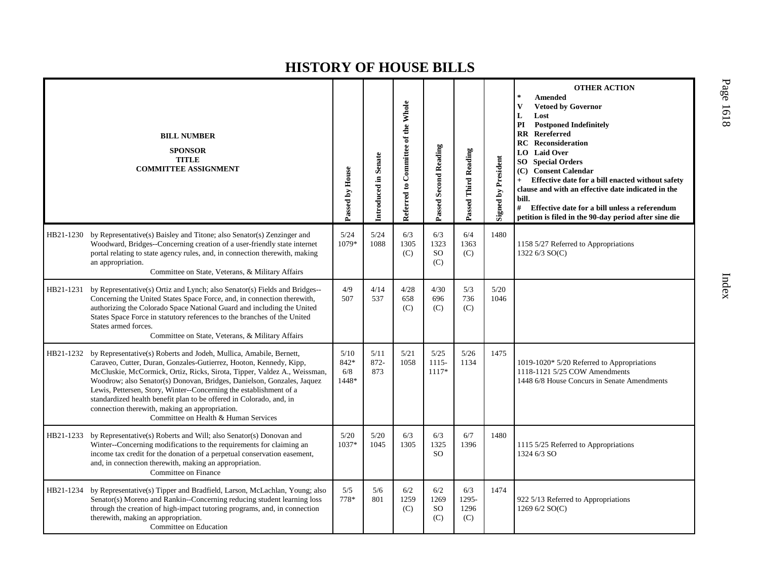|           | <b>BILL NUMBER</b><br><b>SPONSOR</b><br><b>TITLE</b><br><b>COMMITTEE ASSIGNMENT</b>                                                                                                                                                                                                                                                                                                                                                                                                                                                             | Passed by House              | Introduced in Senate | Referred to Committee of the Whole | Passed Second Reading                 | Passed Third Reading        | <b>Signed by President</b> | <b>OTHER ACTION</b><br>$\frac{1}{2}$<br><b>Amended</b><br>V<br><b>Vetoed by Governor</b><br>L<br>Lost<br>PI<br><b>Postponed Indefinitely</b><br><b>RR</b> Rereferred<br>Reconsideration<br>RC<br>LO Laid Over<br>SO.<br><b>Special Orders</b><br>(C) Consent Calendar<br>Effective date for a bill enacted without safety<br>$+$<br>clause and with an effective date indicated in the<br>bill.<br>#<br>Effective date for a bill unless a referendum<br>petition is filed in the 90-day period after sine die |
|-----------|-------------------------------------------------------------------------------------------------------------------------------------------------------------------------------------------------------------------------------------------------------------------------------------------------------------------------------------------------------------------------------------------------------------------------------------------------------------------------------------------------------------------------------------------------|------------------------------|----------------------|------------------------------------|---------------------------------------|-----------------------------|----------------------------|----------------------------------------------------------------------------------------------------------------------------------------------------------------------------------------------------------------------------------------------------------------------------------------------------------------------------------------------------------------------------------------------------------------------------------------------------------------------------------------------------------------|
|           | HB21-1230 by Representative(s) Baisley and Titone; also Senator(s) Zenzinger and<br>Woodward, Bridges--Concerning creation of a user-friendly state internet<br>portal relating to state agency rules, and, in connection therewith, making<br>an appropriation.<br>Committee on State, Veterans, & Military Affairs                                                                                                                                                                                                                            | 5/24<br>1079*                | 5/24<br>1088         | 6/3<br>1305<br>(C)                 | 6/3<br>1323<br><sub>SO</sub><br>(C)   | 6/4<br>1363<br>(C)          | 1480                       | 1158 5/27 Referred to Appropriations<br>1322 6/3 SO(C)                                                                                                                                                                                                                                                                                                                                                                                                                                                         |
| HB21-1231 | by Representative(s) Ortiz and Lynch; also Senator(s) Fields and Bridges--<br>Concerning the United States Space Force, and, in connection therewith,<br>authorizing the Colorado Space National Guard and including the United<br>States Space Force in statutory references to the branches of the United<br>States armed forces.<br>Committee on State, Veterans, & Military Affairs                                                                                                                                                         | 4/9<br>507                   | 4/14<br>537          | 4/28<br>658<br>(C)                 | 4/30<br>696<br>(C)                    | 5/3<br>736<br>(C)           | 5/20<br>1046               |                                                                                                                                                                                                                                                                                                                                                                                                                                                                                                                |
|           | HB21-1232 by Representative(s) Roberts and Jodeh, Mullica, Amabile, Bernett,<br>Caraveo, Cutter, Duran, Gonzales-Gutierrez, Hooton, Kennedy, Kipp,<br>McCluskie, McCormick, Ortiz, Ricks, Sirota, Tipper, Valdez A., Weissman,<br>Woodrow; also Senator(s) Donovan, Bridges, Danielson, Gonzales, Jaquez<br>Lewis, Pettersen, Story, Winter--Concerning the establishment of a<br>standardized health benefit plan to be offered in Colorado, and, in<br>connection therewith, making an appropriation.<br>Committee on Health & Human Services | 5/10<br>842*<br>6/8<br>1448* | 5/11<br>872-<br>873  | 5/21<br>1058                       | 5/25<br>$1115-$<br>$1117*$            | 5/26<br>1134                | 1475                       | 1019-1020* 5/20 Referred to Appropriations<br>1118-1121 5/25 COW Amendments<br>1448 6/8 House Concurs in Senate Amendments                                                                                                                                                                                                                                                                                                                                                                                     |
| HB21-1233 | by Representative(s) Roberts and Will; also Senator(s) Donovan and<br>Winter--Concerning modifications to the requirements for claiming an<br>income tax credit for the donation of a perpetual conservation easement,<br>and, in connection therewith, making an appropriation.<br>Committee on Finance                                                                                                                                                                                                                                        | 5/20<br>1037*                | $5/20$<br>1045       | 6/3<br>1305                        | 6/3<br>1325<br><b>SO</b>              | 6/7<br>1396                 | 1480                       | 1115 5/25 Referred to Appropriations<br>1324 6/3 SO                                                                                                                                                                                                                                                                                                                                                                                                                                                            |
| HB21-1234 | by Representative(s) Tipper and Bradfield, Larson, McLachlan, Young; also<br>Senator(s) Moreno and Rankin--Concerning reducing student learning loss<br>through the creation of high-impact tutoring programs, and, in connection<br>therewith, making an appropriation.<br>Committee on Education                                                                                                                                                                                                                                              | 5/5<br>778*                  | 5/6<br>801           | 6/2<br>1259<br>(C)                 | 6/2<br>1269<br>SO <sub>1</sub><br>(C) | 6/3<br>1295-<br>1296<br>(C) | 1474                       | 922 5/13 Referred to Appropriations<br>1269 6/2 SO(C)                                                                                                                                                                                                                                                                                                                                                                                                                                                          |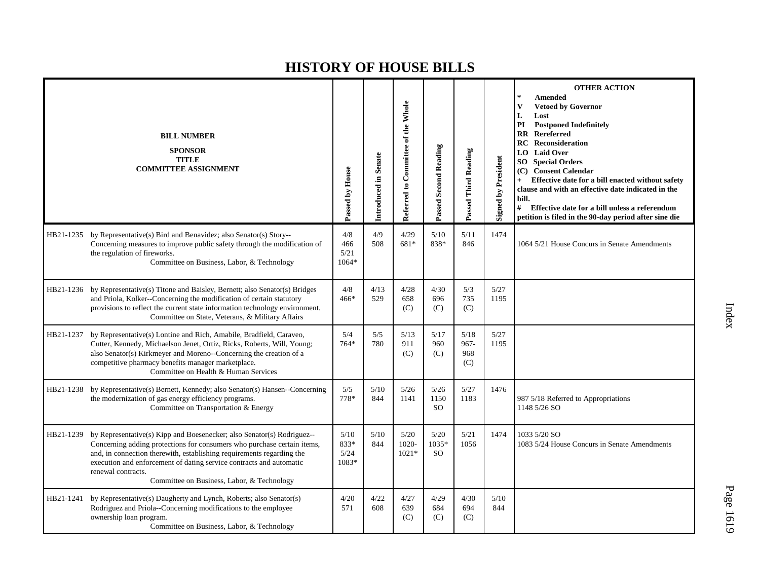|           | <b>BILL NUMBER</b><br><b>SPONSOR</b><br><b>TITLE</b><br><b>COMMITTEE ASSIGNMENT</b>                                                                                                                                                                                                                                                                                   | Passed by House                 | Introduced in Senate | Referred to Committee of the Whole | Passed Second Reading         | Passed Third Reading          | <b>Signed by President</b> | <b>OTHER ACTION</b><br>$\star$<br>Amended<br><b>Vetoed by Governor</b><br>V<br>L<br>Lost<br><b>Postponed Indefinitely</b><br>PI<br><b>RR</b> Rereferred<br><b>RC</b> Reconsideration<br><b>LO</b> Laid Over<br><b>SO</b> Special Orders<br>(C) Consent Calendar<br>Effective date for a bill enacted without safety<br>$+$<br>clause and with an effective date indicated in the<br>bill.<br># Effective date for a bill unless a referendum<br>petition is filed in the 90-day period after sine die |
|-----------|-----------------------------------------------------------------------------------------------------------------------------------------------------------------------------------------------------------------------------------------------------------------------------------------------------------------------------------------------------------------------|---------------------------------|----------------------|------------------------------------|-------------------------------|-------------------------------|----------------------------|-------------------------------------------------------------------------------------------------------------------------------------------------------------------------------------------------------------------------------------------------------------------------------------------------------------------------------------------------------------------------------------------------------------------------------------------------------------------------------------------------------|
|           | HB21-1235 by Representative(s) Bird and Benavidez; also Senator(s) Story--<br>Concerning measures to improve public safety through the modification of<br>the regulation of fireworks.<br>Committee on Business, Labor, & Technology                                                                                                                                  | 4/8<br>466<br>5/21<br>1064*     | 4/9<br>508           | 4/29<br>681*                       | 5/10<br>838*                  | 5/11<br>846                   | 1474                       | 1064 5/21 House Concurs in Senate Amendments                                                                                                                                                                                                                                                                                                                                                                                                                                                          |
| HB21-1236 | by Representative(s) Titone and Baisley, Bernett; also Senator(s) Bridges<br>and Priola, Kolker--Concerning the modification of certain statutory<br>provisions to reflect the current state information technology environment.<br>Committee on State, Veterans, & Military Affairs                                                                                  | 4/8<br>$466*$                   | 4/13<br>529          | 4/28<br>658<br>(C)                 | 4/30<br>696<br>(C)            | 5/3<br>735<br>(C)             | 5/27<br>1195               |                                                                                                                                                                                                                                                                                                                                                                                                                                                                                                       |
| HB21-1237 | by Representative(s) Lontine and Rich, Amabile, Bradfield, Caraveo,<br>Cutter, Kennedy, Michaelson Jenet, Ortiz, Ricks, Roberts, Will, Young;<br>also Senator(s) Kirkmeyer and Moreno--Concerning the creation of a<br>competitive pharmacy benefits manager marketplace.<br>Committee on Health & Human Services                                                     | 5/4<br>$764*$                   | 5/5<br>780           | 5/13<br>911<br>(C)                 | 5/17<br>960<br>(C)            | 5/18<br>$967 -$<br>968<br>(C) | 5/27<br>1195               |                                                                                                                                                                                                                                                                                                                                                                                                                                                                                                       |
| HB21-1238 | by Representative(s) Bernett, Kennedy; also Senator(s) Hansen--Concerning<br>the modernization of gas energy efficiency programs.<br>Committee on Transportation & Energy                                                                                                                                                                                             | 5/5<br>778*                     | 5/10<br>844          | 5/26<br>1141                       | 5/26<br>1150<br><sub>SO</sub> | 5/27<br>1183                  | 1476                       | 987 5/18 Referred to Appropriations<br>1148 5/26 SO                                                                                                                                                                                                                                                                                                                                                                                                                                                   |
| HB21-1239 | by Representative(s) Kipp and Boesenecker; also Senator(s) Rodriguez--<br>Concerning adding protections for consumers who purchase certain items,<br>and, in connection therewith, establishing requirements regarding the<br>execution and enforcement of dating service contracts and automatic<br>renewal contracts.<br>Committee on Business, Labor, & Technology | $5/10$<br>833*<br>5/24<br>1083* | 5/10<br>844          | 5/20<br>1020-<br>$1021*$           | 5/20<br>1035*<br>SO.          | 5/21<br>1056                  | 1474                       | 1033 5/20 SO<br>1083 5/24 House Concurs in Senate Amendments                                                                                                                                                                                                                                                                                                                                                                                                                                          |
| HB21-1241 | by Representative(s) Daugherty and Lynch, Roberts; also Senator(s)<br>Rodriguez and Priola--Concerning modifications to the employee<br>ownership loan program.<br>Committee on Business, Labor, & Technology                                                                                                                                                         | 4/20<br>571                     | 4/22<br>608          | 4/27<br>639<br>(C)                 | 4/29<br>684<br>(C)            | 4/30<br>694<br>(C)            | 5/10<br>844                |                                                                                                                                                                                                                                                                                                                                                                                                                                                                                                       |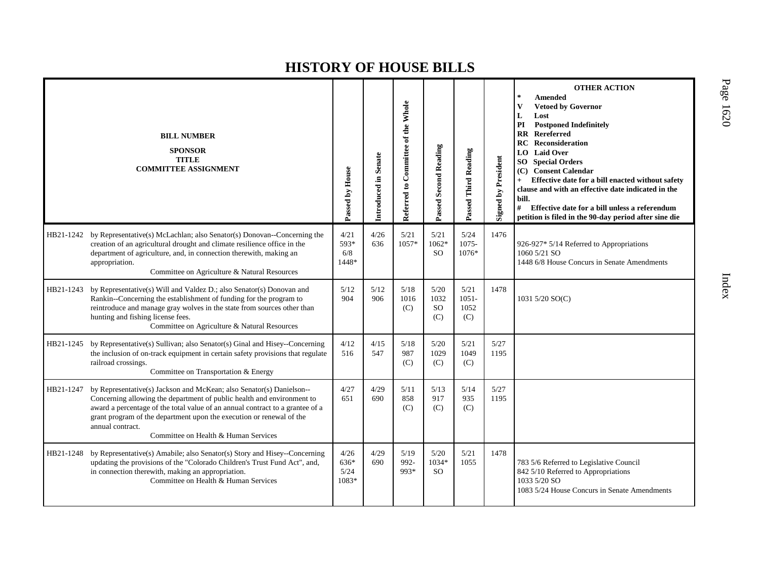|           | <b>BILL NUMBER</b><br><b>SPONSOR</b><br><b>TITLE</b><br><b>COMMITTEE ASSIGNMENT</b>                                                                                                                                                                                                                                                                                 | Passed by House               | Introduced in Senate | Referred to Committee of the Whole | <b>Passed Second Reading</b> | Passed Third Reading            | <b>Signed by President</b> | <b>OTHER ACTION</b><br>$\star$<br><b>Amended</b><br><b>Vetoed by Governor</b><br>V<br>L<br>Lost<br><b>Postponed Indefinitely</b><br>PI<br>$\mathbf{R}\mathbf{R}$<br>Rereferred<br><b>RC</b> Reconsideration<br><b>Laid Over</b><br>LO  <br><b>SO</b> Special Orders<br>(C) Consent Calendar<br>Effective date for a bill enacted without safety<br>clause and with an effective date indicated in the<br>bill.<br>#<br>Effective date for a bill unless a referendum<br>petition is filed in the 90-day period after sine die |
|-----------|---------------------------------------------------------------------------------------------------------------------------------------------------------------------------------------------------------------------------------------------------------------------------------------------------------------------------------------------------------------------|-------------------------------|----------------------|------------------------------------|------------------------------|---------------------------------|----------------------------|-------------------------------------------------------------------------------------------------------------------------------------------------------------------------------------------------------------------------------------------------------------------------------------------------------------------------------------------------------------------------------------------------------------------------------------------------------------------------------------------------------------------------------|
| HB21-1242 | by Representative(s) McLachlan; also Senator(s) Donovan--Concerning the<br>creation of an agricultural drought and climate resilience office in the<br>department of agriculture, and, in connection therewith, making an<br>appropriation.<br>Committee on Agriculture & Natural Resources                                                                         | 4/21<br>593*<br>6/8<br>1448*  | 4/26<br>636          | 5/21<br>1057*                      | 5/21<br>$1062*$<br>SO.       | 5/24<br>1075-<br>1076*          | 1476                       | 926-927* 5/14 Referred to Appropriations<br>1060 5/21 SO<br>1448 6/8 House Concurs in Senate Amendments                                                                                                                                                                                                                                                                                                                                                                                                                       |
| HB21-1243 | by Representative(s) Will and Valdez D.; also Senator(s) Donovan and<br>Rankin--Concerning the establishment of funding for the program to<br>reintroduce and manage gray wolves in the state from sources other than<br>hunting and fishing license fees.<br>Committee on Agriculture & Natural Resources                                                          | 5/12<br>904                   | 5/12<br>906          | 5/18<br>1016<br>(C)                | 5/20<br>1032<br>SO.<br>(C)   | 5/21<br>$1051 -$<br>1052<br>(C) | 1478                       | 1031 5/20 SO(C)                                                                                                                                                                                                                                                                                                                                                                                                                                                                                                               |
| HB21-1245 | by Representative(s) Sullivan; also Senator(s) Ginal and Hisey--Concerning<br>the inclusion of on-track equipment in certain safety provisions that regulate<br>railroad crossings.<br>Committee on Transportation & Energy                                                                                                                                         | 4/12<br>516                   | 4/15<br>547          | 5/18<br>987<br>(C)                 | 5/20<br>1029<br>(C)          | 5/21<br>1049<br>(C)             | 5/27<br>1195               |                                                                                                                                                                                                                                                                                                                                                                                                                                                                                                                               |
| HB21-1247 | by Representative(s) Jackson and McKean; also Senator(s) Danielson--<br>Concerning allowing the department of public health and environment to<br>award a percentage of the total value of an annual contract to a grantee of a<br>grant program of the department upon the execution or renewal of the<br>annual contract.<br>Committee on Health & Human Services | 4/27<br>651                   | 4/29<br>690          | 5/11<br>858<br>(C)                 | 5/13<br>917<br>(C)           | 5/14<br>935<br>(C)              | 5/27<br>1195               |                                                                                                                                                                                                                                                                                                                                                                                                                                                                                                                               |
| HB21-1248 | by Representative(s) Amabile; also Senator(s) Story and Hisey--Concerning<br>updating the provisions of the "Colorado Children's Trust Fund Act", and,<br>in connection therewith, making an appropriation.<br>Committee on Health & Human Services                                                                                                                 | 4/26<br>636*<br>5/24<br>1083* | 4/29<br>690          | 5/19<br>992-<br>993*               | 5/20<br>1034*<br>SO.         | 5/21<br>1055                    | 1478                       | 783 5/6 Referred to Legislative Council<br>842 5/10 Referred to Appropriations<br>1033 5/20 SO<br>1083 5/24 House Concurs in Senate Amendments                                                                                                                                                                                                                                                                                                                                                                                |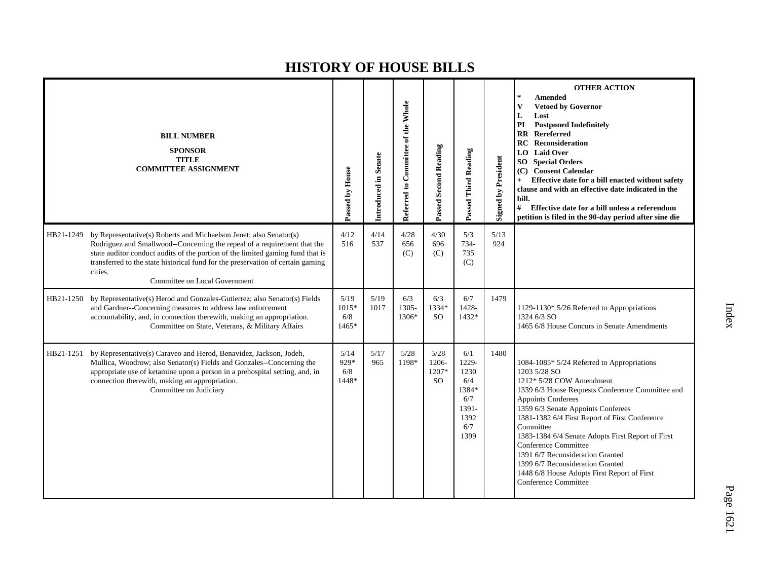|           | <b>BILL NUMBER</b><br><b>SPONSOR</b><br><b>TITLE</b><br><b>COMMITTEE ASSIGNMENT</b>                                                                                                                                                                                                                                                                             | Passed by House                 | Introduced in Senate | Referred to Committee of the Whole | Passed Second Reading               | Passed Third Reading                                                        | <b>Signed by President</b> | <b>OTHER ACTION</b><br><b>Amended</b><br><b>Vetoed by Governor</b><br>V<br>L<br>Lost<br>PI<br><b>Postponed Indefinitely</b><br>Rereferred<br>$\mathbf{R}\mathbf{R}$<br>RC<br><b>Reconsideration</b><br><b>Laid Over</b><br>LO  <br><b>SO</b> Special Orders<br><b>Consent Calendar</b><br>(C)<br>Effective date for a bill enacted without safety<br>clause and with an effective date indicated in the<br>bill.<br>#<br>Effective date for a bill unless a referendum<br>petition is filed in the 90-day period after sine die |
|-----------|-----------------------------------------------------------------------------------------------------------------------------------------------------------------------------------------------------------------------------------------------------------------------------------------------------------------------------------------------------------------|---------------------------------|----------------------|------------------------------------|-------------------------------------|-----------------------------------------------------------------------------|----------------------------|---------------------------------------------------------------------------------------------------------------------------------------------------------------------------------------------------------------------------------------------------------------------------------------------------------------------------------------------------------------------------------------------------------------------------------------------------------------------------------------------------------------------------------|
| HB21-1249 | by Representative(s) Roberts and Michaelson Jenet; also Senator(s)<br>Rodriguez and Smallwood--Concerning the repeal of a requirement that the<br>state auditor conduct audits of the portion of the limited gaming fund that is<br>transferred to the state historical fund for the preservation of certain gaming<br>cities.<br>Committee on Local Government | 4/12<br>516                     | 4/14<br>537          | 4/28<br>656<br>(C)                 | 4/30<br>696<br>(C)                  | 5/3<br>734-<br>735<br>(C)                                                   | 5/13<br>924                |                                                                                                                                                                                                                                                                                                                                                                                                                                                                                                                                 |
| HB21-1250 | by Representative(s) Herod and Gonzales-Gutierrez; also Senator(s) Fields<br>and Gardner--Concerning measures to address law enforcement<br>accountability, and, in connection therewith, making an appropriation.<br>Committee on State, Veterans, & Military Affairs                                                                                          | 5/19<br>$1015*$<br>6/8<br>1465* | 5/19<br>1017         | 6/3<br>1305-<br>1306*              | 6/3<br>1334*<br><b>SO</b>           | 6/7<br>1428-<br>1432*                                                       | 1479                       | 1129-1130* 5/26 Referred to Appropriations<br>1324 6/3 SO<br>1465 6/8 House Concurs in Senate Amendments                                                                                                                                                                                                                                                                                                                                                                                                                        |
| HB21-1251 | by Representative(s) Caraveo and Herod, Benavidez, Jackson, Jodeh,<br>Mullica, Woodrow; also Senator(s) Fields and Gonzales--Concerning the<br>appropriate use of ketamine upon a person in a prehospital setting, and, in<br>connection therewith, making an appropriation.<br>Committee on Judiciary                                                          | 5/14<br>929*<br>6/8<br>1448*    | 5/17<br>965          | $5/28$<br>1198*                    | 5/28<br>1206-<br>1207*<br><b>SO</b> | 6/1<br>1229-<br>1230<br>6/4<br>1384*<br>6/7<br>1391-<br>1392<br>6/7<br>1399 | 1480                       | 1084-1085* 5/24 Referred to Appropriations<br>1203 5/28 SO<br>1212* 5/28 COW Amendment<br>1339 6/3 House Requests Conference Committee and<br><b>Appoints Conferees</b><br>1359 6/3 Senate Appoints Conferees<br>1381-1382 6/4 First Report of First Conference<br>Committee<br>1383-1384 6/4 Senate Adopts First Report of First<br><b>Conference Committee</b><br>1391 6/7 Reconsideration Granted<br>1399 6/7 Reconsideration Granted<br>1448 6/8 House Adopts First Report of First<br><b>Conference Committee</b>          |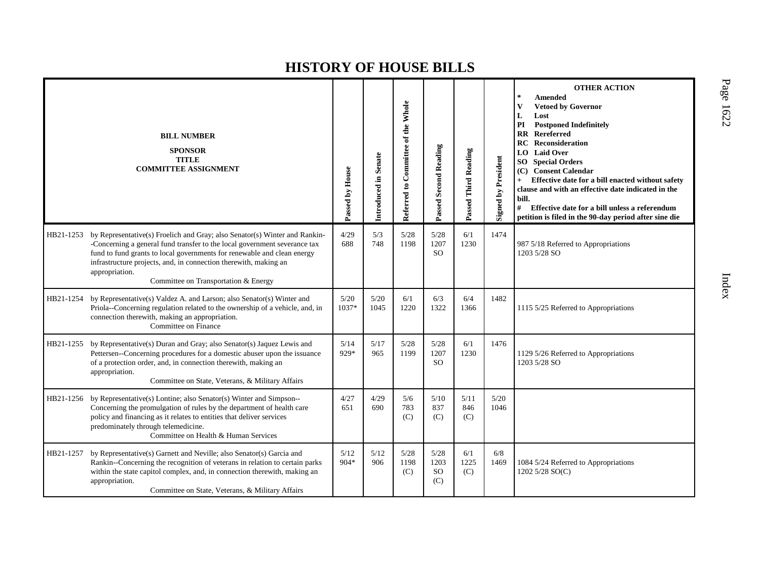|           | <b>BILL NUMBER</b><br><b>SPONSOR</b><br><b>TITLE</b><br><b>COMMITTEE ASSIGNMENT</b>                                                                                                                                                                                                                                                                              | Passed by House | Introduced in Senate | Referred to Committee of the Whole | Passed Second Reading            | Passed Third Reading | <b>Signed by President</b> | <b>OTHER ACTION</b><br>$\ast$<br><b>Amended</b><br><b>Vetoed by Governor</b><br>V<br>L<br>Lost<br>PI<br><b>Postponed Indefinitely</b><br>$\overline{\mathbf{R}}$<br>Rereferred<br><b>Reconsideration</b><br>RC<br>LO.<br><b>Laid Over</b><br><b>Special Orders</b><br>SO.<br><b>Consent Calendar</b><br>(C)<br>Effective date for a bill enacted without safety<br>$+$<br>clause and with an effective date indicated in the<br>bill.<br>#<br>Effective date for a bill unless a referendum<br>petition is filed in the 90-day period after sine die |
|-----------|------------------------------------------------------------------------------------------------------------------------------------------------------------------------------------------------------------------------------------------------------------------------------------------------------------------------------------------------------------------|-----------------|----------------------|------------------------------------|----------------------------------|----------------------|----------------------------|------------------------------------------------------------------------------------------------------------------------------------------------------------------------------------------------------------------------------------------------------------------------------------------------------------------------------------------------------------------------------------------------------------------------------------------------------------------------------------------------------------------------------------------------------|
| HB21-1253 | by Representative(s) Froelich and Gray; also Senator(s) Winter and Rankin-<br>-Concerning a general fund transfer to the local government severance tax<br>fund to fund grants to local governments for renewable and clean energy<br>infrastructure projects, and, in connection therewith, making an<br>appropriation.<br>Committee on Transportation & Energy | 4/29<br>688     | 5/3<br>748           | 5/28<br>1198                       | 5/28<br>1207<br><b>SO</b>        | 6/1<br>1230          | 1474                       | 987 5/18 Referred to Appropriations<br>1203 5/28 SO                                                                                                                                                                                                                                                                                                                                                                                                                                                                                                  |
| HB21-1254 | by Representative(s) Valdez A. and Larson; also Senator(s) Winter and<br>Priola--Concerning regulation related to the ownership of a vehicle, and, in<br>connection therewith, making an appropriation.<br>Committee on Finance                                                                                                                                  | 5/20<br>1037*   | 5/20<br>1045         | 6/1<br>1220                        | 6/3<br>1322                      | 6/4<br>1366          | 1482                       | 1115 5/25 Referred to Appropriations                                                                                                                                                                                                                                                                                                                                                                                                                                                                                                                 |
| HB21-1255 | by Representative(s) Duran and Gray; also Senator(s) Jaquez Lewis and<br>Pettersen--Concerning procedures for a domestic abuser upon the issuance<br>of a protection order, and, in connection therewith, making an<br>appropriation.<br>Committee on State, Veterans, & Military Affairs                                                                        | 5/14<br>929*    | 5/17<br>965          | 5/28<br>1199                       | 5/28<br>1207<br>SO.              | 6/1<br>1230          | 1476                       | 1129 5/26 Referred to Appropriations<br>1203 5/28 SO                                                                                                                                                                                                                                                                                                                                                                                                                                                                                                 |
| HB21-1256 | by Representative(s) Lontine; also Senator(s) Winter and Simpson--<br>Concerning the promulgation of rules by the department of health care<br>policy and financing as it relates to entities that deliver services<br>predominately through telemedicine.<br>Committee on Health & Human Services                                                               | 4/27<br>651     | 4/29<br>690          | 5/6<br>783<br>(C)                  | 5/10<br>837<br>(C)               | 5/11<br>846<br>(C)   | 5/20<br>1046               |                                                                                                                                                                                                                                                                                                                                                                                                                                                                                                                                                      |
| HB21-1257 | by Representative(s) Garnett and Neville; also Senator(s) Garcia and<br>Rankin--Concerning the recognition of veterans in relation to certain parks<br>within the state capitol complex, and, in connection therewith, making an<br>appropriation.<br>Committee on State, Veterans, & Military Affairs                                                           | 5/12<br>904*    | 5/12<br>906          | 5/28<br>1198<br>(C)                | 5/28<br>1203<br><b>SO</b><br>(C) | 6/1<br>1225<br>(C)   | 6/8<br>1469                | 1084 5/24 Referred to Appropriations<br>1202 5/28 SO(C)                                                                                                                                                                                                                                                                                                                                                                                                                                                                                              |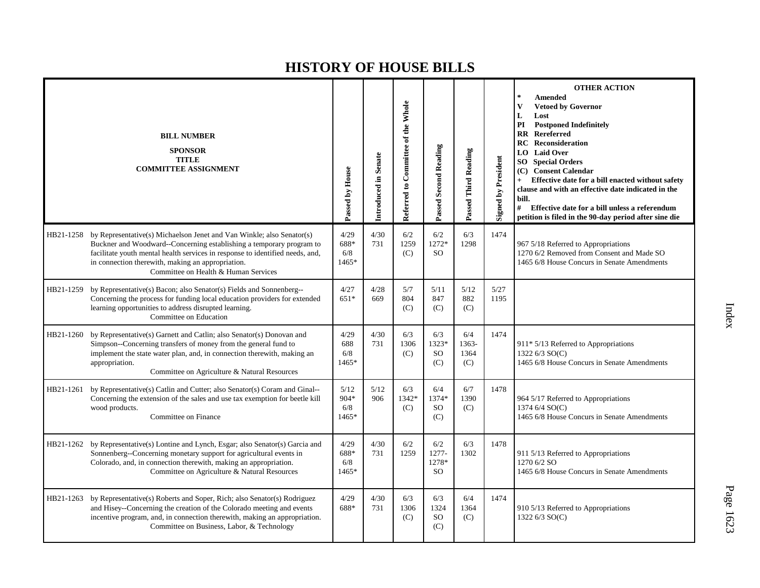|           | <b>BILL NUMBER</b><br><b>SPONSOR</b><br><b>TITLE</b><br><b>COMMITTEE ASSIGNMENT</b>                                                                                                                                                                                                                                                   | Passed by House                  | Introduced in Senate | Referred to Committee of the Whole | Passed Second Reading                | Passed Third Reading        | <b>Signed by President</b> | <b>OTHER ACTION</b><br>$\mathbb{R}^2$<br><b>Amended</b><br>V<br><b>Vetoed by Governor</b><br>L<br>Lost<br><b>Postponed Indefinitely</b><br>PI<br><b>RR</b> Rereferred<br><b>Reconsideration</b><br>RC<br><b>LO</b> Laid Over<br><b>Special Orders</b><br>SO.<br>(C) Consent Calendar<br>Effective date for a bill enacted without safety<br>$+$<br>clause and with an effective date indicated in the<br>bill.<br>#<br>Effective date for a bill unless a referendum<br>petition is filed in the 90-day period after sine die |
|-----------|---------------------------------------------------------------------------------------------------------------------------------------------------------------------------------------------------------------------------------------------------------------------------------------------------------------------------------------|----------------------------------|----------------------|------------------------------------|--------------------------------------|-----------------------------|----------------------------|-------------------------------------------------------------------------------------------------------------------------------------------------------------------------------------------------------------------------------------------------------------------------------------------------------------------------------------------------------------------------------------------------------------------------------------------------------------------------------------------------------------------------------|
|           | HB21-1258 by Representative(s) Michaelson Jenet and Van Winkle; also Senator(s)<br>Buckner and Woodward--Concerning establishing a temporary program to<br>facilitate youth mental health services in response to identified needs, and,<br>in connection therewith, making an appropriation.<br>Committee on Health & Human Services | 4/29<br>688*<br>6/8<br>$1465*$   | 4/30<br>731          | 6/2<br>1259<br>(C)                 | 6/2<br>1272*<br><b>SO</b>            | 6/3<br>1298                 | 1474                       | 967 5/18 Referred to Appropriations<br>1270 6/2 Removed from Consent and Made SO<br>1465 6/8 House Concurs in Senate Amendments                                                                                                                                                                                                                                                                                                                                                                                               |
| HB21-1259 | by Representative(s) Bacon; also Senator(s) Fields and Sonnenberg--<br>Concerning the process for funding local education providers for extended<br>learning opportunities to address disrupted learning.<br>Committee on Education                                                                                                   | 4/27<br>$651*$                   | 4/28<br>669          | 5/7<br>804<br>(C)                  | 5/11<br>847<br>(C)                   | 5/12<br>882<br>(C)          | 5/27<br>1195               |                                                                                                                                                                                                                                                                                                                                                                                                                                                                                                                               |
| HB21-1260 | by Representative(s) Garnett and Catlin; also Senator(s) Donovan and<br>Simpson--Concerning transfers of money from the general fund to<br>implement the state water plan, and, in connection therewith, making an<br>appropriation.<br>Committee on Agriculture & Natural Resources                                                  | 4/29<br>688<br>6/8<br>$1465*$    | 4/30<br>731          | 6/3<br>1306<br>(C)                 | 6/3<br>1323*<br>SO<br>(C)            | 6/4<br>1363-<br>1364<br>(C) | 1474                       | 911* 5/13 Referred to Appropriations<br>1322 6/3 SO(C)<br>1465 6/8 House Concurs in Senate Amendments                                                                                                                                                                                                                                                                                                                                                                                                                         |
| HB21-1261 | by Representative(s) Catlin and Cutter; also Senator(s) Coram and Ginal--<br>Concerning the extension of the sales and use tax exemption for beetle kill<br>wood products.<br>Committee on Finance                                                                                                                                    | 5/12<br>$904*$<br>6/8<br>$1465*$ | 5/12<br>906          | 6/3<br>1342*<br>(C)                | 6/4<br>1374*<br><sub>SO</sub><br>(C) | 6/7<br>1390<br>(C)          | 1478                       | 964 5/17 Referred to Appropriations<br>1374 6/4 SO(C)<br>1465 6/8 House Concurs in Senate Amendments                                                                                                                                                                                                                                                                                                                                                                                                                          |
|           | HB21-1262 by Representative(s) Lontine and Lynch, Esgar; also Senator(s) Garcia and<br>Sonnenberg--Concerning monetary support for agricultural events in<br>Colorado, and, in connection therewith, making an appropriation.<br>Committee on Agriculture & Natural Resources                                                         | 4/29<br>688*<br>6/8<br>1465*     | 4/30<br>731          | 6/2<br>1259                        | 6/2<br>1277-<br>1278*<br><b>SO</b>   | 6/3<br>1302                 | 1478                       | 911 5/13 Referred to Appropriations<br>1270 6/2 SO<br>1465 6/8 House Concurs in Senate Amendments                                                                                                                                                                                                                                                                                                                                                                                                                             |
| HB21-1263 | by Representative(s) Roberts and Soper, Rich; also Senator(s) Rodriguez<br>and Hisey--Concerning the creation of the Colorado meeting and events<br>incentive program, and, in connection therewith, making an appropriation.<br>Committee on Business, Labor, & Technology                                                           | 4/29<br>688*                     | 4/30<br>731          | 6/3<br>1306<br>(C)                 | 6/3<br>1324<br>SO<br>(C)             | 6/4<br>1364<br>(C)          | 1474                       | 910 5/13 Referred to Appropriations<br>1322 6/3 SO(C)                                                                                                                                                                                                                                                                                                                                                                                                                                                                         |

P a g e 16 2 3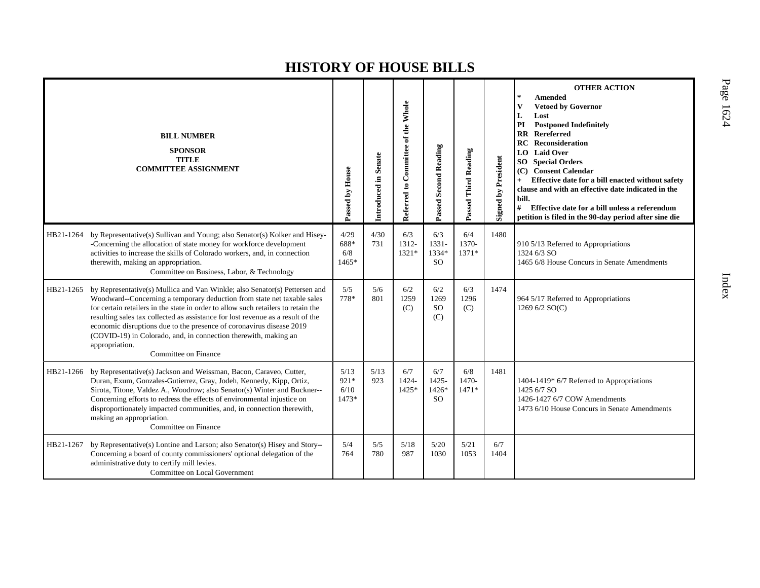|           | <b>BILL NUMBER</b><br><b>SPONSOR</b><br><b>TITLE</b><br><b>COMMITTEE ASSIGNMENT</b>                                                                                                                                                                                                                                                                                                                                                                                                                                | Passed by House               | Introduced in Senate | Referred to Committee of the Whole | Passed Second Reading                     | <b>Third Reading</b><br>Passed' | <b>Signed by President</b> | <b>OTHER ACTION</b><br>$\star$<br><b>Amended</b><br>$\mathbf{V}$<br><b>Vetoed by Governor</b><br>Lost<br>L<br>PI<br><b>Postponed Indefinitely</b><br><b>RR</b> Rereferred<br><b>Reconsideration</b><br>RC<br><b>Laid Over</b><br>LO.<br><b>Special Orders</b><br>SO <sub>2</sub><br>(C) Consent Calendar<br>Effective date for a bill enacted without safety<br>clause and with an effective date indicated in the<br>bill.<br>#<br>Effective date for a bill unless a referendum<br>petition is filed in the 90-day period after sine die |
|-----------|--------------------------------------------------------------------------------------------------------------------------------------------------------------------------------------------------------------------------------------------------------------------------------------------------------------------------------------------------------------------------------------------------------------------------------------------------------------------------------------------------------------------|-------------------------------|----------------------|------------------------------------|-------------------------------------------|---------------------------------|----------------------------|--------------------------------------------------------------------------------------------------------------------------------------------------------------------------------------------------------------------------------------------------------------------------------------------------------------------------------------------------------------------------------------------------------------------------------------------------------------------------------------------------------------------------------------------|
| HB21-1264 | by Representative(s) Sullivan and Young; also Senator(s) Kolker and Hisey-<br>-Concerning the allocation of state money for workforce development<br>activities to increase the skills of Colorado workers, and, in connection<br>therewith, making an appropriation.<br>Committee on Business, Labor, & Technology                                                                                                                                                                                                | 4/29<br>688*<br>6/8<br>1465*  | 4/30<br>731          | 6/3<br>1312-<br>$1321*$            | 6/3<br>$1331 -$<br>1334*<br><sub>SO</sub> | 6/4<br>1370-<br>$1371*$         | 1480                       | 910 5/13 Referred to Appropriations<br>1324 6/3 SO<br>1465 6/8 House Concurs in Senate Amendments                                                                                                                                                                                                                                                                                                                                                                                                                                          |
| HB21-1265 | by Representative(s) Mullica and Van Winkle; also Senator(s) Pettersen and<br>Woodward--Concerning a temporary deduction from state net taxable sales<br>for certain retailers in the state in order to allow such retailers to retain the<br>resulting sales tax collected as assistance for lost revenue as a result of the<br>economic disruptions due to the presence of coronavirus disease 2019<br>(COVID-19) in Colorado, and, in connection therewith, making an<br>appropriation.<br>Committee on Finance | 5/5<br>778*                   | 5/6<br>801           | 6/2<br>1259<br>(C)                 | 6/2<br>1269<br><sub>SO</sub><br>(C)       | 6/3<br>1296<br>(C)              | 1474                       | 964 5/17 Referred to Appropriations<br>1269 6/2 SO(C)                                                                                                                                                                                                                                                                                                                                                                                                                                                                                      |
| HB21-1266 | by Representative(s) Jackson and Weissman, Bacon, Caraveo, Cutter,<br>Duran, Exum, Gonzales-Gutierrez, Gray, Jodeh, Kennedy, Kipp, Ortiz,<br>Sirota, Titone, Valdez A., Woodrow; also Senator(s) Winter and Buckner--<br>Concerning efforts to redress the effects of environmental injustice on<br>disproportionately impacted communities, and, in connection therewith,<br>making an appropriation.<br>Committee on Finance                                                                                     | 5/13<br>921*<br>6/10<br>1473* | 5/13<br>923          | 6/7<br>1424-<br>1425*              | 6/7<br>1425-<br>1426*<br><sub>SO</sub>    | 6/8<br>1470-<br>$1471*$         | 1481                       | 1404-1419* 6/7 Referred to Appropriations<br>1425 6/7 SO<br>1426-1427 6/7 COW Amendments<br>1473 6/10 House Concurs in Senate Amendments                                                                                                                                                                                                                                                                                                                                                                                                   |
| HB21-1267 | by Representative(s) Lontine and Larson; also Senator(s) Hisey and Story--<br>Concerning a board of county commissioners' optional delegation of the<br>administrative duty to certify mill levies.<br>Committee on Local Government                                                                                                                                                                                                                                                                               | 5/4<br>764                    | 5/5<br>780           | 5/18<br>987                        | 5/20<br>1030                              | 5/21<br>1053                    | 6/7<br>1404                |                                                                                                                                                                                                                                                                                                                                                                                                                                                                                                                                            |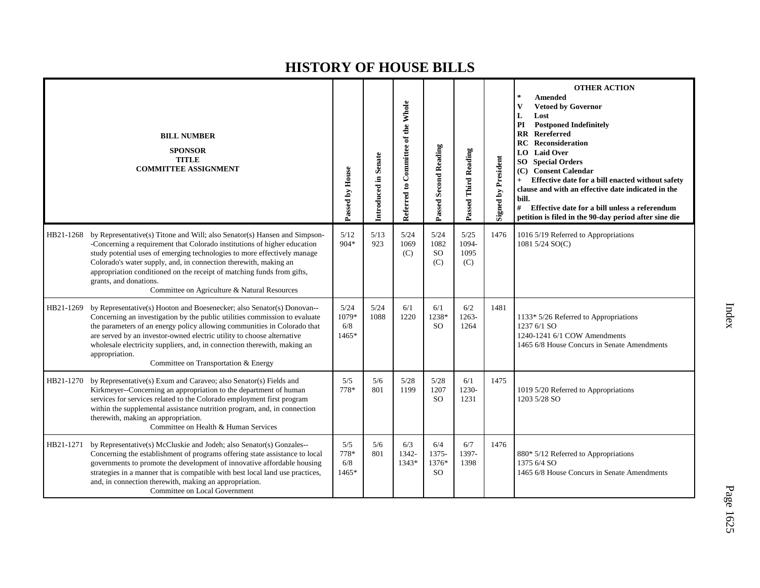|           | <b>BILL NUMBER</b><br><b>SPONSOR</b><br><b>TITLE</b><br><b>COMMITTEE ASSIGNMENT</b>                                                                                                                                                                                                                                                                                                                                                                       | Passed by House               | Introduced in Senate | Referred to Committee of the Whole | Passed Second Reading                  | Passed Third Reading         | <b>Signed by President</b> | <b>OTHER ACTION</b><br>$\star$<br><b>Amended</b><br>$\mathbf{V}$<br><b>Vetoed by Governor</b><br>L<br>Lost<br>PI<br><b>Postponed Indefinitely</b><br><b>RR</b> Rereferred<br><b>RC</b> Reconsideration<br><b>Laid Over</b><br>LO  <br><b>SO</b> Special Orders<br><b>Consent Calendar</b><br>(C)<br>Effective date for a bill enacted without safety<br>$+$<br>clause and with an effective date indicated in the<br>bill.<br>#<br>Effective date for a bill unless a referendum<br>petition is filed in the 90-day period after sine die |
|-----------|-----------------------------------------------------------------------------------------------------------------------------------------------------------------------------------------------------------------------------------------------------------------------------------------------------------------------------------------------------------------------------------------------------------------------------------------------------------|-------------------------------|----------------------|------------------------------------|----------------------------------------|------------------------------|----------------------------|-------------------------------------------------------------------------------------------------------------------------------------------------------------------------------------------------------------------------------------------------------------------------------------------------------------------------------------------------------------------------------------------------------------------------------------------------------------------------------------------------------------------------------------------|
| HB21-1268 | by Representative(s) Titone and Will; also Senator(s) Hansen and Simpson-<br>-Concerning a requirement that Colorado institutions of higher education<br>study potential uses of emerging technologies to more effectively manage<br>Colorado's water supply, and, in connection therewith, making an<br>appropriation conditioned on the receipt of matching funds from gifts,<br>grants, and donations.<br>Committee on Agriculture & Natural Resources | 5/12<br>904*                  | 5/13<br>923          | 5/24<br>1069<br>(C)                | 5/24<br>1082<br><b>SO</b><br>(C)       | 5/25<br>1094-<br>1095<br>(C) | 1476                       | 1016 5/19 Referred to Appropriations<br>1081 5/24 SO(C)                                                                                                                                                                                                                                                                                                                                                                                                                                                                                   |
| HB21-1269 | by Representative(s) Hooton and Boesenecker; also Senator(s) Donovan--<br>Concerning an investigation by the public utilities commission to evaluate<br>the parameters of an energy policy allowing communities in Colorado that<br>are served by an investor-owned electric utility to choose alternative<br>wholesale electricity suppliers, and, in connection therewith, making an<br>appropriation.<br>Committee on Transportation & Energy          | 5/24<br>1079*<br>6/8<br>1465* | 5/24<br>1088         | 6/1<br>1220                        | 6/1<br>1238*<br><b>SO</b>              | 6/2<br>1263-<br>1264         | 1481                       | 1133* 5/26 Referred to Appropriations<br>1237 6/1 SO<br>1240-1241 6/1 COW Amendments<br>1465 6/8 House Concurs in Senate Amendments                                                                                                                                                                                                                                                                                                                                                                                                       |
| HB21-1270 | by Representative(s) Exum and Caraveo; also Senator(s) Fields and<br>Kirkmeyer--Concerning an appropriation to the department of human<br>services for services related to the Colorado employment first program<br>within the supplemental assistance nutrition program, and, in connection<br>therewith, making an appropriation.<br>Committee on Health & Human Services                                                                               | 5/5<br>778*                   | 5/6<br>801           | 5/28<br>1199                       | $5/28$<br>1207<br><sub>SO</sub>        | 6/1<br>1230-<br>1231         | 1475                       | 1019 5/20 Referred to Appropriations<br>1203 5/28 SO                                                                                                                                                                                                                                                                                                                                                                                                                                                                                      |
| HB21-1271 | by Representative(s) McCluskie and Jodeh; also Senator(s) Gonzales--<br>Concerning the establishment of programs offering state assistance to local<br>governments to promote the development of innovative affordable housing<br>strategies in a manner that is compatible with best local land use practices,<br>and, in connection therewith, making an appropriation.<br>Committee on Local Government                                                | 5/5<br>778*<br>6/8<br>1465*   | 5/6<br>801           | 6/3<br>1342-<br>1343*              | 6/4<br>1375-<br>1376*<br><sub>SO</sub> | 6/7<br>1397-<br>1398         | 1476                       | 880* 5/12 Referred to Appropriations<br>1375 6/4 SO<br>1465 6/8 House Concurs in Senate Amendments                                                                                                                                                                                                                                                                                                                                                                                                                                        |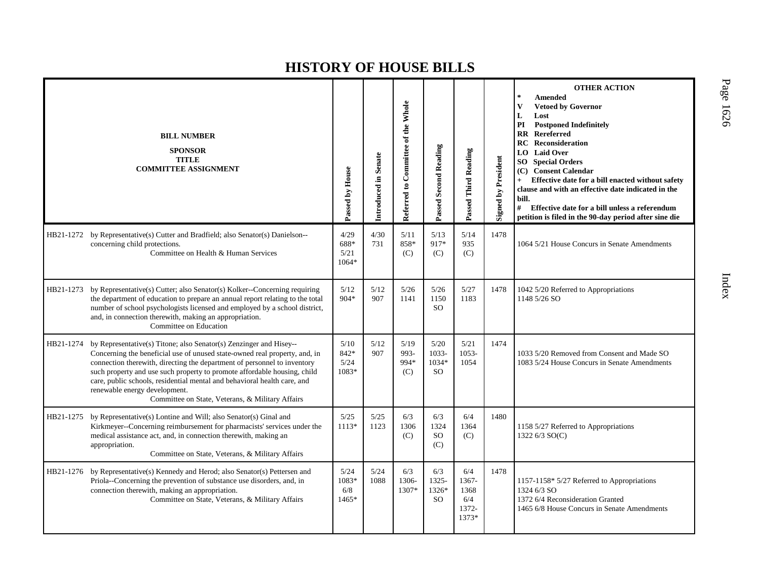|           | <b>BILL NUMBER</b><br><b>SPONSOR</b><br><b>TITLE</b><br><b>COMMITTEE ASSIGNMENT</b>                                                                                                                                                                                                                                                                                                                                                                                                 | Passed by House                 | Introduced in Senate | Referred to Committee of the Whole | Passed Second Reading                  | Passed Third Reading                          | <b>Signed by President</b> | <b>OTHER ACTION</b><br>$\ast$<br><b>Amended</b><br>$\mathbf{V}$<br><b>Vetoed by Governor</b><br>L<br>Lost<br>PI<br><b>Postponed Indefinitely</b><br><b>RR</b> Rereferred<br>Reconsideration<br>RC<br>LO Laid Over<br><b>Special Orders</b><br>SO.<br>(C) Consent Calendar<br>Effective date for a bill enacted without safety<br>$+$<br>clause and with an effective date indicated in the<br>bill.<br>#<br>Effective date for a bill unless a referendum<br>petition is filed in the 90-day period after sine die |
|-----------|-------------------------------------------------------------------------------------------------------------------------------------------------------------------------------------------------------------------------------------------------------------------------------------------------------------------------------------------------------------------------------------------------------------------------------------------------------------------------------------|---------------------------------|----------------------|------------------------------------|----------------------------------------|-----------------------------------------------|----------------------------|--------------------------------------------------------------------------------------------------------------------------------------------------------------------------------------------------------------------------------------------------------------------------------------------------------------------------------------------------------------------------------------------------------------------------------------------------------------------------------------------------------------------|
| HB21-1272 | by Representative(s) Cutter and Bradfield; also Senator(s) Danielson--<br>concerning child protections.<br>Committee on Health & Human Services                                                                                                                                                                                                                                                                                                                                     | 4/29<br>688*<br>5/21<br>1064*   | 4/30<br>731          | 5/11<br>858*<br>(C)                | 5/13<br>917*<br>(C)                    | 5/14<br>935<br>(C)                            | 1478                       | 1064 5/21 House Concurs in Senate Amendments                                                                                                                                                                                                                                                                                                                                                                                                                                                                       |
| HB21-1273 | by Representative(s) Cutter; also Senator(s) Kolker--Concerning requiring<br>the department of education to prepare an annual report relating to the total<br>number of school psychologists licensed and employed by a school district,<br>and, in connection therewith, making an appropriation.<br>Committee on Education                                                                                                                                                        | 5/12<br>$904*$                  | 5/12<br>907          | 5/26<br>1141                       | 5/26<br>1150<br><sub>SO</sub>          | 5/27<br>1183                                  | 1478                       | 1042 5/20 Referred to Appropriations<br>1148 5/26 SO                                                                                                                                                                                                                                                                                                                                                                                                                                                               |
|           | HB21-1274 by Representative(s) Titone; also Senator(s) Zenzinger and Hisey--<br>Concerning the beneficial use of unused state-owned real property, and, in<br>connection therewith, directing the department of personnel to inventory<br>such property and use such property to promote affordable housing, child<br>care, public schools, residential mental and behavioral health care, and<br>renewable energy development.<br>Committee on State, Veterans, & Military Affairs | 5/10<br>842*<br>5/24<br>1083*   | 5/12<br>907          | 5/19<br>993-<br>994*<br>(C)        | 5/20<br>1033-<br>1034*<br><b>SO</b>    | 5/21<br>$1053 -$<br>1054                      | 1474                       | 1033 5/20 Removed from Consent and Made SO<br>1083 5/24 House Concurs in Senate Amendments                                                                                                                                                                                                                                                                                                                                                                                                                         |
| HB21-1275 | by Representative(s) Lontine and Will; also Senator(s) Ginal and<br>Kirkmeyer--Concerning reimbursement for pharmacists' services under the<br>medical assistance act, and, in connection therewith, making an<br>appropriation.<br>Committee on State, Veterans, & Military Affairs                                                                                                                                                                                                | 5/25<br>1113*                   | 5/25<br>1123         | 6/3<br>1306<br>(C)                 | 6/3<br>1324<br>SO <sub>1</sub><br>(C)  | 6/4<br>1364<br>(C)                            | 1480                       | 1158 5/27 Referred to Appropriations<br>1322 6/3 SO(C)                                                                                                                                                                                                                                                                                                                                                                                                                                                             |
| HB21-1276 | by Representative(s) Kennedy and Herod; also Senator(s) Pettersen and<br>Priola--Concerning the prevention of substance use disorders, and, in<br>connection therewith, making an appropriation.<br>Committee on State, Veterans, & Military Affairs                                                                                                                                                                                                                                | 5/24<br>1083*<br>6/8<br>$1465*$ | 5/24<br>1088         | 6/3<br>1306-<br>1307*              | 6/3<br>1325-<br>1326*<br><sub>SO</sub> | 6/4<br>1367-<br>1368<br>6/4<br>1372-<br>1373* | 1478                       | 1157-1158* 5/27 Referred to Appropriations<br>1324 6/3 SO<br>1372 6/4 Reconsideration Granted<br>1465 6/8 House Concurs in Senate Amendments                                                                                                                                                                                                                                                                                                                                                                       |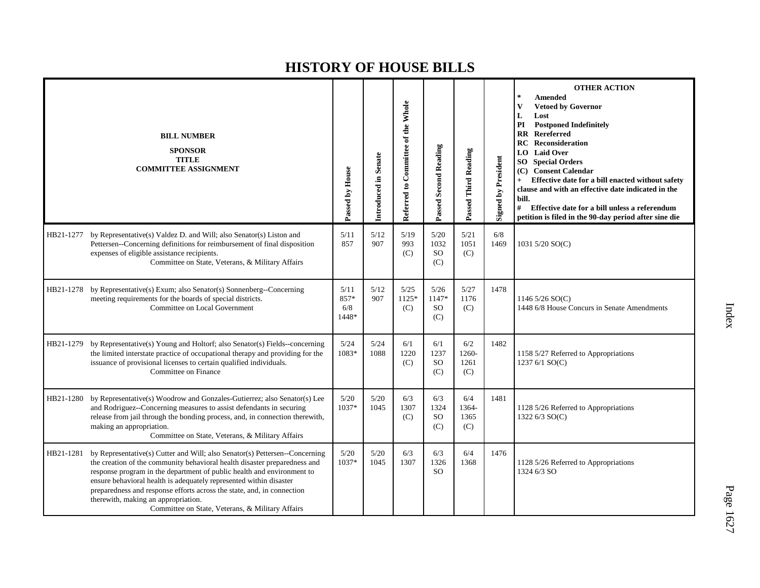|           | <b>BILL NUMBER</b><br><b>SPONSOR</b><br><b>TITLE</b><br><b>COMMITTEE ASSIGNMENT</b>                                                                                                                                                                                                                                                                                                                                                                                           | Passed by House              | Introduced in Senate | Referred to Committee of the Whole | <b>Passed Second Reading</b>          | Passed Third Reading        | <b>Signed by President</b> | <b>OTHER ACTION</b><br><b>Amended</b><br><b>Vetoed by Governor</b><br>V<br>L<br>Lost<br><b>Postponed Indefinitely</b><br>PI<br>Rereferred<br>RR<br><b>RC</b> Reconsideration<br><b>LO</b> Laid Over<br><b>SO</b> Special Orders<br>(C) Consent Calendar<br>Effective date for a bill enacted without safety<br>clause and with an effective date indicated in the<br>bill.<br>#<br>Effective date for a bill unless a referendum<br>petition is filed in the 90-day period after sine die |
|-----------|-------------------------------------------------------------------------------------------------------------------------------------------------------------------------------------------------------------------------------------------------------------------------------------------------------------------------------------------------------------------------------------------------------------------------------------------------------------------------------|------------------------------|----------------------|------------------------------------|---------------------------------------|-----------------------------|----------------------------|-------------------------------------------------------------------------------------------------------------------------------------------------------------------------------------------------------------------------------------------------------------------------------------------------------------------------------------------------------------------------------------------------------------------------------------------------------------------------------------------|
| HB21-1277 | by Representative(s) Valdez D. and Will; also Senator(s) Liston and<br>Pettersen--Concerning definitions for reimbursement of final disposition<br>expenses of eligible assistance recipients.<br>Committee on State, Veterans, & Military Affairs                                                                                                                                                                                                                            | 5/11<br>857                  | 5/12<br>907          | 5/19<br>993<br>(C)                 | 5/20<br>1032<br><b>SO</b><br>(C)      | 5/21<br>1051<br>(C)         | 6/8<br>1469                | 1031 5/20 SO(C)                                                                                                                                                                                                                                                                                                                                                                                                                                                                           |
| HB21-1278 | by Representative(s) Exum; also Senator(s) Sonnenberg--Concerning<br>meeting requirements for the boards of special districts.<br>Committee on Local Government                                                                                                                                                                                                                                                                                                               | 5/11<br>857*<br>6/8<br>1448* | 5/12<br>907          | 5/25<br>$1125*$<br>(C)             | 5/26<br>1147*<br><sub>SO</sub><br>(C) | 5/27<br>1176<br>(C)         | 1478                       | 1146 5/26 SO(C)<br>1448 6/8 House Concurs in Senate Amendments                                                                                                                                                                                                                                                                                                                                                                                                                            |
| HB21-1279 | by Representative(s) Young and Holtorf; also Senator(s) Fields--concerning<br>the limited interstate practice of occupational therapy and providing for the<br>issuance of provisional licenses to certain qualified individuals.<br>Committee on Finance                                                                                                                                                                                                                     | 5/24<br>1083*                | 5/24<br>1088         | 6/1<br>1220<br>(C)                 | 6/1<br>1237<br><b>SO</b><br>(C)       | 6/2<br>1260-<br>1261<br>(C) | 1482                       | 1158 5/27 Referred to Appropriations<br>1237 6/1 SO(C)                                                                                                                                                                                                                                                                                                                                                                                                                                    |
| HB21-1280 | by Representative(s) Woodrow and Gonzales-Gutierrez; also Senator(s) Lee<br>and Rodriguez--Concerning measures to assist defendants in securing<br>release from jail through the bonding process, and, in connection therewith,<br>making an appropriation.<br>Committee on State, Veterans, & Military Affairs                                                                                                                                                               | $5/20$<br>1037*              | 5/20<br>1045         | 6/3<br>1307<br>(C)                 | 6/3<br>1324<br><b>SO</b><br>(C)       | 6/4<br>1364-<br>1365<br>(C) | 1481                       | 1128 5/26 Referred to Appropriations<br>1322 6/3 SO(C)                                                                                                                                                                                                                                                                                                                                                                                                                                    |
| HB21-1281 | by Representative(s) Cutter and Will; also Senator(s) Pettersen--Concerning<br>the creation of the community behavioral health disaster preparedness and<br>response program in the department of public health and environment to<br>ensure behavioral health is adequately represented within disaster<br>preparedness and response efforts across the state, and, in connection<br>therewith, making an appropriation.<br>Committee on State, Veterans, & Military Affairs | 5/20<br>$1037*$              | 5/20<br>1045         | 6/3<br>1307                        | 6/3<br>1326<br><b>SO</b>              | 6/4<br>1368                 | 1476                       | 1128 5/26 Referred to Appropriations<br>1324 6/3 SO                                                                                                                                                                                                                                                                                                                                                                                                                                       |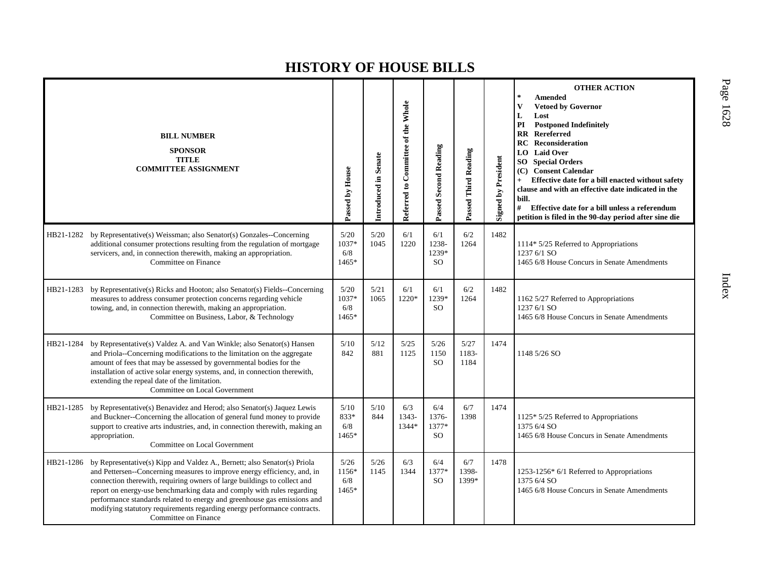|           | <b>BILL NUMBER</b><br><b>SPONSOR</b><br><b>TITLE</b><br><b>COMMITTEE ASSIGNMENT</b>                                                                                                                                                                                                                                                                                                                                                                                                        | Passed by House               | Introduced in Senate | Referred to Committee of the Whole | Passed Second Reading                  | Passed Third Reading  | <b>Signed by President</b> | <b>OTHER ACTION</b><br><b>Amended</b><br>$\mathbf{V}$<br><b>Vetoed by Governor</b><br>L<br>Lost<br>PI<br><b>Postponed Indefinitely</b><br>$\mathbf{R} \mathbf{R}$<br>Rereferred<br><b>Reconsideration</b><br>RC<br><b>Laid Over</b><br>LO<br><b>Special Orders</b><br>SO.<br><b>Consent Calendar</b><br>(C)<br>Effective date for a bill enacted without safety<br>clause and with an effective date indicated in the<br>bill.<br>#<br>Effective date for a bill unless a referendum<br>petition is filed in the 90-day period after sine die |
|-----------|--------------------------------------------------------------------------------------------------------------------------------------------------------------------------------------------------------------------------------------------------------------------------------------------------------------------------------------------------------------------------------------------------------------------------------------------------------------------------------------------|-------------------------------|----------------------|------------------------------------|----------------------------------------|-----------------------|----------------------------|-----------------------------------------------------------------------------------------------------------------------------------------------------------------------------------------------------------------------------------------------------------------------------------------------------------------------------------------------------------------------------------------------------------------------------------------------------------------------------------------------------------------------------------------------|
| HB21-1282 | by Representative(s) Weissman; also Senator(s) Gonzales--Concerning<br>additional consumer protections resulting from the regulation of mortgage<br>servicers, and, in connection therewith, making an appropriation.<br>Committee on Finance                                                                                                                                                                                                                                              | 5/20<br>1037*<br>6/8<br>1465* | $5/20$<br>1045       | 6/1<br>1220                        | 6/1<br>1238-<br>1239*<br><sub>SO</sub> | 6/2<br>1264           | 1482                       | 1114* 5/25 Referred to Appropriations<br>1237 6/1 SO<br>1465 6/8 House Concurs in Senate Amendments                                                                                                                                                                                                                                                                                                                                                                                                                                           |
| HB21-1283 | by Representative(s) Ricks and Hooton; also Senator(s) Fields--Concerning<br>measures to address consumer protection concerns regarding vehicle<br>towing, and, in connection therewith, making an appropriation.<br>Committee on Business, Labor, & Technology                                                                                                                                                                                                                            | 5/20<br>1037*<br>6/8<br>1465* | 5/21<br>1065         | 6/1<br>1220*                       | 6/1<br>1239*<br><sub>SO</sub>          | 6/2<br>1264           | 1482                       | 1162 5/27 Referred to Appropriations<br>1237 6/1 SO<br>1465 6/8 House Concurs in Senate Amendments                                                                                                                                                                                                                                                                                                                                                                                                                                            |
| HB21-1284 | by Representative(s) Valdez A. and Van Winkle; also Senator(s) Hansen<br>and Priola--Concerning modifications to the limitation on the aggregate<br>amount of fees that may be assessed by governmental bodies for the<br>installation of active solar energy systems, and, in connection therewith,<br>extending the repeal date of the limitation.<br>Committee on Local Government                                                                                                      | 5/10<br>842                   | 5/12<br>881          | 5/25<br>1125                       | $5/26$<br>1150<br><sub>SO</sub>        | 5/27<br>1183-<br>1184 | 1474                       | 1148 5/26 SO                                                                                                                                                                                                                                                                                                                                                                                                                                                                                                                                  |
| HB21-1285 | by Representative(s) Benavidez and Herod; also Senator(s) Jaquez Lewis<br>and Buckner--Concerning the allocation of general fund money to provide<br>support to creative arts industries, and, in connection therewith, making an<br>appropriation.<br>Committee on Local Government                                                                                                                                                                                                       | 5/10<br>833*<br>6/8<br>1465*  | 5/10<br>844          | 6/3<br>1343-<br>1344*              | 6/4<br>1376-<br>1377*<br><sub>SO</sub> | 6/7<br>1398           | 1474                       | 1125* 5/25 Referred to Appropriations<br>1375 6/4 SO<br>1465 6/8 House Concurs in Senate Amendments                                                                                                                                                                                                                                                                                                                                                                                                                                           |
| HB21-1286 | by Representative(s) Kipp and Valdez A., Bernett; also Senator(s) Priola<br>and Pettersen--Concerning measures to improve energy efficiency, and, in<br>connection therewith, requiring owners of large buildings to collect and<br>report on energy-use benchmarking data and comply with rules regarding<br>performance standards related to energy and greenhouse gas emissions and<br>modifying statutory requirements regarding energy performance contracts.<br>Committee on Finance | 5/26<br>1156*<br>6/8<br>1465* | 5/26<br>1145         | 6/3<br>1344                        | 6/4<br>1377*<br><sub>SO</sub>          | 6/7<br>1398-<br>1399* | 1478                       | 1253-1256* 6/1 Referred to Appropriations<br>1375 6/4 SO<br>1465 6/8 House Concurs in Senate Amendments                                                                                                                                                                                                                                                                                                                                                                                                                                       |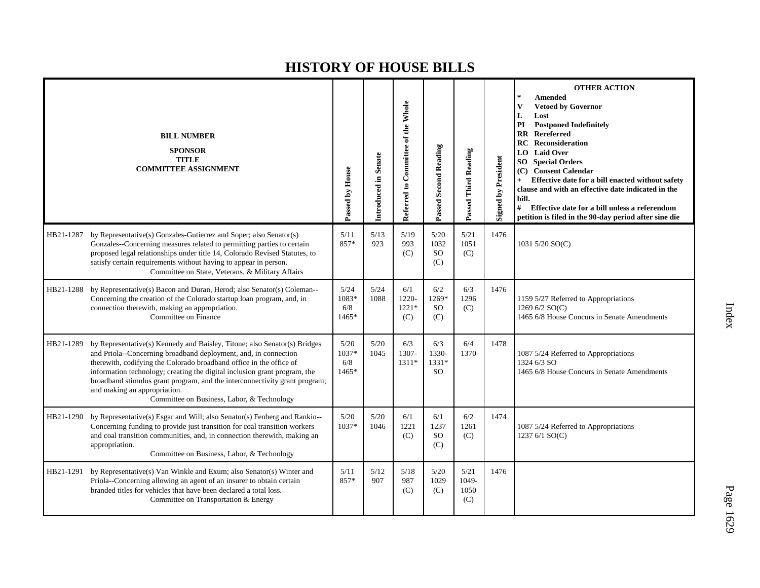|           | <b>BILL NUMBER</b><br><b>SPONSOR</b><br><b>TITLE</b><br><b>COMMITTEE ASSIGNMENT</b>                                                                                                                                                                                                                                                                                                                                                                          | Passed by House               | Introduced in Senate | Referred to Committee of the Whole | <b>Passed Second Reading</b>             | Passed Third Reading         | <b>Signed by President</b> | <b>OTHER ACTION</b><br><b>Amended</b><br><b>Vetoed by Governor</b><br>V<br>Lost<br>L<br><b>Postponed Indefinitely</b><br>PI<br>RR<br>Rereferred<br><b>RC</b> Reconsideration<br><b>Laid Over</b><br>LO.<br><b>Special Orders</b><br>SO.<br><b>Consent Calendar</b><br>(C)<br>Effective date for a bill enacted without safety<br>clause and with an effective date indicated in the<br>bill.<br>#<br>Effective date for a bill unless a referendum<br>petition is filed in the 90-day period after sine die |
|-----------|--------------------------------------------------------------------------------------------------------------------------------------------------------------------------------------------------------------------------------------------------------------------------------------------------------------------------------------------------------------------------------------------------------------------------------------------------------------|-------------------------------|----------------------|------------------------------------|------------------------------------------|------------------------------|----------------------------|-------------------------------------------------------------------------------------------------------------------------------------------------------------------------------------------------------------------------------------------------------------------------------------------------------------------------------------------------------------------------------------------------------------------------------------------------------------------------------------------------------------|
| HB21-1287 | by Representative(s) Gonzales-Gutierrez and Soper; also Senator(s)<br>Gonzales--Concerning measures related to permitting parties to certain<br>proposed legal relationships under title 14, Colorado Revised Statutes, to<br>satisfy certain requirements without having to appear in person.<br>Committee on State, Veterans, & Military Affairs                                                                                                           | 5/11<br>857*                  | 5/13<br>923          | 5/19<br>993<br>(C)                 | 5/20<br>1032<br><b>SO</b><br>(C)         | 5/21<br>1051<br>(C)          | 1476                       | 1031 5/20 SO(C)                                                                                                                                                                                                                                                                                                                                                                                                                                                                                             |
| HB21-1288 | by Representative(s) Bacon and Duran, Herod; also Senator(s) Coleman--<br>Concerning the creation of the Colorado startup loan program, and, in<br>connection therewith, making an appropriation.<br>Committee on Finance                                                                                                                                                                                                                                    | 5/24<br>1083*<br>6/8<br>1465* | 5/24<br>1088         | 6/1<br>1220-<br>$1221*$<br>(C)     | 6/2<br>1269*<br><sub>SO</sub><br>(C)     | 6/3<br>1296<br>(C)           | 1476                       | 1159 5/27 Referred to Appropriations<br>1269 6/2 SO(C)<br>1465 6/8 House Concurs in Senate Amendments                                                                                                                                                                                                                                                                                                                                                                                                       |
| HB21-1289 | by Representative(s) Kennedy and Baisley, Titone; also Senator(s) Bridges<br>and Priola--Concerning broadband deployment, and, in connection<br>therewith, codifying the Colorado broadband office in the office of<br>information technology; creating the digital inclusion grant program, the<br>broadband stimulus grant program, and the interconnectivity grant program;<br>and making an appropriation.<br>Committee on Business, Labor, & Technology | 5/20<br>1037*<br>6/8<br>1465* | 5/20<br>1045         | 6/3<br>1307-<br>1311*              | 6/3<br>1330-<br>$1331*$<br><sub>SO</sub> | 6/4<br>1370                  | 1478                       | 1087 5/24 Referred to Appropriations<br>1324 6/3 SO<br>1465 6/8 House Concurs in Senate Amendments                                                                                                                                                                                                                                                                                                                                                                                                          |
| HB21-1290 | by Representative(s) Esgar and Will; also Senator(s) Fenberg and Rankin--<br>Concerning funding to provide just transition for coal transition workers<br>and coal transition communities, and, in connection therewith, making an<br>appropriation.<br>Committee on Business, Labor, & Technology                                                                                                                                                           | 5/20<br>1037*                 | 5/20<br>1046         | 6/1<br>1221<br>(C)                 | 6/1<br>1237<br><b>SO</b><br>(C)          | 6/2<br>1261<br>(C)           | 1474                       | 1087 5/24 Referred to Appropriations<br>1237 6/1 SO(C)                                                                                                                                                                                                                                                                                                                                                                                                                                                      |
| HB21-1291 | by Representative(s) Van Winkle and Exum; also Senator(s) Winter and<br>Priola--Concerning allowing an agent of an insurer to obtain certain<br>branded titles for vehicles that have been declared a total loss.<br>Committee on Transportation & Energy                                                                                                                                                                                                    | 5/11<br>857*                  | 5/12<br>907          | 5/18<br>987<br>(C)                 | 5/20<br>1029<br>(C)                      | 5/21<br>1049-<br>1050<br>(C) | 1476                       |                                                                                                                                                                                                                                                                                                                                                                                                                                                                                                             |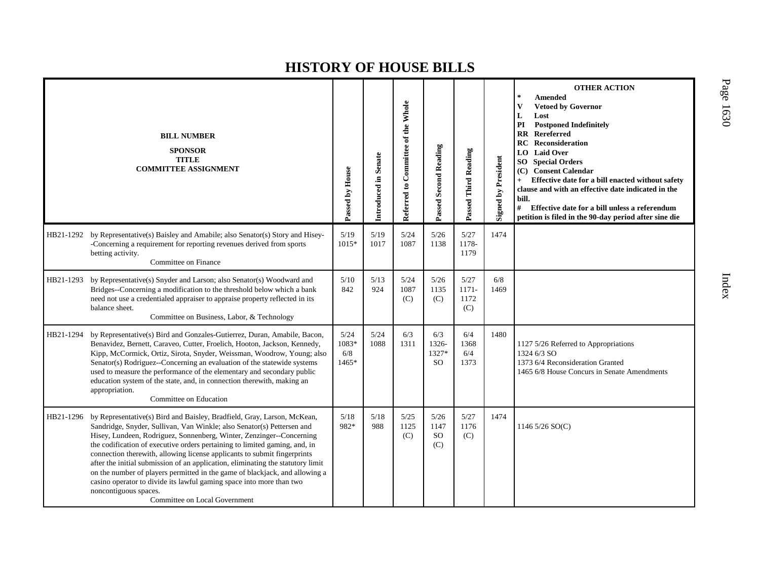|           | <b>BILL NUMBER</b><br><b>SPONSOR</b><br><b>TITLE</b><br><b>COMMITTEE ASSIGNMENT</b>                                                                                                                                                                                                                                                                                                                                                                                                                                                                                                                                                                                                     | Passed by House               | Introduced in Senate | Referred to Committee of the Whole | <b>Passed Second Reading</b>     | Passed Third Reading         | <b>Signed by President</b> | <b>OTHER ACTION</b><br>$\star$<br><b>Amended</b><br>$\overline{\mathbf{V}}$<br><b>Vetoed by Governor</b><br>L<br>Lost<br><b>Postponed Indefinitely</b><br>PI<br>$\mathbf{R}$<br>Rereferred<br>Reconsideration<br>RC<br><b>Laid Over</b><br>LO.<br><b>Special Orders</b><br>SO.<br><b>Consent Calendar</b><br>(C)<br>Effective date for a bill enacted without safety<br>clause and with an effective date indicated in the<br>bill.<br>#<br>Effective date for a bill unless a referendum<br>petition is filed in the 90-day period after sine die |
|-----------|-----------------------------------------------------------------------------------------------------------------------------------------------------------------------------------------------------------------------------------------------------------------------------------------------------------------------------------------------------------------------------------------------------------------------------------------------------------------------------------------------------------------------------------------------------------------------------------------------------------------------------------------------------------------------------------------|-------------------------------|----------------------|------------------------------------|----------------------------------|------------------------------|----------------------------|----------------------------------------------------------------------------------------------------------------------------------------------------------------------------------------------------------------------------------------------------------------------------------------------------------------------------------------------------------------------------------------------------------------------------------------------------------------------------------------------------------------------------------------------------|
| HB21-1292 | by Representative(s) Baisley and Amabile; also Senator(s) Story and Hisey-<br>-Concerning a requirement for reporting revenues derived from sports<br>betting activity.<br>Committee on Finance                                                                                                                                                                                                                                                                                                                                                                                                                                                                                         | 5/19<br>1015*                 | 5/19<br>1017         | 5/24<br>1087                       | 5/26<br>1138                     | 5/27<br>1178-<br>1179        | 1474                       |                                                                                                                                                                                                                                                                                                                                                                                                                                                                                                                                                    |
| HB21-1293 | by Representative(s) Snyder and Larson; also Senator(s) Woodward and<br>Bridges--Concerning a modification to the threshold below which a bank<br>need not use a credentialed appraiser to appraise property reflected in its<br>balance sheet.<br>Committee on Business, Labor, & Technology                                                                                                                                                                                                                                                                                                                                                                                           | 5/10<br>842                   | 5/13<br>924          | 5/24<br>1087<br>(C)                | 5/26<br>1135<br>(C)              | 5/27<br>1171-<br>1172<br>(C) | 6/8<br>1469                |                                                                                                                                                                                                                                                                                                                                                                                                                                                                                                                                                    |
| HB21-1294 | by Representative(s) Bird and Gonzales-Gutierrez, Duran, Amabile, Bacon,<br>Benavidez, Bernett, Caraveo, Cutter, Froelich, Hooton, Jackson, Kennedy,<br>Kipp, McCormick, Ortiz, Sirota, Snyder, Weissman, Woodrow, Young; also<br>Senator(s) Rodriguez--Concerning an evaluation of the statewide systems<br>used to measure the performance of the elementary and secondary public<br>education system of the state, and, in connection therewith, making an<br>appropriation.<br>Committee on Education                                                                                                                                                                               | 5/24<br>1083*<br>6/8<br>1465* | 5/24<br>1088         | 6/3<br>1311                        | 6/3<br>1326-<br>1327*<br>SO.     | 6/4<br>1368<br>6/4<br>1373   | 1480                       | 1127 5/26 Referred to Appropriations<br>1324 6/3 SO<br>1373 6/4 Reconsideration Granted<br>1465 6/8 House Concurs in Senate Amendments                                                                                                                                                                                                                                                                                                                                                                                                             |
| HB21-1296 | by Representative(s) Bird and Baisley, Bradfield, Gray, Larson, McKean,<br>Sandridge, Snyder, Sullivan, Van Winkle; also Senator(s) Pettersen and<br>Hisey, Lundeen, Rodriguez, Sonnenberg, Winter, Zenzinger--Concerning<br>the codification of executive orders pertaining to limited gaming, and, in<br>connection therewith, allowing license applicants to submit fingerprints<br>after the initial submission of an application, eliminating the statutory limit<br>on the number of players permitted in the game of blackjack, and allowing a<br>casino operator to divide its lawful gaming space into more than two<br>noncontiguous spaces.<br>Committee on Local Government | 5/18<br>982*                  | 5/18<br>988          | 5/25<br>1125<br>(C)                | 5/26<br>1147<br><b>SO</b><br>(C) | 5/27<br>1176<br>(C)          | 1474                       | 1146 5/26 SO(C)                                                                                                                                                                                                                                                                                                                                                                                                                                                                                                                                    |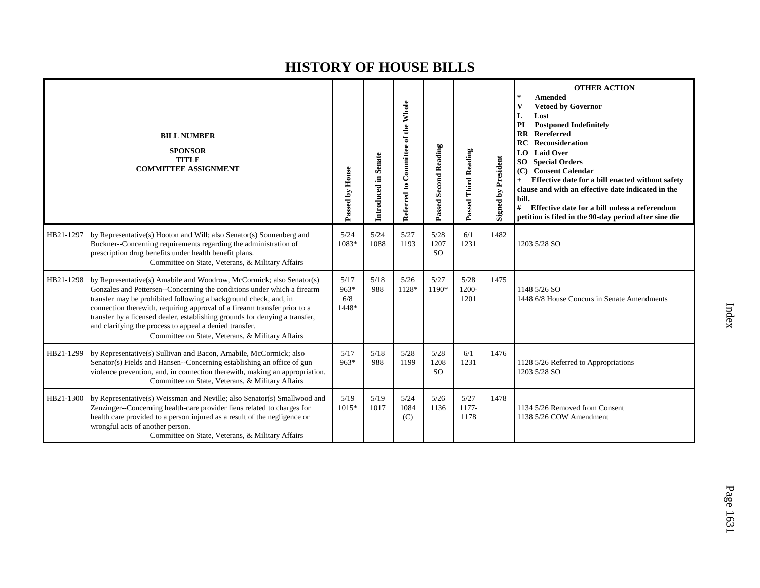|           | <b>BILL NUMBER</b><br><b>SPONSOR</b><br><b>TITLE</b><br><b>COMMITTEE ASSIGNMENT</b>                                                                                                                                                                                                                                                                                                                                                                                                            | Passed by House                | Introduced in Senate | Referred to Committee of the Whole | Passed Second Reading         | Passed Third Reading  | <b>Signed by President</b> | <b>OTHER ACTION</b><br><b>Amended</b><br>$\ast$<br><b>Vetoed by Governor</b><br>Lost<br>L<br>PI<br><b>Postponed Indefinitely</b><br>Rereferred<br>$\mathbf{R}$<br>RC<br>Reconsideration<br><b>Laid Over</b><br>LO.<br><b>Special Orders</b><br>SO <sub>1</sub><br><b>Consent Calendar</b><br>(C)<br>Effective date for a bill enacted without safety<br>clause and with an effective date indicated in the<br>bill.<br>#<br>Effective date for a bill unless a referendum<br>petition is filed in the 90-day period after sine die |
|-----------|------------------------------------------------------------------------------------------------------------------------------------------------------------------------------------------------------------------------------------------------------------------------------------------------------------------------------------------------------------------------------------------------------------------------------------------------------------------------------------------------|--------------------------------|----------------------|------------------------------------|-------------------------------|-----------------------|----------------------------|------------------------------------------------------------------------------------------------------------------------------------------------------------------------------------------------------------------------------------------------------------------------------------------------------------------------------------------------------------------------------------------------------------------------------------------------------------------------------------------------------------------------------------|
| HB21-1297 | by Representative(s) Hooton and Will; also Senator(s) Sonnenberg and<br>Buckner--Concerning requirements regarding the administration of<br>prescription drug benefits under health benefit plans.<br>Committee on State, Veterans, & Military Affairs                                                                                                                                                                                                                                         | 5/24<br>1083*                  | 5/24<br>1088         | 5/27<br>1193                       | 5/28<br>1207<br><sub>SO</sub> | 6/1<br>1231           | 1482                       | 1203 5/28 SO                                                                                                                                                                                                                                                                                                                                                                                                                                                                                                                       |
| HB21-1298 | by Representative(s) Amabile and Woodrow, McCormick; also Senator(s)<br>Gonzales and Pettersen--Concerning the conditions under which a firearm<br>transfer may be prohibited following a background check, and, in<br>connection therewith, requiring approval of a firearm transfer prior to a<br>transfer by a licensed dealer, establishing grounds for denying a transfer,<br>and clarifying the process to appeal a denied transfer.<br>Committee on State, Veterans, & Military Affairs | 5/17<br>$963*$<br>6/8<br>1448* | 5/18<br>988          | 5/26<br>1128*                      | 5/27<br>1190*                 | 5/28<br>1200-<br>1201 | 1475                       | 1148 5/26 SO<br>1448 6/8 House Concurs in Senate Amendments                                                                                                                                                                                                                                                                                                                                                                                                                                                                        |
| HB21-1299 | by Representative(s) Sullivan and Bacon, Amabile, McCormick; also<br>Senator(s) Fields and Hansen--Concerning establishing an office of gun<br>violence prevention, and, in connection therewith, making an appropriation.<br>Committee on State, Veterans, & Military Affairs                                                                                                                                                                                                                 | 5/17<br>$963*$                 | 5/18<br>988          | 5/28<br>1199                       | 5/28<br>1208<br><sub>SO</sub> | 6/1<br>1231           | 1476                       | 1128 5/26 Referred to Appropriations<br>1203 5/28 SO                                                                                                                                                                                                                                                                                                                                                                                                                                                                               |
| HB21-1300 | by Representative(s) Weissman and Neville; also Senator(s) Smallwood and<br>Zenzinger--Concerning health-care provider liens related to charges for<br>health care provided to a person injured as a result of the negligence or<br>wrongful acts of another person.<br>Committee on State, Veterans, & Military Affairs                                                                                                                                                                       | 5/19<br>$1015*$                | 5/19<br>1017         | 5/24<br>1084<br>(C)                | $5/26$<br>1136                | 5/27<br>1177-<br>1178 | 1478                       | 1134 5/26 Removed from Consent<br>1138 5/26 COW Amendment                                                                                                                                                                                                                                                                                                                                                                                                                                                                          |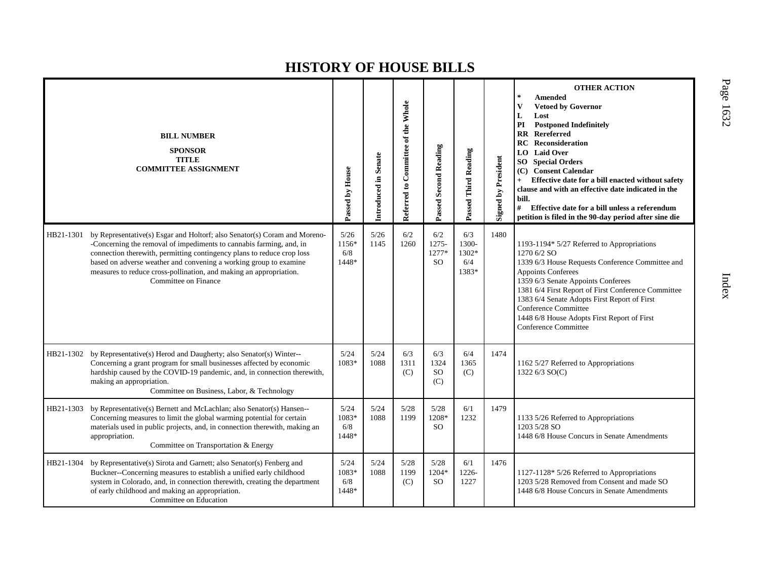|           | <b>BILL NUMBER</b><br><b>SPONSOR</b><br><b>TITLE</b><br><b>COMMITTEE ASSIGNMENT</b>                                                                                                                                                                                                                                                                                                           | Passed by House               | Introduced in Senate | Referred to Committee of the Whole | <b>Passed Second Reading</b>              | Passed Third Reading                  | <b>Signed by President</b> | <b>OTHER ACTION</b><br><b>Amended</b><br>$\star$<br>V<br><b>Vetoed by Governor</b><br>L<br>Lost<br><b>Postponed Indefinitely</b><br>PI<br>$\mathbf{R}$<br>Rereferred<br>Reconsideration<br>RC<br><b>Laid Over</b><br>LO.<br><b>Special Orders</b><br>SO  <br>(C) Consent Calendar<br>Effective date for a bill enacted without safety<br>clause and with an effective date indicated in the<br>bill.<br>#<br>Effective date for a bill unless a referendum<br>petition is filed in the 90-day period after sine die |
|-----------|-----------------------------------------------------------------------------------------------------------------------------------------------------------------------------------------------------------------------------------------------------------------------------------------------------------------------------------------------------------------------------------------------|-------------------------------|----------------------|------------------------------------|-------------------------------------------|---------------------------------------|----------------------------|---------------------------------------------------------------------------------------------------------------------------------------------------------------------------------------------------------------------------------------------------------------------------------------------------------------------------------------------------------------------------------------------------------------------------------------------------------------------------------------------------------------------|
| HB21-1301 | by Representative(s) Esgar and Holtorf; also Senator(s) Coram and Moreno-<br>-Concerning the removal of impediments to cannabis farming, and, in<br>connection therewith, permitting contingency plans to reduce crop loss<br>based on adverse weather and convening a working group to examine<br>measures to reduce cross-pollination, and making an appropriation.<br>Committee on Finance | 5/26<br>1156*<br>6/8<br>1448* | 5/26<br>1145         | 6/2<br>1260                        | 6/2<br>$1275 -$<br>1277*<br><sub>SO</sub> | 6/3<br>1300-<br>1302*<br>6/4<br>1383* | 1480                       | 1193-1194* 5/27 Referred to Appropriations<br>1270 6/2 SO<br>1339 6/3 House Requests Conference Committee and<br>Appoints Conferees<br>1359 6/3 Senate Appoints Conferees<br>1381 6/4 First Report of First Conference Committee<br>1383 6/4 Senate Adopts First Report of First<br>Conference Committee<br>1448 6/8 House Adopts First Report of First<br>Conference Committee                                                                                                                                     |
| HB21-1302 | by Representative(s) Herod and Daugherty; also Senator(s) Winter--<br>Concerning a grant program for small businesses affected by economic<br>hardship caused by the COVID-19 pandemic, and, in connection therewith,<br>making an appropriation.<br>Committee on Business, Labor, & Technology                                                                                               | 5/24<br>1083*                 | 5/24<br>1088         | 6/3<br>1311<br>(C)                 | 6/3<br>1324<br><sub>SO</sub><br>(C)       | 6/4<br>1365<br>(C)                    | 1474                       | 1162 5/27 Referred to Appropriations<br>1322 6/3 SO(C)                                                                                                                                                                                                                                                                                                                                                                                                                                                              |
| HB21-1303 | by Representative(s) Bernett and McLachlan; also Senator(s) Hansen--<br>Concerning measures to limit the global warming potential for certain<br>materials used in public projects, and, in connection therewith, making an<br>appropriation.<br>Committee on Transportation & Energy                                                                                                         | 5/24<br>1083*<br>6/8<br>1448* | $5/24$<br>1088       | 5/28<br>1199                       | 5/28<br>1208*<br><sub>SO</sub>            | 6/1<br>1232                           | 1479                       | 1133 5/26 Referred to Appropriations<br>1203 5/28 SO<br>1448 6/8 House Concurs in Senate Amendments                                                                                                                                                                                                                                                                                                                                                                                                                 |
| HB21-1304 | by Representative(s) Sirota and Garnett; also Senator(s) Fenberg and<br>Buckner--Concerning measures to establish a unified early childhood<br>system in Colorado, and, in connection therewith, creating the department<br>of early childhood and making an appropriation.<br>Committee on Education                                                                                         | 5/24<br>1083*<br>6/8<br>1448* | 5/24<br>1088         | 5/28<br>1199<br>(C)                | 5/28<br>1204*<br><sub>SO</sub>            | 6/1<br>1226-<br>1227                  | 1476                       | 1127-1128* 5/26 Referred to Appropriations<br>1203 5/28 Removed from Consent and made SO<br>1448 6/8 House Concurs in Senate Amendments                                                                                                                                                                                                                                                                                                                                                                             |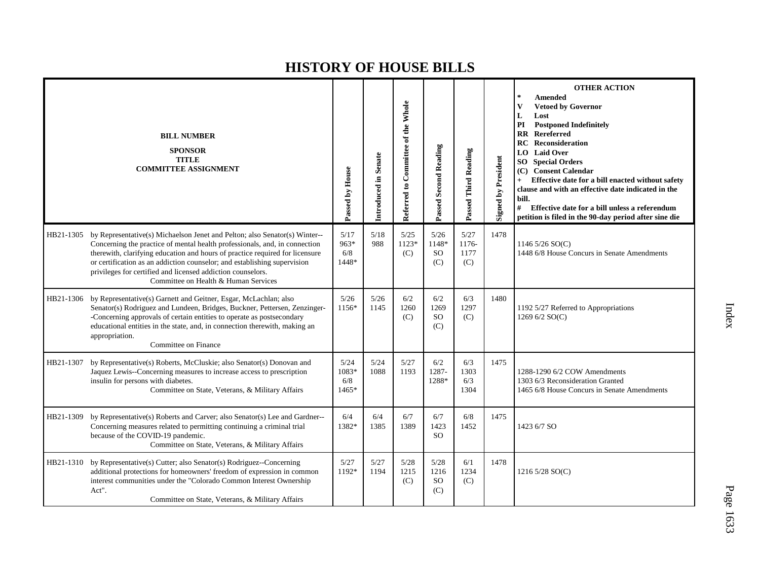|           | <b>BILL NUMBER</b><br><b>SPONSOR</b><br><b>TITLE</b><br><b>COMMITTEE ASSIGNMENT</b>                                                                                                                                                                                                                                                                                                                                         | Passed by House               | Introduced in Senate | Referred to Committee of the Whole | Passed Second Reading                | Passed Third Reading         | <b>Signed by President</b> | <b>OTHER ACTION</b><br>Amended<br><b>Vetoed by Governor</b><br>V<br>Lost<br>L<br><b>Postponed Indefinitely</b><br>PI<br>$\overline{\text{RR}}$<br><b>Rereferred</b><br><b>Reconsideration</b><br>RC<br><b>LO</b> Laid Over<br><b>Special Orders</b><br>SO  <br><b>Consent Calendar</b><br>(C)<br>Effective date for a bill enacted without safety<br>clause and with an effective date indicated in the<br>bill.<br>#<br>Effective date for a bill unless a referendum<br>petition is filed in the 90-day period after sine die |
|-----------|-----------------------------------------------------------------------------------------------------------------------------------------------------------------------------------------------------------------------------------------------------------------------------------------------------------------------------------------------------------------------------------------------------------------------------|-------------------------------|----------------------|------------------------------------|--------------------------------------|------------------------------|----------------------------|---------------------------------------------------------------------------------------------------------------------------------------------------------------------------------------------------------------------------------------------------------------------------------------------------------------------------------------------------------------------------------------------------------------------------------------------------------------------------------------------------------------------------------|
| HB21-1305 | by Representative(s) Michaelson Jenet and Pelton; also Senator(s) Winter--<br>Concerning the practice of mental health professionals, and, in connection<br>therewith, clarifying education and hours of practice required for licensure<br>or certification as an addiction counselor; and establishing supervision<br>privileges for certified and licensed addiction counselors.<br>Committee on Health & Human Services | 5/17<br>963*<br>6/8<br>1448*  | 5/18<br>988          | 5/25<br>$1123*$<br>(C)             | 5/26<br>1148*<br><b>SO</b><br>(C)    | 5/27<br>1176-<br>1177<br>(C) | 1478                       | 1146 $5/26$ SO(C)<br>1448 6/8 House Concurs in Senate Amendments                                                                                                                                                                                                                                                                                                                                                                                                                                                                |
| HB21-1306 | by Representative(s) Garnett and Geitner, Esgar, McLachlan; also<br>Senator(s) Rodriguez and Lundeen, Bridges, Buckner, Pettersen, Zenzinger-<br>-Concerning approvals of certain entities to operate as postsecondary<br>educational entities in the state, and, in connection therewith, making an<br>appropriation.<br>Committee on Finance                                                                              | 5/26<br>1156*                 | 5/26<br>1145         | 6/2<br>1260<br>(C)                 | 6/2<br>1269<br><sub>SO</sub><br>(C)  | 6/3<br>1297<br>(C)           | 1480                       | 1192 5/27 Referred to Appropriations<br>1269 6/2 SO(C)                                                                                                                                                                                                                                                                                                                                                                                                                                                                          |
| HB21-1307 | by Representative(s) Roberts, McCluskie; also Senator(s) Donovan and<br>Jaquez Lewis--Concerning measures to increase access to prescription<br>insulin for persons with diabetes.<br>Committee on State, Veterans, & Military Affairs                                                                                                                                                                                      | 5/24<br>1083*<br>6/8<br>1465* | 5/24<br>1088         | 5/27<br>1193                       | 6/2<br>1287-<br>1288*                | 6/3<br>1303<br>6/3<br>1304   | 1475                       | 1288-1290 6/2 COW Amendments<br>1303 6/3 Reconsideration Granted<br>1465 6/8 House Concurs in Senate Amendments                                                                                                                                                                                                                                                                                                                                                                                                                 |
| HB21-1309 | by Representative(s) Roberts and Carver; also Senator(s) Lee and Gardner--<br>Concerning measures related to permitting continuing a criminal trial<br>because of the COVID-19 pandemic.<br>Committee on State, Veterans, & Military Affairs                                                                                                                                                                                | 6/4<br>1382*                  | 6/4<br>1385          | 6/7<br>1389                        | 6/7<br>1423<br><sub>SO</sub>         | 6/8<br>1452                  | 1475                       | 1423 6/7 SO                                                                                                                                                                                                                                                                                                                                                                                                                                                                                                                     |
| HB21-1310 | by Representative(s) Cutter; also Senator(s) Rodriguez--Concerning<br>additional protections for homeowners' freedom of expression in common<br>interest communities under the "Colorado Common Interest Ownership<br>Act".<br>Committee on State, Veterans, & Military Affairs                                                                                                                                             | 5/27<br>1192*                 | 5/27<br>1194         | 5/28<br>1215<br>(C)                | 5/28<br>1216<br><sub>SO</sub><br>(C) | 6/1<br>1234<br>(C)           | 1478                       | 1216 5/28 SO(C)                                                                                                                                                                                                                                                                                                                                                                                                                                                                                                                 |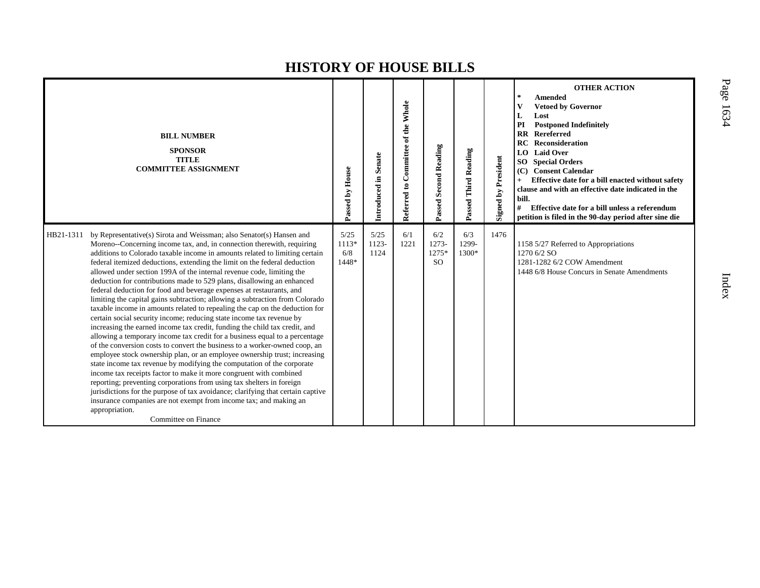| <b>BILL NUMBER</b><br><b>SPONSOR</b><br><b>TITLE</b><br><b>COMMITTEE ASSIGNMENT</b>                                                                                                                                                                                                                                                                                                                                                                                                                                                                                                                                                                                                                                                                                                                                                                                                                                                                                                                                                                                                                                                                                                                                                                                                                                                                                                                                                                                                                                                          | Passed by House                 | Introduced in Senate     | Referred to Committee of the Whole | Passed Second Reading              | Passed Third Reading  | <b>Signed by President</b> | <b>OTHER ACTION</b><br>$\ast$<br><b>Amended</b><br>V<br><b>Vetoed by Governor</b><br>L<br>Lost<br>PI<br><b>Postponed Indefinitely</b><br><b>RR</b> Rereferred<br><b>Reconsideration</b><br>RC<br><b>LO</b> Laid Over<br><b>Special Orders</b><br>SO.<br><b>Consent Calendar</b><br>(C)<br>Effective date for a bill enacted without safety<br>$+$<br>clause and with an effective date indicated in the<br>bill.<br>#<br>Effective date for a bill unless a referendum<br>petition is filed in the 90-day period after sine die |
|----------------------------------------------------------------------------------------------------------------------------------------------------------------------------------------------------------------------------------------------------------------------------------------------------------------------------------------------------------------------------------------------------------------------------------------------------------------------------------------------------------------------------------------------------------------------------------------------------------------------------------------------------------------------------------------------------------------------------------------------------------------------------------------------------------------------------------------------------------------------------------------------------------------------------------------------------------------------------------------------------------------------------------------------------------------------------------------------------------------------------------------------------------------------------------------------------------------------------------------------------------------------------------------------------------------------------------------------------------------------------------------------------------------------------------------------------------------------------------------------------------------------------------------------|---------------------------------|--------------------------|------------------------------------|------------------------------------|-----------------------|----------------------------|---------------------------------------------------------------------------------------------------------------------------------------------------------------------------------------------------------------------------------------------------------------------------------------------------------------------------------------------------------------------------------------------------------------------------------------------------------------------------------------------------------------------------------|
| HB21-1311<br>by Representative(s) Sirota and Weissman; also Senator(s) Hansen and<br>Moreno--Concerning income tax, and, in connection therewith, requiring<br>additions to Colorado taxable income in amounts related to limiting certain<br>federal itemized deductions, extending the limit on the federal deduction<br>allowed under section 199A of the internal revenue code, limiting the<br>deduction for contributions made to 529 plans, disallowing an enhanced<br>federal deduction for food and beverage expenses at restaurants, and<br>limiting the capital gains subtraction; allowing a subtraction from Colorado<br>taxable income in amounts related to repealing the cap on the deduction for<br>certain social security income; reducing state income tax revenue by<br>increasing the earned income tax credit, funding the child tax credit, and<br>allowing a temporary income tax credit for a business equal to a percentage<br>of the conversion costs to convert the business to a worker-owned coop, an<br>employee stock ownership plan, or an employee ownership trust; increasing<br>state income tax revenue by modifying the computation of the corporate<br>income tax receipts factor to make it more congruent with combined<br>reporting; preventing corporations from using tax shelters in foreign<br>jurisdictions for the purpose of tax avoidance; clarifying that certain captive<br>insurance companies are not exempt from income tax; and making an<br>appropriation.<br>Committee on Finance | 5/25<br>$1113*$<br>6/8<br>1448* | 5/25<br>$1123 -$<br>1124 | 6/1<br>1221                        | 6/2<br>1273-<br>1275*<br><b>SO</b> | 6/3<br>1299-<br>1300* | 1476                       | 1158 5/27 Referred to Appropriations<br>1270 6/2 SO<br>1281-1282 6/2 COW Amendment<br>1448 6/8 House Concurs in Senate Amendments                                                                                                                                                                                                                                                                                                                                                                                               |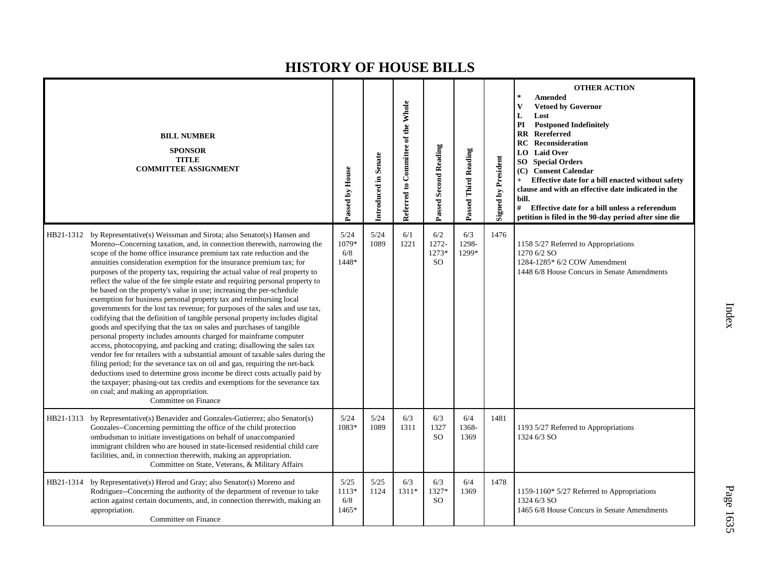|           | <b>BILL NUMBER</b><br><b>SPONSOR</b><br><b>TITLE</b><br><b>COMMITTEE ASSIGNMENT</b>                                                                                                                                                                                                                                                                                                                                                                                                                                                                                                                                                                                                                                                                                                                                                                                                                                                                                                                                                                                                                                                                                                                                                                                                                                                                                                                               | Passed by House               | Introduced in Senate | Referred to Committee of the Whole | <b>Passed Second Reading</b>           | Passed Third Reading  | Signed by President | <b>OTHER ACTION</b><br>$\star$<br><b>Amended</b><br>V<br><b>Vetoed by Governor</b><br>Lost<br>L<br>PI<br><b>Postponed Indefinitely</b><br>$\mathbf{R}$<br><b>Rereferred</b><br>Reconsideration<br>RC<br><b>Laid Over</b><br>LO.<br><b>SO</b> Special Orders<br><b>Consent Calendar</b><br>(C)<br>Effective date for a bill enacted without safety<br>$+$<br>clause and with an effective date indicated in the<br>bill.<br>#<br>Effective date for a bill unless a referendum<br>petition is filed in the 90-day period after sine die |
|-----------|-------------------------------------------------------------------------------------------------------------------------------------------------------------------------------------------------------------------------------------------------------------------------------------------------------------------------------------------------------------------------------------------------------------------------------------------------------------------------------------------------------------------------------------------------------------------------------------------------------------------------------------------------------------------------------------------------------------------------------------------------------------------------------------------------------------------------------------------------------------------------------------------------------------------------------------------------------------------------------------------------------------------------------------------------------------------------------------------------------------------------------------------------------------------------------------------------------------------------------------------------------------------------------------------------------------------------------------------------------------------------------------------------------------------|-------------------------------|----------------------|------------------------------------|----------------------------------------|-----------------------|---------------------|----------------------------------------------------------------------------------------------------------------------------------------------------------------------------------------------------------------------------------------------------------------------------------------------------------------------------------------------------------------------------------------------------------------------------------------------------------------------------------------------------------------------------------------|
|           | HB21-1312 by Representative(s) Weissman and Sirota; also Senator(s) Hansen and<br>Moreno--Concerning taxation, and, in connection therewith, narrowing the<br>scope of the home office insurance premium tax rate reduction and the<br>annuities consideration exemption for the insurance premium tax; for<br>purposes of the property tax, requiring the actual value of real property to<br>reflect the value of the fee simple estate and requiring personal property to<br>be based on the property's value in use; increasing the per-schedule<br>exemption for business personal property tax and reimbursing local<br>governments for the lost tax revenue; for purposes of the sales and use tax,<br>codifying that the definition of tangible personal property includes digital<br>goods and specifying that the tax on sales and purchases of tangible<br>personal property includes amounts charged for mainframe computer<br>access, photocopying, and packing and crating; disallowing the sales tax<br>vendor fee for retailers with a substantial amount of taxable sales during the<br>filing period; for the severance tax on oil and gas, requiring the net-back<br>deductions used to determine gross income be direct costs actually paid by<br>the taxpayer; phasing-out tax credits and exemptions for the severance tax<br>on coal; and making an appropriation.<br>Committee on Finance | 5/24<br>1079*<br>6/8<br>1448* | 5/24<br>1089         | 6/1<br>1221                        | 6/2<br>1272-<br>1273*<br><sub>SO</sub> | 6/3<br>1298-<br>1299* | 1476                | 1158 5/27 Referred to Appropriations<br>1270 6/2 SO<br>1284-1285* 6/2 COW Amendment<br>1448 6/8 House Concurs in Senate Amendments                                                                                                                                                                                                                                                                                                                                                                                                     |
|           | HB21-1313 by Representative(s) Benavidez and Gonzales-Gutierrez; also Senator(s)<br>Gonzales--Concerning permitting the office of the child protection<br>ombudsman to initiate investigations on behalf of unaccompanied<br>immigrant children who are housed in state-licensed residential child care<br>facilities, and, in connection therewith, making an appropriation.<br>Committee on State, Veterans, & Military Affairs                                                                                                                                                                                                                                                                                                                                                                                                                                                                                                                                                                                                                                                                                                                                                                                                                                                                                                                                                                                 | 5/24<br>1083*                 | 5/24<br>1089         | 6/3<br>1311                        | 6/3<br>1327<br><sub>SO</sub>           | 6/4<br>1368-<br>1369  | 1481                | 1193 5/27 Referred to Appropriations<br>1324 6/3 SO                                                                                                                                                                                                                                                                                                                                                                                                                                                                                    |
| HB21-1314 | by Representative(s) Herod and Gray; also Senator(s) Moreno and<br>Rodriguez--Concerning the authority of the department of revenue to take<br>action against certain documents, and, in connection therewith, making an<br>appropriation.<br>Committee on Finance                                                                                                                                                                                                                                                                                                                                                                                                                                                                                                                                                                                                                                                                                                                                                                                                                                                                                                                                                                                                                                                                                                                                                | 5/25<br>1113*<br>6/8<br>1465* | 5/25<br>1124         | 6/3<br>$1311*$                     | 6/3<br>1327*<br><sub>SO</sub>          | 6/4<br>1369           | 1478                | 1159-1160* 5/27 Referred to Appropriations<br>1324 6/3 SO<br>1465 6/8 House Concurs in Senate Amendments                                                                                                                                                                                                                                                                                                                                                                                                                               |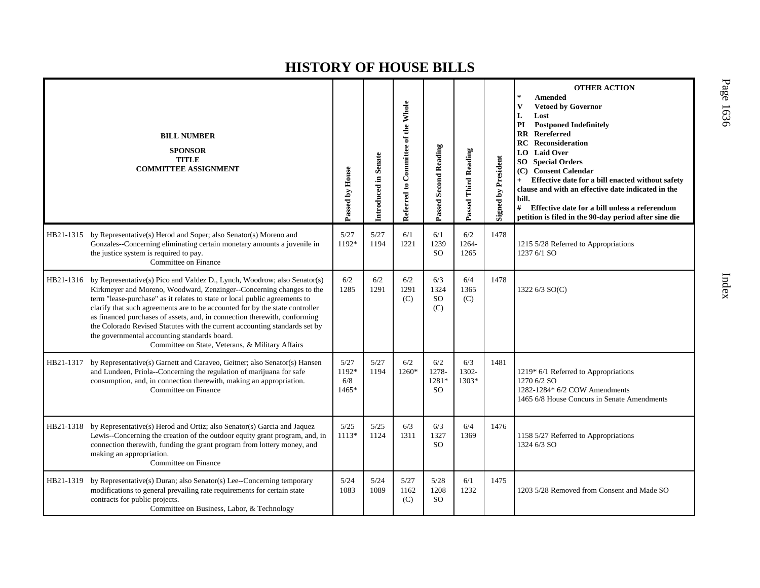|           | <b>BILL NUMBER</b><br><b>SPONSOR</b><br><b>TITLE</b><br><b>COMMITTEE ASSIGNMENT</b>                                                                                                                                                                                                                                                                                                                                                                                                                                                                                           | Passed by House               | Introduced in Senate | Referred to Committee of the Whole | Passed Second Reading                    | Passed Third Reading  | <b>Signed by President</b> | <b>OTHER ACTION</b><br>$\star$<br>Amended<br><b>Vetoed by Governor</b><br>V<br>L<br>Lost<br>PI<br><b>Postponed Indefinitely</b><br>Rereferred<br>$\mathbf{R}$<br><b>RC</b> Reconsideration<br><b>Laid Over</b><br>LO  <br><b>SO</b> Special Orders<br>(C) Consent Calendar<br>Effective date for a bill enacted without safety<br>$+$<br>clause and with an effective date indicated in the<br>bill.<br>#<br>Effective date for a bill unless a referendum<br>petition is filed in the 90-day period after sine die |
|-----------|-------------------------------------------------------------------------------------------------------------------------------------------------------------------------------------------------------------------------------------------------------------------------------------------------------------------------------------------------------------------------------------------------------------------------------------------------------------------------------------------------------------------------------------------------------------------------------|-------------------------------|----------------------|------------------------------------|------------------------------------------|-----------------------|----------------------------|---------------------------------------------------------------------------------------------------------------------------------------------------------------------------------------------------------------------------------------------------------------------------------------------------------------------------------------------------------------------------------------------------------------------------------------------------------------------------------------------------------------------|
|           | HB21-1315 by Representative(s) Herod and Soper; also Senator(s) Moreno and<br>Gonzales--Concerning eliminating certain monetary amounts a juvenile in<br>the justice system is required to pay.<br>Committee on Finance                                                                                                                                                                                                                                                                                                                                                       | 5/27<br>1192*                 | 5/27<br>1194         | 6/1<br>1221                        | 6/1<br>1239<br><sub>SO</sub>             | 6/2<br>1264-<br>1265  | 1478                       | 1215 5/28 Referred to Appropriations<br>1237 6/1 SO                                                                                                                                                                                                                                                                                                                                                                                                                                                                 |
| HB21-1316 | by Representative(s) Pico and Valdez D., Lynch, Woodrow; also Senator(s)<br>Kirkmeyer and Moreno, Woodward, Zenzinger--Concerning changes to the<br>term "lease-purchase" as it relates to state or local public agreements to<br>clarify that such agreements are to be accounted for by the state controller<br>as financed purchases of assets, and, in connection therewith, conforming<br>the Colorado Revised Statutes with the current accounting standards set by<br>the governmental accounting standards board.<br>Committee on State, Veterans, & Military Affairs | 6/2<br>1285                   | 6/2<br>1291          | 6/2<br>1291<br>(C)                 | 6/3<br>1324<br><b>SO</b><br>(C)          | 6/4<br>1365<br>(C)    | 1478                       | 1322 6/3 SO(C)                                                                                                                                                                                                                                                                                                                                                                                                                                                                                                      |
| HB21-1317 | by Representative(s) Garnett and Caraveo, Geitner; also Senator(s) Hansen<br>and Lundeen, Priola--Concerning the regulation of marijuana for safe<br>consumption, and, in connection therewith, making an appropriation.<br>Committee on Finance                                                                                                                                                                                                                                                                                                                              | 5/27<br>1192*<br>6/8<br>1465* | 5/27<br>1194         | 6/2<br>1260*                       | 6/2<br>1278-<br>1281*<br>SO <sub>1</sub> | 6/3<br>1302-<br>1303* | 1481                       | 1219* 6/1 Referred to Appropriations<br>1270 6/2 SO<br>1282-1284* 6/2 COW Amendments<br>1465 6/8 House Concurs in Senate Amendments                                                                                                                                                                                                                                                                                                                                                                                 |
| HB21-1318 | by Representative(s) Herod and Ortiz; also Senator(s) Garcia and Jaquez<br>Lewis--Concerning the creation of the outdoor equity grant program, and, in<br>connection therewith, funding the grant program from lottery money, and<br>making an appropriation.<br>Committee on Finance                                                                                                                                                                                                                                                                                         | 5/25<br>1113*                 | 5/25<br>1124         | 6/3<br>1311                        | 6/3<br>1327<br><sub>SO</sub>             | 6/4<br>1369           | 1476                       | 1158 5/27 Referred to Appropriations<br>1324 6/3 SO                                                                                                                                                                                                                                                                                                                                                                                                                                                                 |
| HB21-1319 | by Representative(s) Duran; also Senator(s) Lee--Concerning temporary<br>modifications to general prevailing rate requirements for certain state<br>contracts for public projects.<br>Committee on Business, Labor, & Technology                                                                                                                                                                                                                                                                                                                                              | 5/24<br>1083                  | 5/24<br>1089         | 5/27<br>1162<br>(C)                | 5/28<br>1208<br>SO.                      | 6/1<br>1232           | 1475                       | 1203 5/28 Removed from Consent and Made SO                                                                                                                                                                                                                                                                                                                                                                                                                                                                          |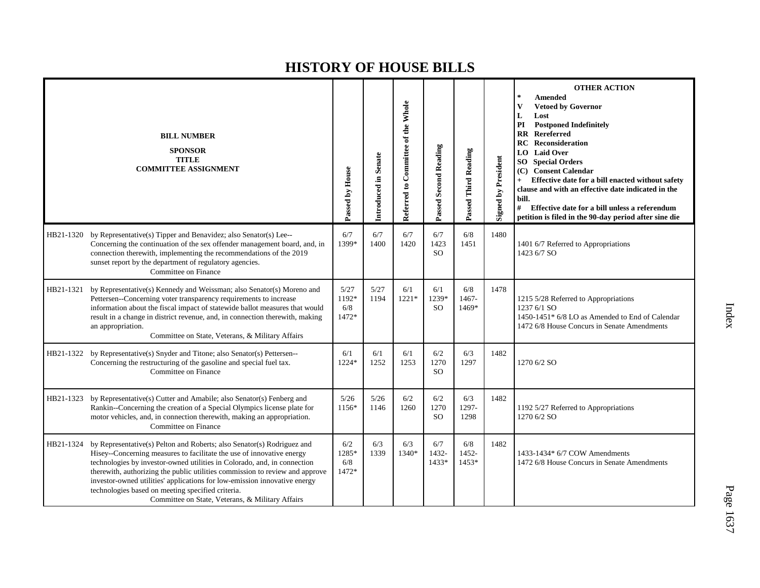|           | <b>BILL NUMBER</b><br><b>SPONSOR</b><br><b>TITLE</b><br><b>COMMITTEE ASSIGNMENT</b>                                                                                                                                                                                                                                                                                                                                                                                                               | Passed by House               | Introduced in Senate | Referred to Committee of the Whole | Passed Second Reading         | Passed Third Reading  | <b>Signed by President</b> | <b>OTHER ACTION</b><br>$\ast$<br>Amended<br><b>Vetoed by Governor</b><br>V<br>L<br>Lost<br>PI<br><b>Postponed Indefinitely</b><br>$\mathbf{R}\mathbf{R}$<br><b>Rereferred</b><br><b>Reconsideration</b><br>RC<br><b>Laid Over</b><br>LO –<br><b>SO</b><br><b>Special Orders</b><br>(C) Consent Calendar<br>Effective date for a bill enacted without safety<br>clause and with an effective date indicated in the<br>bill.<br>#<br>Effective date for a bill unless a referendum<br>petition is filed in the 90-day period after sine die |
|-----------|---------------------------------------------------------------------------------------------------------------------------------------------------------------------------------------------------------------------------------------------------------------------------------------------------------------------------------------------------------------------------------------------------------------------------------------------------------------------------------------------------|-------------------------------|----------------------|------------------------------------|-------------------------------|-----------------------|----------------------------|-------------------------------------------------------------------------------------------------------------------------------------------------------------------------------------------------------------------------------------------------------------------------------------------------------------------------------------------------------------------------------------------------------------------------------------------------------------------------------------------------------------------------------------------|
| HB21-1320 | by Representative(s) Tipper and Benavidez; also Senator(s) Lee--<br>Concerning the continuation of the sex offender management board, and, in<br>connection therewith, implementing the recommendations of the 2019<br>sunset report by the department of regulatory agencies.<br>Committee on Finance                                                                                                                                                                                            | 6/7<br>1399*                  | 6/7<br>1400          | 6/7<br>1420                        | 6/7<br>1423<br><b>SO</b>      | 6/8<br>1451           | 1480                       | 1401 6/7 Referred to Appropriations<br>1423 6/7 SO                                                                                                                                                                                                                                                                                                                                                                                                                                                                                        |
| HB21-1321 | by Representative(s) Kennedy and Weissman; also Senator(s) Moreno and<br>Pettersen--Concerning voter transparency requirements to increase<br>information about the fiscal impact of statewide ballot measures that would<br>result in a change in district revenue, and, in connection therewith, making<br>an appropriation.<br>Committee on State, Veterans, & Military Affairs                                                                                                                | 5/27<br>1192*<br>6/8<br>1472* | 5/27<br>1194         | 6/1<br>1221*                       | 6/1<br>1239*<br><sub>SO</sub> | 6/8<br>1467-<br>1469* | 1478                       | 1215 5/28 Referred to Appropriations<br>1237 6/1 SO<br>1450-1451* 6/8 LO as Amended to End of Calendar<br>1472 6/8 House Concurs in Senate Amendments                                                                                                                                                                                                                                                                                                                                                                                     |
| HB21-1322 | by Representative(s) Snyder and Titone; also Senator(s) Pettersen--<br>Concerning the restructuring of the gasoline and special fuel tax.<br>Committee on Finance                                                                                                                                                                                                                                                                                                                                 | 6/1<br>1224*                  | 6/1<br>1252          | 6/1<br>1253                        | 6/2<br>1270<br><sub>SO</sub>  | 6/3<br>1297           | 1482                       | 1270 6/2 SO                                                                                                                                                                                                                                                                                                                                                                                                                                                                                                                               |
| HB21-1323 | by Representative(s) Cutter and Amabile; also Senator(s) Fenberg and<br>Rankin--Concerning the creation of a Special Olympics license plate for<br>motor vehicles, and, in connection therewith, making an appropriation.<br>Committee on Finance                                                                                                                                                                                                                                                 | 5/26<br>1156*                 | 5/26<br>1146         | 6/2<br>1260                        | 6/2<br>1270<br><b>SO</b>      | 6/3<br>1297-<br>1298  | 1482                       | 1192 5/27 Referred to Appropriations<br>1270 6/2 SO                                                                                                                                                                                                                                                                                                                                                                                                                                                                                       |
| HB21-1324 | by Representative(s) Pelton and Roberts; also Senator(s) Rodriguez and<br>Hisey--Concerning measures to facilitate the use of innovative energy<br>technologies by investor-owned utilities in Colorado, and, in connection<br>therewith, authorizing the public utilities commission to review and approve<br>investor-owned utilities' applications for low-emission innovative energy<br>technologies based on meeting specified criteria.<br>Committee on State, Veterans, & Military Affairs | 6/2<br>1285*<br>6/8<br>1472*  | 6/3<br>1339          | 6/3<br>1340*                       | 6/7<br>1432-<br>1433*         | 6/8<br>1452-<br>1453* | 1482                       | 1433-1434* 6/7 COW Amendments<br>1472 6/8 House Concurs in Senate Amendments                                                                                                                                                                                                                                                                                                                                                                                                                                                              |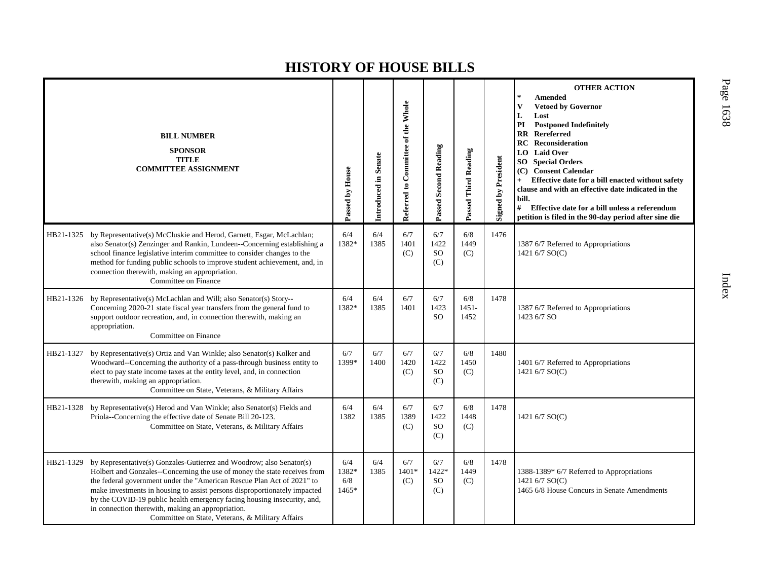|           | <b>BILL NUMBER</b><br><b>SPONSOR</b><br><b>TITLE</b><br><b>COMMITTEE ASSIGNMENT</b>                                                                                                                                                                                                                                                                                                                                                                                                          | Passed by House              | Introduced in Senate | Referred to Committee of the Whole | <b>Passed Second Reading</b>        | Passed Third Reading    | <b>Signed by President</b> | <b>OTHER ACTION</b><br><b>Amended</b><br>V<br><b>Vetoed by Governor</b><br>L<br>Lost<br>PI<br><b>Postponed Indefinitely</b><br><b>RR</b> Rereferred<br><b>RC</b> Reconsideration<br><b>Laid Over</b><br>LO  <br><b>SO</b> Special Orders<br><b>Consent Calendar</b><br>(C)<br>Effective date for a bill enacted without safety<br>$+$<br>clause and with an effective date indicated in the<br>bill.<br>#<br>Effective date for a bill unless a referendum<br>petition is filed in the 90-day period after sine die |
|-----------|----------------------------------------------------------------------------------------------------------------------------------------------------------------------------------------------------------------------------------------------------------------------------------------------------------------------------------------------------------------------------------------------------------------------------------------------------------------------------------------------|------------------------------|----------------------|------------------------------------|-------------------------------------|-------------------------|----------------------------|---------------------------------------------------------------------------------------------------------------------------------------------------------------------------------------------------------------------------------------------------------------------------------------------------------------------------------------------------------------------------------------------------------------------------------------------------------------------------------------------------------------------|
| HB21-1325 | by Representative(s) McCluskie and Herod, Garnett, Esgar, McLachlan;<br>also Senator(s) Zenzinger and Rankin, Lundeen--Concerning establishing a<br>school finance legislative interim committee to consider changes to the<br>method for funding public schools to improve student achievement, and, in<br>connection therewith, making an appropriation.<br>Committee on Finance                                                                                                           | 6/4<br>1382*                 | 6/4<br>1385          | 6/7<br>1401<br>(C)                 | 6/7<br>1422<br><b>SO</b><br>(C)     | 6/8<br>1449<br>(C)      | 1476                       | 1387 6/7 Referred to Appropriations<br>1421 6/7 SO(C)                                                                                                                                                                                                                                                                                                                                                                                                                                                               |
|           | HB21-1326 by Representative(s) McLachlan and Will; also Senator(s) Story--<br>Concerning 2020-21 state fiscal year transfers from the general fund to<br>support outdoor recreation, and, in connection therewith, making an<br>appropriation.<br>Committee on Finance                                                                                                                                                                                                                       | 6/4<br>1382*                 | 6/4<br>1385          | 6/7<br>1401                        | 6/7<br>1423<br><b>SO</b>            | 6/8<br>$1451 -$<br>1452 | 1478                       | 1387 6/7 Referred to Appropriations<br>1423 6/7 SO                                                                                                                                                                                                                                                                                                                                                                                                                                                                  |
| HB21-1327 | by Representative(s) Ortiz and Van Winkle; also Senator(s) Kolker and<br>Woodward--Concerning the authority of a pass-through business entity to<br>elect to pay state income taxes at the entity level, and, in connection<br>therewith, making an appropriation.<br>Committee on State, Veterans, & Military Affairs                                                                                                                                                                       | 6/7<br>1399*                 | 6/7<br>1400          | 6/7<br>1420<br>(C)                 | 6/7<br>1422<br><sub>SO</sub><br>(C) | 6/8<br>1450<br>(C)      | 1480                       | 1401 6/7 Referred to Appropriations<br>1421 6/7 SO(C)                                                                                                                                                                                                                                                                                                                                                                                                                                                               |
| HB21-1328 | by Representative(s) Herod and Van Winkle; also Senator(s) Fields and<br>Priola--Concerning the effective date of Senate Bill 20-123.<br>Committee on State, Veterans, & Military Affairs                                                                                                                                                                                                                                                                                                    | 6/4<br>1382                  | 6/4<br>1385          | 6/7<br>1389<br>(C)                 | 6/7<br>1422<br><b>SO</b><br>(C)     | 6/8<br>1448<br>(C)      | 1478                       | 1421 6/7 SO(C)                                                                                                                                                                                                                                                                                                                                                                                                                                                                                                      |
| HB21-1329 | by Representative(s) Gonzales-Gutierrez and Woodrow; also Senator(s)<br>Holbert and Gonzales--Concerning the use of money the state receives from<br>the federal government under the "American Rescue Plan Act of 2021" to<br>make investments in housing to assist persons disproportionately impacted<br>by the COVID-19 public health emergency facing housing insecurity, and,<br>in connection therewith, making an appropriation.<br>Committee on State, Veterans, & Military Affairs | 6/4<br>1382*<br>6/8<br>1465* | 6/4<br>1385          | 6/7<br>$1401*$<br>(C)              | 6/7<br>1422*<br><b>SO</b><br>(C)    | 6/8<br>1449<br>(C)      | 1478                       | 1388-1389* 6/7 Referred to Appropriations<br>1421 6/7 SO(C)<br>1465 6/8 House Concurs in Senate Amendments                                                                                                                                                                                                                                                                                                                                                                                                          |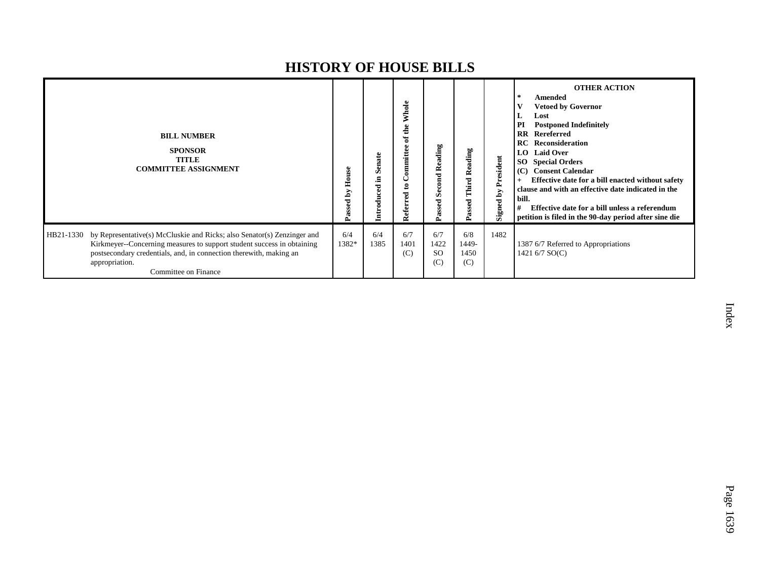|           | <b>BILL NUMBER</b><br><b>SPONSOR</b><br><b>TITLE</b><br><b>COMMITTEE ASSIGNMENT</b>                                                                                                                                                                               | House<br>ΣĀ<br>Passed | Senate<br>£.<br><b>Introduced</b> | Whole<br>the<br>đ<br>ommittee<br>ខ<br>Referred | Reading<br>Second<br>Passed         | Reading<br>Third<br>Passed  | President<br>Signed by | <b>OTHER ACTION</b><br>$\ast$<br>Amended<br><b>Vetoed by Governor</b><br>Lost<br>PI<br><b>Postponed Indefinitely</b><br>Rereferred<br>$\mathbf{R}\mathbf{R}$<br><b>RC</b> Reconsideration<br><b>Laid Over</b><br>LO –<br><b>Special Orders</b><br>SO.<br><b>Consent Calendar</b><br>(C)<br>Effective date for a bill enacted without safety<br>clause and with an effective date indicated in the<br>bill.<br>Effective date for a bill unless a referendum<br>#<br>petition is filed in the 90-day period after sine die |
|-----------|-------------------------------------------------------------------------------------------------------------------------------------------------------------------------------------------------------------------------------------------------------------------|-----------------------|-----------------------------------|------------------------------------------------|-------------------------------------|-----------------------------|------------------------|---------------------------------------------------------------------------------------------------------------------------------------------------------------------------------------------------------------------------------------------------------------------------------------------------------------------------------------------------------------------------------------------------------------------------------------------------------------------------------------------------------------------------|
| HB21-1330 | by Representative(s) McCluskie and Ricks; also Senator(s) Zenzinger and<br>Kirkmeyer--Concerning measures to support student success in obtaining<br>postsecondary credentials, and, in connection therewith, making an<br>appropriation.<br>Committee on Finance | 6/4<br>1382*          | 6/4<br>1385                       | 6/7<br>1401<br>(C)                             | 6/7<br>1422<br><sub>SO</sub><br>(C) | 6/8<br>1449-<br>1450<br>(C) | 1482                   | 1387 6/7 Referred to Appropriations<br>1421 6/7 SO(C)                                                                                                                                                                                                                                                                                                                                                                                                                                                                     |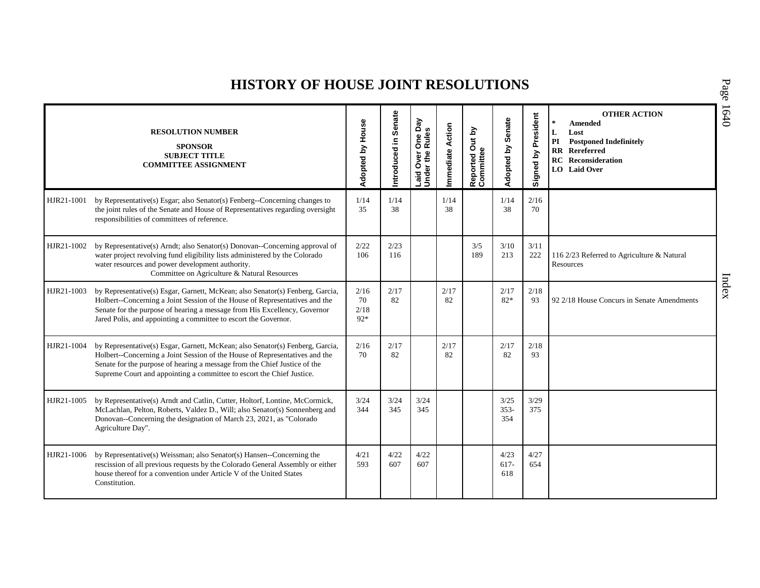## **HISTORY OF HOUSE JOINT RESOLUTIONS**

|            | <b>RESOLUTION NUMBER</b><br><b>SPONSOR</b><br><b>SUBJECT TITLE</b><br><b>COMMITTEE ASSIGNMENT</b>                                                                                                                                                                                                                  | Adopted by House            | Senate<br>Introduced in | Laid Over One Day<br>Under the Rules | Action<br>mmediate | Reported Out by<br>Committee | Senate<br>Adopted by   | Signed by President | <b>OTHER ACTION</b><br>$\star$<br><b>Amended</b><br>L<br>Lost<br>PI<br><b>Postponed Indefinitely</b><br>$\mathbf{R}$<br>Rereferred<br><b>RC</b> Reconsideration<br>LO Laid Over |
|------------|--------------------------------------------------------------------------------------------------------------------------------------------------------------------------------------------------------------------------------------------------------------------------------------------------------------------|-----------------------------|-------------------------|--------------------------------------|--------------------|------------------------------|------------------------|---------------------|---------------------------------------------------------------------------------------------------------------------------------------------------------------------------------|
| HJR21-1001 | by Representative(s) Esgar; also Senator(s) Fenberg--Concerning changes to<br>the joint rules of the Senate and House of Representatives regarding oversight<br>responsibilities of committees of reference.                                                                                                       | 1/14<br>35                  | 1/14<br>38              |                                      | 1/14<br>38         |                              | 1/14<br>38             | 2/16<br>70          |                                                                                                                                                                                 |
| HJR21-1002 | by Representative(s) Arndt; also Senator(s) Donovan--Concerning approval of<br>water project revolving fund eligibility lists administered by the Colorado<br>water resources and power development authority.<br>Committee on Agriculture & Natural Resources                                                     | 2/22<br>106                 | 2/23<br>116             |                                      |                    | 3/5<br>189                   | 3/10<br>213            | 3/11<br>222         | 116 2/23 Referred to Agriculture & Natural<br>Resources                                                                                                                         |
| HJR21-1003 | by Representative(s) Esgar, Garnett, McKean; also Senator(s) Fenberg, Garcia,<br>Holbert--Concerning a Joint Session of the House of Representatives and the<br>Senate for the purpose of hearing a message from His Excellency, Governor<br>Jared Polis, and appointing a committee to escort the Governor.       | 2/16<br>70<br>2/18<br>$92*$ | 2/17<br>82              |                                      | 2/17<br>82         |                              | 2/17<br>$82*$          | 2/18<br>93          | 92 2/18 House Concurs in Senate Amendments                                                                                                                                      |
| HJR21-1004 | by Representative(s) Esgar, Garnett, McKean; also Senator(s) Fenberg, Garcia,<br>Holbert--Concerning a Joint Session of the House of Representatives and the<br>Senate for the purpose of hearing a message from the Chief Justice of the<br>Supreme Court and appointing a committee to escort the Chief Justice. | 2/16<br>70                  | 2/17<br>82              |                                      | 2/17<br>82         |                              | 2/17<br>82             | 2/18<br>93          |                                                                                                                                                                                 |
| HJR21-1005 | by Representative(s) Arndt and Catlin, Cutter, Holtorf, Lontine, McCormick,<br>McLachlan, Pelton, Roberts, Valdez D., Will; also Senator(s) Sonnenberg and<br>Donovan--Concerning the designation of March 23, 2021, as "Colorado<br>Agriculture Day".                                                             | 3/24<br>344                 | 3/24<br>345             | 3/24<br>345                          |                    |                              | 3/25<br>$353 -$<br>354 | 3/29<br>375         |                                                                                                                                                                                 |
| HJR21-1006 | by Representative(s) Weissman; also Senator(s) Hansen--Concerning the<br>rescission of all previous requests by the Colorado General Assembly or either<br>house thereof for a convention under Article V of the United States<br>Constitution.                                                                    | 4/21<br>593                 | 4/22<br>607             | 4/22<br>607                          |                    |                              | 4/23<br>$617-$<br>618  | 4/27<br>654         |                                                                                                                                                                                 |

P a g e 16 4 0

Index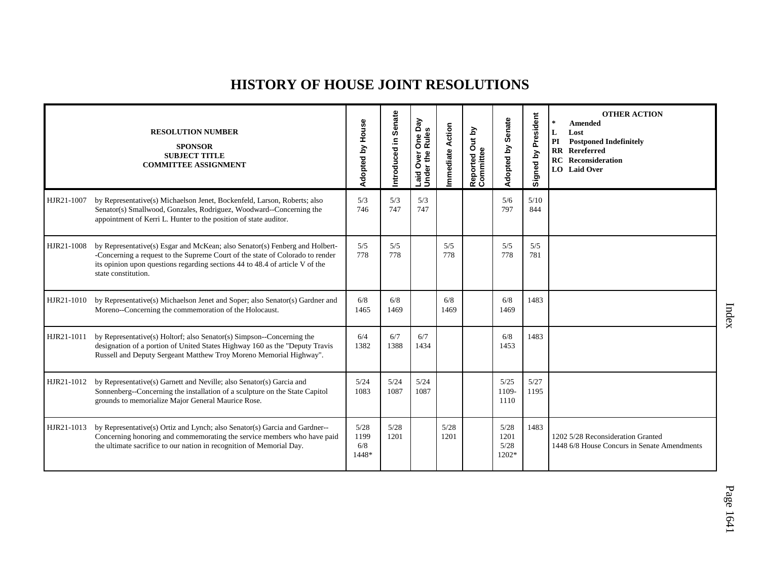## **HISTORY OF HOUSE JOINT RESOLUTIONS**

|            | <b>RESOLUTION NUMBER</b><br><b>SPONSOR</b><br><b>SUBJECT TITLE</b><br><b>COMMITTEE ASSIGNMENT</b>                                                                                                                                                                   | Adopted by House             | Senate<br>ntroduced in | One Day<br>Rules<br>Laid Over<br>Under the | mmediate Action | Reported Out by<br>Committee | Senate<br>Adopted by          | President<br>δ<br>Signed | <b>OTHER ACTION</b><br><b>Amended</b><br>Lost<br>L<br>PI<br><b>Postponed Indefinitely</b><br>$\mathbf{R}$<br>Rereferred<br>Reconsideration<br>RC<br><b>LO</b> Laid Over |
|------------|---------------------------------------------------------------------------------------------------------------------------------------------------------------------------------------------------------------------------------------------------------------------|------------------------------|------------------------|--------------------------------------------|-----------------|------------------------------|-------------------------------|--------------------------|-------------------------------------------------------------------------------------------------------------------------------------------------------------------------|
| HJR21-1007 | by Representative(s) Michaelson Jenet, Bockenfeld, Larson, Roberts; also<br>Senator(s) Smallwood, Gonzales, Rodriguez, Woodward--Concerning the<br>appointment of Kerri L. Hunter to the position of state auditor.                                                 | 5/3<br>746                   | 5/3<br>747             | 5/3<br>747                                 |                 |                              | 5/6<br>797                    | 5/10<br>844              |                                                                                                                                                                         |
| HJR21-1008 | by Representative(s) Esgar and McKean; also Senator(s) Fenberg and Holbert-<br>-Concerning a request to the Supreme Court of the state of Colorado to render<br>its opinion upon questions regarding sections 44 to 48.4 of article V of the<br>state constitution. | 5/5<br>778                   | 5/5<br>778             |                                            | 5/5<br>778      |                              | 5/5<br>778                    | 5/5<br>781               |                                                                                                                                                                         |
| HJR21-1010 | by Representative(s) Michaelson Jenet and Soper; also Senator(s) Gardner and<br>Moreno--Concerning the commemoration of the Holocaust.                                                                                                                              | 6/8<br>1465                  | 6/8<br>1469            |                                            | 6/8<br>1469     |                              | 6/8<br>1469                   | 1483                     |                                                                                                                                                                         |
| HJR21-1011 | by Representative(s) Holtorf; also Senator(s) Simpson--Concerning the<br>designation of a portion of United States Highway 160 as the "Deputy Travis<br>Russell and Deputy Sergeant Matthew Troy Moreno Memorial Highway".                                          | 6/4<br>1382                  | 6/7<br>1388            | 6/7<br>1434                                |                 |                              | 6/8<br>1453                   | 1483                     |                                                                                                                                                                         |
| HJR21-1012 | by Representative(s) Garnett and Neville; also Senator(s) Garcia and<br>Sonnenberg--Concerning the installation of a sculpture on the State Capitol<br>grounds to memorialize Major General Maurice Rose.                                                           | 5/24<br>1083                 | 5/24<br>1087           | 5/24<br>1087                               |                 |                              | 5/25<br>1109-<br>1110         | 5/27<br>1195             |                                                                                                                                                                         |
| HJR21-1013 | by Representative(s) Ortiz and Lynch; also Senator(s) Garcia and Gardner--<br>Concerning honoring and commemorating the service members who have paid<br>the ultimate sacrifice to our nation in recognition of Memorial Day.                                       | 5/28<br>1199<br>6/8<br>1448* | 5/28<br>1201           |                                            | 5/28<br>1201    |                              | 5/28<br>1201<br>5/28<br>1202* | 1483                     | 1202 5/28 Reconsideration Granted<br>1448 6/8 House Concurs in Senate Amendments                                                                                        |